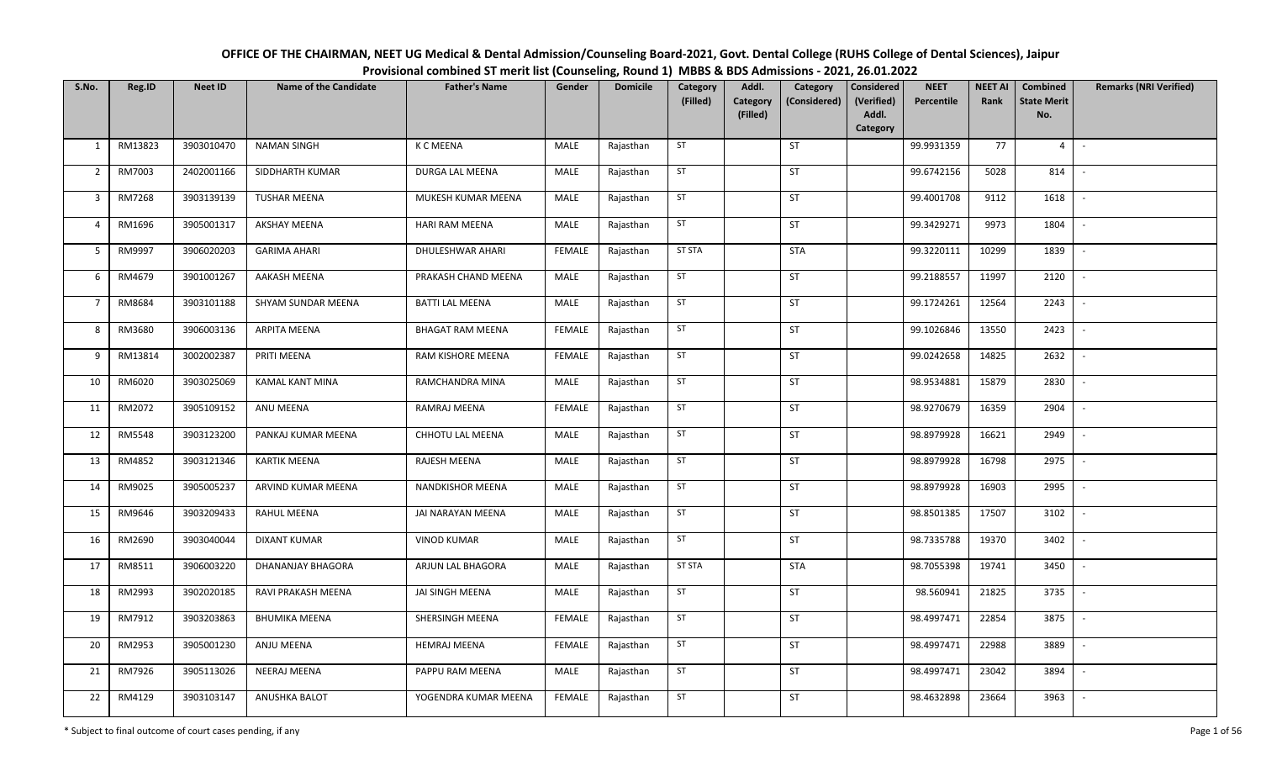| OFFICE OF THE CHAIRMAN, NEET UG Medical & Dental Admission/Counseling Board-2021, Govt. Dental College (RUHS College of Dental Sciences), Jaipur |
|--------------------------------------------------------------------------------------------------------------------------------------------------|
| Provisional combined ST merit list (Counseling, Round 1) MBBS & BDS Admissions - 2021, 26.01.2022                                                |

| S.No.          | Reg.ID        | <b>Neet ID</b> | <b>Name of the Candidate</b> | <b>Father's Name</b>    | Gender        | <b>Domicile</b> | Category<br>(Filled) | Addl.<br><b>Category</b> | Category<br>(Considered) | <b>Considered</b><br>(Verified) | <b>NEET</b><br>Percentile | <b>NEET AI</b><br>Rank | Combined<br><b>State Merit</b> | <b>Remarks (NRI Verified)</b> |
|----------------|---------------|----------------|------------------------------|-------------------------|---------------|-----------------|----------------------|--------------------------|--------------------------|---------------------------------|---------------------------|------------------------|--------------------------------|-------------------------------|
|                |               |                |                              |                         |               |                 |                      | (Filled)                 |                          | Addl.<br>Category               |                           |                        | No.                            |                               |
| 1              | RM13823       | 3903010470     | <b>NAMAN SINGH</b>           | K C MEENA               | MALE          | Rajasthan       | ST                   |                          | ST                       |                                 | 99.9931359                | 77                     | $\overline{4}$                 | $\overline{\phantom{a}}$      |
| $\overline{2}$ | RM7003        | 2402001166     | SIDDHARTH KUMAR              | DURGA LAL MEENA         | MALE          | Rajasthan       | ST                   |                          | ST                       |                                 | 99.6742156                | 5028                   | 814                            | $\overline{\phantom{a}}$      |
| $\mathbf{3}$   | RM7268        | 3903139139     | <b>TUSHAR MEENA</b>          | MUKESH KUMAR MEENA      | MALE          | Rajasthan       | ST                   |                          | ST                       |                                 | 99.4001708                | 9112                   | 1618                           | $\sim$                        |
| 4              | RM1696        | 3905001317     | <b>AKSHAY MEENA</b>          | HARI RAM MEENA          | MALE          | Rajasthan       | ST                   |                          | ST                       |                                 | 99.3429271                | 9973                   | 1804                           | $\overline{\phantom{a}}$      |
| 5              | RM9997        | 3906020203     | <b>GARIMA AHARI</b>          | DHULESHWAR AHARI        | <b>FEMALE</b> | Rajasthan       | <b>ST STA</b>        |                          | <b>STA</b>               |                                 | 99.3220111                | 10299                  | 1839                           | $\sim$                        |
| 6              | RM4679        | 3901001267     | AAKASH MEENA                 | PRAKASH CHAND MEENA     | MALE          | Rajasthan       | ST                   |                          | ST                       |                                 | 99.2188557                | 11997                  | 2120                           | $\sim$                        |
| $\overline{7}$ | RM8684        | 3903101188     | SHYAM SUNDAR MEENA           | <b>BATTI LAL MEENA</b>  | MALE          | Rajasthan       | ST                   |                          | ST                       |                                 | 99.1724261                | 12564                  | 2243                           |                               |
| 8              | RM3680        | 3906003136     | ARPITA MEENA                 | <b>BHAGAT RAM MEENA</b> | <b>FEMALE</b> | Rajasthan       | ST                   |                          | ST                       |                                 | 99.1026846                | 13550                  | 2423                           |                               |
| 9              | RM13814       | 3002002387     | PRITI MEENA                  | RAM KISHORE MEENA       | <b>FEMALE</b> | Rajasthan       | ST                   |                          | <b>ST</b>                |                                 | 99.0242658                | 14825                  | 2632                           |                               |
| 10             | RM6020        | 3903025069     | <b>KAMAL KANT MINA</b>       | RAMCHANDRA MINA         | MALE          | Rajasthan       | ST                   |                          | ST                       |                                 | 98.9534881                | 15879                  | 2830                           |                               |
| 11             | RM2072        | 3905109152     | ANU MEENA                    | RAMRAJ MEENA            | <b>FEMALE</b> | Rajasthan       | ST                   |                          | ST                       |                                 | 98.9270679                | 16359                  | 2904                           |                               |
| 12             | <b>RM5548</b> | 3903123200     | PANKAJ KUMAR MEENA           | CHHOTU LAL MEENA        | MALE          | Rajasthan       | ST                   |                          | ST                       |                                 | 98.8979928                | 16621                  | 2949                           | $\overline{\phantom{a}}$      |
| 13             | RM4852        | 3903121346     | <b>KARTIK MEENA</b>          | RAJESH MEENA            | MALE          | Rajasthan       | ST                   |                          | ST                       |                                 | 98.8979928                | 16798                  | 2975                           |                               |
| 14             | RM9025        | 3905005237     | ARVIND KUMAR MEENA           | NANDKISHOR MEENA        | MALE          | Rajasthan       | ST                   |                          | <b>ST</b>                |                                 | 98.8979928                | 16903                  | 2995                           | $\sim$                        |
| 15             | RM9646        | 3903209433     | RAHUL MEENA                  | JAI NARAYAN MEENA       | <b>MALE</b>   | Rajasthan       | ST                   |                          | ST                       |                                 | 98.8501385                | 17507                  | 3102                           | $\sim$                        |
| 16             | RM2690        | 3903040044     | <b>DIXANT KUMAR</b>          | <b>VINOD KUMAR</b>      | MALE          | Rajasthan       | ST                   |                          | <b>ST</b>                |                                 | 98.7335788                | 19370                  | 3402                           | $\sim$                        |
| 17             | RM8511        | 3906003220     | DHANANJAY BHAGORA            | ARJUN LAL BHAGORA       | MALE          | Rajasthan       | <b>ST STA</b>        |                          | <b>STA</b>               |                                 | 98.7055398                | 19741                  | 3450                           | $\overline{\phantom{a}}$      |
| 18             | RM2993        | 3902020185     | RAVI PRAKASH MEENA           | JAI SINGH MEENA         | MALE          | Rajasthan       | ST                   |                          | ST                       |                                 | 98.560941                 | 21825                  | 3735                           | $\overline{\phantom{a}}$      |
| 19             | RM7912        | 3903203863     | <b>BHUMIKA MEENA</b>         | SHERSINGH MEENA         | <b>FEMALE</b> | Rajasthan       | ST                   |                          | ST                       |                                 | 98.4997471                | 22854                  | 3875                           |                               |
| 20             | RM2953        | 3905001230     | ANJU MEENA                   | <b>HEMRAJ MEENA</b>     | <b>FEMALE</b> | Rajasthan       | ST                   |                          | ST                       |                                 | 98.4997471                | 22988                  | 3889                           |                               |
| 21             | RM7926        | 3905113026     | NEERAJ MEENA                 | PAPPU RAM MEENA         | MALE          | Rajasthan       | ST                   |                          | <b>ST</b>                |                                 | 98.4997471                | 23042                  | 3894                           | $\overline{\phantom{a}}$      |
| 22             | RM4129        | 3903103147     | ANUSHKA BALOT                | YOGENDRA KUMAR MEENA    | FEMALE        | Rajasthan       | ST                   |                          | ST                       |                                 | 98.4632898                | 23664                  | 3963                           |                               |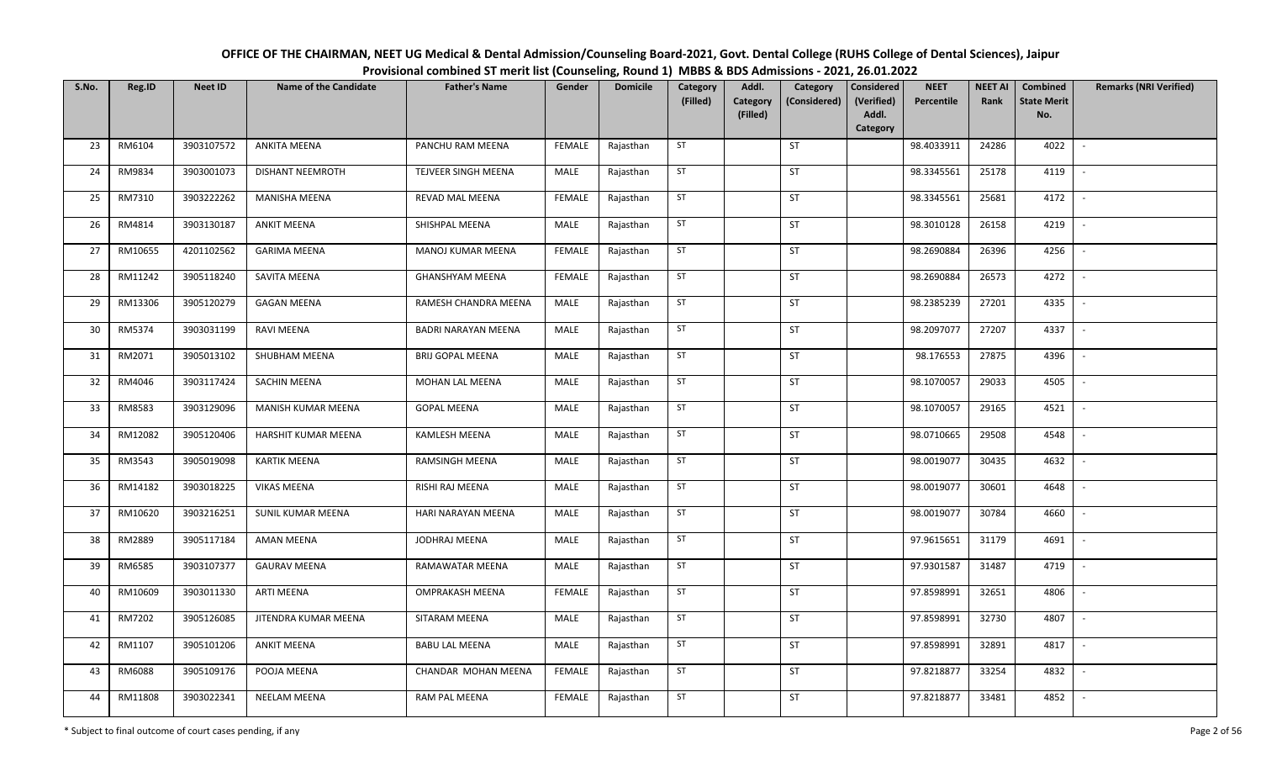| OFFICE OF THE CHAIRMAN, NEET UG Medical & Dental Admission/Counseling Board-2021, Govt. Dental College (RUHS College of Dental Sciences), Jaipur |
|--------------------------------------------------------------------------------------------------------------------------------------------------|
| Provisional combined ST merit list (Counseling, Round 1) MBBS & BDS Admissions - 2021, 26.01.2022                                                |

| S.No. | Reg.ID  | <b>Neet ID</b> | <b>Name of the Candidate</b> | <b>Father's Name</b>       | Gender        | <b>Domicile</b> | Category<br>(Filled) | Addl.<br>Category<br>(Filled) | Category<br>(Considered) | Considered<br>(Verified)<br>Addl.<br>Category | <b>NEET</b><br>Percentile | <b>NEET AI</b><br>Rank | Combined<br><b>State Merit</b><br>No. | <b>Remarks (NRI Verified)</b> |
|-------|---------|----------------|------------------------------|----------------------------|---------------|-----------------|----------------------|-------------------------------|--------------------------|-----------------------------------------------|---------------------------|------------------------|---------------------------------------|-------------------------------|
| 23    | RM6104  | 3903107572     | <b>ANKITA MEENA</b>          | PANCHU RAM MEENA           | <b>FEMALE</b> | Rajasthan       | ST                   |                               | ST                       |                                               | 98.4033911                | 24286                  | 4022                                  | $\sim$                        |
| 24    | RM9834  | 3903001073     | <b>DISHANT NEEMROTH</b>      | TEJVEER SINGH MEENA        | MALE          | Rajasthan       | ST                   |                               | ST                       |                                               | 98.3345561                | 25178                  | 4119                                  | $\overline{\phantom{a}}$      |
| 25    | RM7310  | 3903222262     | <b>MANISHA MEENA</b>         | REVAD MAL MEENA            | <b>FEMALE</b> | Rajasthan       | ST                   |                               | <b>ST</b>                |                                               | 98.3345561                | 25681                  | 4172                                  | $\sim$                        |
| 26    | RM4814  | 3903130187     | <b>ANKIT MEENA</b>           | SHISHPAL MEENA             | MALE          | Rajasthan       | ST                   |                               | ST                       |                                               | 98.3010128                | 26158                  | 4219                                  | $\sim$                        |
| 27    | RM10655 | 4201102562     | <b>GARIMA MEENA</b>          | MANOJ KUMAR MEENA          | <b>FEMALE</b> | Rajasthan       | ST                   |                               | ST                       |                                               | 98.2690884                | 26396                  | 4256                                  | $\sim$                        |
| 28    | RM11242 | 3905118240     | SAVITA MEENA                 | GHANSHYAM MEENA            | <b>FEMALE</b> | Rajasthan       | ST                   |                               | ST                       |                                               | 98.2690884                | 26573                  | 4272                                  | $\sim$                        |
| 29    | RM13306 | 3905120279     | <b>GAGAN MEENA</b>           | RAMESH CHANDRA MEENA       | MALE          | Rajasthan       | ST                   |                               | ST                       |                                               | 98.2385239                | 27201                  | 4335                                  |                               |
| 30    | RM5374  | 3903031199     | RAVI MEENA                   | <b>BADRI NARAYAN MEENA</b> | MALE          | Rajasthan       | ST                   |                               | ST                       |                                               | 98.2097077                | 27207                  | 4337                                  | $\blacksquare$                |
| 31    | RM2071  | 3905013102     | SHUBHAM MEENA                | <b>BRIJ GOPAL MEENA</b>    | MALE          | Rajasthan       | ST                   |                               | ST                       |                                               | 98.176553                 | 27875                  | 4396                                  |                               |
| 32    | RM4046  | 3903117424     | SACHIN MEENA                 | MOHAN LAL MEENA            | MALE          | Rajasthan       | ST                   |                               | ST                       |                                               | 98.1070057                | 29033                  | 4505                                  | $\sim$                        |
| 33    | RM8583  | 3903129096     | MANISH KUMAR MEENA           | <b>GOPAL MEENA</b>         | MALE          | Rajasthan       | ST                   |                               | ST                       |                                               | 98.1070057                | 29165                  | 4521                                  | $\overline{\phantom{a}}$      |
| 34    | RM12082 | 3905120406     | HARSHIT KUMAR MEENA          | <b>KAMLESH MEENA</b>       | MALE          | Rajasthan       | ST                   |                               | <b>ST</b>                |                                               | 98.0710665                | 29508                  | 4548                                  | $\overline{\phantom{a}}$      |
| 35    | RM3543  | 3905019098     | <b>KARTIK MEENA</b>          | RAMSINGH MEENA             | MALE          | Rajasthan       | ST                   |                               | ST                       |                                               | 98.0019077                | 30435                  | 4632                                  |                               |
| 36    | RM14182 | 3903018225     | <b>VIKAS MEENA</b>           | RISHI RAJ MEENA            | MALE          | Rajasthan       | ST                   |                               | ST                       |                                               | 98.0019077                | 30601                  | 4648                                  | $\mathbb{L}$                  |
| 37    | RM10620 | 3903216251     | SUNIL KUMAR MEENA            | HARI NARAYAN MEENA         | MALE          | Rajasthan       | ST                   |                               | ST                       |                                               | 98.0019077                | 30784                  | 4660                                  |                               |
| 38    | RM2889  | 3905117184     | AMAN MEENA                   | JODHRAJ MEENA              | MALE          | Rajasthan       | ST                   |                               | ST                       |                                               | 97.9615651                | 31179                  | 4691                                  | $\blacksquare$                |
| 39    | RM6585  | 3903107377     | <b>GAURAV MEENA</b>          | RAMAWATAR MEENA            | MALE          | Rajasthan       | ST                   |                               | ST                       |                                               | 97.9301587                | 31487                  | 4719                                  |                               |
| 40    | RM10609 | 3903011330     | ARTI MEENA                   | <b>OMPRAKASH MEENA</b>     | <b>FEMALE</b> | Rajasthan       | ST                   |                               | <b>ST</b>                |                                               | 97.8598991                | 32651                  | 4806                                  | $\sim$                        |
| 41    | RM7202  | 3905126085     | JITENDRA KUMAR MEENA         | SITARAM MEENA              | MALE          | Rajasthan       | ST                   |                               | <b>ST</b>                |                                               | 97.8598991                | 32730                  | 4807                                  | $\overline{\phantom{a}}$      |
| 42    | RM1107  | 3905101206     | <b>ANKIT MEENA</b>           | <b>BABU LAL MEENA</b>      | MALE          | Rajasthan       | ST                   |                               | <b>ST</b>                |                                               | 97.8598991                | 32891                  | 4817                                  | $\sim$                        |
| 43    | RM6088  | 3905109176     | POOJA MEENA                  | CHANDAR MOHAN MEENA        | <b>FEMALE</b> | Rajasthan       | ST                   |                               | ST                       |                                               | 97.8218877                | 33254                  | 4832                                  | $\sim$                        |
| 44    | RM11808 | 3903022341     | <b>NEELAM MEENA</b>          | RAM PAL MEENA              | <b>FEMALE</b> | Rajasthan       | ST                   |                               | ST                       |                                               | 97.8218877                | 33481                  | 4852                                  |                               |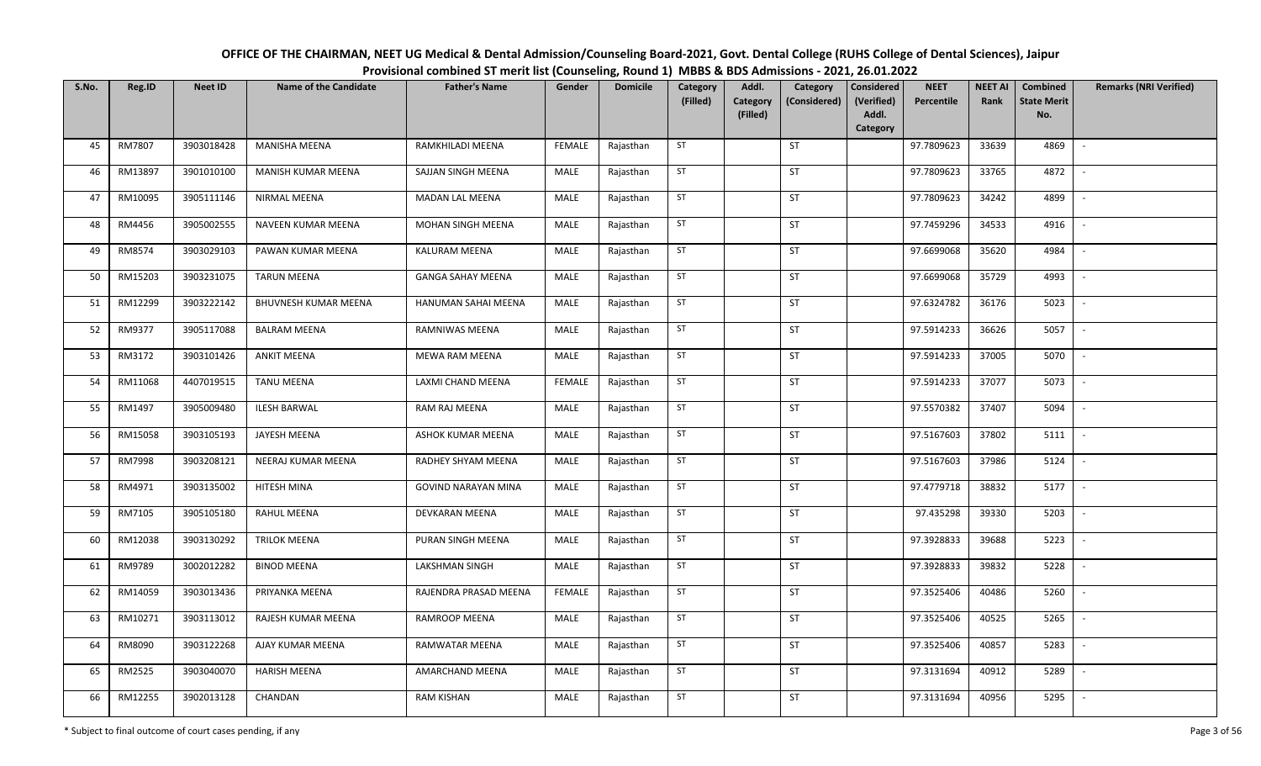| OFFICE OF THE CHAIRMAN, NEET UG Medical & Dental Admission/Counseling Board-2021, Govt. Dental College (RUHS College of Dental Sciences), Jaipur |
|--------------------------------------------------------------------------------------------------------------------------------------------------|
| Provisional combined ST merit list (Counseling, Round 1) MBBS & BDS Admissions - 2021, 26.01.2022                                                |

| S.No. | Reg.ID  | <b>Neet ID</b> | <b>Name of the Candidate</b> | <b>Father's Name</b>       | Gender        | <b>Domicile</b> | Category<br>(Filled) | Addl.<br>Category<br>(Considered)<br>Category<br>(Filled) | <b>Considered</b><br>(Verified)<br>Addl. | <b>NEET</b><br>Percentile | <b>NEET AI</b><br>Rank | Combined<br><b>State Merit</b><br>No. | <b>Remarks (NRI Verified)</b> |
|-------|---------|----------------|------------------------------|----------------------------|---------------|-----------------|----------------------|-----------------------------------------------------------|------------------------------------------|---------------------------|------------------------|---------------------------------------|-------------------------------|
| 45    | RM7807  | 3903018428     | <b>MANISHA MEENA</b>         | RAMKHILADI MEENA           | <b>FEMALE</b> | Rajasthan       | ST                   | ST                                                        | Category                                 | 97.7809623                | 33639                  | 4869                                  | $\overline{\phantom{a}}$      |
|       |         |                |                              |                            |               |                 |                      |                                                           |                                          |                           |                        |                                       |                               |
| 46    | RM13897 | 3901010100     | MANISH KUMAR MEENA           | SAJJAN SINGH MEENA         | MALE          | Rajasthan       | ST                   | <b>ST</b>                                                 |                                          | 97.7809623                | 33765                  | 4872                                  | $\overline{\phantom{a}}$      |
| 47    | RM10095 | 3905111146     | <b>NIRMAL MEENA</b>          | <b>MADAN LAL MEENA</b>     | <b>MALE</b>   | Rajasthan       | <b>ST</b>            | <b>ST</b>                                                 |                                          | 97.7809623                | 34242                  | 4899                                  | $\sim$                        |
| 48    | RM4456  | 3905002555     | NAVEEN KUMAR MEENA           | MOHAN SINGH MEENA          | MALE          | Rajasthan       | ST                   | ST                                                        |                                          | 97.7459296                | 34533                  | 4916                                  | $\sim$                        |
| 49    | RM8574  | 3903029103     | PAWAN KUMAR MEENA            | KALURAM MEENA              | MALE          | Rajasthan       | ST                   | ST                                                        |                                          | 97.6699068                | 35620                  | 4984                                  | $\sim$                        |
| 50    | RM15203 | 3903231075     | <b>TARUN MEENA</b>           | <b>GANGA SAHAY MEENA</b>   | MALE          | Rajasthan       | ST                   | ST                                                        |                                          | 97.6699068                | 35729                  | 4993                                  | $\blacksquare$                |
| 51    | RM12299 | 3903222142     | BHUVNESH KUMAR MEENA         | HANUMAN SAHAI MEENA        | MALE          | Rajasthan       | ST                   | ST                                                        |                                          | 97.6324782                | 36176                  | 5023                                  | $\blacksquare$                |
| 52    | RM9377  | 3905117088     | <b>BALRAM MEENA</b>          | RAMNIWAS MEENA             | MALE          | Rajasthan       | ST                   | ST                                                        |                                          | 97.5914233                | 36626                  | 5057                                  |                               |
| 53    | RM3172  | 3903101426     | <b>ANKIT MEENA</b>           | MEWA RAM MEENA             | MALE          | Rajasthan       | ST                   | ST                                                        |                                          | 97.5914233                | 37005                  | 5070                                  |                               |
| 54    | RM11068 | 4407019515     | <b>TANU MEENA</b>            | LAXMI CHAND MEENA          | <b>FEMALE</b> | Rajasthan       | ST                   | ST                                                        |                                          | 97.5914233                | 37077                  | 5073                                  |                               |
| 55    | RM1497  | 3905009480     | <b>ILESH BARWAL</b>          | RAM RAJ MEENA              | MALE          | Rajasthan       | ST                   | ST                                                        |                                          | 97.5570382                | 37407                  | 5094                                  | $\overline{\phantom{a}}$      |
| 56    | RM15058 | 3903105193     | JAYESH MEENA                 | ASHOK KUMAR MEENA          | <b>MALE</b>   | Rajasthan       | ST                   | ST                                                        |                                          | 97.5167603                | 37802                  | 5111                                  | $\overline{\phantom{a}}$      |
| 57    | RM7998  | 3903208121     | NEERAJ KUMAR MEENA           | RADHEY SHYAM MEENA         | MALE          | Rajasthan       | ST                   | ST                                                        |                                          | 97.5167603                | 37986                  | 5124                                  |                               |
| 58    | RM4971  | 3903135002     | HITESH MINA                  | <b>GOVIND NARAYAN MINA</b> | MALE          | Rajasthan       | ST                   | <b>ST</b>                                                 |                                          | 97.4779718                | 38832                  | 5177                                  | $\overline{\phantom{a}}$      |
| 59    | RM7105  | 3905105180     | RAHUL MEENA                  | DEVKARAN MEENA             | MALE          | Rajasthan       | ST                   | <b>ST</b>                                                 |                                          | 97.435298                 | 39330                  | 5203                                  | $\overline{\phantom{a}}$      |
| 60    | RM12038 | 3903130292     | <b>TRILOK MEENA</b>          | PURAN SINGH MEENA          | MALE          | Rajasthan       | ST                   | ST                                                        |                                          | 97.3928833                | 39688                  | 5223                                  | $\blacksquare$                |
| 61    | RM9789  | 3002012282     | <b>BINOD MEENA</b>           | <b>LAKSHMAN SINGH</b>      | MALE          | Rajasthan       | ST                   | ST                                                        |                                          | 97.3928833                | 39832                  | 5228                                  |                               |
| 62    | RM14059 | 3903013436     | PRIYANKA MEENA               | RAJENDRA PRASAD MEENA      | <b>FEMALE</b> | Rajasthan       | <b>ST</b>            | ST                                                        |                                          | 97.3525406                | 40486                  | 5260                                  | $\overline{\phantom{a}}$      |
| 63    | RM10271 | 3903113012     | RAJESH KUMAR MEENA           | <b>RAMROOP MEENA</b>       | MALE          | Rajasthan       | ST                   | <b>ST</b>                                                 |                                          | 97.3525406                | 40525                  | 5265                                  | $\overline{\phantom{a}}$      |
| 64    | RM8090  | 3903122268     | AJAY KUMAR MEENA             | RAMWATAR MEENA             | MALE          | Rajasthan       | <b>ST</b>            | <b>ST</b>                                                 |                                          | 97.3525406                | 40857                  | 5283                                  | $\sim$                        |
| 65    | RM2525  | 3903040070     | <b>HARISH MEENA</b>          | AMARCHAND MEENA            | MALE          | Rajasthan       | ST                   | ST                                                        |                                          | 97.3131694                | 40912                  | 5289                                  | $\overline{\phantom{a}}$      |
| 66    | RM12255 | 3902013128     | CHANDAN                      | RAM KISHAN                 | MALE          | Rajasthan       | ST                   | ST                                                        |                                          | 97.3131694                | 40956                  | 5295                                  | $\overline{\phantom{a}}$      |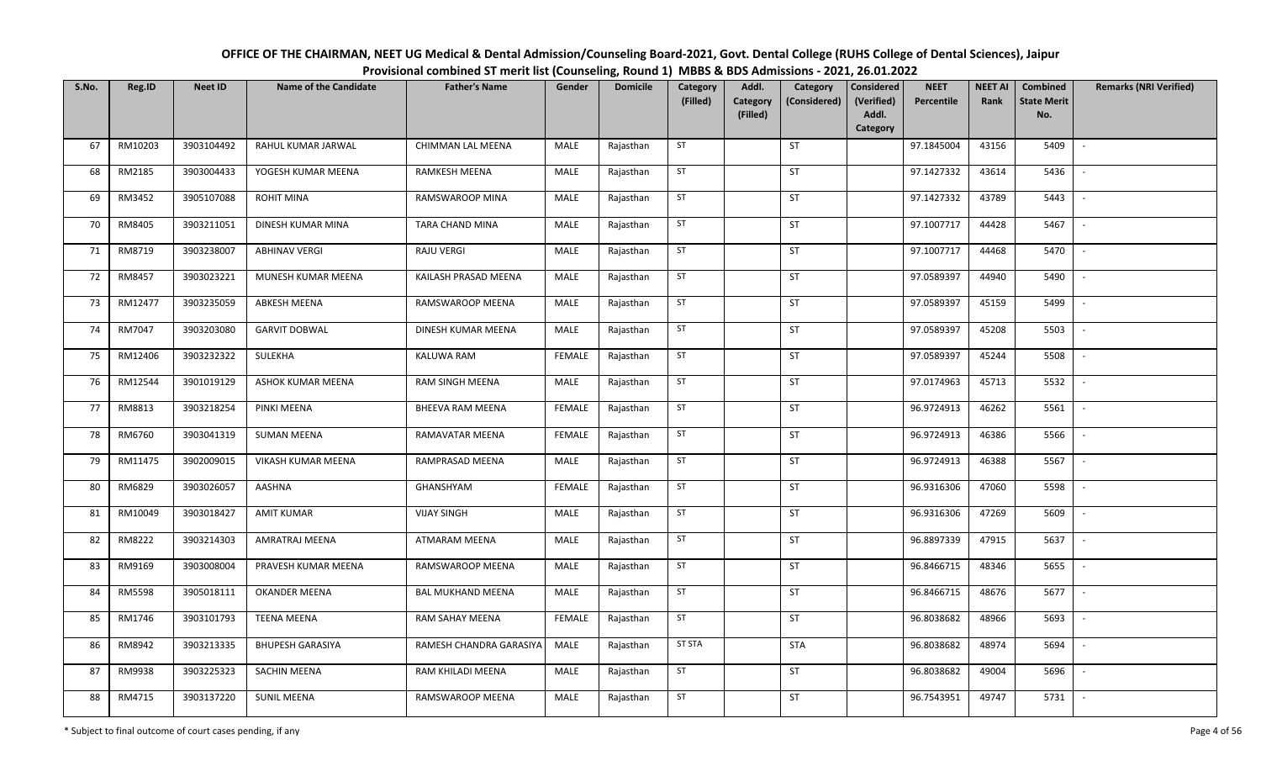| OFFICE OF THE CHAIRMAN, NEET UG Medical & Dental Admission/Counseling Board-2021, Govt. Dental College (RUHS College of Dental Sciences), Jaipur |
|--------------------------------------------------------------------------------------------------------------------------------------------------|
| Provisional combined ST merit list (Counseling, Round 1) MBBS & BDS Admissions - 2021, 26.01.2022                                                |

| S.No. | Reg.ID  | <b>Neet ID</b> | <b>Name of the Candidate</b> | <b>Father's Name</b>     | Gender        | <b>Domicile</b> | Category<br>(Filled) | Addl.<br>Category<br>Category<br>(Considered)<br>(Filled) | <b>Considered</b><br>(Verified)<br>Addl. | <b>NEET</b><br>Percentile | <b>NEET AI</b><br>Rank | Combined<br><b>State Merit</b><br>No. | <b>Remarks (NRI Verified)</b> |
|-------|---------|----------------|------------------------------|--------------------------|---------------|-----------------|----------------------|-----------------------------------------------------------|------------------------------------------|---------------------------|------------------------|---------------------------------------|-------------------------------|
| 67    | RM10203 | 3903104492     | RAHUL KUMAR JARWAL           | CHIMMAN LAL MEENA        | MALE          | Rajasthan       | ST                   | ST                                                        | Category                                 | 97.1845004                | 43156                  | 5409                                  | $\overline{\phantom{a}}$      |
| 68    | RM2185  | 3903004433     | YOGESH KUMAR MEENA           | RAMKESH MEENA            | MALE          | Rajasthan       | ST                   | <b>ST</b>                                                 |                                          | 97.1427332                | 43614                  | 5436                                  | $\overline{\phantom{a}}$      |
|       |         |                |                              |                          |               |                 |                      |                                                           |                                          |                           |                        |                                       |                               |
| 69    | RM3452  | 3905107088     | <b>ROHIT MINA</b>            | RAMSWAROOP MINA          | <b>MALE</b>   | Rajasthan       | <b>ST</b>            | <b>ST</b>                                                 |                                          | 97.1427332                | 43789                  | 5443                                  | $\sim$                        |
| 70    | RM8405  | 3903211051     | DINESH KUMAR MINA            | TARA CHAND MINA          | MALE          | Rajasthan       | ST                   | ST                                                        |                                          | 97.1007717                | 44428                  | 5467                                  | $\sim$                        |
| 71    | RM8719  | 3903238007     | <b>ABHINAV VERGI</b>         | RAJU VERGI               | MALE          | Rajasthan       | ST                   | ST                                                        |                                          | 97.1007717                | 44468                  | 5470                                  | $\sim$                        |
| 72    | RM8457  | 3903023221     | MUNESH KUMAR MEENA           | KAILASH PRASAD MEENA     | MALE          | Rajasthan       | ST                   | ST                                                        |                                          | 97.0589397                | 44940                  | 5490                                  | $\overline{\phantom{a}}$      |
| 73    | RM12477 | 3903235059     | <b>ABKESH MEENA</b>          | RAMSWAROOP MEENA         | MALE          | Rajasthan       | ST                   | <b>ST</b>                                                 |                                          | 97.0589397                | 45159                  | 5499                                  | $\blacksquare$                |
| 74    | RM7047  | 3903203080     | <b>GARVIT DOBWAL</b>         | DINESH KUMAR MEENA       | <b>MALE</b>   | Rajasthan       | ST                   | ST                                                        |                                          | 97.0589397                | 45208                  | 5503                                  | $\overline{\phantom{a}}$      |
| 75    | RM12406 | 3903232322     | SULEKHA                      | KALUWA RAM               | <b>FEMALE</b> | Rajasthan       | ST                   | ST                                                        |                                          | 97.0589397                | 45244                  | 5508                                  |                               |
| 76    | RM12544 | 3901019129     | ASHOK KUMAR MEENA            | RAM SINGH MEENA          | MALE          | Rajasthan       | ST                   | ST                                                        |                                          | 97.0174963                | 45713                  | 5532                                  |                               |
| 77    | RM8813  | 3903218254     | PINKI MEENA                  | BHEEVA RAM MEENA         | <b>FEMALE</b> | Rajasthan       | ST                   | ST                                                        |                                          | 96.9724913                | 46262                  | 5561                                  | $\overline{\phantom{a}}$      |
| 78    | RM6760  | 3903041319     | <b>SUMAN MEENA</b>           | RAMAVATAR MEENA          | <b>FEMALE</b> | Rajasthan       | ST                   | ST                                                        |                                          | 96.9724913                | 46386                  | 5566                                  | $\overline{\phantom{a}}$      |
| 79    | RM11475 | 3902009015     | VIKASH KUMAR MEENA           | RAMPRASAD MEENA          | MALE          | Rajasthan       | ST                   | ST                                                        |                                          | 96.9724913                | 46388                  | 5567                                  |                               |
| 80    | RM6829  | 3903026057     | AASHNA                       | GHANSHYAM                | <b>FEMALE</b> | Rajasthan       | ST                   | <b>ST</b>                                                 |                                          | 96.9316306                | 47060                  | 5598                                  | $\overline{\phantom{a}}$      |
| 81    | RM10049 | 3903018427     | <b>AMIT KUMAR</b>            | <b>VIJAY SINGH</b>       | MALE          | Rajasthan       | ST                   | <b>ST</b>                                                 |                                          | 96.9316306                | 47269                  | 5609                                  |                               |
| 82    | RM8222  | 3903214303     | AMRATRAJ MEENA               | <b>ATMARAM MEENA</b>     | MALE          | Rajasthan       | ST                   | <b>ST</b>                                                 |                                          | 96.8897339                | 47915                  | 5637                                  | $\blacksquare$                |
| 83    | RM9169  | 3903008004     | PRAVESH KUMAR MEENA          | RAMSWAROOP MEENA         | MALE          | Rajasthan       | ST                   | ST                                                        |                                          | 96.8466715                | 48346                  | 5655                                  |                               |
| 84    | RM5598  | 3905018111     | OKANDER MEENA                | <b>BAL MUKHAND MEENA</b> | MALE          | Rajasthan       | <b>ST</b>            | ST                                                        |                                          | 96.8466715                | 48676                  | 5677                                  | $\sim$                        |
| 85    | RM1746  | 3903101793     | <b>TEENA MEENA</b>           | RAM SAHAY MEENA          | <b>FEMALE</b> | Rajasthan       | ST                   | <b>ST</b>                                                 |                                          | 96.8038682                | 48966                  | 5693                                  | $\overline{\phantom{a}}$      |
| 86    | RM8942  | 3903213335     | <b>BHUPESH GARASIYA</b>      | RAMESH CHANDRA GARASIYA  | MALE          | Rajasthan       | <b>ST STA</b>        | <b>STA</b>                                                |                                          | 96.8038682                | 48974                  | 5694                                  | $\sim$                        |
| 87    | RM9938  | 3903225323     | SACHIN MEENA                 | RAM KHILADI MEENA        | MALE          | Rajasthan       | ST                   | ST                                                        |                                          | 96.8038682                | 49004                  | 5696                                  | $\overline{\phantom{a}}$      |
| 88    | RM4715  | 3903137220     | <b>SUNIL MEENA</b>           | RAMSWAROOP MEENA         | MALE          | Rajasthan       | ST                   | ST                                                        |                                          | 96.7543951                | 49747                  | 5731                                  | $\overline{\phantom{a}}$      |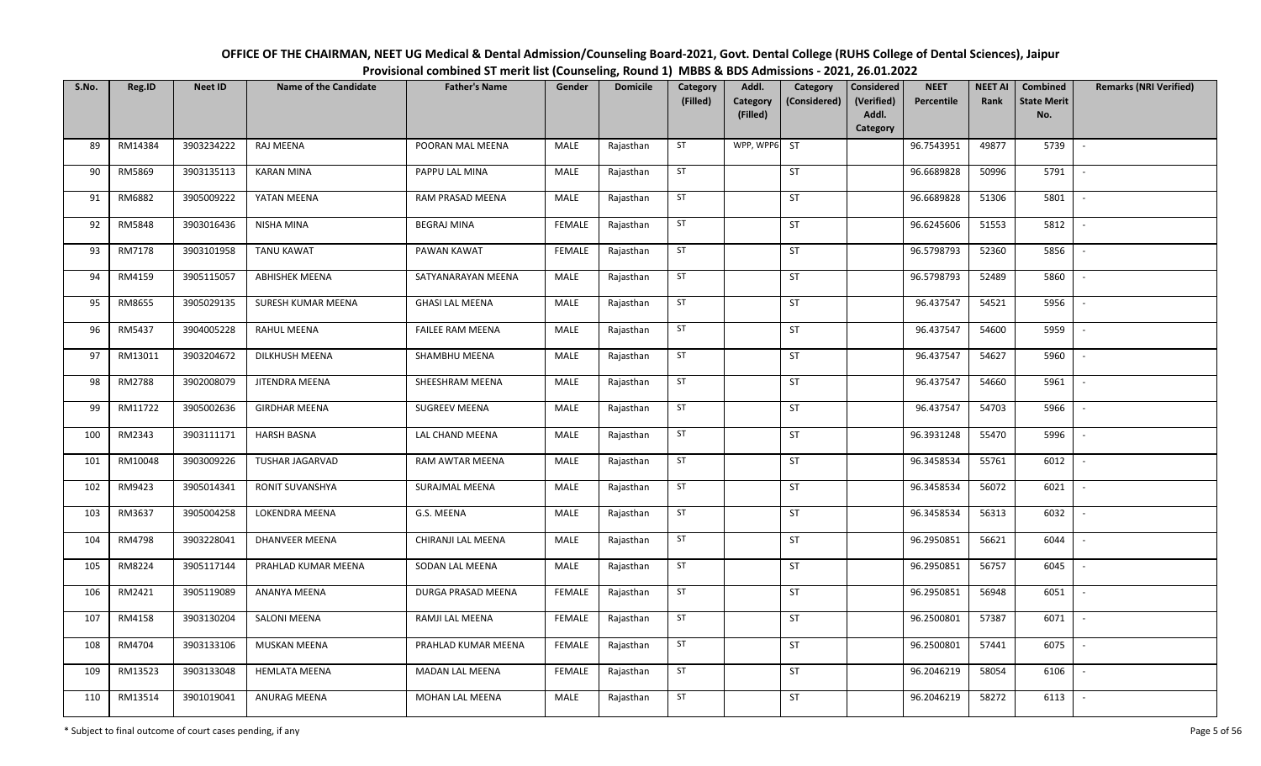| OFFICE OF THE CHAIRMAN, NEET UG Medical & Dental Admission/Counseling Board-2021, Govt. Dental College (RUHS College of Dental Sciences), Jaipur |  |
|--------------------------------------------------------------------------------------------------------------------------------------------------|--|
| Provisional combined ST merit list (Counseling, Round 1) MBBS & BDS Admissions - 2021, 26.01.2022                                                |  |

| S.No. | Reg.ID  | <b>Neet ID</b> | <b>Name of the Candidate</b> | <b>Father's Name</b>    | Gender        | <b>Domicile</b> | Category<br>(Filled) | Addl.<br>Category | Category<br>(Considered) | <b>Considered</b><br>(Verified) | <b>NEET</b><br>Percentile | <b>NEET AI</b><br>Rank | <b>Combined</b><br><b>State Merit</b> | <b>Remarks (NRI Verified)</b> |
|-------|---------|----------------|------------------------------|-------------------------|---------------|-----------------|----------------------|-------------------|--------------------------|---------------------------------|---------------------------|------------------------|---------------------------------------|-------------------------------|
|       |         |                |                              |                         |               |                 |                      | (Filled)          |                          | Addl.<br>Category               |                           |                        | No.                                   |                               |
| 89    | RM14384 | 3903234222     | RAJ MEENA                    | POORAN MAL MEENA        | MALE          | Rajasthan       | ST                   | WPP, WPP6         | <b>ST</b>                |                                 | 96.7543951                | 49877                  | 5739                                  | $\sim$                        |
| 90    | RM5869  | 3903135113     | <b>KARAN MINA</b>            | PAPPU LAL MINA          | MALE          | Rajasthan       | ST                   |                   | <b>ST</b>                |                                 | 96.6689828                | 50996                  | 5791                                  | $\overline{\phantom{a}}$      |
| 91    | RM6882  | 3905009222     | YATAN MEENA                  | RAM PRASAD MEENA        | MALE          | Rajasthan       | ST                   |                   | ST                       |                                 | 96.6689828                | 51306                  | 5801                                  | $\sim$                        |
| 92    | RM5848  | 3903016436     | NISHA MINA                   | <b>BEGRAJ MINA</b>      | <b>FEMALE</b> | Rajasthan       | ST                   |                   | ST                       |                                 | 96.6245606                | 51553                  | 5812                                  | $\overline{\phantom{a}}$      |
| 93    | RM7178  | 3903101958     | <b>TANU KAWAT</b>            | PAWAN KAWAT             | <b>FEMALE</b> | Rajasthan       | ST                   |                   | ST                       |                                 | 96.5798793                | 52360                  | 5856                                  | $\mathbb{L}$                  |
| 94    | RM4159  | 3905115057     | <b>ABHISHEK MEENA</b>        | SATYANARAYAN MEENA      | MALE          | Rajasthan       | ST                   |                   | ST                       |                                 | 96.5798793                | 52489                  | 5860                                  | $\overline{\phantom{a}}$      |
| 95    | RM8655  | 3905029135     | SURESH KUMAR MEENA           | <b>GHASI LAL MEENA</b>  | MALE          | Rajasthan       | ST                   |                   | ST                       |                                 | 96.437547                 | 54521                  | 5956                                  |                               |
| 96    | RM5437  | 3904005228     | RAHUL MEENA                  | <b>FAILEE RAM MEENA</b> | MALE          | Rajasthan       | ST                   |                   | ST                       |                                 | 96.437547                 | 54600                  | 5959                                  |                               |
| 97    | RM13011 | 3903204672     | DILKHUSH MEENA               | SHAMBHU MEENA           | MALE          | Rajasthan       | ST                   |                   | <b>ST</b>                |                                 | 96.437547                 | 54627                  | 5960                                  |                               |
| 98    | RM2788  | 3902008079     | JITENDRA MEENA               | SHEESHRAM MEENA         | MALE          | Rajasthan       | ST                   |                   | ST                       |                                 | 96.437547                 | 54660                  | 5961                                  |                               |
| 99    | RM11722 | 3905002636     | <b>GIRDHAR MEENA</b>         | <b>SUGREEV MEENA</b>    | MALE          | Rajasthan       | ST                   |                   | ST                       |                                 | 96.437547                 | 54703                  | 5966                                  |                               |
| 100   | RM2343  | 3903111171     | <b>HARSH BASNA</b>           | LAL CHAND MEENA         | MALE          | Rajasthan       | ST                   |                   | ST                       |                                 | 96.3931248                | 55470                  | 5996                                  | $\overline{\phantom{a}}$      |
| 101   | RM10048 | 3903009226     | <b>TUSHAR JAGARVAD</b>       | RAM AWTAR MEENA         | MALE          | Rajasthan       | ST                   |                   | ST                       |                                 | 96.3458534                | 55761                  | 6012                                  |                               |
| 102   | RM9423  | 3905014341     | RONIT SUVANSHYA              | SURAJMAL MEENA          | MALE          | Rajasthan       | ST                   |                   | <b>ST</b>                |                                 | 96.3458534                | 56072                  | 6021                                  | $\sim$                        |
| 103   | RM3637  | 3905004258     | <b>LOKENDRA MEENA</b>        | G.S. MEENA              | <b>MALE</b>   | Rajasthan       | ST                   |                   | ST                       |                                 | 96.3458534                | 56313                  | 6032                                  | $\sim$                        |
| 104   | RM4798  | 3903228041     | <b>DHANVEER MEENA</b>        | CHIRANJI LAL MEENA      | MALE          | Rajasthan       | ST                   |                   | <b>ST</b>                |                                 | 96.2950851                | 56621                  | 6044                                  | $\sim$                        |
| 105   | RM8224  | 3905117144     | PRAHLAD KUMAR MEENA          | SODAN LAL MEENA         | MALE          | Rajasthan       | ST                   |                   | ST                       |                                 | 96.2950851                | 56757                  | 6045                                  | $\overline{\phantom{a}}$      |
| 106   | RM2421  | 3905119089     | ANANYA MEENA                 | DURGA PRASAD MEENA      | <b>FEMALE</b> | Rajasthan       | ST                   |                   | ST                       |                                 | 96.2950851                | 56948                  | 6051                                  | $\overline{\phantom{a}}$      |
| 107   | RM4158  | 3903130204     | SALONI MEENA                 | RAMJI LAL MEENA         | <b>FEMALE</b> | Rajasthan       | ST                   |                   | ST                       |                                 | 96.2500801                | 57387                  | 6071                                  |                               |
| 108   | RM4704  | 3903133106     | MUSKAN MEENA                 | PRAHLAD KUMAR MEENA     | <b>FEMALE</b> | Rajasthan       | ST                   |                   | ST                       |                                 | 96.2500801                | 57441                  | 6075                                  |                               |
| 109   | RM13523 | 3903133048     | <b>HEMLATA MEENA</b>         | <b>MADAN LAL MEENA</b>  | <b>FEMALE</b> | Rajasthan       | ST                   |                   | <b>ST</b>                |                                 | 96.2046219                | 58054                  | 6106                                  | $\overline{\phantom{a}}$      |
| 110   | RM13514 | 3901019041     | ANURAG MEENA                 | MOHAN LAL MEENA         | MALE          | Rajasthan       | ST                   |                   | ST                       |                                 | 96.2046219                | 58272                  | 6113                                  |                               |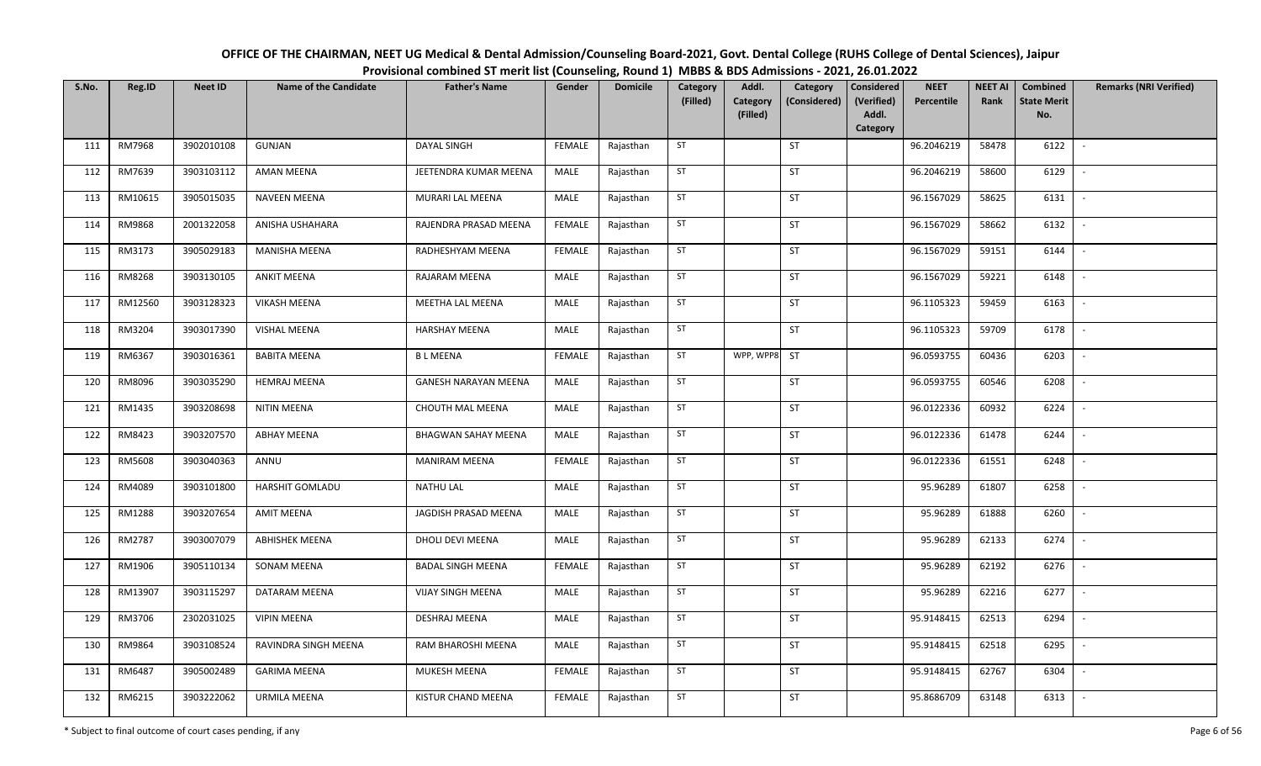| OFFICE OF THE CHAIRMAN, NEET UG Medical & Dental Admission/Counseling Board-2021, Govt. Dental College (RUHS College of Dental Sciences), Jaipur |
|--------------------------------------------------------------------------------------------------------------------------------------------------|
| Provisional combined ST merit list (Counseling, Round 1) MBBS & BDS Admissions - 2021, 26.01.2022                                                |

| S.No. | Reg.ID  | <b>Neet ID</b> | <b>Name of the Candidate</b> | <b>Father's Name</b>        | Gender        | <b>Domicile</b> | Category<br>(Filled) | Addl.<br>Category<br>Category<br>(Considered)<br>(Filled) | <b>Considered</b><br>(Verified)<br>Addl. | <b>NEET</b><br>Percentile | <b>NEET AI</b><br>Rank | Combined<br><b>State Merit</b><br>No. | <b>Remarks (NRI Verified)</b> |
|-------|---------|----------------|------------------------------|-----------------------------|---------------|-----------------|----------------------|-----------------------------------------------------------|------------------------------------------|---------------------------|------------------------|---------------------------------------|-------------------------------|
|       |         |                |                              |                             |               |                 |                      |                                                           | Category                                 |                           |                        |                                       |                               |
| 111   | RM7968  | 3902010108     | GUNJAN                       | DAYAL SINGH                 | <b>FEMALE</b> | Rajasthan       | ST                   | ST                                                        |                                          | 96.2046219                | 58478                  | 6122                                  | $\overline{\phantom{a}}$      |
| 112   | RM7639  | 3903103112     | AMAN MEENA                   | JEETENDRA KUMAR MEENA       | MALE          | Rajasthan       | ST                   | <b>ST</b>                                                 |                                          | 96.2046219                | 58600                  | 6129                                  | $\overline{\phantom{a}}$      |
| 113   | RM10615 | 3905015035     | <b>NAVEEN MEENA</b>          | MURARI LAL MEENA            | <b>MALE</b>   | Rajasthan       | <b>ST</b>            | <b>ST</b>                                                 |                                          | 96.1567029                | 58625                  | 6131                                  | $\overline{\phantom{a}}$      |
| 114   | RM9868  | 2001322058     | ANISHA USHAHARA              | RAJENDRA PRASAD MEENA       | <b>FEMALE</b> | Rajasthan       | ST                   | ST                                                        |                                          | 96.1567029                | 58662                  | 6132                                  | $\overline{\phantom{a}}$      |
| 115   | RM3173  | 3905029183     | MANISHA MEENA                | RADHESHYAM MEENA            | <b>FEMALE</b> | Rajasthan       | ST                   | ST                                                        |                                          | 96.1567029                | 59151                  | 6144                                  | $\sim$                        |
| 116   | RM8268  | 3903130105     | <b>ANKIT MEENA</b>           | RAJARAM MEENA               | MALE          | Rajasthan       | ST                   | ST                                                        |                                          | 96.1567029                | 59221                  | 6148                                  | $\overline{\phantom{a}}$      |
| 117   | RM12560 | 3903128323     | <b>VIKASH MEENA</b>          | MEETHA LAL MEENA            | MALE          | Rajasthan       | ST                   | <b>ST</b>                                                 |                                          | 96.1105323                | 59459                  | 6163                                  | $\blacksquare$                |
| 118   | RM3204  | 3903017390     | VISHAL MEENA                 | <b>HARSHAY MEENA</b>        | MALE          | Rajasthan       | ST                   | ST                                                        |                                          | 96.1105323                | 59709                  | 6178                                  | $\overline{\phantom{a}}$      |
| 119   | RM6367  | 3903016361     | <b>BABITA MEENA</b>          | <b>BLMEENA</b>              | <b>FEMALE</b> | Rajasthan       | ST                   | WPP, WPP8 ST                                              |                                          | 96.0593755                | 60436                  | 6203                                  |                               |
| 120   | RM8096  | 3903035290     | <b>HEMRAJ MEENA</b>          | <b>GANESH NARAYAN MEENA</b> | MALE          | Rajasthan       | ST                   | ST                                                        |                                          | 96.0593755                | 60546                  | 6208                                  | $\overline{\phantom{a}}$      |
| 121   | RM1435  | 3903208698     | NITIN MEENA                  | <b>CHOUTH MAL MEENA</b>     | MALE          | Rajasthan       | ST                   | ST                                                        |                                          | 96.0122336                | 60932                  | 6224                                  | $\overline{\phantom{a}}$      |
| 122   | RM8423  | 3903207570     | <b>ABHAY MEENA</b>           | <b>BHAGWAN SAHAY MEENA</b>  | <b>MALE</b>   | Rajasthan       | ST                   | ST                                                        |                                          | 96.0122336                | 61478                  | 6244                                  | $\overline{\phantom{a}}$      |
| 123   | RM5608  | 3903040363     | ANNU                         | <b>MANIRAM MEENA</b>        | <b>FEMALE</b> | Rajasthan       | ST                   | ST                                                        |                                          | 96.0122336                | 61551                  | 6248                                  |                               |
| 124   | RM4089  | 3903101800     | HARSHIT GOMLADU              | <b>NATHU LAL</b>            | MALE          | Rajasthan       | ST                   | <b>ST</b>                                                 |                                          | 95.96289                  | 61807                  | 6258                                  | $\blacksquare$                |
| 125   | RM1288  | 3903207654     | <b>AMIT MEENA</b>            | JAGDISH PRASAD MEENA        | MALE          | Rajasthan       | ST                   | <b>ST</b>                                                 |                                          | 95.96289                  | 61888                  | 6260                                  | $\overline{\phantom{a}}$      |
| 126   | RM2787  | 3903007079     | <b>ABHISHEK MEENA</b>        | DHOLI DEVI MEENA            | MALE          | Rajasthan       | ST                   | <b>ST</b>                                                 |                                          | 95.96289                  | 62133                  | 6274                                  | $\overline{\phantom{a}}$      |
| 127   | RM1906  | 3905110134     | SONAM MEENA                  | <b>BADAL SINGH MEENA</b>    | <b>FEMALE</b> | Rajasthan       | ST                   | ST                                                        |                                          | 95.96289                  | 62192                  | 6276                                  |                               |
| 128   | RM13907 | 3903115297     | DATARAM MEENA                | VIJAY SINGH MEENA           | MALE          | Rajasthan       | <b>ST</b>            | ST                                                        |                                          | 95.96289                  | 62216                  | 6277                                  | $\sim$                        |
| 129   | RM3706  | 2302031025     | <b>VIPIN MEENA</b>           | <b>DESHRAJ MEENA</b>        | MALE          | Rajasthan       | ST                   | <b>ST</b>                                                 |                                          | 95.9148415                | 62513                  | 6294                                  | $\overline{\phantom{a}}$      |
| 130   | RM9864  | 3903108524     | RAVINDRA SINGH MEENA         | RAM BHAROSHI MEENA          | MALE          | Rajasthan       | <b>ST</b>            | <b>ST</b>                                                 |                                          | 95.9148415                | 62518                  | 6295                                  | $\sim$                        |
| 131   | RM6487  | 3905002489     | <b>GARIMA MEENA</b>          | MUKESH MEENA                | <b>FEMALE</b> | Rajasthan       | ST                   | ST                                                        |                                          | 95.9148415                | 62767                  | 6304                                  | $\sim$                        |
| 132   | RM6215  | 3903222062     | URMILA MEENA                 | KISTUR CHAND MEENA          | <b>FEMALE</b> | Rajasthan       | ST                   | ST                                                        |                                          | 95.8686709                | 63148                  | 6313                                  | $\overline{\phantom{a}}$      |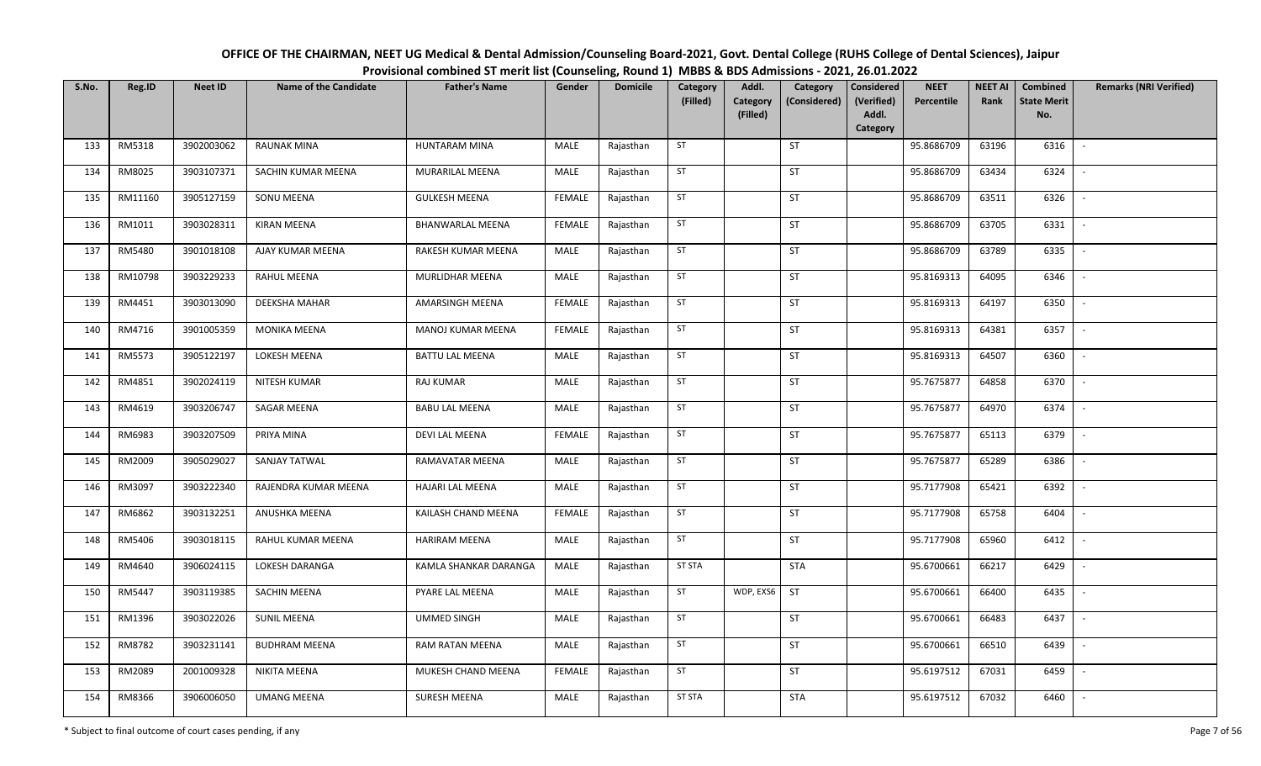| OFFICE OF THE CHAIRMAN, NEET UG Medical & Dental Admission/Counseling Board-2021, Govt. Dental College (RUHS College of Dental Sciences), Jaipur |
|--------------------------------------------------------------------------------------------------------------------------------------------------|
| Provisional combined ST merit list (Counseling, Round 1) MBBS & BDS Admissions - 2021, 26.01.2022                                                |

| S.No. | Reg.ID  | <b>Neet ID</b> | <b>Name of the Candidate</b> | <b>Father's Name</b>    | Gender        | <b>Domicile</b> | Category<br>(Filled) | Addl.<br>Category<br>(Filled) | Category<br>(Considered) | Considered<br>(Verified)<br>Addl.<br>Category | <b>NEET</b><br>Percentile | <b>NEET AI</b><br>Rank | Combined<br><b>State Merit</b><br>No. | <b>Remarks (NRI Verified)</b> |
|-------|---------|----------------|------------------------------|-------------------------|---------------|-----------------|----------------------|-------------------------------|--------------------------|-----------------------------------------------|---------------------------|------------------------|---------------------------------------|-------------------------------|
| 133   | RM5318  | 3902003062     | <b>RAUNAK MINA</b>           | HUNTARAM MINA           | MALE          | Rajasthan       | ST                   |                               | ST                       |                                               | 95.8686709                | 63196                  | 6316                                  | $\blacksquare$                |
| 134   | RM8025  | 3903107371     | SACHIN KUMAR MEENA           | MURARILAL MEENA         | MALE          | Rajasthan       | ST                   |                               | ST                       |                                               | 95.8686709                | 63434                  | 6324                                  | $\overline{\phantom{a}}$      |
| 135   | RM11160 | 3905127159     | SONU MEENA                   | <b>GULKESH MEENA</b>    | <b>FEMALE</b> | Rajasthan       | ST                   |                               | <b>ST</b>                |                                               | 95.8686709                | 63511                  | 6326                                  | $\overline{\phantom{a}}$      |
| 136   | RM1011  | 3903028311     | <b>KIRAN MEENA</b>           | <b>BHANWARLAL MEENA</b> | <b>FEMALE</b> | Rajasthan       | ST                   |                               | ST                       |                                               | 95.8686709                | 63705                  | 6331                                  | $\overline{\phantom{a}}$      |
| 137   | RM5480  | 3901018108     | AJAY KUMAR MEENA             | RAKESH KUMAR MEENA      | MALE          | Rajasthan       | ST                   |                               | ST                       |                                               | 95.8686709                | 63789                  | 6335                                  | $\sim$                        |
| 138   | RM10798 | 3903229233     | RAHUL MEENA                  | MURLIDHAR MEENA         | MALE          | Rajasthan       | ST                   |                               | ST                       |                                               | 95.8169313                | 64095                  | 6346                                  | $\sim$                        |
| 139   | RM4451  | 3903013090     | DEEKSHA MAHAR                | AMARSINGH MEENA         | <b>FEMALE</b> | Rajasthan       | ST                   |                               | ST                       |                                               | 95.8169313                | 64197                  | 6350                                  |                               |
| 140   | RM4716  | 3901005359     | <b>MONIKA MEENA</b>          | MANOJ KUMAR MEENA       | <b>FEMALE</b> | Rajasthan       | ST                   |                               | ST                       |                                               | 95.8169313                | 64381                  | 6357                                  | $\overline{\phantom{a}}$      |
| 141   | RM5573  | 3905122197     | LOKESH MEENA                 | <b>BATTU LAL MEENA</b>  | MALE          | Rajasthan       | ST                   |                               | ST                       |                                               | 95.8169313                | 64507                  | 6360                                  |                               |
| 142   | RM4851  | 3902024119     | NITESH KUMAR                 | <b>RAJ KUMAR</b>        | MALE          | Rajasthan       | ST                   |                               | ST                       |                                               | 95.7675877                | 64858                  | 6370                                  | $\overline{\phantom{a}}$      |
| 143   | RM4619  | 3903206747     | SAGAR MEENA                  | <b>BABU LAL MEENA</b>   | MALE          | Rajasthan       | ST                   |                               | ST                       |                                               | 95.7675877                | 64970                  | 6374                                  | $\overline{\phantom{a}}$      |
| 144   | RM6983  | 3903207509     | PRIYA MINA                   | <b>DEVI LAL MEENA</b>   | <b>FEMALE</b> | Rajasthan       | ST                   |                               | <b>ST</b>                |                                               | 95.7675877                | 65113                  | 6379                                  | $\overline{\phantom{a}}$      |
| 145   | RM2009  | 3905029027     | SANJAY TATWAL                | RAMAVATAR MEENA         | MALE          | Rajasthan       | ST                   |                               | ST                       |                                               | 95.7675877                | 65289                  | 6386                                  |                               |
| 146   | RM3097  | 3903222340     | RAJENDRA KUMAR MEENA         | HAJARI LAL MEENA        | MALE          | Rajasthan       | ST                   |                               | ST                       |                                               | 95.7177908                | 65421                  | 6392                                  | $\sim$                        |
| 147   | RM6862  | 3903132251     | ANUSHKA MEENA                | KAILASH CHAND MEENA     | <b>FEMALE</b> | Rajasthan       | ST                   |                               | ST                       |                                               | 95.7177908                | 65758                  | 6404                                  |                               |
| 148   | RM5406  | 3903018115     | RAHUL KUMAR MEENA            | <b>HARIRAM MEENA</b>    | MALE          | Rajasthan       | ST                   |                               | ST                       |                                               | 95.7177908                | 65960                  | 6412                                  | $\blacksquare$                |
| 149   | RM4640  | 3906024115     | LOKESH DARANGA               | KAMLA SHANKAR DARANGA   | MALE          | Rajasthan       | <b>ST STA</b>        |                               | <b>STA</b>               |                                               | 95.6700661                | 66217                  | 6429                                  |                               |
| 150   | RM5447  | 3903119385     | SACHIN MEENA                 | PYARE LAL MEENA         | MALE          | Rajasthan       | ST                   | WDP, EXS6                     | ST                       |                                               | 95.6700661                | 66400                  | 6435                                  | $\sim$                        |
| 151   | RM1396  | 3903022026     | <b>SUNIL MEENA</b>           | <b>UMMED SINGH</b>      | MALE          | Rajasthan       | ST                   |                               | ST                       |                                               | 95.6700661                | 66483                  | 6437                                  | $\overline{\phantom{a}}$      |
| 152   | RM8782  | 3903231141     | <b>BUDHRAM MEENA</b>         | RAM RATAN MEENA         | MALE          | Rajasthan       | ST                   |                               | <b>ST</b>                |                                               | 95.6700661                | 66510                  | 6439                                  | $\sim$                        |
| 153   | RM2089  | 2001009328     | NIKITA MEENA                 | MUKESH CHAND MEENA      | <b>FEMALE</b> | Rajasthan       | ST                   |                               | ST                       |                                               | 95.6197512                | 67031                  | 6459                                  | $\sim$                        |
| 154   | RM8366  | 3906006050     | <b>UMANG MEENA</b>           | SURESH MEENA            | MALE          | Rajasthan       | <b>ST STA</b>        |                               | <b>STA</b>               |                                               | 95.6197512                | 67032                  | 6460                                  | $\overline{\phantom{a}}$      |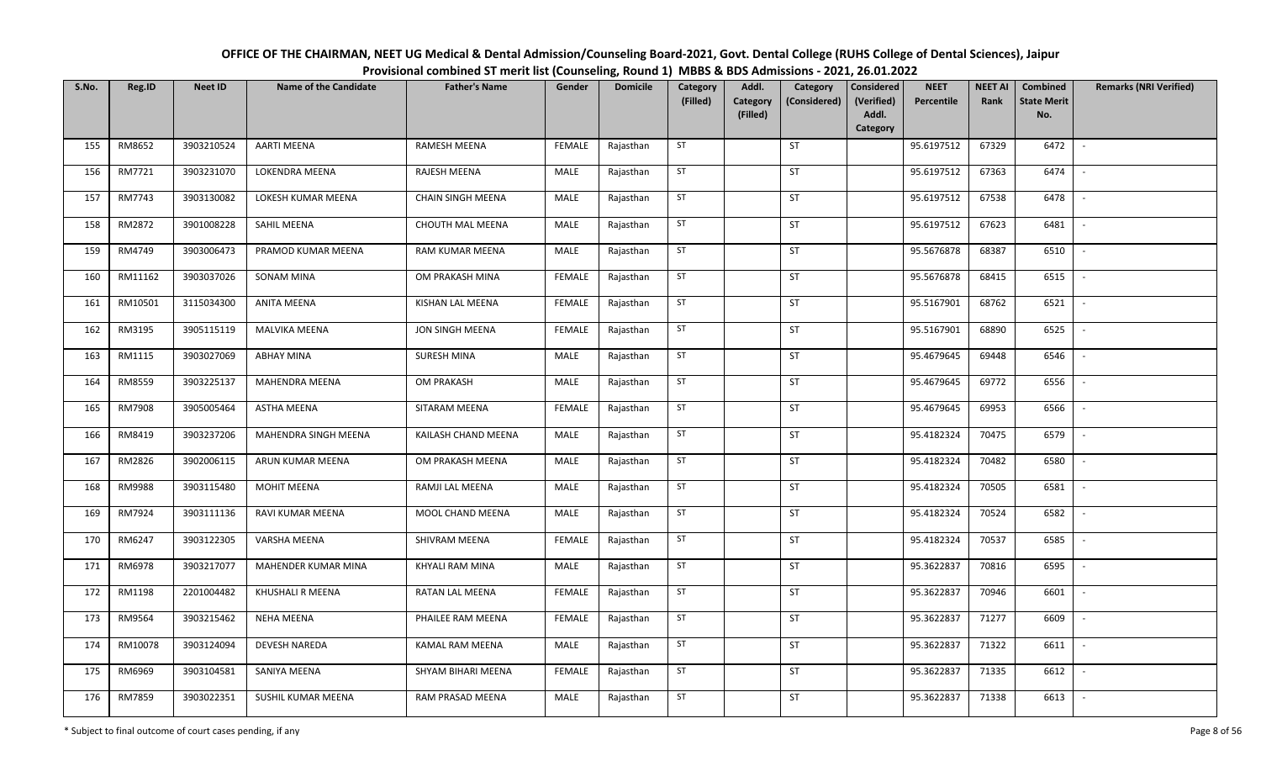| OFFICE OF THE CHAIRMAN, NEET UG Medical & Dental Admission/Counseling Board-2021, Govt. Dental College (RUHS College of Dental Sciences), Jaipur |
|--------------------------------------------------------------------------------------------------------------------------------------------------|
| Provisional combined ST merit list (Counseling, Round 1) MBBS & BDS Admissions - 2021, 26.01.2022                                                |

| S.No. | Reg.ID  | <b>Neet ID</b> | <b>Name of the Candidate</b> | <b>Father's Name</b>    | Gender        | <b>Domicile</b> | Category<br>(Filled) | Addl.<br>Category<br>Category<br>(Considered)<br>(Filled) | <b>Considered</b><br>(Verified)<br>Addl.<br>Category | <b>NEET</b><br>Percentile | <b>NEET AI</b><br>Rank | Combined<br><b>State Merit</b><br>No. | <b>Remarks (NRI Verified)</b> |
|-------|---------|----------------|------------------------------|-------------------------|---------------|-----------------|----------------------|-----------------------------------------------------------|------------------------------------------------------|---------------------------|------------------------|---------------------------------------|-------------------------------|
| 155   | RM8652  | 3903210524     | <b>AARTI MEENA</b>           | RAMESH MEENA            | <b>FEMALE</b> | Rajasthan       | ST                   | ST                                                        |                                                      | 95.6197512                | 67329                  | 6472                                  | $\sim$                        |
| 156   | RM7721  | 3903231070     | LOKENDRA MEENA               | RAJESH MEENA            | MALE          | Rajasthan       | ST                   | <b>ST</b>                                                 |                                                      | 95.6197512                | 67363                  | 6474                                  | $\overline{\phantom{a}}$      |
| 157   | RM7743  | 3903130082     | LOKESH KUMAR MEENA           | CHAIN SINGH MEENA       | <b>MALE</b>   | Rajasthan       | <b>ST</b>            | <b>ST</b>                                                 |                                                      | 95.6197512                | 67538                  | 6478                                  | $\sim$                        |
| 158   | RM2872  | 3901008228     | SAHIL MEENA                  | <b>CHOUTH MAL MEENA</b> | MALE          | Rajasthan       | ST                   | ST                                                        |                                                      | 95.6197512                | 67623                  | 6481                                  | $\sim$                        |
| 159   | RM4749  | 3903006473     | PRAMOD KUMAR MEENA           | RAM KUMAR MEENA         | MALE          | Rajasthan       | ST                   | ST                                                        |                                                      | 95.5676878                | 68387                  | 6510                                  | $\sim$                        |
| 160   | RM11162 | 3903037026     | SONAM MINA                   | OM PRAKASH MINA         | <b>FEMALE</b> | Rajasthan       | ST                   | ST                                                        |                                                      | 95.5676878                | 68415                  | 6515                                  | $\overline{\phantom{a}}$      |
| 161   | RM10501 | 3115034300     | ANITA MEENA                  | KISHAN LAL MEENA        | <b>FEMALE</b> | Rajasthan       | ST                   | <b>ST</b>                                                 |                                                      | 95.5167901                | 68762                  | 6521                                  | $\blacksquare$                |
| 162   | RM3195  | 3905115119     | MALVIKA MEENA                | JON SINGH MEENA         | <b>FEMALE</b> | Rajasthan       | ST                   | ST                                                        |                                                      | 95.5167901                | 68890                  | 6525                                  | $\overline{\phantom{a}}$      |
| 163   | RM1115  | 3903027069     | <b>ABHAY MINA</b>            | SURESH MINA             | MALE          | Rajasthan       | ST                   | ST                                                        |                                                      | 95.4679645                | 69448                  | 6546                                  |                               |
| 164   | RM8559  | 3903225137     | <b>MAHENDRA MEENA</b>        | OM PRAKASH              | <b>MALE</b>   | Rajasthan       | ST                   | ST                                                        |                                                      | 95.4679645                | 69772                  | 6556                                  |                               |
| 165   | RM7908  | 3905005464     | <b>ASTHA MEENA</b>           | SITARAM MEENA           | <b>FEMALE</b> | Rajasthan       | ST                   | ST                                                        |                                                      | 95.4679645                | 69953                  | 6566                                  | $\overline{\phantom{a}}$      |
| 166   | RM8419  | 3903237206     | MAHENDRA SINGH MEENA         | KAILASH CHAND MEENA     | MALE          | Rajasthan       | ST                   | ST                                                        |                                                      | 95.4182324                | 70475                  | 6579                                  | $\overline{\phantom{a}}$      |
| 167   | RM2826  | 3902006115     | ARUN KUMAR MEENA             | OM PRAKASH MEENA        | MALE          | Rajasthan       | ST                   | ST                                                        |                                                      | 95.4182324                | 70482                  | 6580                                  |                               |
| 168   | RM9988  | 3903115480     | <b>MOHIT MEENA</b>           | RAMJI LAL MEENA         | MALE          | Rajasthan       | ST                   | <b>ST</b>                                                 |                                                      | 95.4182324                | 70505                  | 6581                                  | $\blacksquare$                |
| 169   | RM7924  | 3903111136     | RAVI KUMAR MEENA             | MOOL CHAND MEENA        | MALE          | Rajasthan       | ST                   | <b>ST</b>                                                 |                                                      | 95.4182324                | 70524                  | 6582                                  | $\overline{\phantom{a}}$      |
| 170   | RM6247  | 3903122305     | VARSHA MEENA                 | SHIVRAM MEENA           | FEMALE        | Rajasthan       | ST                   | <b>ST</b>                                                 |                                                      | 95.4182324                | 70537                  | 6585                                  | $\blacksquare$                |
| 171   | RM6978  | 3903217077     | MAHENDER KUMAR MINA          | KHYALI RAM MINA         | MALE          | Rajasthan       | ST                   | ST                                                        |                                                      | 95.3622837                | 70816                  | 6595                                  |                               |
| 172   | RM1198  | 2201004482     | KHUSHALI R MEENA             | RATAN LAL MEENA         | <b>FEMALE</b> | Rajasthan       | <b>ST</b>            | ST                                                        |                                                      | 95.3622837                | 70946                  | 6601                                  | $\overline{\phantom{a}}$      |
| 173   | RM9564  | 3903215462     | <b>NEHA MEENA</b>            | PHAILEE RAM MEENA       | <b>FEMALE</b> | Rajasthan       | ST                   | <b>ST</b>                                                 |                                                      | 95.3622837                | 71277                  | 6609                                  | $\overline{\phantom{a}}$      |
| 174   | RM10078 | 3903124094     | <b>DEVESH NAREDA</b>         | <b>KAMAL RAM MEENA</b>  | <b>MALE</b>   | Rajasthan       | <b>ST</b>            | <b>ST</b>                                                 |                                                      | 95.3622837                | 71322                  | 6611                                  | $\sim$                        |
| 175   | RM6969  | 3903104581     | SANIYA MEENA                 | SHYAM BIHARI MEENA      | <b>FEMALE</b> | Rajasthan       | ST                   | ST                                                        |                                                      | 95.3622837                | 71335                  | 6612                                  | $\sim$                        |
| 176   | RM7859  | 3903022351     | SUSHIL KUMAR MEENA           | RAM PRASAD MEENA        | MALE          | Rajasthan       | ST                   | ST                                                        |                                                      | 95.3622837                | 71338                  | 6613                                  | $\overline{\phantom{a}}$      |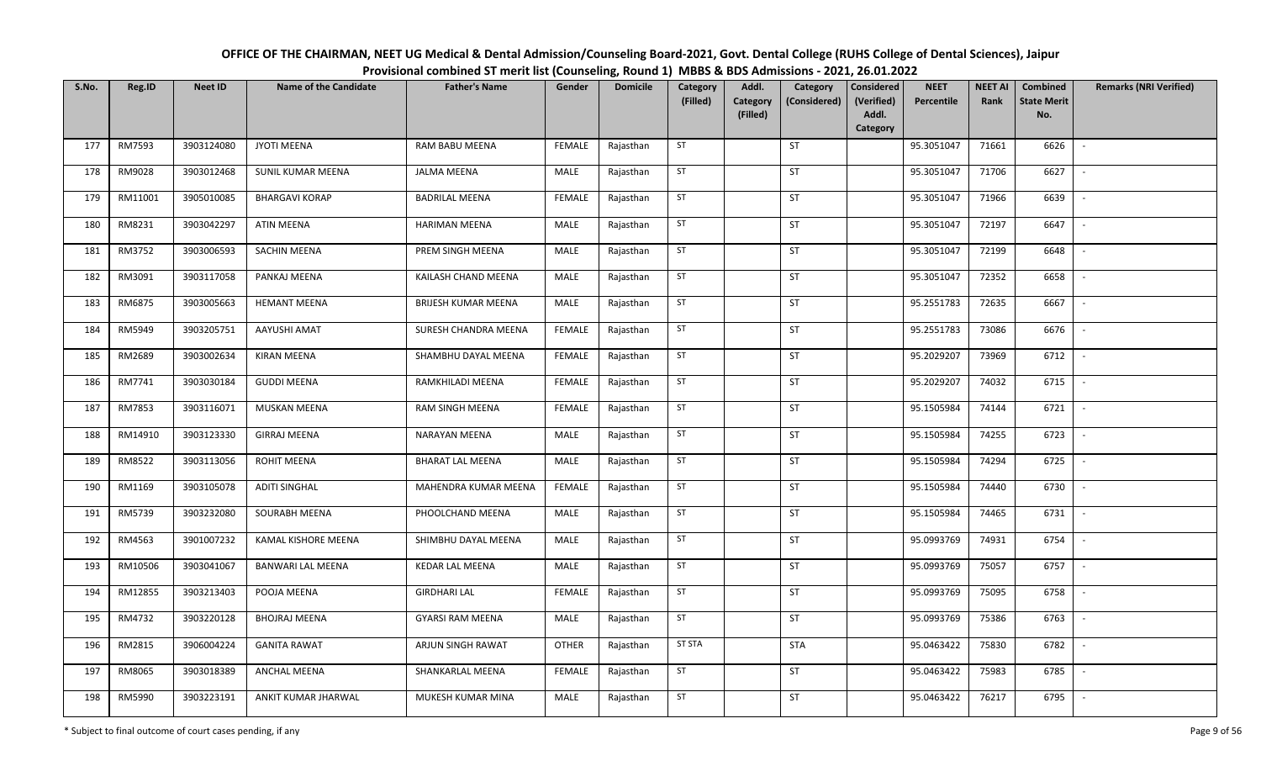| OFFICE OF THE CHAIRMAN, NEET UG Medical & Dental Admission/Counseling Board-2021, Govt. Dental College (RUHS College of Dental Sciences), Jaipur |
|--------------------------------------------------------------------------------------------------------------------------------------------------|
| Provisional combined ST merit list (Counseling, Round 1) MBBS & BDS Admissions - 2021, 26.01.2022                                                |

| S.No. | Reg.ID  | <b>Neet ID</b> | <b>Name of the Candidate</b> | <b>Father's Name</b>    | Gender        | <b>Domicile</b> | Category<br>(Filled) | Addl.<br>Category<br>(Filled) | Category<br>(Considered) | Considered<br>(Verified)<br>Addl.<br>Category | <b>NEET</b><br>Percentile | <b>NEET AI</b><br>Rank | Combined<br><b>State Merit</b><br>No. | <b>Remarks (NRI Verified)</b> |
|-------|---------|----------------|------------------------------|-------------------------|---------------|-----------------|----------------------|-------------------------------|--------------------------|-----------------------------------------------|---------------------------|------------------------|---------------------------------------|-------------------------------|
| 177   | RM7593  | 3903124080     | <b>JYOTI MEENA</b>           | RAM BABU MEENA          | <b>FEMALE</b> | Rajasthan       | ST                   |                               | ST                       |                                               | 95.3051047                | 71661                  | 6626                                  | $\blacksquare$                |
| 178   | RM9028  | 3903012468     | SUNIL KUMAR MEENA            | <b>JALMA MEENA</b>      | MALE          | Rajasthan       | ST                   |                               | ST                       |                                               | 95.3051047                | 71706                  | 6627                                  | $\overline{\phantom{a}}$      |
| 179   | RM11001 | 3905010085     | <b>BHARGAVI KORAP</b>        | <b>BADRILAL MEENA</b>   | <b>FEMALE</b> | Rajasthan       | ST                   |                               | <b>ST</b>                |                                               | 95.3051047                | 71966                  | 6639                                  | $\overline{\phantom{a}}$      |
| 180   | RM8231  | 3903042297     | <b>ATIN MEENA</b>            | <b>HARIMAN MEENA</b>    | MALE          | Rajasthan       | ST                   |                               | ST                       |                                               | 95.3051047                | 72197                  | 6647                                  | $\sim$                        |
| 181   | RM3752  | 3903006593     | SACHIN MEENA                 | PREM SINGH MEENA        | MALE          | Rajasthan       | ST                   |                               | ST                       |                                               | 95.3051047                | 72199                  | 6648                                  | $\sim$                        |
| 182   | RM3091  | 3903117058     | PANKAJ MEENA                 | KAILASH CHAND MEENA     | MALE          | Rajasthan       | ST                   |                               | ST                       |                                               | 95.3051047                | 72352                  | 6658                                  | $\sim$                        |
| 183   | RM6875  | 3903005663     | <b>HEMANT MEENA</b>          | BRIJESH KUMAR MEENA     | MALE          | Rajasthan       | ST                   |                               | ST                       |                                               | 95.2551783                | 72635                  | 6667                                  | $\overline{\phantom{a}}$      |
| 184   | RM5949  | 3903205751     | AAYUSHI AMAT                 | SURESH CHANDRA MEENA    | <b>FEMALE</b> | Rajasthan       | ST                   |                               | ST                       |                                               | 95.2551783                | 73086                  | 6676                                  | $\overline{\phantom{a}}$      |
| 185   | RM2689  | 3903002634     | KIRAN MEENA                  | SHAMBHU DAYAL MEENA     | <b>FEMALE</b> | Rajasthan       | ST                   |                               | ST                       |                                               | 95.2029207                | 73969                  | 6712                                  |                               |
| 186   | RM7741  | 3903030184     | <b>GUDDI MEENA</b>           | RAMKHILADI MEENA        | <b>FEMALE</b> | Rajasthan       | ST                   |                               | ST                       |                                               | 95.2029207                | 74032                  | 6715                                  | $\overline{\phantom{a}}$      |
| 187   | RM7853  | 3903116071     | <b>MUSKAN MEENA</b>          | RAM SINGH MEENA         | <b>FEMALE</b> | Rajasthan       | ST                   |                               | ST                       |                                               | 95.1505984                | 74144                  | 6721                                  | $\overline{\phantom{a}}$      |
| 188   | RM14910 | 3903123330     | <b>GIRRAJ MEENA</b>          | NARAYAN MEENA           | MALE          | Rajasthan       | ST                   |                               | <b>ST</b>                |                                               | 95.1505984                | 74255                  | 6723                                  | $\overline{\phantom{a}}$      |
| 189   | RM8522  | 3903113056     | ROHIT MEENA                  | <b>BHARAT LAL MEENA</b> | MALE          | Rajasthan       | ST                   |                               | ST                       |                                               | 95.1505984                | 74294                  | 6725                                  |                               |
| 190   | RM1169  | 3903105078     | <b>ADITI SINGHAL</b>         | MAHENDRA KUMAR MEENA    | <b>FEMALE</b> | Rajasthan       | ST                   |                               | ST                       |                                               | 95.1505984                | 74440                  | 6730                                  | $\sim$                        |
| 191   | RM5739  | 3903232080     | SOURABH MEENA                | PHOOLCHAND MEENA        | MALE          | Rajasthan       | ST                   |                               | ST                       |                                               | 95.1505984                | 74465                  | 6731                                  |                               |
| 192   | RM4563  | 3901007232     | KAMAL KISHORE MEENA          | SHIMBHU DAYAL MEENA     | MALE          | Rajasthan       | ST                   |                               | ST                       |                                               | 95.0993769                | 74931                  | 6754                                  | $\blacksquare$                |
| 193   | RM10506 | 3903041067     | BANWARI LAL MEENA            | <b>KEDAR LAL MEENA</b>  | MALE          | Rajasthan       | ST                   |                               | ST                       |                                               | 95.0993769                | 75057                  | 6757                                  |                               |
| 194   | RM12855 | 3903213403     | POOJA MEENA                  | <b>GIRDHARI LAL</b>     | <b>FEMALE</b> | Rajasthan       | ST                   |                               | <b>ST</b>                |                                               | 95.0993769                | 75095                  | 6758                                  | $\sim$                        |
| 195   | RM4732  | 3903220128     | <b>BHOJRAJ MEENA</b>         | <b>GYARSI RAM MEENA</b> | MALE          | Rajasthan       | ST                   |                               | <b>ST</b>                |                                               | 95.0993769                | 75386                  | 6763                                  | $\overline{\phantom{a}}$      |
| 196   | RM2815  | 3906004224     | <b>GANITA RAWAT</b>          | ARJUN SINGH RAWAT       | <b>OTHER</b>  | Rajasthan       | <b>ST STA</b>        |                               | <b>STA</b>               |                                               | 95.0463422                | 75830                  | 6782                                  | $\sim$                        |
| 197   | RM8065  | 3903018389     | ANCHAL MEENA                 | SHANKARLAL MEENA        | <b>FEMALE</b> | Rajasthan       | ST                   |                               | ST                       |                                               | 95.0463422                | 75983                  | 6785                                  | $\overline{\phantom{a}}$      |
| 198   | RM5990  | 3903223191     | ANKIT KUMAR JHARWAL          | MUKESH KUMAR MINA       | MALE          | Rajasthan       | ST                   |                               | ST                       |                                               | 95.0463422                | 76217                  | 6795                                  | $\overline{\phantom{a}}$      |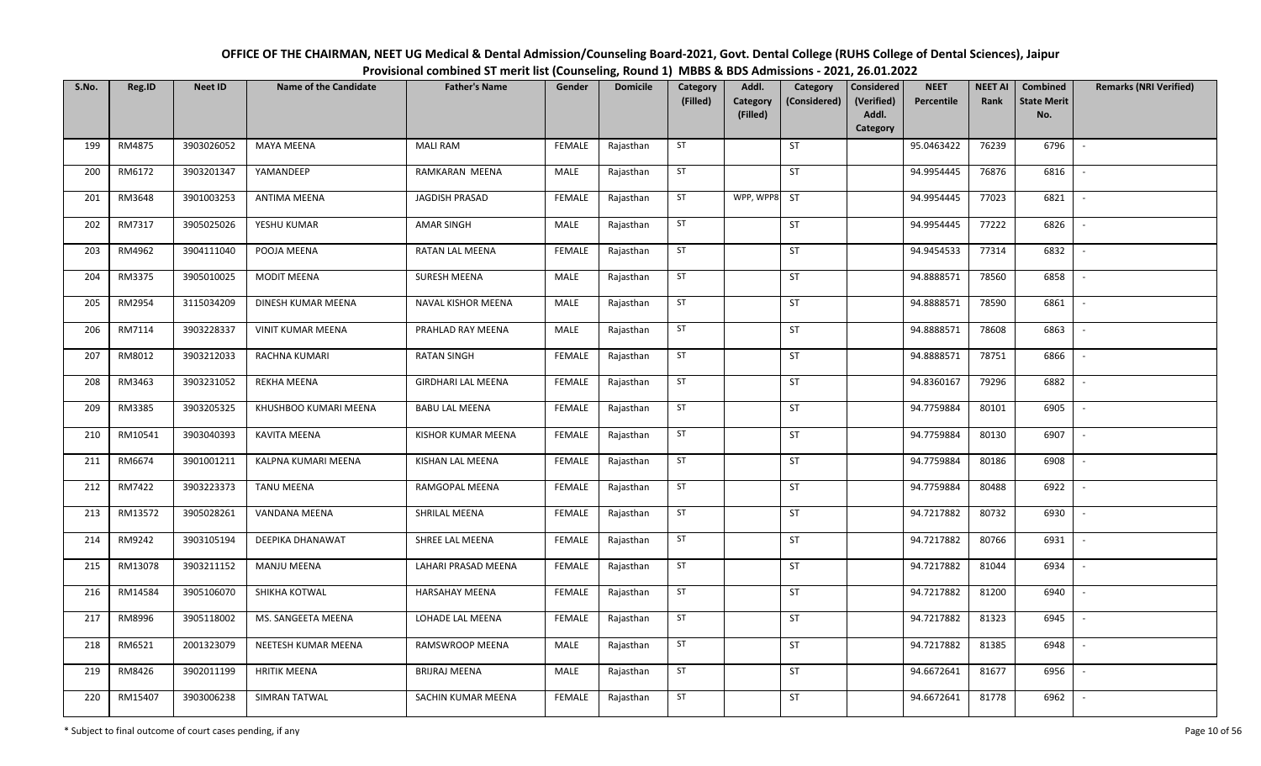| OFFICE OF THE CHAIRMAN, NEET UG Medical & Dental Admission/Counseling Board-2021, Govt. Dental College (RUHS College of Dental Sciences), Jaipur |
|--------------------------------------------------------------------------------------------------------------------------------------------------|
| Provisional combined ST merit list (Counseling, Round 1) MBBS & BDS Admissions - 2021, 26.01.2022                                                |

| S.No. | Reg.ID  | <b>Neet ID</b> | <b>Name of the Candidate</b> | <b>Father's Name</b>      | Gender        | <b>Domicile</b> | Category<br>(Filled) | Addl.<br>Category<br>(Filled) | Category<br>(Considered) | <b>Considered</b><br>(Verified)<br>Addl.<br>Category | <b>NEET</b><br>Percentile | <b>NEET AI</b><br>Rank | Combined<br><b>State Merit</b><br>No. | <b>Remarks (NRI Verified)</b> |
|-------|---------|----------------|------------------------------|---------------------------|---------------|-----------------|----------------------|-------------------------------|--------------------------|------------------------------------------------------|---------------------------|------------------------|---------------------------------------|-------------------------------|
| 199   | RM4875  | 3903026052     | <b>MAYA MEENA</b>            | <b>MALI RAM</b>           | <b>FEMALE</b> | Rajasthan       | ST                   |                               | <b>ST</b>                |                                                      | 95.0463422                | 76239                  | 6796                                  | $\sim$                        |
| 200   | RM6172  | 3903201347     | YAMANDEEP                    | RAMKARAN MEENA            | MALE          | Rajasthan       | ST                   |                               | <b>ST</b>                |                                                      | 94.9954445                | 76876                  | 6816                                  | $\sim$                        |
| 201   | RM3648  | 3901003253     | <b>ANTIMA MEENA</b>          | JAGDISH PRASAD            | <b>FEMALE</b> | Rajasthan       | ST                   | WPP, WPP8 ST                  |                          |                                                      | 94.9954445                | 77023                  | 6821                                  | $\sim$                        |
| 202   | RM7317  | 3905025026     | YESHU KUMAR                  | <b>AMAR SINGH</b>         | MALE          | Rajasthan       | ST                   |                               | ST                       |                                                      | 94.9954445                | 77222                  | 6826                                  | $\mathbb{L}$                  |
| 203   | RM4962  | 3904111040     | POOJA MEENA                  | RATAN LAL MEENA           | <b>FEMALE</b> | Rajasthan       | ST                   |                               | <b>ST</b>                |                                                      | 94.9454533                | 77314                  | 6832                                  | $\mathbb{L}$                  |
| 204   | RM3375  | 3905010025     | <b>MODIT MEENA</b>           | SURESH MEENA              | MALE          | Rajasthan       | ST                   |                               | ST                       |                                                      | 94.8888571                | 78560                  | 6858                                  | $\sim$                        |
| 205   | RM2954  | 3115034209     | DINESH KUMAR MEENA           | NAVAL KISHOR MEENA        | MALE          | Rajasthan       | ST                   |                               | ST                       |                                                      | 94.8888571                | 78590                  | 6861                                  | $\sim$                        |
| 206   | RM7114  | 3903228337     | <b>VINIT KUMAR MEENA</b>     | PRAHLAD RAY MEENA         | MALE          | Rajasthan       | ST                   |                               | ST                       |                                                      | 94.8888571                | 78608                  | 6863                                  | $\sim$                        |
| 207   | RM8012  | 3903212033     | RACHNA KUMARI                | <b>RATAN SINGH</b>        | <b>FEMALE</b> | Rajasthan       | ST                   |                               | ST                       |                                                      | 94.8888571                | 78751                  | 6866                                  |                               |
| 208   | RM3463  | 3903231052     | <b>REKHA MEENA</b>           | <b>GIRDHARI LAL MEENA</b> | <b>FEMALE</b> | Rajasthan       | ST                   |                               | ST                       |                                                      | 94.8360167                | 79296                  | 6882                                  | $\sim$                        |
| 209   | RM3385  | 3903205325     | KHUSHBOO KUMARI MEENA        | <b>BABU LAL MEENA</b>     | <b>FEMALE</b> | Rajasthan       | ST                   |                               | ST                       |                                                      | 94.7759884                | 80101                  | 6905                                  | $\sim$                        |
| 210   | RM10541 | 3903040393     | <b>KAVITA MEENA</b>          | KISHOR KUMAR MEENA        | <b>FEMALE</b> | Rajasthan       | ST                   |                               | <b>ST</b>                |                                                      | 94.7759884                | 80130                  | 6907                                  | $\sim$                        |
| 211   | RM6674  | 3901001211     | KALPNA KUMARI MEENA          | KISHAN LAL MEENA          | <b>FEMALE</b> | Rajasthan       | ST                   |                               | <b>ST</b>                |                                                      | 94.7759884                | 80186                  | 6908                                  |                               |
| 212   | RM7422  | 3903223373     | <b>TANU MEENA</b>            | RAMGOPAL MEENA            | <b>FEMALE</b> | Rajasthan       | ST                   |                               | <b>ST</b>                |                                                      | 94.7759884                | 80488                  | 6922                                  | $\sim$                        |
| 213   | RM13572 | 3905028261     | VANDANA MEENA                | SHRILAL MEENA             | <b>FEMALE</b> | Rajasthan       | ST                   |                               | <b>ST</b>                |                                                      | 94.7217882                | 80732                  | 6930                                  |                               |
| 214   | RM9242  | 3903105194     | DEEPIKA DHANAWAT             | SHREE LAL MEENA           | <b>FEMALE</b> | Rajasthan       | ST                   |                               | <b>ST</b>                |                                                      | 94.7217882                | 80766                  | 6931                                  | $\overline{\phantom{a}}$      |
| 215   | RM13078 | 3903211152     | <b>MANJU MEENA</b>           | LAHARI PRASAD MEENA       | <b>FEMALE</b> | Rajasthan       | ST                   |                               | <b>ST</b>                |                                                      | 94.7217882                | 81044                  | 6934                                  | $\sim$                        |
| 216   | RM14584 | 3905106070     | SHIKHA KOTWAL                | <b>HARSAHAY MEENA</b>     | <b>FEMALE</b> | Rajasthan       | ST                   |                               | <b>ST</b>                |                                                      | 94.7217882                | 81200                  | 6940                                  | $\sim$                        |
| 217   | RM8996  | 3905118002     | MS. SANGEETA MEENA           | LOHADE LAL MEENA          | <b>FEMALE</b> | Rajasthan       | ST                   |                               | <b>ST</b>                |                                                      | 94.7217882                | 81323                  | 6945                                  | $\mathbb{L}$                  |
| 218   | RM6521  | 2001323079     | NEETESH KUMAR MEENA          | RAMSWROOP MEENA           | MALE          | Rajasthan       | ST                   |                               | <b>ST</b>                |                                                      | 94.7217882                | 81385                  | 6948                                  | $\sim$                        |
| 219   | RM8426  | 3902011199     | <b>HRITIK MEENA</b>          | <b>BRIJRAJ MEENA</b>      | MALE          | Rajasthan       | ST                   |                               | ST                       |                                                      | 94.6672641                | 81677                  | 6956                                  | $\mathbb{L}$                  |
| 220   | RM15407 | 3903006238     | SIMRAN TATWAL                | SACHIN KUMAR MEENA        | <b>FEMALE</b> | Rajasthan       | ST                   |                               | ST                       |                                                      | 94.6672641                | 81778                  | 6962                                  |                               |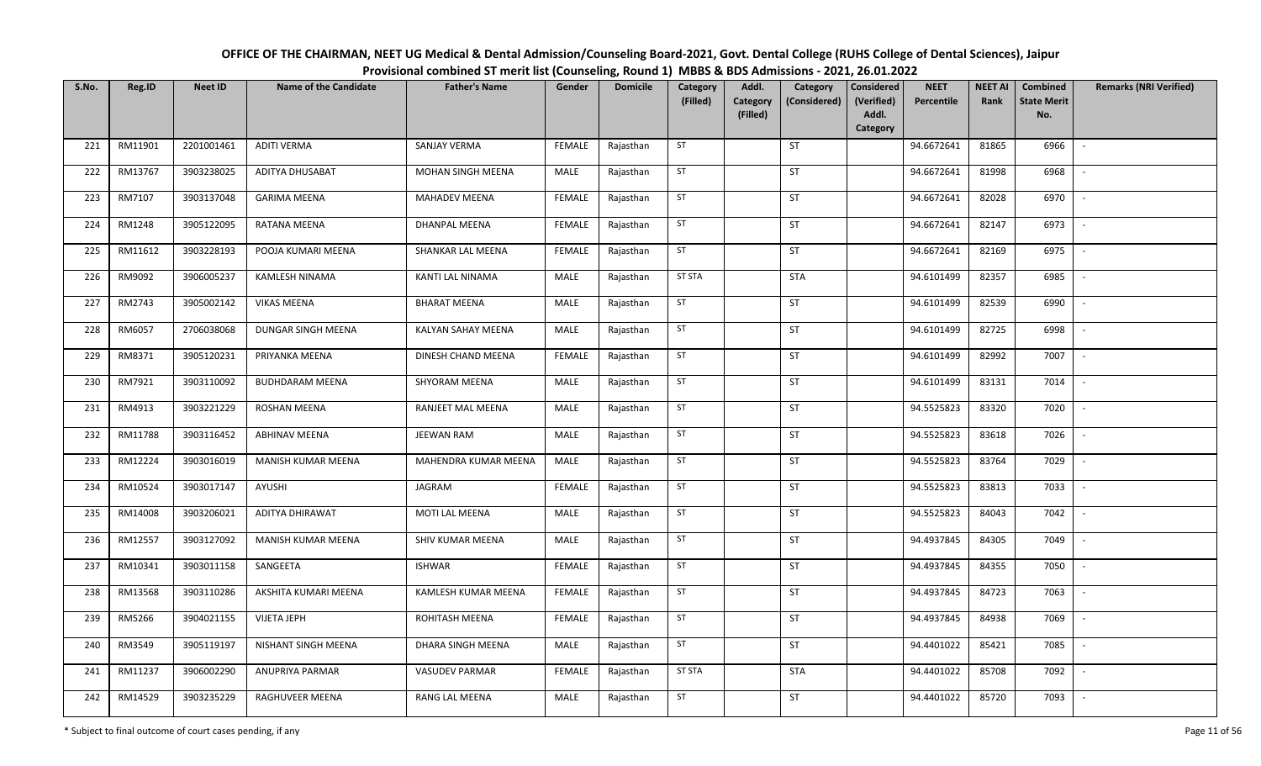| OFFICE OF THE CHAIRMAN, NEET UG Medical & Dental Admission/Counseling Board-2021, Govt. Dental College (RUHS College of Dental Sciences), Jaipur |
|--------------------------------------------------------------------------------------------------------------------------------------------------|
| Provisional combined ST merit list (Counseling, Round 1) MBBS & BDS Admissions - 2021, 26.01.2022                                                |

| S.No. | Reg.ID  | <b>Neet ID</b> | <b>Name of the Candidate</b> | <b>Father's Name</b>  | Gender        | <b>Domicile</b> | Category<br>(Filled) | Addl.<br>Category<br>(Filled) | Category<br>(Considered) | <b>Considered</b><br>(Verified)<br>Addl.<br>Category | <b>NEET</b><br>Percentile | <b>NEET AI</b><br>Rank | Combined<br><b>State Merit</b><br>No. | <b>Remarks (NRI Verified)</b> |
|-------|---------|----------------|------------------------------|-----------------------|---------------|-----------------|----------------------|-------------------------------|--------------------------|------------------------------------------------------|---------------------------|------------------------|---------------------------------------|-------------------------------|
| 221   | RM11901 | 2201001461     | <b>ADITI VERMA</b>           | SANJAY VERMA          | <b>FEMALE</b> | Rajasthan       | ST                   |                               | ST                       |                                                      | 94.6672641                | 81865                  | 6966                                  | $\sim$                        |
| 222   | RM13767 | 3903238025     | ADITYA DHUSABAT              | MOHAN SINGH MEENA     | MALE          | Rajasthan       | ST                   |                               | ST                       |                                                      | 94.6672641                | 81998                  | 6968                                  | $\overline{\phantom{a}}$      |
| 223   | RM7107  | 3903137048     | <b>GARIMA MEENA</b>          | MAHADEV MEENA         | <b>FEMALE</b> | Rajasthan       | ST                   |                               | ST                       |                                                      | 94.6672641                | 82028                  | 6970                                  | $\sim$                        |
| 224   | RM1248  | 3905122095     | RATANA MEENA                 | DHANPAL MEENA         | <b>FEMALE</b> | Rajasthan       | ST                   |                               | ST                       |                                                      | 94.6672641                | 82147                  | 6973                                  | $\mathbb{L}$                  |
| 225   | RM11612 | 3903228193     | POOJA KUMARI MEENA           | SHANKAR LAL MEENA     | <b>FEMALE</b> | Rajasthan       | ST                   |                               | ST                       |                                                      | 94.6672641                | 82169                  | 6975                                  | $\blacksquare$                |
| 226   | RM9092  | 3906005237     | KAMLESH NINAMA               | KANTI LAL NINAMA      | MALE          | Rajasthan       | <b>ST STA</b>        |                               | <b>STA</b>               |                                                      | 94.6101499                | 82357                  | 6985                                  | $\mathbb{L}$                  |
| 227   | RM2743  | 3905002142     | <b>VIKAS MEENA</b>           | <b>BHARAT MEENA</b>   | MALE          | Rajasthan       | ST                   |                               | ST                       |                                                      | 94.6101499                | 82539                  | 6990                                  | $\mathbb{L}$                  |
| 228   | RM6057  | 2706038068     | DUNGAR SINGH MEENA           | KALYAN SAHAY MEENA    | <b>MALE</b>   | Rajasthan       | ST                   |                               | ST                       |                                                      | 94.6101499                | 82725                  | 6998                                  | $\sim$                        |
| 229   | RM8371  | 3905120231     | PRIYANKA MEENA               | DINESH CHAND MEENA    | FEMALE        | Rajasthan       | ST                   |                               | ST                       |                                                      | 94.6101499                | 82992                  | 7007                                  | $\mathbb{L}$                  |
| 230   | RM7921  | 3903110092     | <b>BUDHDARAM MEENA</b>       | SHYORAM MEENA         | MALE          | Rajasthan       | ST                   |                               | ST                       |                                                      | 94.6101499                | 83131                  | 7014                                  | $\sim$                        |
| 231   | RM4913  | 3903221229     | ROSHAN MEENA                 | RANJEET MAL MEENA     | MALE          | Rajasthan       | ST                   |                               | ST                       |                                                      | 94.5525823                | 83320                  | 7020                                  | $\mathbb{L}$                  |
| 232   | RM11788 | 3903116452     | <b>ABHINAV MEENA</b>         | JEEWAN RAM            | MALE          | Rajasthan       | ST                   |                               | ST                       |                                                      | 94.5525823                | 83618                  | 7026                                  | $\mathbb{L}^+$                |
| 233   | RM12224 | 3903016019     | MANISH KUMAR MEENA           | MAHENDRA KUMAR MEENA  | <b>MALE</b>   | Rajasthan       | ST                   |                               | ST                       |                                                      | 94.5525823                | 83764                  | 7029                                  | $\mathbb{L}$                  |
| 234   | RM10524 | 3903017147     | AYUSHI                       | JAGRAM                | <b>FEMALE</b> | Rajasthan       | ST                   |                               | ST                       |                                                      | 94.5525823                | 83813                  | 7033                                  | $\sim$                        |
| 235   | RM14008 | 3903206021     | ADITYA DHIRAWAT              | MOTI LAL MEENA        | <b>MALE</b>   | Rajasthan       | ST                   |                               | ST                       |                                                      | 94.5525823                | 84043                  | 7042                                  |                               |
| 236   | RM12557 | 3903127092     | MANISH KUMAR MEENA           | SHIV KUMAR MEENA      | MALE          | Rajasthan       | ST                   |                               | ST                       |                                                      | 94.4937845                | 84305                  | 7049                                  | $\mathbb{L}$                  |
| 237   | RM10341 | 3903011158     | SANGEETA                     | <b>ISHWAR</b>         | <b>FEMALE</b> | Rajasthan       | ST                   |                               | ST                       |                                                      | 94.4937845                | 84355                  | 7050                                  |                               |
| 238   | RM13568 | 3903110286     | AKSHITA KUMARI MEENA         | KAMLESH KUMAR MEENA   | <b>FEMALE</b> | Rajasthan       | ST                   |                               | ST                       |                                                      | 94.4937845                | 84723                  | 7063                                  | $\mathbb{L}$                  |
| 239   | RM5266  | 3904021155     | <b>VIJETA JEPH</b>           | ROHITASH MEENA        | <b>FEMALE</b> | Rajasthan       | ST                   |                               | ST                       |                                                      | 94.4937845                | 84938                  | 7069                                  | $\overline{\phantom{a}}$      |
| 240   | RM3549  | 3905119197     | NISHANT SINGH MEENA          | DHARA SINGH MEENA     | MALE          | Rajasthan       | <b>ST</b>            |                               | ST                       |                                                      | 94.4401022                | 85421                  | 7085                                  | $\overline{\phantom{a}}$      |
| 241   | RM11237 | 3906002290     | <b>ANUPRIYA PARMAR</b>       | <b>VASUDEV PARMAR</b> | <b>FEMALE</b> | Rajasthan       | <b>ST STA</b>        |                               | <b>STA</b>               |                                                      | 94.4401022                | 85708                  | 7092                                  | $\overline{\phantom{a}}$      |
| 242   | RM14529 | 3903235229     | RAGHUVEER MEENA              | RANG LAL MEENA        | MALE          | Rajasthan       | ST                   |                               | ST                       |                                                      | 94.4401022                | 85720                  | 7093                                  | $\blacksquare$                |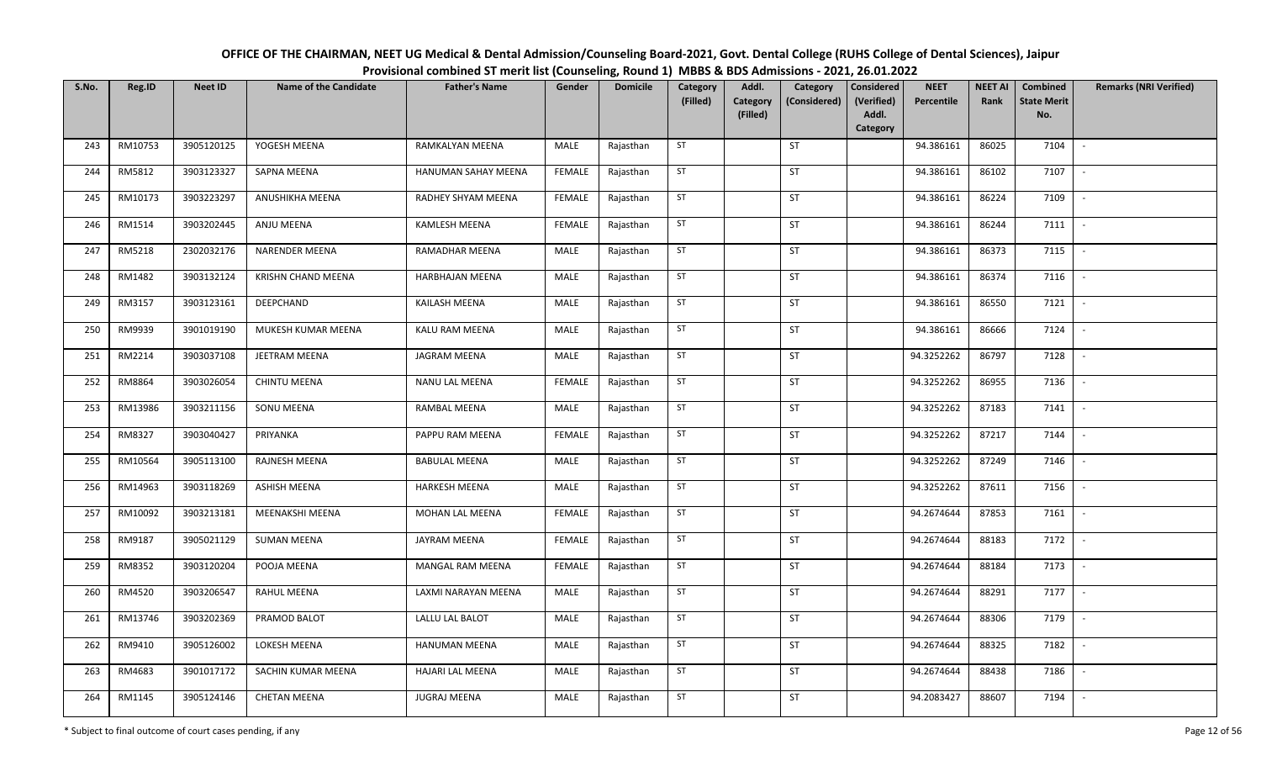| OFFICE OF THE CHAIRMAN, NEET UG Medical & Dental Admission/Counseling Board-2021, Govt. Dental College (RUHS College of Dental Sciences), Jaipur |
|--------------------------------------------------------------------------------------------------------------------------------------------------|
| Provisional combined ST merit list (Counseling, Round 1) MBBS & BDS Admissions - 2021, 26.01.2022                                                |

| S.No. | Reg.ID  | <b>Neet ID</b> | <b>Name of the Candidate</b> | <b>Father's Name</b>   | Gender        | <b>Domicile</b> | <b>Category</b><br>(Filled) | Addl.<br>Category | Category<br>(Considered) | <b>Considered</b><br>(Verified) | <b>NEET</b><br>Percentile | <b>NEET AI</b><br>Rank | Combined<br><b>State Merit</b> | <b>Remarks (NRI Verified)</b> |
|-------|---------|----------------|------------------------------|------------------------|---------------|-----------------|-----------------------------|-------------------|--------------------------|---------------------------------|---------------------------|------------------------|--------------------------------|-------------------------------|
|       |         |                |                              |                        |               |                 |                             | (Filled)          |                          | Addl.<br>Category               |                           |                        | No.                            |                               |
| 243   | RM10753 | 3905120125     | YOGESH MEENA                 | RAMKALYAN MEENA        | MALE          | Rajasthan       | ST                          |                   | ST                       |                                 | 94.386161                 | 86025                  | 7104                           | $\sim$                        |
| 244   | RM5812  | 3903123327     | SAPNA MEENA                  | HANUMAN SAHAY MEENA    | <b>FEMALE</b> | Rajasthan       | ST                          |                   | ST                       |                                 | 94.386161                 | 86102                  | 7107                           | $\sim$                        |
| 245   | RM10173 | 3903223297     | ANUSHIKHA MEENA              | RADHEY SHYAM MEENA     | <b>FEMALE</b> | Rajasthan       | ST                          |                   | ST                       |                                 | 94.386161                 | 86224                  | 7109                           | $\mathbb{L}$                  |
| 246   | RM1514  | 3903202445     | ANJU MEENA                   | KAMLESH MEENA          | <b>FEMALE</b> | Rajasthan       | ST                          |                   | ST                       |                                 | 94.386161                 | 86244                  | 7111                           | $\sim$                        |
| 247   | RM5218  | 2302032176     | <b>NARENDER MEENA</b>        | RAMADHAR MEENA         | MALE          | Rajasthan       | ST                          |                   | <b>ST</b>                |                                 | 94.386161                 | 86373                  | 7115                           | $\mathbb{L}$                  |
| 248   | RM1482  | 3903132124     | <b>KRISHN CHAND MEENA</b>    | <b>HARBHAJAN MEENA</b> | MALE          | Rajasthan       | ST                          |                   | <b>ST</b>                |                                 | 94.386161                 | 86374                  | 7116                           | $\sim$                        |
| 249   | RM3157  | 3903123161     | DEEPCHAND                    | KAILASH MEENA          | MALE          | Rajasthan       | ST                          |                   | ST                       |                                 | 94.386161                 | 86550                  | 7121                           | $\sim$                        |
| 250   | RM9939  | 3901019190     | MUKESH KUMAR MEENA           | KALU RAM MEENA         | MALE          | Rajasthan       | ST                          |                   | ST                       |                                 | 94.386161                 | 86666                  | 7124                           | $\sim$                        |
| 251   | RM2214  | 3903037108     | JEETRAM MEENA                | JAGRAM MEENA           | MALE          | Rajasthan       | ST                          |                   | ST                       |                                 | 94.3252262                | 86797                  | 7128                           |                               |
| 252   | RM8864  | 3903026054     | <b>CHINTU MEENA</b>          | NANU LAL MEENA         | <b>FEMALE</b> | Rajasthan       | ST                          |                   | ST                       |                                 | 94.3252262                | 86955                  | 7136                           | $\sim$                        |
| 253   | RM13986 | 3903211156     | SONU MEENA                   | <b>RAMBAL MEENA</b>    | MALE          | Rajasthan       | ST                          |                   | ST                       |                                 | 94.3252262                | 87183                  | 7141                           | $\sim$                        |
| 254   | RM8327  | 3903040427     | PRIYANKA                     | PAPPU RAM MEENA        | <b>FEMALE</b> | Rajasthan       | ST                          |                   | ST                       |                                 | 94.3252262                | 87217                  | 7144                           | $\sim$                        |
| 255   | RM10564 | 3905113100     | RAJNESH MEENA                | <b>BABULAL MEENA</b>   | MALE          | Rajasthan       | ST                          |                   | ST                       |                                 | 94.3252262                | 87249                  | 7146                           | $\sim$                        |
| 256   | RM14963 | 3903118269     | ASHISH MEENA                 | <b>HARKESH MEENA</b>   | MALE          | Rajasthan       | ST                          |                   | ST                       |                                 | 94.3252262                | 87611                  | 7156                           | $\sim$                        |
| 257   | RM10092 | 3903213181     | MEENAKSHI MEENA              | <b>MOHAN LAL MEENA</b> | <b>FEMALE</b> | Rajasthan       | ST                          |                   | ST                       |                                 | 94.2674644                | 87853                  | 7161                           | $\sim$                        |
| 258   | RM9187  | 3905021129     | <b>SUMAN MEENA</b>           | <b>JAYRAM MEENA</b>    | <b>FEMALE</b> | Rajasthan       | ST                          |                   | ST                       |                                 | 94.2674644                | 88183                  | 7172                           | $\sim$                        |
| 259   | RM8352  | 3903120204     | POOJA MEENA                  | MANGAL RAM MEENA       | FEMALE        | Rajasthan       | ST                          |                   | ST                       |                                 | 94.2674644                | 88184                  | 7173                           | $\sim$                        |
| 260   | RM4520  | 3903206547     | RAHUL MEENA                  | LAXMI NARAYAN MEENA    | MALE          | Rajasthan       | ST                          |                   | <b>ST</b>                |                                 | 94.2674644                | 88291                  | 7177                           | $\sim$                        |
| 261   | RM13746 | 3903202369     | PRAMOD BALOT                 | LALLU LAL BALOT        | MALE          | Rajasthan       | ST                          |                   | ST                       |                                 | 94.2674644                | 88306                  | 7179                           | $\mathbb{L}$                  |
| 262   | RM9410  | 3905126002     | LOKESH MEENA                 | <b>HANUMAN MEENA</b>   | MALE          | Rajasthan       | ST                          |                   | ST                       |                                 | 94.2674644                | 88325                  | 7182                           | $\sim$                        |
| 263   | RM4683  | 3901017172     | SACHIN KUMAR MEENA           | HAJARI LAL MEENA       | MALE          | Rajasthan       | ST                          |                   | ST                       |                                 | 94.2674644                | 88438                  | 7186                           | $\sim$                        |
| 264   | RM1145  | 3905124146     | <b>CHETAN MEENA</b>          | JUGRAJ MEENA           | MALE          | Rajasthan       | ST                          |                   | ST                       |                                 | 94.2083427                | 88607                  | 7194                           | $\sim$                        |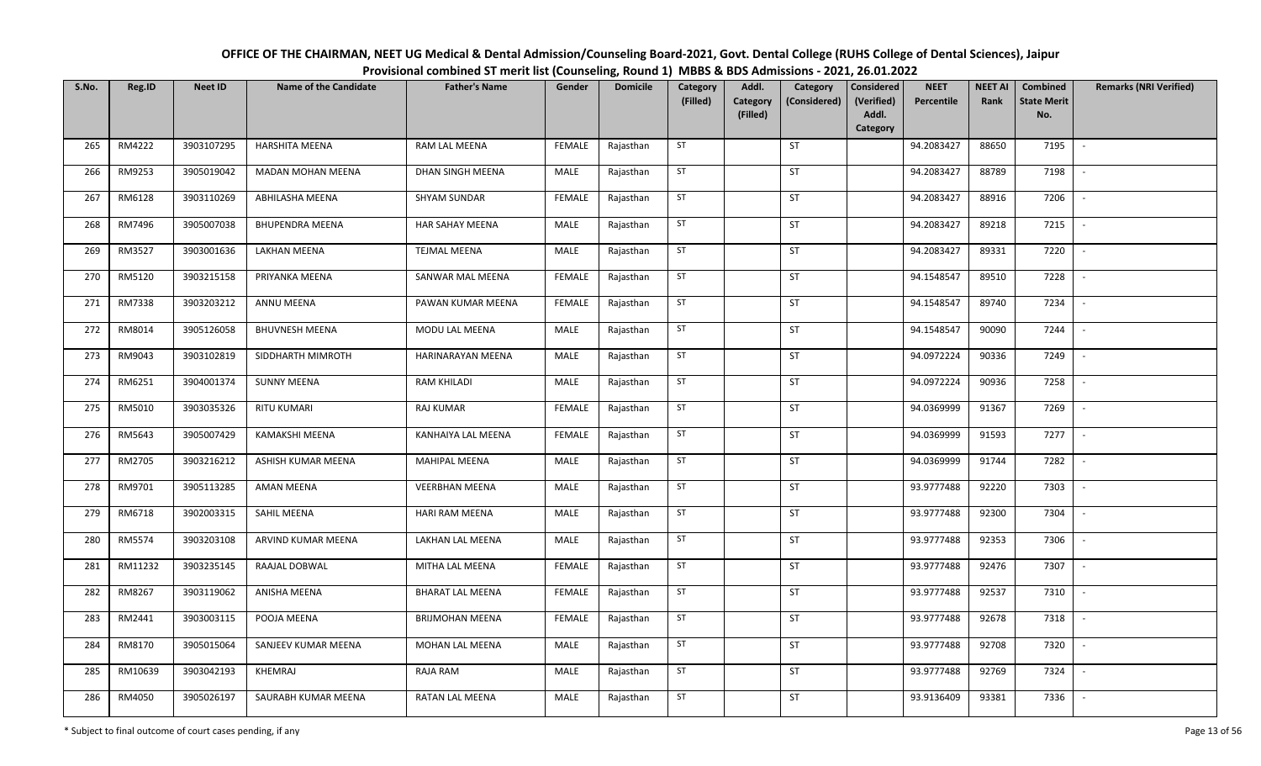| OFFICE OF THE CHAIRMAN, NEET UG Medical & Dental Admission/Counseling Board-2021, Govt. Dental College (RUHS College of Dental Sciences), Jaipur |
|--------------------------------------------------------------------------------------------------------------------------------------------------|
| Provisional combined ST merit list (Counseling, Round 1) MBBS & BDS Admissions - 2021, 26.01.2022                                                |

| S.No. | Reg.ID  | <b>Neet ID</b> | <b>Name of the Candidate</b> | <b>Father's Name</b>    | Gender        | <b>Domicile</b> | Category<br>(Filled) | Addl.<br>Category | Category<br>(Considered) | <b>Considered</b><br>(Verified) | <b>NEET</b><br>Percentile | <b>NEET AI</b><br>Rank | Combined<br><b>State Merit</b> | <b>Remarks (NRI Verified)</b> |
|-------|---------|----------------|------------------------------|-------------------------|---------------|-----------------|----------------------|-------------------|--------------------------|---------------------------------|---------------------------|------------------------|--------------------------------|-------------------------------|
|       |         |                |                              |                         |               |                 |                      | (Filled)          |                          | Addl.<br>Category               |                           |                        | No.                            |                               |
| 265   | RM4222  | 3903107295     | <b>HARSHITA MEENA</b>        | RAM LAL MEENA           | <b>FEMALE</b> | Rajasthan       | ST                   |                   | <b>ST</b>                |                                 | 94.2083427                | 88650                  | 7195                           | $\overline{\phantom{a}}$      |
| 266   | RM9253  | 3905019042     | MADAN MOHAN MEENA            | DHAN SINGH MEENA        | MALE          | Rajasthan       | ST                   |                   | <b>ST</b>                |                                 | 94.2083427                | 88789                  | 7198                           | $\sim$                        |
| 267   | RM6128  | 3903110269     | ABHILASHA MEENA              | <b>SHYAM SUNDAR</b>     | <b>FEMALE</b> | Rajasthan       | ST                   |                   | <b>ST</b>                |                                 | 94.2083427                | 88916                  | 7206                           | $\sim$                        |
| 268   | RM7496  | 3905007038     | <b>BHUPENDRA MEENA</b>       | HAR SAHAY MEENA         | MALE          | Rajasthan       | ST                   |                   | <b>ST</b>                |                                 | 94.2083427                | 89218                  | 7215                           | $\blacksquare$                |
| 269   | RM3527  | 3903001636     | LAKHAN MEENA                 | <b>TEJMAL MEENA</b>     | MALE          | Rajasthan       | ST                   |                   | ST                       |                                 | 94.2083427                | 89331                  | 7220                           | $\mathbb{L}$                  |
| 270   | RM5120  | 3903215158     | PRIYANKA MEENA               | SANWAR MAL MEENA        | <b>FEMALE</b> | Rajasthan       | ST                   |                   | <b>ST</b>                |                                 | 94.1548547                | 89510                  | 7228                           | $\overline{\phantom{a}}$      |
| 271   | RM7338  | 3903203212     | ANNU MEENA                   | PAWAN KUMAR MEENA       | <b>FEMALE</b> | Rajasthan       | ST                   |                   | ST                       |                                 | 94.1548547                | 89740                  | 7234                           | $\sim$                        |
| 272   | RM8014  | 3905126058     | <b>BHUVNESH MEENA</b>        | MODU LAL MEENA          | MALE          | Rajasthan       | ST                   |                   | <b>ST</b>                |                                 | 94.1548547                | 90090                  | 7244                           | $\sim$                        |
| 273   | RM9043  | 3903102819     | SIDDHARTH MIMROTH            | HARINARAYAN MEENA       | MALE          | Rajasthan       | ST                   |                   | ST                       |                                 | 94.0972224                | 90336                  | 7249                           |                               |
| 274   | RM6251  | 3904001374     | <b>SUNNY MEENA</b>           | <b>RAM KHILADI</b>      | MALE          | Rajasthan       | ST                   |                   | <b>ST</b>                |                                 | 94.0972224                | 90936                  | 7258                           | $\mathbb{L}$                  |
| 275   | RM5010  | 3903035326     | <b>RITU KUMARI</b>           | <b>RAJ KUMAR</b>        | <b>FEMALE</b> | Rajasthan       | ST                   |                   | ST                       |                                 | 94.0369999                | 91367                  | 7269                           | $\sim$                        |
| 276   | RM5643  | 3905007429     | KAMAKSHI MEENA               | KANHAIYA LAL MEENA      | <b>FEMALE</b> | Rajasthan       | ST                   |                   | <b>ST</b>                |                                 | 94.0369999                | 91593                  | 7277                           | $\sim$                        |
| 277   | RM2705  | 3903216212     | ASHISH KUMAR MEENA           | <b>MAHIPAL MEENA</b>    | MALE          | Rajasthan       | ST                   |                   | ST                       |                                 | 94.0369999                | 91744                  | 7282                           |                               |
| 278   | RM9701  | 3905113285     | AMAN MEENA                   | <b>VEERBHAN MEENA</b>   | MALE          | Rajasthan       | ST                   |                   | ST                       |                                 | 93.9777488                | 92220                  | 7303                           | $\sim$                        |
| 279   | RM6718  | 3902003315     | SAHIL MEENA                  | <b>HARI RAM MEENA</b>   | MALE          | Rajasthan       | ST                   |                   | <b>ST</b>                |                                 | 93.9777488                | 92300                  | 7304                           |                               |
| 280   | RM5574  | 3903203108     | ARVIND KUMAR MEENA           | LAKHAN LAL MEENA        | MALE          | Rajasthan       | ST                   |                   | <b>ST</b>                |                                 | 93.9777488                | 92353                  | 7306                           | $\sim$                        |
| 281   | RM11232 | 3903235145     | RAAJAL DOBWAL                | MITHA LAL MEENA         | FEMALE        | Rajasthan       | ST                   |                   | ST                       |                                 | 93.9777488                | 92476                  | 7307                           | $\overline{\phantom{a}}$      |
| 282   | RM8267  | 3903119062     | ANISHA MEENA                 | <b>BHARAT LAL MEENA</b> | <b>FEMALE</b> | Rajasthan       | ST                   |                   | <b>ST</b>                |                                 | 93.9777488                | 92537                  | 7310                           | $\mathbb{L}$                  |
| 283   | RM2441  | 3903003115     | POOJA MEENA                  | <b>BRIJMOHAN MEENA</b>  | <b>FEMALE</b> | Rajasthan       | ST                   |                   | <b>ST</b>                |                                 | 93.9777488                | 92678                  | 7318                           | $\mathbb{L}$                  |
| 284   | RM8170  | 3905015064     | SANJEEV KUMAR MEENA          | MOHAN LAL MEENA         | MALE          | Rajasthan       | ST                   |                   | <b>ST</b>                |                                 | 93.9777488                | 92708                  | 7320                           | $\sim$                        |
| 285   | RM10639 | 3903042193     | KHEMRAJ                      | RAJA RAM                | MALE          | Rajasthan       | ST                   |                   | ST                       |                                 | 93.9777488                | 92769                  | 7324                           | $\mathbb{L}$                  |
| 286   | RM4050  | 3905026197     | SAURABH KUMAR MEENA          | RATAN LAL MEENA         | MALE          | Rajasthan       | ST                   |                   | ST                       |                                 | 93.9136409                | 93381                  | 7336                           | $\overline{\phantom{a}}$      |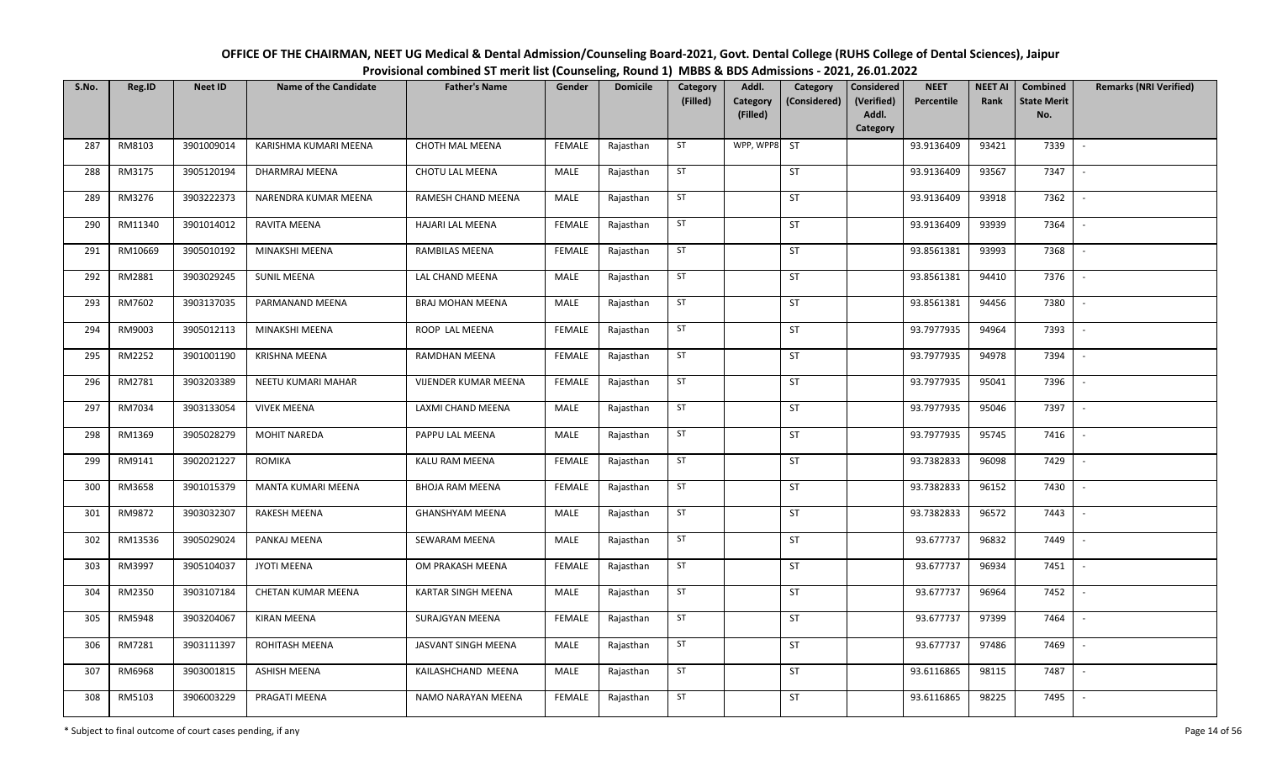| OFFICE OF THE CHAIRMAN, NEET UG Medical & Dental Admission/Counseling Board-2021, Govt. Dental College (RUHS College of Dental Sciences), Jaipur |
|--------------------------------------------------------------------------------------------------------------------------------------------------|
| Provisional combined ST merit list (Counseling, Round 1) MBBS & BDS Admissions - 2021, 26.01.2022                                                |

| S.No. | Reg.ID  | <b>Neet ID</b> | <b>Name of the Candidate</b> | <b>Father's Name</b>      | Gender        | <b>Domicile</b> | Category<br>(Filled) | Addl.<br>Category<br>(Filled) | Category<br>(Considered) | <b>Considered</b><br>(Verified)<br>Addl.<br>Category | <b>NEET</b><br>Percentile | <b>NEET AI</b><br>Rank | Combined<br><b>State Merit</b><br>No. | <b>Remarks (NRI Verified)</b> |
|-------|---------|----------------|------------------------------|---------------------------|---------------|-----------------|----------------------|-------------------------------|--------------------------|------------------------------------------------------|---------------------------|------------------------|---------------------------------------|-------------------------------|
| 287   | RM8103  | 3901009014     | KARISHMA KUMARI MEENA        | <b>CHOTH MAL MEENA</b>    | <b>FEMALE</b> | Rajasthan       | ST                   | WPP, WPP8                     | <b>ST</b>                |                                                      | 93.9136409                | 93421                  | 7339                                  | $\sim$                        |
| 288   | RM3175  | 3905120194     | DHARMRAJ MEENA               | CHOTU LAL MEENA           | MALE          | Rajasthan       | ST                   |                               | ST                       |                                                      | 93.9136409                | 93567                  | 7347                                  | $\sim$                        |
| 289   | RM3276  | 3903222373     | NARENDRA KUMAR MEENA         | RAMESH CHAND MEENA        | MALE          | Rajasthan       | ST                   |                               | <b>ST</b>                |                                                      | 93.9136409                | 93918                  | 7362                                  | $\sim$                        |
| 290   | RM11340 | 3901014012     | RAVITA MEENA                 | <b>HAJARI LAL MEENA</b>   | <b>FEMALE</b> | Rajasthan       | ST                   |                               | ST                       |                                                      | 93.9136409                | 93939                  | 7364                                  | $\mathbb{L}$                  |
| 291   | RM10669 | 3905010192     | MINAKSHI MEENA               | RAMBILAS MEENA            | <b>FEMALE</b> | Rajasthan       | ST                   |                               | <b>ST</b>                |                                                      | 93.8561381                | 93993                  | 7368                                  | $\mathbb{L}$                  |
| 292   | RM2881  | 3903029245     | <b>SUNIL MEENA</b>           | LAL CHAND MEENA           | MALE          | Rajasthan       | ST                   |                               | ST                       |                                                      | 93.8561381                | 94410                  | 7376                                  | $\mathbb{L}$                  |
| 293   | RM7602  | 3903137035     | PARMANAND MEENA              | BRAJ MOHAN MEENA          | MALE          | Rajasthan       | ST                   |                               | ST                       |                                                      | 93.8561381                | 94456                  | 7380                                  | $\sim$                        |
| 294   | RM9003  | 3905012113     | MINAKSHI MEENA               | ROOP LAL MEENA            | <b>FEMALE</b> | Rajasthan       | ST                   |                               | ST                       |                                                      | 93.7977935                | 94964                  | 7393                                  | $\sim$                        |
| 295   | RM2252  | 3901001190     | <b>KRISHNA MEENA</b>         | RAMDHAN MEENA             | FEMALE        | Rajasthan       | ST                   |                               | ST                       |                                                      | 93.7977935                | 94978                  | 7394                                  |                               |
| 296   | RM2781  | 3903203389     | NEETU KUMARI MAHAR           | VIJENDER KUMAR MEENA      | <b>FEMALE</b> | Rajasthan       | ST                   |                               | ST                       |                                                      | 93.7977935                | 95041                  | 7396                                  | $\sim$                        |
| 297   | RM7034  | 3903133054     | <b>VIVEK MEENA</b>           | LAXMI CHAND MEENA         | MALE          | Rajasthan       | ST                   |                               | ST                       |                                                      | 93.7977935                | 95046                  | 7397                                  | $\sim$                        |
| 298   | RM1369  | 3905028279     | <b>MOHIT NAREDA</b>          | PAPPU LAL MEENA           | MALE          | Rajasthan       | ST                   |                               | <b>ST</b>                |                                                      | 93.7977935                | 95745                  | 7416                                  | $\sim$                        |
| 299   | RM9141  | 3902021227     | <b>ROMIKA</b>                | KALU RAM MEENA            | <b>FEMALE</b> | Rajasthan       | ST                   |                               | <b>ST</b>                |                                                      | 93.7382833                | 96098                  | 7429                                  |                               |
| 300   | RM3658  | 3901015379     | MANTA KUMARI MEENA           | <b>BHOJA RAM MEENA</b>    | <b>FEMALE</b> | Rajasthan       | ST                   |                               | <b>ST</b>                |                                                      | 93.7382833                | 96152                  | 7430                                  | $\sim$                        |
| 301   | RM9872  | 3903032307     | <b>RAKESH MEENA</b>          | <b>GHANSHYAM MEENA</b>    | MALE          | Rajasthan       | ST                   |                               | <b>ST</b>                |                                                      | 93.7382833                | 96572                  | 7443                                  |                               |
| 302   | RM13536 | 3905029024     | PANKAJ MEENA                 | <b>SEWARAM MEENA</b>      | MALE          | Rajasthan       | ST                   |                               | <b>ST</b>                |                                                      | 93.677737                 | 96832                  | 7449                                  | $\sim$                        |
| 303   | RM3997  | 3905104037     | JYOTI MEENA                  | OM PRAKASH MEENA          | <b>FEMALE</b> | Rajasthan       | ST                   |                               | <b>ST</b>                |                                                      | 93.677737                 | 96934                  | 7451                                  | $\overline{\phantom{a}}$      |
| 304   | RM2350  | 3903107184     | CHETAN KUMAR MEENA           | <b>KARTAR SINGH MEENA</b> | MALE          | Rajasthan       | ST                   |                               | <b>ST</b>                |                                                      | 93.677737                 | 96964                  | 7452                                  | $\sim$                        |
| 305   | RM5948  | 3903204067     | <b>KIRAN MEENA</b>           | SURAJGYAN MEENA           | <b>FEMALE</b> | Rajasthan       | ST                   |                               | <b>ST</b>                |                                                      | 93.677737                 | 97399                  | 7464                                  | $\mathbb{L}$                  |
| 306   | RM7281  | 3903111397     | ROHITASH MEENA               | JASVANT SINGH MEENA       | MALE          | Rajasthan       | ST                   |                               | <b>ST</b>                |                                                      | 93.677737                 | 97486                  | 7469                                  | $\sim$                        |
| 307   | RM6968  | 3903001815     | ASHISH MEENA                 | KAILASHCHAND MEENA        | MALE          | Rajasthan       | ST                   |                               | ST                       |                                                      | 93.6116865                | 98115                  | 7487                                  | $\mathbb{L}$                  |
| 308   | RM5103  | 3906003229     | PRAGATI MEENA                | NAMO NARAYAN MEENA        | <b>FEMALE</b> | Rajasthan       | ST                   |                               | ST                       |                                                      | 93.6116865                | 98225                  | 7495                                  | $\overline{\phantom{a}}$      |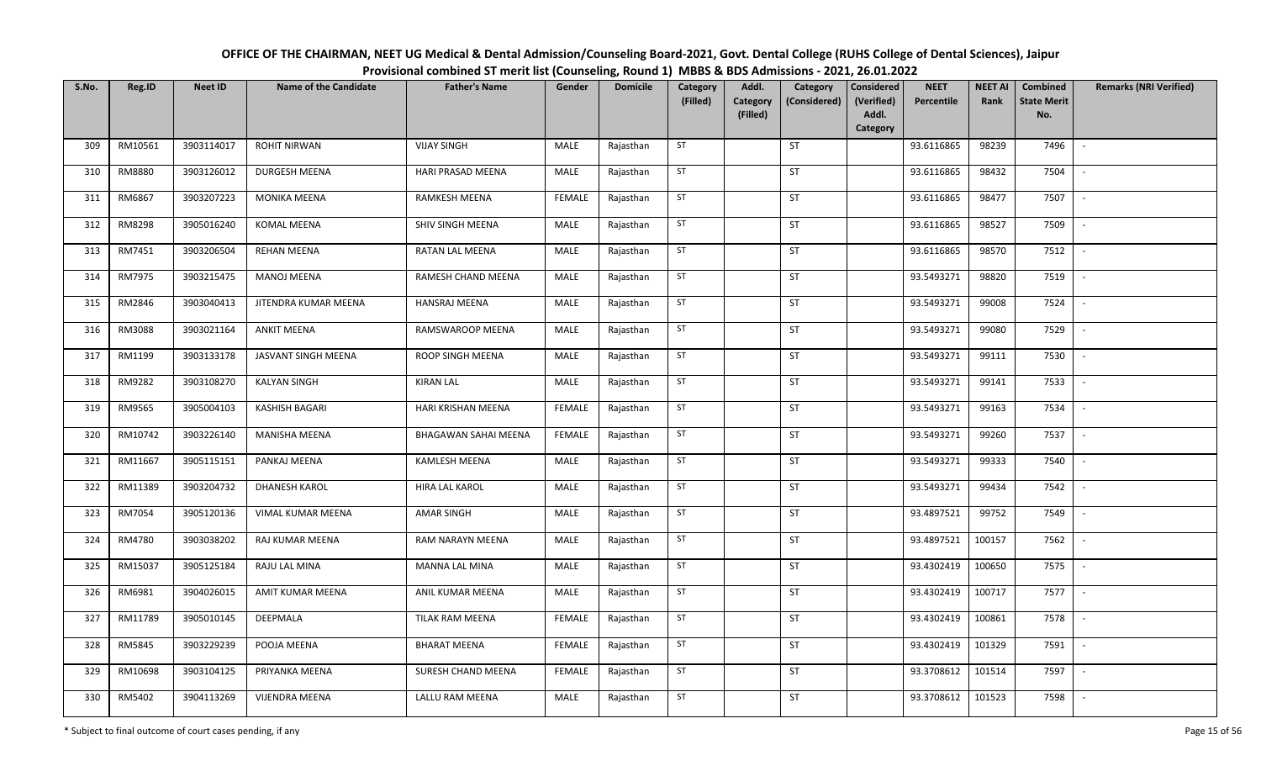| OFFICE OF THE CHAIRMAN, NEET UG Medical & Dental Admission/Counseling Board-2021, Govt. Dental College (RUHS College of Dental Sciences), Jaipur |
|--------------------------------------------------------------------------------------------------------------------------------------------------|
| Provisional combined ST merit list (Counseling, Round 1) MBBS & BDS Admissions - 2021, 26.01.2022                                                |

| S.No. | Reg.ID  | <b>Neet ID</b> | <b>Name of the Candidate</b> | <b>Father's Name</b>   | Gender        | <b>Domicile</b> | Category<br>(Filled) | Addl.<br>Category<br>(Filled) | Category<br>(Considered) | Considered<br>(Verified)<br>Addl.<br>Category | <b>NEET</b><br>Percentile | <b>NEET AI</b><br>Rank | Combined<br><b>State Merit</b><br>No. | <b>Remarks (NRI Verified)</b> |
|-------|---------|----------------|------------------------------|------------------------|---------------|-----------------|----------------------|-------------------------------|--------------------------|-----------------------------------------------|---------------------------|------------------------|---------------------------------------|-------------------------------|
| 309   | RM10561 | 3903114017     | <b>ROHIT NIRWAN</b>          | <b>VIJAY SINGH</b>     | MALE          | Rajasthan       | ST                   |                               | ST                       |                                               | 93.6116865                | 98239                  | 7496                                  | $\overline{\phantom{a}}$      |
| 310   | RM8880  | 3903126012     | <b>DURGESH MEENA</b>         | HARI PRASAD MEENA      | MALE          | Rajasthan       | ST                   |                               | ST                       |                                               | 93.6116865                | 98432                  | 7504                                  | $\sim$                        |
| 311   | RM6867  | 3903207223     | <b>MONIKA MEENA</b>          | RAMKESH MEENA          | <b>FEMALE</b> | Rajasthan       | ST                   |                               | <b>ST</b>                |                                               | 93.6116865                | 98477                  | 7507                                  | $\sim$                        |
| 312   | RM8298  | 3905016240     | KOMAL MEENA                  | SHIV SINGH MEENA       | MALE          | Rajasthan       | ST                   |                               | ST                       |                                               | 93.6116865                | 98527                  | 7509                                  | $\mathbb{L}$                  |
| 313   | RM7451  | 3903206504     | <b>REHAN MEENA</b>           | RATAN LAL MEENA        | MALE          | Rajasthan       | ST                   |                               | ST                       |                                               | 93.6116865                | 98570                  | 7512                                  | $\mathbb{L}$                  |
| 314   | RM7975  | 3903215475     | <b>MANOJ MEENA</b>           | RAMESH CHAND MEENA     | MALE          | Rajasthan       | ST                   |                               | ST                       |                                               | 93.5493271                | 98820                  | 7519                                  | $\mathbb{L}$                  |
| 315   | RM2846  | 3903040413     | JITENDRA KUMAR MEENA         | HANSRAJ MEENA          | MALE          | Rajasthan       | ST                   |                               | ST                       |                                               | 93.5493271                | 99008                  | 7524                                  | $\mathbb{L}$                  |
| 316   | RM3088  | 3903021164     | <b>ANKIT MEENA</b>           | RAMSWAROOP MEENA       | MALE          | Rajasthan       | ST                   |                               | ST                       |                                               | 93.5493271                | 99080                  | 7529                                  | $\sim$                        |
| 317   | RM1199  | 3903133178     | JASVANT SINGH MEENA          | ROOP SINGH MEENA       | MALE          | Rajasthan       | ST                   |                               | ST                       |                                               | 93.5493271                | 99111                  | 7530                                  |                               |
| 318   | RM9282  | 3903108270     | <b>KALYAN SINGH</b>          | <b>KIRAN LAL</b>       | MALE          | Rajasthan       | ST                   |                               | ST                       |                                               | 93.5493271                | 99141                  | 7533                                  | $\sim$                        |
| 319   | RM9565  | 3905004103     | <b>KASHISH BAGARI</b>        | HARI KRISHAN MEENA     | <b>FEMALE</b> | Rajasthan       | ST                   |                               | ST                       |                                               | 93.5493271                | 99163                  | 7534                                  | $\sim$                        |
| 320   | RM10742 | 3903226140     | <b>MANISHA MEENA</b>         | BHAGAWAN SAHAI MEENA   | <b>FEMALE</b> | Rajasthan       | ST                   |                               | <b>ST</b>                |                                               | 93.5493271                | 99260                  | 7537                                  | $\sim$                        |
| 321   | RM11667 | 3905115151     | PANKAJ MEENA                 | KAMLESH MEENA          | MALE          | Rajasthan       | ST                   |                               | <b>ST</b>                |                                               | 93.5493271                | 99333                  | 7540                                  |                               |
| 322   | RM11389 | 3903204732     | <b>DHANESH KAROL</b>         | HIRA LAL KAROL         | MALE          | Rajasthan       | ST                   |                               | <b>ST</b>                |                                               | 93.5493271                | 99434                  | 7542                                  | $\sim$                        |
| 323   | RM7054  | 3905120136     | VIMAL KUMAR MEENA            | <b>AMAR SINGH</b>      | MALE          | Rajasthan       | ST                   |                               | <b>ST</b>                |                                               | 93.4897521                | 99752                  | 7549                                  |                               |
| 324   | RM4780  | 3903038202     | RAJ KUMAR MEENA              | RAM NARAYN MEENA       | MALE          | Rajasthan       | ST                   |                               | <b>ST</b>                |                                               | 93.4897521                | 100157                 | 7562                                  | $\overline{\phantom{a}}$      |
| 325   | RM15037 | 3905125184     | RAJU LAL MINA                | <b>MANNA LAL MINA</b>  | MALE          | Rajasthan       | ST                   |                               | <b>ST</b>                |                                               | 93.4302419                | 100650                 | 7575                                  | $\overline{\phantom{a}}$      |
| 326   | RM6981  | 3904026015     | AMIT KUMAR MEENA             | ANIL KUMAR MEENA       | MALE          | Rajasthan       | ST                   |                               | <b>ST</b>                |                                               | 93.4302419                | 100717                 | 7577                                  | $\mathbb{L}$                  |
| 327   | RM11789 | 3905010145     | DEEPMALA                     | <b>TILAK RAM MEENA</b> | <b>FEMALE</b> | Rajasthan       | ST                   |                               | ST                       |                                               | 93.4302419                | 100861                 | 7578                                  | $\mathbb{L}$                  |
| 328   | RM5845  | 3903229239     | POOJA MEENA                  | <b>BHARAT MEENA</b>    | <b>FEMALE</b> | Rajasthan       | ST                   |                               | <b>ST</b>                |                                               | 93.4302419                | 101329                 | 7591                                  | $\sim$                        |
| 329   | RM10698 | 3903104125     | PRIYANKA MEENA               | SURESH CHAND MEENA     | <b>FEMALE</b> | Rajasthan       | ST                   |                               | ST                       |                                               | 93.3708612                | 101514                 | 7597                                  | $\mathbb{L}$                  |
| 330   | RM5402  | 3904113269     | <b>VIJENDRA MEENA</b>        | LALLU RAM MEENA        | MALE          | Rajasthan       | ST                   |                               | ST                       |                                               | 93.3708612                | 101523                 | 7598                                  | $\overline{\phantom{a}}$      |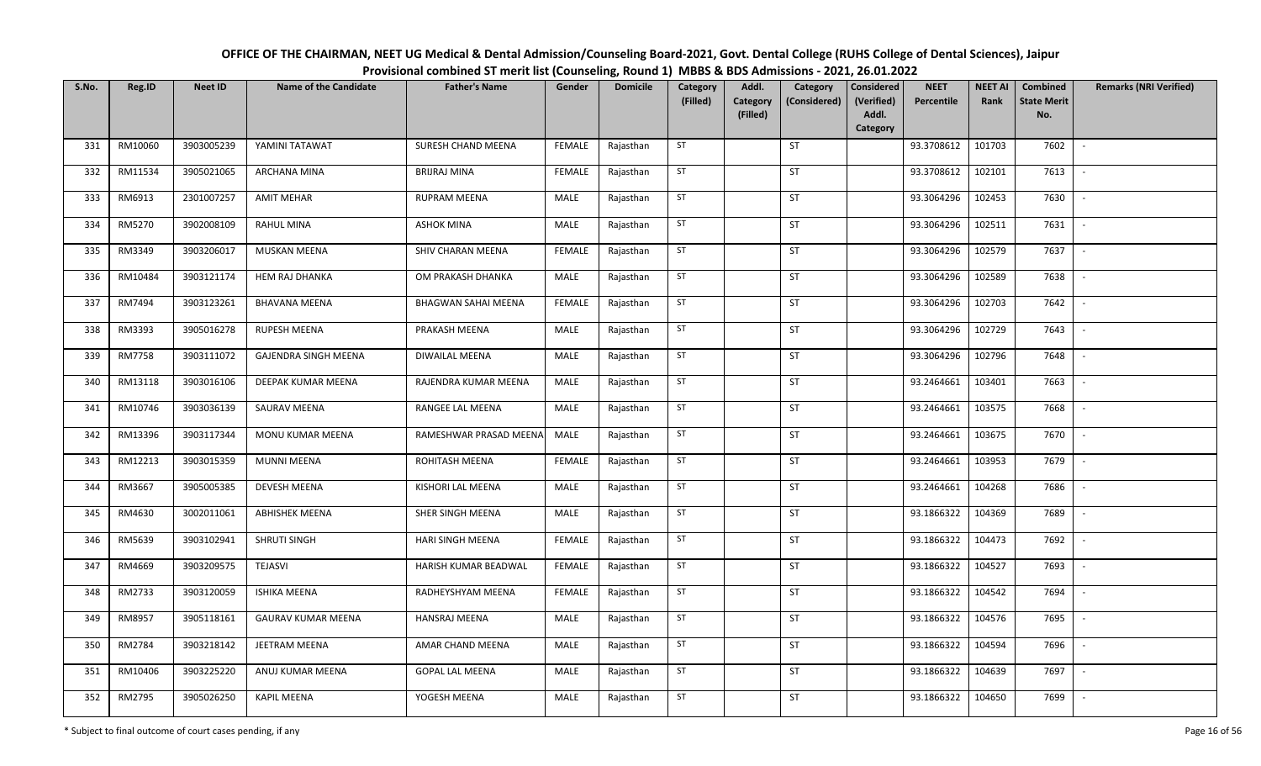| OFFICE OF THE CHAIRMAN, NEET UG Medical & Dental Admission/Counseling Board-2021, Govt. Dental College (RUHS College of Dental Sciences), Jaipur |
|--------------------------------------------------------------------------------------------------------------------------------------------------|
| Provisional combined ST merit list (Counseling, Round 1) MBBS & BDS Admissions - 2021, 26.01.2022                                                |

| S.No. | Reg.ID  | <b>Neet ID</b> | <b>Name of the Candidate</b> | <b>Father's Name</b>    | Gender        | <b>Domicile</b> | Category<br>(Filled) | Addl.<br>Category | Category<br>(Considered) | Considered<br>(Verified) | <b>NEET</b><br>Percentile | <b>NEET AI</b><br>Rank | Combined<br><b>State Merit</b> | <b>Remarks (NRI Verified)</b> |
|-------|---------|----------------|------------------------------|-------------------------|---------------|-----------------|----------------------|-------------------|--------------------------|--------------------------|---------------------------|------------------------|--------------------------------|-------------------------------|
|       |         |                |                              |                         |               |                 |                      | (Filled)          |                          | Addl.<br>Category        |                           |                        | No.                            |                               |
| 331   | RM10060 | 3903005239     | YAMINI TATAWAT               | SURESH CHAND MEENA      | <b>FEMALE</b> | Rajasthan       | ST                   |                   | ST                       |                          | 93.3708612                | 101703                 | 7602                           | $\sim$                        |
| 332   | RM11534 | 3905021065     | ARCHANA MINA                 | <b>BRIJRAJ MINA</b>     | <b>FEMALE</b> | Rajasthan       | ST                   |                   | ST                       |                          | 93.3708612                | 102101                 | 7613                           | $\sim$                        |
| 333   | RM6913  | 2301007257     | <b>AMIT MEHAR</b>            | <b>RUPRAM MEENA</b>     | MALE          | Rajasthan       | ST                   |                   | ST                       |                          | 93.3064296                | 102453                 | 7630                           | $\sim$                        |
| 334   | RM5270  | 3902008109     | <b>RAHUL MINA</b>            | <b>ASHOK MINA</b>       | <b>MALE</b>   | Rajasthan       | ST                   |                   | ST                       |                          | 93.3064296                | 102511                 | 7631                           | $\sim$                        |
| 335   | RM3349  | 3903206017     | MUSKAN MEENA                 | SHIV CHARAN MEENA       | <b>FEMALE</b> | Rajasthan       | ST                   |                   | <b>ST</b>                |                          | 93.3064296                | 102579                 | 7637                           | $\sim$                        |
| 336   | RM10484 | 3903121174     | <b>HEM RAJ DHANKA</b>        | OM PRAKASH DHANKA       | MALE          | Rajasthan       | ST                   |                   | ST                       |                          | 93.3064296                | 102589                 | 7638                           | $\sim$                        |
| 337   | RM7494  | 3903123261     | <b>BHAVANA MEENA</b>         | BHAGWAN SAHAI MEENA     | <b>FEMALE</b> | Rajasthan       | ST                   |                   | ST                       |                          | 93.3064296                | 102703                 | 7642                           | $\overline{\phantom{a}}$      |
| 338   | RM3393  | 3905016278     | RUPESH MEENA                 | PRAKASH MEENA           | MALE          | Rajasthan       | ST                   |                   | ST                       |                          | 93.3064296                | 102729                 | 7643                           | $\overline{\phantom{a}}$      |
| 339   | RM7758  | 3903111072     | <b>GAJENDRA SINGH MEENA</b>  | DIWAILAL MEENA          | MALE          | Rajasthan       | ST                   |                   | ST                       |                          | 93.3064296                | 102796                 | 7648                           | $\overline{\phantom{a}}$      |
| 340   | RM13118 | 3903016106     | DEEPAK KUMAR MEENA           | RAJENDRA KUMAR MEENA    | MALE          | Rajasthan       | ST                   |                   | ST                       |                          | 93.2464661                | 103401                 | 7663                           | $\sim$                        |
| 341   | RM10746 | 3903036139     | SAURAV MEENA                 | RANGEE LAL MEENA        | MALE          | Rajasthan       | ST                   |                   | ST                       |                          | 93.2464661                | 103575                 | 7668                           | $\sim$                        |
| 342   | RM13396 | 3903117344     | MONU KUMAR MEENA             | RAMESHWAR PRASAD MEENA  | MALE          | Rajasthan       | ST                   |                   | ST                       |                          | 93.2464661                | 103675                 | 7670                           | $\sim$                        |
| 343   | RM12213 | 3903015359     | <b>MUNNI MEENA</b>           | ROHITASH MEENA          | <b>FEMALE</b> | Rajasthan       | ST                   |                   | ST                       |                          | 93.2464661                | 103953                 | 7679                           | $\sim$                        |
| 344   | RM3667  | 3905005385     | <b>DEVESH MEENA</b>          | KISHORI LAL MEENA       | MALE          | Rajasthan       | ST                   |                   | ST                       |                          | 93.2464661                | 104268                 | 7686                           | $\sim$                        |
| 345   | RM4630  | 3002011061     | <b>ABHISHEK MEENA</b>        | SHER SINGH MEENA        | MALE          | Rajasthan       | ST                   |                   | ST                       |                          | 93.1866322                | 104369                 | 7689                           | $\sim$                        |
| 346   | RM5639  | 3903102941     | SHRUTI SINGH                 | <b>HARI SINGH MEENA</b> | <b>FEMALE</b> | Rajasthan       | ST                   |                   | ST                       |                          | 93.1866322                | 104473                 | 7692                           | $\sim$                        |
| 347   | RM4669  | 3903209575     | <b>TEJASVI</b>               | HARISH KUMAR BEADWAL    | <b>FEMALE</b> | Rajasthan       | ST                   |                   | ST                       |                          | 93.1866322                | 104527                 | 7693                           | $\sim$                        |
| 348   | RM2733  | 3903120059     | <b>ISHIKA MEENA</b>          | RADHEYSHYAM MEENA       | <b>FEMALE</b> | Rajasthan       | ST                   |                   | ST                       |                          | 93.1866322                | 104542                 | 7694                           | $\sim$                        |
| 349   | RM8957  | 3905118161     | <b>GAURAV KUMAR MEENA</b>    | <b>HANSRAJ MEENA</b>    | MALE          | Rajasthan       | ST                   |                   | ST                       |                          | 93.1866322                | 104576                 | 7695                           | $\sim$                        |
| 350   | RM2784  | 3903218142     | JEETRAM MEENA                | AMAR CHAND MEENA        | <b>MALE</b>   | Rajasthan       | ST                   |                   | ST                       |                          | 93.1866322                | 104594                 | 7696                           | $\sim$                        |
| 351   | RM10406 | 3903225220     | ANUJ KUMAR MEENA             | <b>GOPAL LAL MEENA</b>  | MALE          | Rajasthan       | ST                   |                   | ST                       |                          | 93.1866322                | 104639                 | 7697                           | $\sim$                        |
| 352   | RM2795  | 3905026250     | <b>KAPIL MEENA</b>           | YOGESH MEENA            | MALE          | Rajasthan       | ST                   |                   | ST                       |                          | 93.1866322                | 104650                 | 7699                           | $\sim$                        |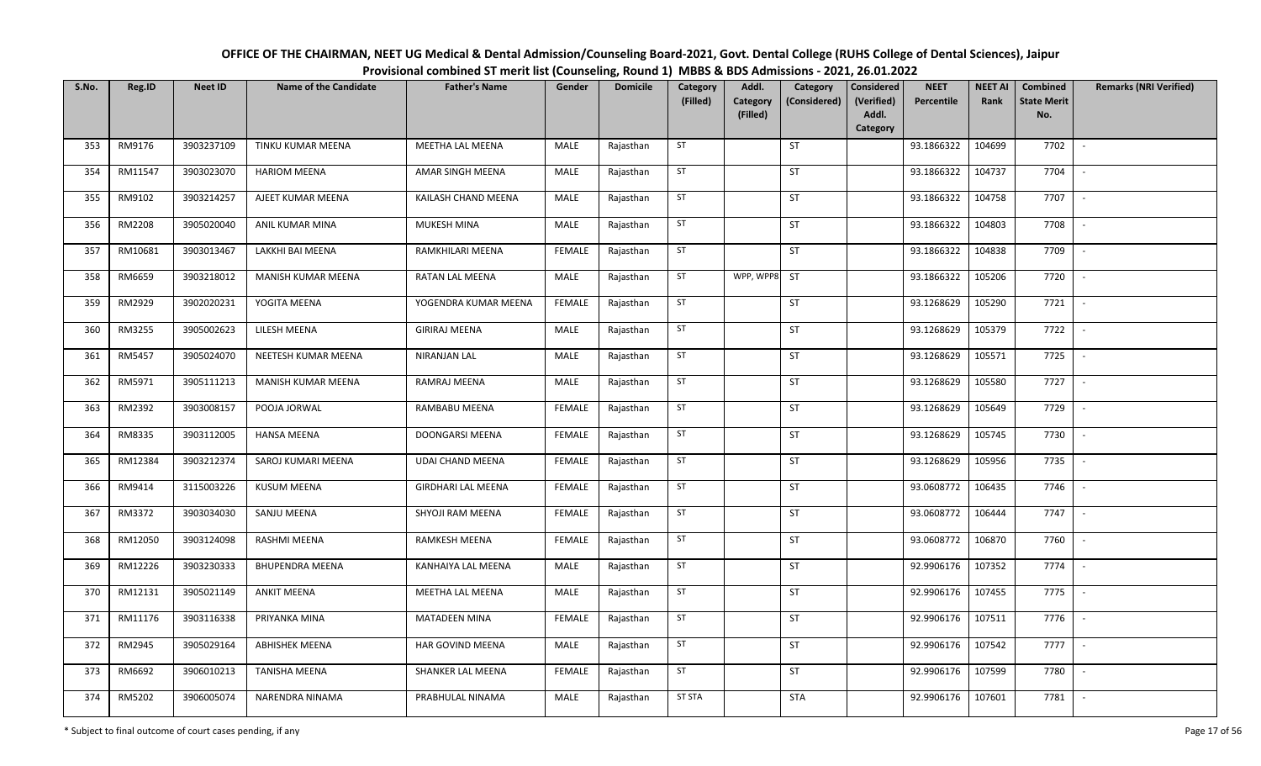| OFFICE OF THE CHAIRMAN, NEET UG Medical & Dental Admission/Counseling Board-2021, Govt. Dental College (RUHS College of Dental Sciences), Jaipur |
|--------------------------------------------------------------------------------------------------------------------------------------------------|
| Provisional combined ST merit list (Counseling, Round 1) MBBS & BDS Admissions - 2021, 26.01.2022                                                |

| S.No. | Reg.ID  | <b>Neet ID</b> | <b>Name of the Candidate</b> | <b>Father's Name</b>      | Gender        | <b>Domicile</b> | Category<br>(Filled) | Addl.<br>Category | Category<br>(Considered) | <b>Considered</b><br>(Verified) | <b>NEET</b><br>Percentile | <b>NEET AI</b><br>Rank | Combined<br><b>State Merit</b> | <b>Remarks (NRI Verified)</b> |
|-------|---------|----------------|------------------------------|---------------------------|---------------|-----------------|----------------------|-------------------|--------------------------|---------------------------------|---------------------------|------------------------|--------------------------------|-------------------------------|
|       |         |                |                              |                           |               |                 |                      | (Filled)          |                          | Addl.<br>Category               |                           |                        | No.                            |                               |
| 353   | RM9176  | 3903237109     | TINKU KUMAR MEENA            | MEETHA LAL MEENA          | MALE          | Rajasthan       | ST                   |                   | ST                       |                                 | 93.1866322                | 104699                 | 7702                           | $\sim$                        |
| 354   | RM11547 | 3903023070     | <b>HARIOM MEENA</b>          | AMAR SINGH MEENA          | MALE          | Rajasthan       | ST                   |                   | ST                       |                                 | 93.1866322                | 104737                 | 7704                           | $\sim$                        |
| 355   | RM9102  | 3903214257     | AJEET KUMAR MEENA            | KAILASH CHAND MEENA       | MALE          | Rajasthan       | ST                   |                   | ST                       |                                 | 93.1866322                | 104758                 | 7707                           | $\mathbb{L}$                  |
| 356   | RM2208  | 3905020040     | ANIL KUMAR MINA              | MUKESH MINA               | MALE          | Rajasthan       | ST                   |                   | ST                       |                                 | 93.1866322                | 104803                 | 7708                           | $\mathbb{L}$                  |
| 357   | RM10681 | 3903013467     | LAKKHI BAI MEENA             | RAMKHILARI MEENA          | <b>FEMALE</b> | Rajasthan       | ST                   |                   | ST                       |                                 | 93.1866322                | 104838                 | 7709                           | $\sim$                        |
| 358   | RM6659  | 3903218012     | MANISH KUMAR MEENA           | RATAN LAL MEENA           | MALE          | Rajasthan       | ST                   | WPP, WPP8         | ST                       |                                 | 93.1866322                | 105206                 | 7720                           | $\sim$                        |
| 359   | RM2929  | 3902020231     | YOGITA MEENA                 | YOGENDRA KUMAR MEENA      | <b>FEMALE</b> | Rajasthan       | ST                   |                   | ST                       |                                 | 93.1268629                | 105290                 | 7721                           | $\sim$                        |
| 360   | RM3255  | 3905002623     | LILESH MEENA                 | <b>GIRIRAJ MEENA</b>      | MALE          | Rajasthan       | ST                   |                   | ST                       |                                 | 93.1268629                | 105379                 | 7722                           | $\overline{\phantom{a}}$      |
| 361   | RM5457  | 3905024070     | NEETESH KUMAR MEENA          | NIRANJAN LAL              | MALE          | Rajasthan       | ST                   |                   | ST                       |                                 | 93.1268629                | 105571                 | 7725                           |                               |
| 362   | RM5971  | 3905111213     | MANISH KUMAR MEENA           | RAMRAJ MEENA              | MALE          | Rajasthan       | ST                   |                   | ST                       |                                 | 93.1268629                | 105580                 | 7727                           | $\sim$                        |
| 363   | RM2392  | 3903008157     | POOJA JORWAL                 | RAMBABU MEENA             | <b>FEMALE</b> | Rajasthan       | ST                   |                   | ST                       |                                 | 93.1268629                | 105649                 | 7729                           | $\sim$                        |
| 364   | RM8335  | 3903112005     | <b>HANSA MEENA</b>           | DOONGARSI MEENA           | <b>FEMALE</b> | Rajasthan       | ST                   |                   | ST                       |                                 | 93.1268629                | 105745                 | 7730                           | $\sim$                        |
| 365   | RM12384 | 3903212374     | SAROJ KUMARI MEENA           | <b>UDAI CHAND MEENA</b>   | <b>FEMALE</b> | Rajasthan       | ST                   |                   | ST                       |                                 | 93.1268629                | 105956                 | 7735                           | $\sim$                        |
| 366   | RM9414  | 3115003226     | <b>KUSUM MEENA</b>           | <b>GIRDHARI LAL MEENA</b> | <b>FEMALE</b> | Rajasthan       | ST                   |                   | ST                       |                                 | 93.0608772                | 106435                 | 7746                           | $\sim$                        |
| 367   | RM3372  | 3903034030     | SANJU MEENA                  | SHYOJI RAM MEENA          | <b>FEMALE</b> | Rajasthan       | ST                   |                   | ST                       |                                 | 93.0608772                | 106444                 | 7747                           | $\mathbb{L}$                  |
| 368   | RM12050 | 3903124098     | RASHMI MEENA                 | RAMKESH MEENA             | <b>FEMALE</b> | Rajasthan       | ST                   |                   | ST                       |                                 | 93.0608772                | 106870                 | 7760                           | $\sim$                        |
| 369   | RM12226 | 3903230333     | <b>BHUPENDRA MEENA</b>       | KANHAIYA LAL MEENA        | MALE          | Rajasthan       | ST                   |                   | ST                       |                                 | 92.9906176                | 107352                 | 7774                           | $\sim$                        |
| 370   | RM12131 | 3905021149     | <b>ANKIT MEENA</b>           | MEETHA LAL MEENA          | MALE          | Rajasthan       | ST                   |                   | ST                       |                                 | 92.9906176                | 107455                 | 7775                           | $\sim$                        |
| 371   | RM11176 | 3903116338     | PRIYANKA MINA                | <b>MATADEEN MINA</b>      | <b>FEMALE</b> | Rajasthan       | ST                   |                   | ST                       |                                 | 92.9906176                | 107511                 | 7776                           | $\sim$                        |
| 372   | RM2945  | 3905029164     | <b>ABHISHEK MEENA</b>        | HAR GOVIND MEENA          | <b>MALE</b>   | Rajasthan       | ST                   |                   | ST                       |                                 | 92.9906176                | 107542                 | 7777                           | $\sim$                        |
| 373   | RM6692  | 3906010213     | <b>TANISHA MEENA</b>         | SHANKER LAL MEENA         | <b>FEMALE</b> | Rajasthan       | ST                   |                   | ST                       |                                 | 92.9906176                | 107599                 | 7780                           | $\sim$                        |
| 374   | RM5202  | 3906005074     | NARENDRA NINAMA              | PRABHULAL NINAMA          | MALE          | Rajasthan       | <b>ST STA</b>        |                   | <b>STA</b>               |                                 | 92.9906176                | 107601                 | 7781                           | $\sim$                        |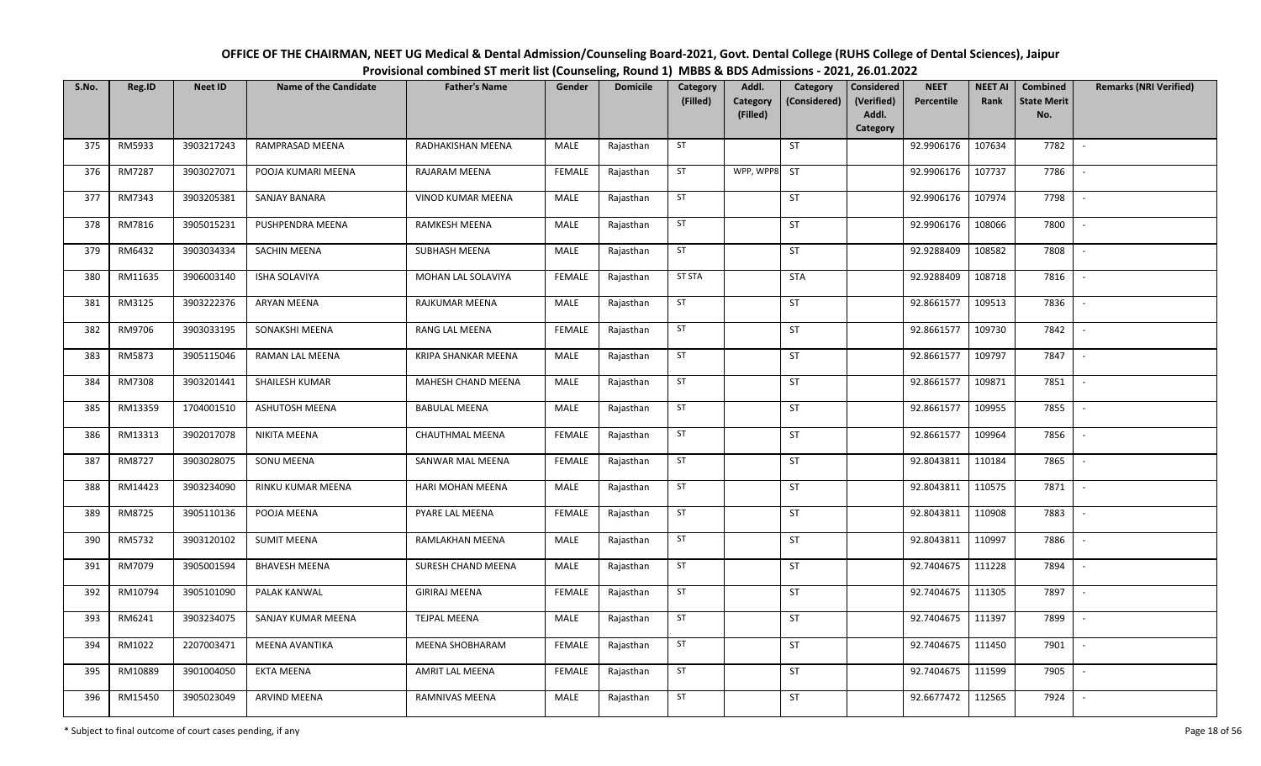| OFFICE OF THE CHAIRMAN, NEET UG Medical & Dental Admission/Counseling Board-2021, Govt. Dental College (RUHS College of Dental Sciences), Jaipur |
|--------------------------------------------------------------------------------------------------------------------------------------------------|
| Provisional combined ST merit list (Counseling, Round 1) MBBS & BDS Admissions - 2021, 26.01.2022                                                |

| S.No. | Reg.ID  | <b>Neet ID</b> | <b>Name of the Candidate</b> | <b>Father's Name</b>   | Gender        | <b>Domicile</b> | Category<br>(Filled) | Addl.<br>Category | Category<br>(Considered) | Considered<br>(Verified) | <b>NEET</b><br>Percentile | <b>NEET AI</b><br>Rank | Combined<br><b>State Merit</b> | <b>Remarks (NRI Verified)</b> |
|-------|---------|----------------|------------------------------|------------------------|---------------|-----------------|----------------------|-------------------|--------------------------|--------------------------|---------------------------|------------------------|--------------------------------|-------------------------------|
|       |         |                |                              |                        |               |                 |                      | (Filled)          |                          | Addl.<br>Category        |                           |                        | No.                            |                               |
| 375   | RM5933  | 3903217243     | RAMPRASAD MEENA              | RADHAKISHAN MEENA      | MALE          | Rajasthan       | ST                   |                   | ST                       |                          | 92.9906176                | 107634                 | 7782                           | $\sim$                        |
| 376   | RM7287  | 3903027071     | POOJA KUMARI MEENA           | RAJARAM MEENA          | <b>FEMALE</b> | Rajasthan       | ST                   | WPP, WPP8         | ST                       |                          | 92.9906176                | 107737                 | 7786                           | $\sim$                        |
| 377   | RM7343  | 3903205381     | SANJAY BANARA                | VINOD KUMAR MEENA      | MALE          | Rajasthan       | ST                   |                   | ST                       |                          | 92.9906176                | 107974                 | 7798                           | $\sim$                        |
| 378   | RM7816  | 3905015231     | PUSHPENDRA MEENA             | RAMKESH MEENA          | MALE          | Rajasthan       | ST                   |                   | ST                       |                          | 92.9906176                | 108066                 | 7800                           | $\sim$                        |
| 379   | RM6432  | 3903034334     | <b>SACHIN MEENA</b>          | SUBHASH MEENA          | MALE          | Rajasthan       | ST                   |                   | ST                       |                          | 92.9288409                | 108582                 | 7808                           | $\sim$                        |
| 380   | RM11635 | 3906003140     | ISHA SOLAVIYA                | MOHAN LAL SOLAVIYA     | <b>FEMALE</b> | Rajasthan       | <b>ST STA</b>        |                   | <b>STA</b>               |                          | 92.9288409                | 108718                 | 7816                           | $\sim$                        |
| 381   | RM3125  | 3903222376     | <b>ARYAN MEENA</b>           | RAJKUMAR MEENA         | MALE          | Rajasthan       | ST                   |                   | ST                       |                          | 92.8661577                | 109513                 | 7836                           | $\overline{\phantom{a}}$      |
| 382   | RM9706  | 3903033195     | SONAKSHI MEENA               | RANG LAL MEENA         | <b>FEMALE</b> | Rajasthan       | ST                   |                   | ST                       |                          | 92.8661577                | 109730                 | 7842                           | $\overline{\phantom{a}}$      |
| 383   | RM5873  | 3905115046     | RAMAN LAL MEENA              | KRIPA SHANKAR MEENA    | MALE          | Rajasthan       | ST                   |                   | ST                       |                          | 92.8661577                | 109797                 | 7847                           | $\overline{\phantom{a}}$      |
| 384   | RM7308  | 3903201441     | SHAILESH KUMAR               | MAHESH CHAND MEENA     | MALE          | Rajasthan       | ST                   |                   | ST                       |                          | 92.8661577                | 109871                 | 7851                           | $\sim$                        |
| 385   | RM13359 | 1704001510     | ASHUTOSH MEENA               | <b>BABULAL MEENA</b>   | MALE          | Rajasthan       | ST                   |                   | ST                       |                          | 92.8661577                | 109955                 | 7855                           | $\sim$                        |
| 386   | RM13313 | 3902017078     | NIKITA MEENA                 | CHAUTHMAL MEENA        | <b>FEMALE</b> | Rajasthan       | ST                   |                   | ST                       |                          | 92.8661577                | 109964                 | 7856                           | $\sim$                        |
| 387   | RM8727  | 3903028075     | SONU MEENA                   | SANWAR MAL MEENA       | <b>FEMALE</b> | Rajasthan       | ST                   |                   | ST                       |                          | 92.8043811                | 110184                 | 7865                           | $\sim$                        |
| 388   | RM14423 | 3903234090     | RINKU KUMAR MEENA            | HARI MOHAN MEENA       | MALE          | Rajasthan       | ST                   |                   | ST                       |                          | 92.8043811                | 110575                 | 7871                           | $\sim$                        |
| 389   | RM8725  | 3905110136     | POOJA MEENA                  | PYARE LAL MEENA        | <b>FEMALE</b> | Rajasthan       | ST                   |                   | ST                       |                          | 92.8043811                | 110908                 | 7883                           | $\sim$                        |
| 390   | RM5732  | 3903120102     | <b>SUMIT MEENA</b>           | RAMLAKHAN MEENA        | MALE          | Rajasthan       | ST                   |                   | ST                       |                          | 92.8043811                | 110997                 | 7886                           | $\sim$                        |
| 391   | RM7079  | 3905001594     | <b>BHAVESH MEENA</b>         | SURESH CHAND MEENA     | MALE          | Rajasthan       | ST                   |                   | ST                       |                          | 92.7404675                | 111228                 | 7894                           | $\overline{\phantom{a}}$      |
| 392   | RM10794 | 3905101090     | PALAK KANWAL                 | <b>GIRIRAJ MEENA</b>   | <b>FEMALE</b> | Rajasthan       | ST                   |                   | ST                       |                          | 92.7404675                | 111305                 | 7897                           | $\sim$                        |
| 393   | RM6241  | 3903234075     | SANJAY KUMAR MEENA           | <b>TEJPAL MEENA</b>    | MALE          | Rajasthan       | ST                   |                   | ST                       |                          | 92.7404675                | 111397                 | 7899                           | $\sim$                        |
| 394   | RM1022  | 2207003471     | <b>MEENA AVANTIKA</b>        | MEENA SHOBHARAM        | <b>FEMALE</b> | Rajasthan       | ST                   |                   | ST                       |                          | 92.7404675                | 111450                 | 7901                           | $\sim$                        |
| 395   | RM10889 | 3901004050     | EKTA MEENA                   | <b>AMRIT LAL MEENA</b> | <b>FEMALE</b> | Rajasthan       | ST                   |                   | ST                       |                          | 92.7404675                | 111599                 | 7905                           | $\sim$                        |
| 396   | RM15450 | 3905023049     | ARVIND MEENA                 | RAMNIVAS MEENA         | MALE          | Rajasthan       | ST                   |                   | ST                       |                          | 92.6677472                | 112565                 | 7924                           |                               |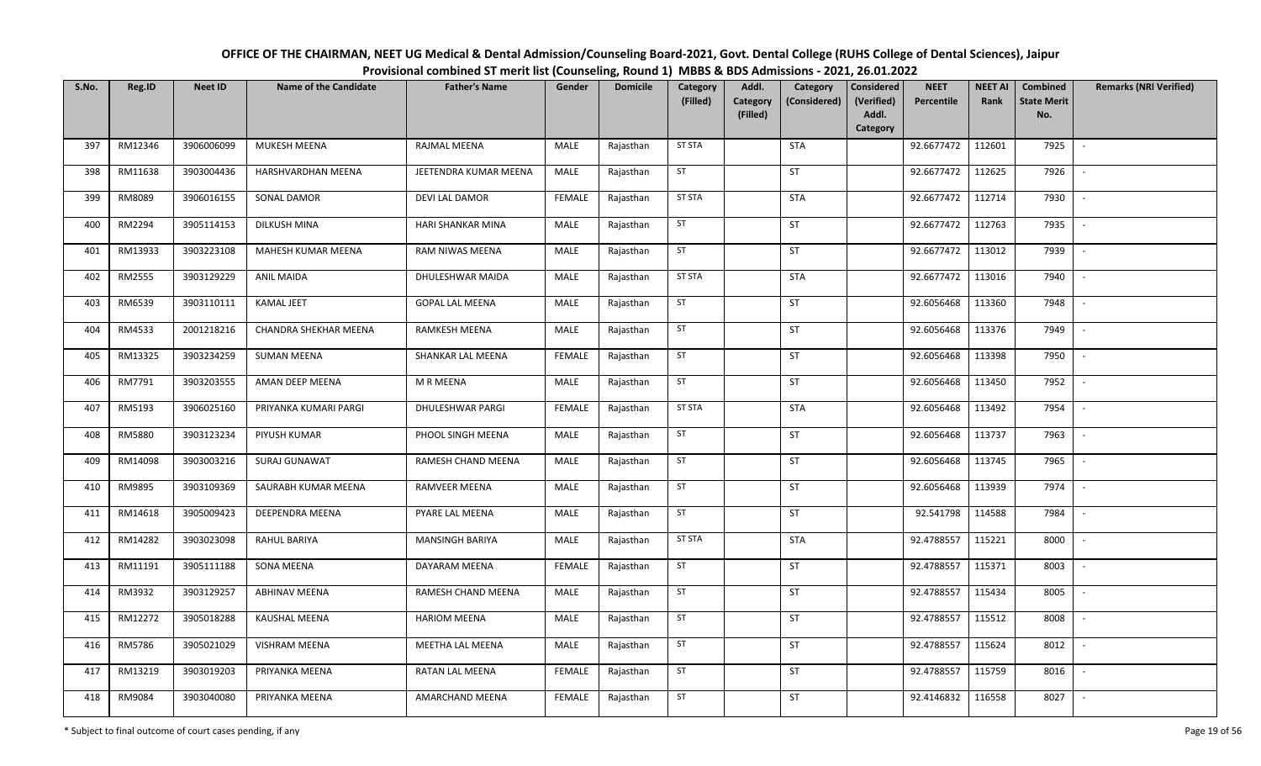| OFFICE OF THE CHAIRMAN, NEET UG Medical & Dental Admission/Counseling Board-2021, Govt. Dental College (RUHS College of Dental Sciences), Jaipur |  |
|--------------------------------------------------------------------------------------------------------------------------------------------------|--|
| Provisional combined ST merit list (Counseling, Round 1) MBBS & BDS Admissions - 2021, 26.01.2022                                                |  |

| S.No. | Reg.ID  | <b>Neet ID</b> | <b>Name of the Candidate</b> | <b>Father's Name</b>   | Gender        | <b>Domicile</b> | Category      | Addl.                | Category             | <b>Considered</b>   | <b>NEET</b> | <b>NEET AI</b> | Combined                  | <b>Remarks (NRI Verified)</b> |
|-------|---------|----------------|------------------------------|------------------------|---------------|-----------------|---------------|----------------------|----------------------|---------------------|-------------|----------------|---------------------------|-------------------------------|
|       |         |                |                              |                        |               |                 | (Filled)      | Category<br>(Filled) | (Considered)         | (Verified)<br>Addl. | Percentile  | Rank           | <b>State Merit</b><br>No. |                               |
|       |         |                |                              |                        |               |                 |               |                      |                      | Category            |             |                |                           |                               |
| 397   | RM12346 | 3906006099     | <b>MUKESH MEENA</b>          | RAJMAL MEENA           | MALE          | Rajasthan       | <b>ST STA</b> |                      | <b>STA</b>           |                     | 92.6677472  | 112601         | 7925                      | $\overline{\phantom{a}}$      |
| 398   | RM11638 | 3903004436     | HARSHVARDHAN MEENA           | JEETENDRA KUMAR MEENA  | MALE          | Rajasthan       | ST            |                      | ST                   |                     | 92.6677472  | 112625         | 7926                      | $\overline{\phantom{a}}$      |
| 399   | RM8089  | 3906016155     | SONAL DAMOR                  | DEVI LAL DAMOR         | <b>FEMALE</b> | Rajasthan       | <b>ST STA</b> |                      | <b>STA</b>           |                     | 92.6677472  | 112714         | 7930                      | $\sim$                        |
| 400   | RM2294  | 3905114153     | DILKUSH MINA                 | HARI SHANKAR MINA      | MALE          | Rajasthan       | ST            |                      | $\mathsf{ST}\xspace$ |                     | 92.6677472  | 112763         | 7935                      | $\overline{\phantom{a}}$      |
| 401   | RM13933 | 3903223108     | MAHESH KUMAR MEENA           | RAM NIWAS MEENA        | MALE          | Rajasthan       | ST            |                      | ST                   |                     | 92.6677472  | 113012         | 7939                      | $\sim$                        |
| 402   | RM2555  | 3903129229     | <b>ANIL MAIDA</b>            | DHULESHWAR MAIDA       | MALE          | Rajasthan       | <b>ST STA</b> |                      | <b>STA</b>           |                     | 92.6677472  | 113016         | 7940                      | $\overline{\phantom{a}}$      |
| 403   | RM6539  | 3903110111     | KAMAL JEET                   | <b>GOPAL LAL MEENA</b> | MALE          | Rajasthan       | ST            |                      | ST                   |                     | 92.6056468  | 113360         | 7948                      |                               |
| 404   | RM4533  | 2001218216     | CHANDRA SHEKHAR MEENA        | <b>RAMKESH MEENA</b>   | MALE          | Rajasthan       | ST            |                      | ST                   |                     | 92.6056468  | 113376         | 7949                      |                               |
| 405   | RM13325 | 3903234259     | <b>SUMAN MEENA</b>           | SHANKAR LAL MEENA      | <b>FEMALE</b> | Rajasthan       | ST            |                      | ST                   |                     | 92.6056468  | 113398         | 7950                      |                               |
| 406   | RM7791  | 3903203555     | AMAN DEEP MEENA              | M R MEENA              | MALE          | Rajasthan       | ST            |                      | ST                   |                     | 92.6056468  | 113450         | 7952                      |                               |
| 407   | RM5193  | 3906025160     | PRIYANKA KUMARI PARGI        | DHULESHWAR PARGI       | <b>FEMALE</b> | Rajasthan       | <b>ST STA</b> |                      | <b>STA</b>           |                     | 92.6056468  | 113492         | 7954                      |                               |
| 408   | RM5880  | 3903123234     | PIYUSH KUMAR                 | PHOOL SINGH MEENA      | MALE          | Rajasthan       | ST            |                      | ST                   |                     | 92.6056468  | 113737         | 7963                      | $\sim$                        |
| 409   | RM14098 | 3903003216     | SURAJ GUNAWAT                | RAMESH CHAND MEENA     | MALE          | Rajasthan       | ST            |                      | ST                   |                     | 92.6056468  | 113745         | 7965                      |                               |
| 410   | RM9895  | 3903109369     | SAURABH KUMAR MEENA          | RAMVEER MEENA          | MALE          | Rajasthan       | ST            |                      | ST                   |                     | 92.6056468  | 113939         | 7974                      | $\sim$                        |
| 411   | RM14618 | 3905009423     | DEEPENDRA MEENA              | PYARE LAL MEENA        | <b>MALE</b>   | Rajasthan       | ST            |                      | ST                   |                     | 92.541798   | 114588         | 7984                      | $\sim$                        |
| 412   | RM14282 | 3903023098     | RAHUL BARIYA                 | <b>MANSINGH BARIYA</b> | MALE          | Rajasthan       | <b>ST STA</b> |                      | <b>STA</b>           |                     | 92.4788557  | 115221         | 8000                      | $\sim$                        |
| 413   | RM11191 | 3905111188     | SONA MEENA                   | DAYARAM MEENA          | <b>FEMALE</b> | Rajasthan       | ST            |                      | ST                   |                     | 92.4788557  | 115371         | 8003                      | $\sim$                        |
| 414   | RM3932  | 3903129257     | <b>ABHINAV MEENA</b>         | RAMESH CHAND MEENA     | MALE          | Rajasthan       | ST            |                      | ST                   |                     | 92.4788557  | 115434         | 8005                      |                               |
| 415   | RM12272 | 3905018288     | <b>KAUSHAL MEENA</b>         | <b>HARIOM MEENA</b>    | <b>MALE</b>   | Rajasthan       | ST            |                      | ST                   |                     | 92.4788557  | 115512         | 8008                      |                               |
| 416   | RM5786  | 3905021029     | <b>VISHRAM MEENA</b>         | MEETHA LAL MEENA       | MALE          | Rajasthan       | ST            |                      | ST                   |                     | 92.4788557  | 115624         | 8012                      |                               |
| 417   | RM13219 | 3903019203     | PRIYANKA MEENA               | <b>RATAN LAL MEENA</b> | <b>FEMALE</b> | Rajasthan       | ST            |                      | ST                   |                     | 92.4788557  | 115759         | 8016                      | $\sim$                        |
| 418   | RM9084  | 3903040080     | PRIYANKA MEENA               | AMARCHAND MEENA        | <b>FEMALE</b> | Rajasthan       | ST            |                      | ST                   |                     | 92.4146832  | 116558         | 8027                      |                               |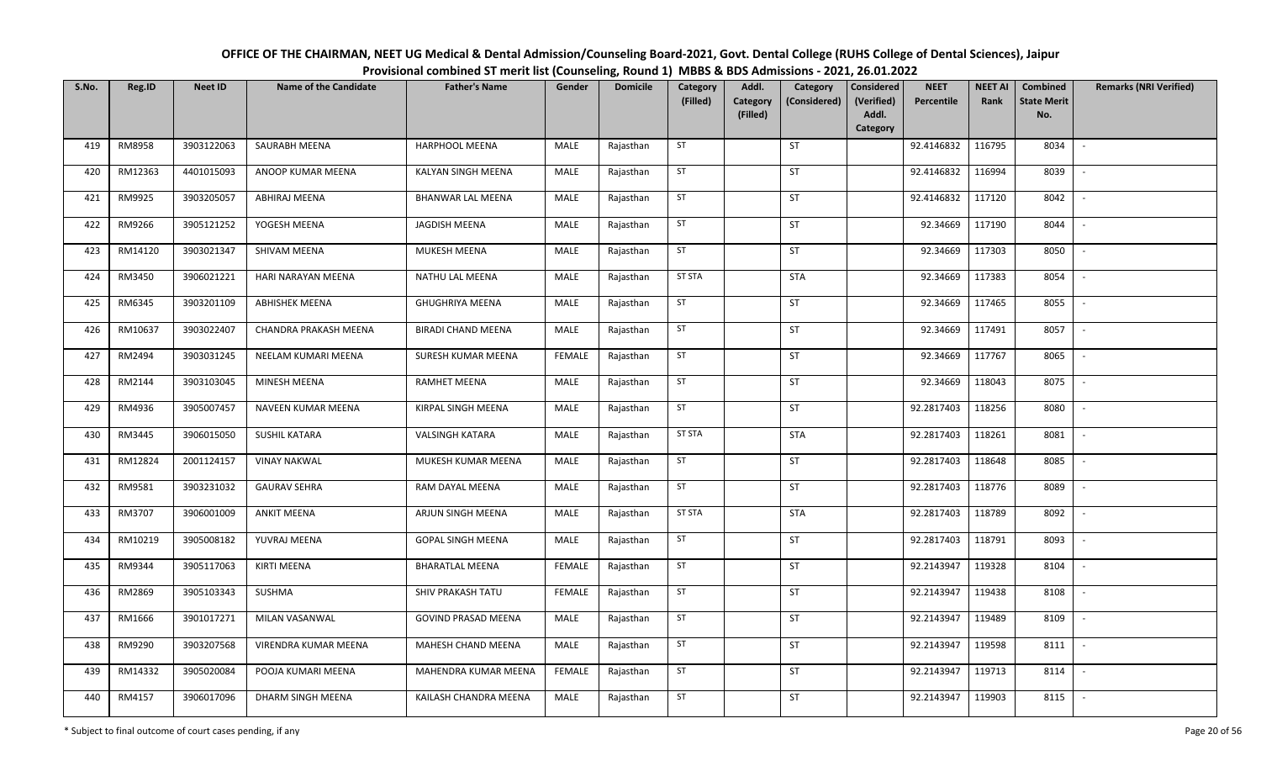| OFFICE OF THE CHAIRMAN, NEET UG Medical & Dental Admission/Counseling Board-2021, Govt. Dental College (RUHS College of Dental Sciences), Jaipur |
|--------------------------------------------------------------------------------------------------------------------------------------------------|
| Provisional combined ST merit list (Counseling, Round 1) MBBS & BDS Admissions - 2021, 26.01.2022                                                |

| S.No. | Reg.ID  | <b>Neet ID</b> | <b>Name of the Candidate</b> | <b>Father's Name</b>       | Gender        | <b>Domicile</b> | Category<br>(Filled) | Addl.<br><b>Category</b> | Category<br>(Considered) | <b>Considered</b><br><b>NEET</b><br>(Verified)<br>Percentile | <b>NEET AI</b><br>Rank | Combined<br><b>State Merit</b> | <b>Remarks (NRI Verified)</b> |
|-------|---------|----------------|------------------------------|----------------------------|---------------|-----------------|----------------------|--------------------------|--------------------------|--------------------------------------------------------------|------------------------|--------------------------------|-------------------------------|
|       |         |                |                              |                            |               |                 |                      | (Filled)                 |                          | Addl.<br>Category                                            |                        | No.                            |                               |
| 419   | RM8958  | 3903122063     | SAURABH MEENA                | <b>HARPHOOL MEENA</b>      | MALE          | Rajasthan       | ST                   |                          | <b>ST</b>                | 92.4146832                                                   | 116795                 | 8034                           | $\sim$                        |
| 420   | RM12363 | 4401015093     | ANOOP KUMAR MEENA            | KALYAN SINGH MEENA         | MALE          | Rajasthan       | ST                   |                          | ST                       | 92.4146832                                                   | 116994                 | 8039                           | $\sim$                        |
| 421   | RM9925  | 3903205057     | ABHIRAJ MEENA                | BHANWAR LAL MEENA          | MALE          | Rajasthan       | ST                   |                          | <b>ST</b>                | 92.4146832                                                   | 117120                 | 8042                           | $\sim$                        |
| 422   | RM9266  | 3905121252     | YOGESH MEENA                 | JAGDISH MEENA              | MALE          | Rajasthan       | ST                   |                          | <b>ST</b>                | 92.34669                                                     | 117190                 | 8044                           | $\sim$                        |
| 423   | RM14120 | 3903021347     | SHIVAM MEENA                 | MUKESH MEENA               | MALE          | Rajasthan       | ST                   |                          | ST                       | 92.34669                                                     | 117303                 | 8050                           | $\sim$                        |
| 424   | RM3450  | 3906021221     | HARI NARAYAN MEENA           | NATHU LAL MEENA            | MALE          | Rajasthan       | <b>ST STA</b>        |                          | <b>STA</b>               | 92.34669                                                     | 117383                 | 8054                           | $\sim$                        |
| 425   | RM6345  | 3903201109     | <b>ABHISHEK MEENA</b>        | <b>GHUGHRIYA MEENA</b>     | MALE          | Rajasthan       | ST                   |                          | ST                       | 92.34669                                                     | 117465                 | 8055                           | $\sim$                        |
| 426   | RM10637 | 3903022407     | CHANDRA PRAKASH MEENA        | <b>BIRADI CHAND MEENA</b>  | MALE          | Rajasthan       | ST                   |                          | ST                       | 92.34669                                                     | 117491                 | 8057                           | $\sim$                        |
| 427   | RM2494  | 3903031245     | NEELAM KUMARI MEENA          | SURESH KUMAR MEENA         | <b>FEMALE</b> | Rajasthan       | ST                   |                          | ST                       | 92.34669                                                     | 117767                 | 8065                           |                               |
| 428   | RM2144  | 3903103045     | MINESH MEENA                 | RAMHET MEENA               | MALE          | Rajasthan       | ST                   |                          | <b>ST</b>                | 92.34669                                                     | 118043                 | 8075                           | $\sim$                        |
| 429   | RM4936  | 3905007457     | NAVEEN KUMAR MEENA           | KIRPAL SINGH MEENA         | MALE          | Rajasthan       | ST                   |                          | <b>ST</b>                | 92.2817403                                                   | 118256                 | 8080                           | $\sim$                        |
| 430   | RM3445  | 3906015050     | <b>SUSHIL KATARA</b>         | <b>VALSINGH KATARA</b>     | MALE          | Rajasthan       | <b>ST STA</b>        |                          | <b>STA</b>               | 92.2817403                                                   | 118261                 | 8081                           | $\sim$                        |
| 431   | RM12824 | 2001124157     | <b>VINAY NAKWAL</b>          | MUKESH KUMAR MEENA         | MALE          | Rajasthan       | ST                   |                          | ST                       | 92.2817403                                                   | 118648                 | 8085                           | $\sim$                        |
| 432   | RM9581  | 3903231032     | <b>GAURAV SEHRA</b>          | RAM DAYAL MEENA            | MALE          | Rajasthan       | ST                   |                          | ST                       | 92.2817403                                                   | 118776                 | 8089                           | $\sim$                        |
| 433   | RM3707  | 3906001009     | <b>ANKIT MEENA</b>           | ARJUN SINGH MEENA          | MALE          | Rajasthan       | <b>ST STA</b>        |                          | <b>STA</b>               | 92.2817403                                                   | 118789                 | 8092                           | $\sim$                        |
| 434   | RM10219 | 3905008182     | YUVRAJ MEENA                 | <b>GOPAL SINGH MEENA</b>   | MALE          | Rajasthan       | ST                   |                          | <b>ST</b>                | 92.2817403                                                   | 118791                 | 8093                           | $\sim$                        |
| 435   | RM9344  | 3905117063     | KIRTI MEENA                  | <b>BHARATLAL MEENA</b>     | FEMALE        | Rajasthan       | ST                   |                          | ST                       | 92.2143947                                                   | 119328                 | 8104                           | $\overline{\phantom{a}}$      |
| 436   | RM2869  | 3905103343     | SUSHMA                       | SHIV PRAKASH TATU          | <b>FEMALE</b> | Rajasthan       | ST                   |                          | <b>ST</b>                | 92.2143947                                                   | 119438                 | 8108                           | $\sim$                        |
| 437   | RM1666  | 3901017271     | MILAN VASANWAL               | <b>GOVIND PRASAD MEENA</b> | MALE          | Rajasthan       | ST                   |                          | <b>ST</b>                | 92.2143947                                                   | 119489                 | 8109                           | $\sim$                        |
| 438   | RM9290  | 3903207568     | VIRENDRA KUMAR MEENA         | MAHESH CHAND MEENA         | MALE          | Rajasthan       | ST                   |                          | <b>ST</b>                | 92.2143947                                                   | 119598                 | 8111                           | $\sim$                        |
| 439   | RM14332 | 3905020084     | POOJA KUMARI MEENA           | MAHENDRA KUMAR MEENA       | <b>FEMALE</b> | Rajasthan       | ST                   |                          | ST                       | 92.2143947                                                   | 119713                 | 8114                           | $\sim$                        |
| 440   | RM4157  | 3906017096     | DHARM SINGH MEENA            | KAILASH CHANDRA MEENA      | MALE          | Rajasthan       | ST                   |                          | ST                       | 92.2143947                                                   | 119903                 | 8115                           | $\sim$                        |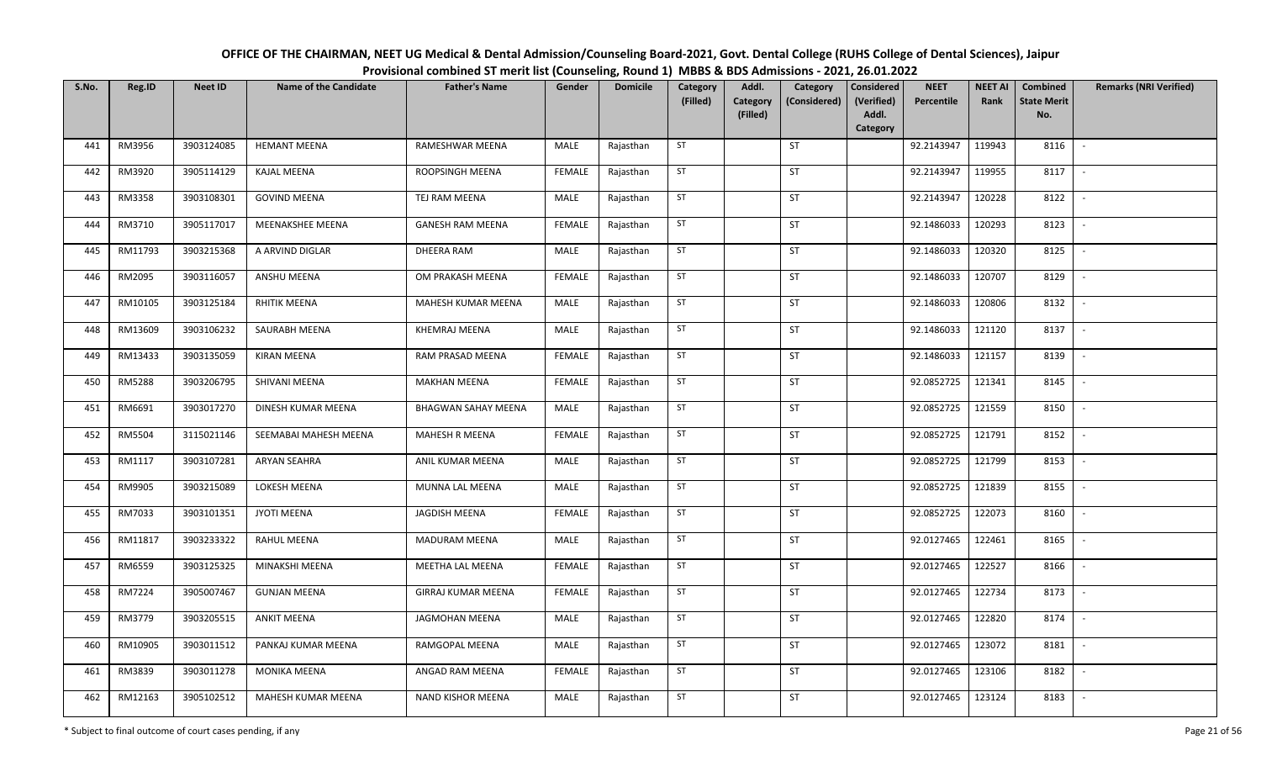| OFFICE OF THE CHAIRMAN, NEET UG Medical & Dental Admission/Counseling Board-2021, Govt. Dental College (RUHS College of Dental Sciences), Jaipur |
|--------------------------------------------------------------------------------------------------------------------------------------------------|
| Provisional combined ST merit list (Counseling, Round 1) MBBS & BDS Admissions - 2021, 26.01.2022                                                |

| S.No. | Reg.ID  | <b>Neet ID</b> | <b>Name of the Candidate</b> | <b>Father's Name</b>       | Gender        | <b>Domicile</b> | Category<br>(Filled) | Addl.<br>Category | Category<br>(Considered) | Considered<br>(Verified) | <b>NEET</b><br>Percentile | <b>NEET AI</b><br>Rank | Combined<br><b>State Merit</b> | <b>Remarks (NRI Verified)</b> |
|-------|---------|----------------|------------------------------|----------------------------|---------------|-----------------|----------------------|-------------------|--------------------------|--------------------------|---------------------------|------------------------|--------------------------------|-------------------------------|
|       |         |                |                              |                            |               |                 |                      | (Filled)          |                          | Addl.<br>Category        |                           |                        | No.                            |                               |
| 441   | RM3956  | 3903124085     | <b>HEMANT MEENA</b>          | RAMESHWAR MEENA            | MALE          | Rajasthan       | ST                   |                   | ST                       |                          | 92.2143947                | 119943                 | 8116                           | $\sim$                        |
| 442   | RM3920  | 3905114129     | <b>KAJAL MEENA</b>           | ROOPSINGH MEENA            | <b>FEMALE</b> | Rajasthan       | ST                   |                   | ST                       |                          | 92.2143947                | 119955                 | 8117                           | $\sim$                        |
| 443   | RM3358  | 3903108301     | <b>GOVIND MEENA</b>          | TEJ RAM MEENA              | MALE          | Rajasthan       | ST                   |                   | ST                       |                          | 92.2143947                | 120228                 | 8122                           | $\sim$                        |
| 444   | RM3710  | 3905117017     | MEENAKSHEE MEENA             | <b>GANESH RAM MEENA</b>    | <b>FEMALE</b> | Rajasthan       | ST                   |                   | ST                       |                          | 92.1486033                | 120293                 | 8123                           | $\sim$                        |
| 445   | RM11793 | 3903215368     | A ARVIND DIGLAR              | DHEERA RAM                 | MALE          | Rajasthan       | ST                   |                   | <b>ST</b>                |                          | 92.1486033                | 120320                 | 8125                           | $\sim$                        |
| 446   | RM2095  | 3903116057     | ANSHU MEENA                  | OM PRAKASH MEENA           | <b>FEMALE</b> | Rajasthan       | ST                   |                   | ST                       |                          | 92.1486033                | 120707                 | 8129                           | $\sim$                        |
| 447   | RM10105 | 3903125184     | RHITIK MEENA                 | MAHESH KUMAR MEENA         | MALE          | Rajasthan       | ST                   |                   | ST                       |                          | 92.1486033                | 120806                 | 8132                           | $\overline{\phantom{a}}$      |
| 448   | RM13609 | 3903106232     | SAURABH MEENA                | KHEMRAJ MEENA              | MALE          | Rajasthan       | ST                   |                   | ST                       |                          | 92.1486033                | 121120                 | 8137                           | $\sim$                        |
| 449   | RM13433 | 3903135059     | <b>KIRAN MEENA</b>           | RAM PRASAD MEENA           | <b>FEMALE</b> | Rajasthan       | ST                   |                   | ST                       |                          | 92.1486033                | 121157                 | 8139                           | $\overline{\phantom{a}}$      |
| 450   | RM5288  | 3903206795     | SHIVANI MEENA                | <b>MAKHAN MEENA</b>        | <b>FEMALE</b> | Rajasthan       | ST                   |                   | ST                       |                          | 92.0852725                | 121341                 | 8145                           | $\sim$                        |
| 451   | RM6691  | 3903017270     | DINESH KUMAR MEENA           | <b>BHAGWAN SAHAY MEENA</b> | MALE          | Rajasthan       | ST                   |                   | ST                       |                          | 92.0852725                | 121559                 | 8150                           | $\sim$                        |
| 452   | RM5504  | 3115021146     | SEEMABAI MAHESH MEENA        | MAHESH R MEENA             | <b>FEMALE</b> | Rajasthan       | ST                   |                   | ST                       |                          | 92.0852725                | 121791                 | 8152                           | $\sim$                        |
| 453   | RM1117  | 3903107281     | ARYAN SEAHRA                 | ANIL KUMAR MEENA           | MALE          | Rajasthan       | ST                   |                   | ST                       |                          | 92.0852725                | 121799                 | 8153                           | $\sim$                        |
| 454   | RM9905  | 3903215089     | LOKESH MEENA                 | MUNNA LAL MEENA            | MALE          | Rajasthan       | ST                   |                   | ST                       |                          | 92.0852725                | 121839                 | 8155                           | $\sim$                        |
| 455   | RM7033  | 3903101351     | <b>JYOTI MEENA</b>           | <b>JAGDISH MEENA</b>       | <b>FEMALE</b> | Rajasthan       | ST                   |                   | ST                       |                          | 92.0852725                | 122073                 | 8160                           | $\sim$                        |
| 456   | RM11817 | 3903233322     | RAHUL MEENA                  | MADURAM MEENA              | MALE          | Rajasthan       | ST                   |                   | ST                       |                          | 92.0127465                | 122461                 | 8165                           | $\sim$                        |
| 457   | RM6559  | 3903125325     | MINAKSHI MEENA               | MEETHA LAL MEENA           | <b>FEMALE</b> | Rajasthan       | ST                   |                   | ST                       |                          | 92.0127465                | 122527                 | 8166                           | $\overline{\phantom{a}}$      |
| 458   | RM7224  | 3905007467     | <b>GUNJAN MEENA</b>          | GIRRAJ KUMAR MEENA         | <b>FEMALE</b> | Rajasthan       | ST                   |                   | ST                       |                          | 92.0127465                | 122734                 | 8173                           | $\sim$                        |
| 459   | RM3779  | 3903205515     | <b>ANKIT MEENA</b>           | <b>JAGMOHAN MEENA</b>      | MALE          | Rajasthan       | ST                   |                   | ST                       |                          | 92.0127465                | 122820                 | 8174                           | $\sim$                        |
| 460   | RM10905 | 3903011512     | PANKAJ KUMAR MEENA           | RAMGOPAL MEENA             | MALE          | Rajasthan       | ST                   |                   | ST                       |                          | 92.0127465                | 123072                 | 8181                           | $\sim$                        |
| 461   | RM3839  | 3903011278     | MONIKA MEENA                 | ANGAD RAM MEENA            | <b>FEMALE</b> | Rajasthan       | ST                   |                   | ST                       |                          | 92.0127465                | 123106                 | 8182                           | $\sim$                        |
| 462   | RM12163 | 3905102512     | MAHESH KUMAR MEENA           | NAND KISHOR MEENA          | MALE          | Rajasthan       | ST                   |                   | ST                       |                          | 92.0127465                | 123124                 | 8183                           | $\sim$                        |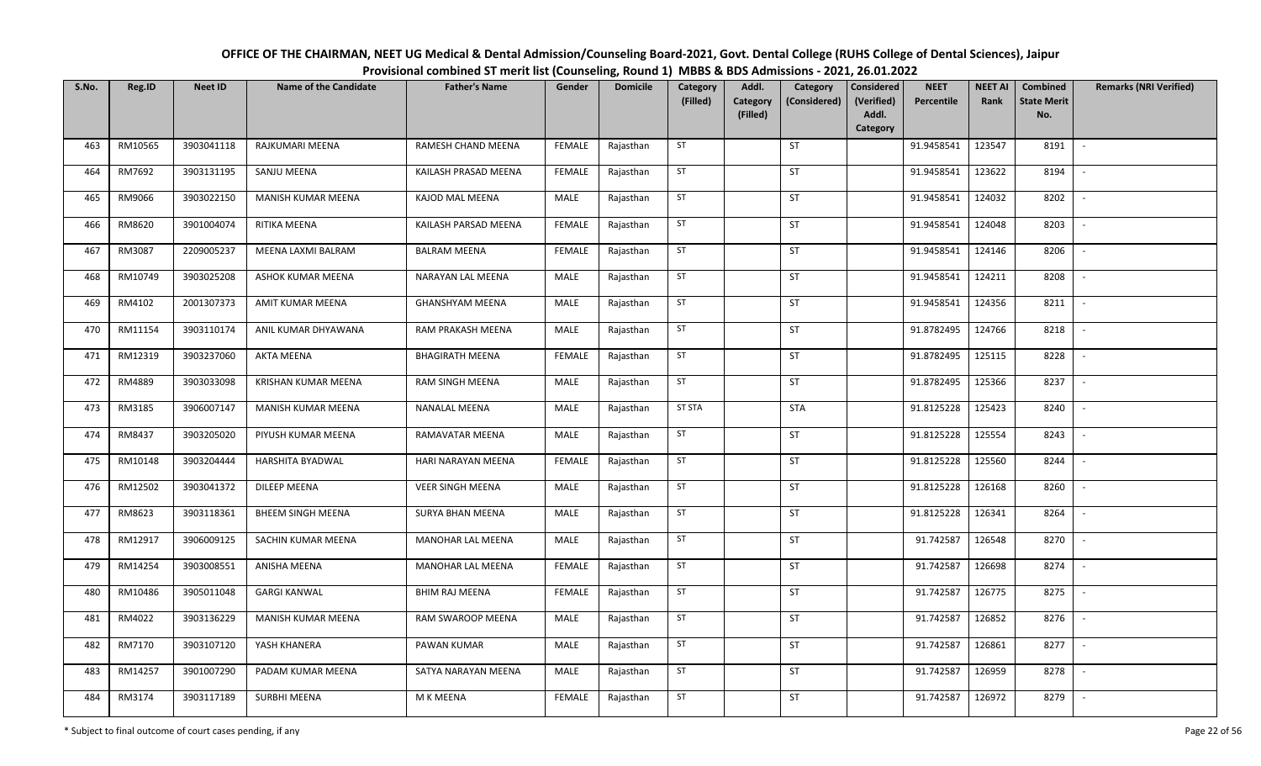| OFFICE OF THE CHAIRMAN, NEET UG Medical & Dental Admission/Counseling Board-2021, Govt. Dental College (RUHS College of Dental Sciences), Jaipur |
|--------------------------------------------------------------------------------------------------------------------------------------------------|
| Provisional combined ST merit list (Counseling, Round 1) MBBS & BDS Admissions - 2021, 26.01.2022                                                |

| S.No. | Reg.ID  | <b>Neet ID</b> | <b>Name of the Candidate</b> | <b>Father's Name</b>    | Gender        | <b>Domicile</b> | Category<br>(Filled) | Addl.<br><b>Category</b><br>(Filled) | Category<br>(Considered) | Considered<br>(Verified)<br>Addl.<br>Category | <b>NEET</b><br>Percentile | <b>NEET AI</b><br>Rank | Combined<br><b>State Merit</b><br>No. | <b>Remarks (NRI Verified)</b> |
|-------|---------|----------------|------------------------------|-------------------------|---------------|-----------------|----------------------|--------------------------------------|--------------------------|-----------------------------------------------|---------------------------|------------------------|---------------------------------------|-------------------------------|
| 463   | RM10565 | 3903041118     | RAJKUMARI MEENA              | RAMESH CHAND MEENA      | <b>FEMALE</b> | Rajasthan       | ST                   |                                      | ST                       |                                               | 91.9458541                | 123547                 | 8191                                  | $\overline{\phantom{a}}$      |
| 464   | RM7692  | 3903131195     | SANJU MEENA                  | KAILASH PRASAD MEENA    | <b>FEMALE</b> | Rajasthan       | ST                   |                                      | ST                       |                                               | 91.9458541                | 123622                 | 8194                                  | $\overline{\phantom{a}}$      |
| 465   | RM9066  | 3903022150     | MANISH KUMAR MEENA           | KAJOD MAL MEENA         | MALE          | Rajasthan       | ST                   |                                      | ST                       |                                               | 91.9458541                | 124032                 | 8202                                  | $\sim$                        |
| 466   | RM8620  | 3901004074     | RITIKA MEENA                 | KAILASH PARSAD MEENA    | <b>FEMALE</b> | Rajasthan       | ST                   |                                      | ST                       |                                               | 91.9458541                | 124048                 | 8203                                  | $\sim$                        |
| 467   | RM3087  | 2209005237     | MEENA LAXMI BALRAM           | <b>BALRAM MEENA</b>     | <b>FEMALE</b> | Rajasthan       | ST                   |                                      | <b>ST</b>                |                                               | 91.9458541                | 124146                 | 8206                                  | $\overline{\phantom{a}}$      |
| 468   | RM10749 | 3903025208     | ASHOK KUMAR MEENA            | NARAYAN LAL MEENA       | MALE          | Rajasthan       | ST                   |                                      | ST                       |                                               | 91.9458541                | 124211                 | 8208                                  | $\overline{\phantom{a}}$      |
| 469   | RM4102  | 2001307373     | AMIT KUMAR MEENA             | <b>GHANSHYAM MEENA</b>  | MALE          | Rajasthan       | ST                   |                                      | ST                       |                                               | 91.9458541                | 124356                 | 8211                                  | $\sim$                        |
| 470   | RM11154 | 3903110174     | ANIL KUMAR DHYAWANA          | RAM PRAKASH MEENA       | MALE          | Rajasthan       | ST                   |                                      | ST                       |                                               | 91.8782495                | 124766                 | 8218                                  | $\overline{\phantom{a}}$      |
| 471   | RM12319 | 3903237060     | <b>AKTA MEENA</b>            | <b>BHAGIRATH MEENA</b>  | <b>FEMALE</b> | Rajasthan       | ST                   |                                      | ST                       |                                               | 91.8782495                | 125115                 | 8228                                  |                               |
| 472   | RM4889  | 3903033098     | <b>KRISHAN KUMAR MEENA</b>   | RAM SINGH MEENA         | MALE          | Rajasthan       | ST                   |                                      | ST                       |                                               | 91.8782495                | 125366                 | 8237                                  |                               |
| 473   | RM3185  | 3906007147     | MANISH KUMAR MEENA           | NANALAL MEENA           | MALE          | Rajasthan       | <b>ST STA</b>        |                                      | <b>STA</b>               |                                               | 91.8125228                | 125423                 | 8240                                  |                               |
| 474   | RM8437  | 3903205020     | PIYUSH KUMAR MEENA           | RAMAVATAR MEENA         | MALE          | Rajasthan       | ST                   |                                      | ST                       |                                               | 91.8125228                | 125554                 | 8243                                  | $\overline{\phantom{a}}$      |
| 475   | RM10148 | 3903204444     | HARSHITA BYADWAL             | HARI NARAYAN MEENA      | <b>FEMALE</b> | Rajasthan       | ST                   |                                      | <b>ST</b>                |                                               | 91.8125228                | 125560                 | 8244                                  |                               |
| 476   | RM12502 | 3903041372     | <b>DILEEP MEENA</b>          | <b>VEER SINGH MEENA</b> | MALE          | Rajasthan       | ST                   |                                      | <b>ST</b>                |                                               | 91.8125228                | 126168                 | 8260                                  |                               |
| 477   | RM8623  | 3903118361     | <b>BHEEM SINGH MEENA</b>     | <b>SURYA BHAN MEENA</b> | MALE          | Rajasthan       | ST                   |                                      | ST                       |                                               | 91.8125228                | 126341                 | 8264                                  |                               |
| 478   | RM12917 | 3906009125     | SACHIN KUMAR MEENA           | MANOHAR LAL MEENA       | MALE          | Rajasthan       | ST                   |                                      | ST                       |                                               | 91.742587                 | 126548                 | 8270                                  | $\sim$                        |
| 479   | RM14254 | 3903008551     | ANISHA MEENA                 | MANOHAR LAL MEENA       | FEMALE        | Rajasthan       | ST                   |                                      | ST                       |                                               | 91.742587                 | 126698                 | 8274                                  |                               |
| 480   | RM10486 | 3905011048     | <b>GARGI KANWAL</b>          | <b>BHIM RAJ MEENA</b>   | <b>FEMALE</b> | Rajasthan       | ST                   |                                      | ST                       |                                               | 91.742587                 | 126775                 | 8275                                  | $\sim$                        |
| 481   | RM4022  | 3903136229     | MANISH KUMAR MEENA           | RAM SWAROOP MEENA       | MALE          | Rajasthan       | ST                   |                                      | ST                       |                                               | 91.742587                 | 126852                 | 8276                                  |                               |
| 482   | RM7170  | 3903107120     | YASH KHANERA                 | PAWAN KUMAR             | MALE          | Rajasthan       | ST                   |                                      | ST                       |                                               | 91.742587                 | 126861                 | 8277                                  | $\sim$                        |
| 483   | RM14257 | 3901007290     | PADAM KUMAR MEENA            | SATYA NARAYAN MEENA     | MALE          | Rajasthan       | ST                   |                                      | <b>ST</b>                |                                               | 91.742587                 | 126959                 | 8278                                  | $\overline{\phantom{a}}$      |
| 484   | RM3174  | 3903117189     | <b>SURBHI MEENA</b>          | M K MEENA               | <b>FEMALE</b> | Rajasthan       | ST                   |                                      | <b>ST</b>                |                                               | 91.742587                 | 126972                 | 8279                                  | $\sim$                        |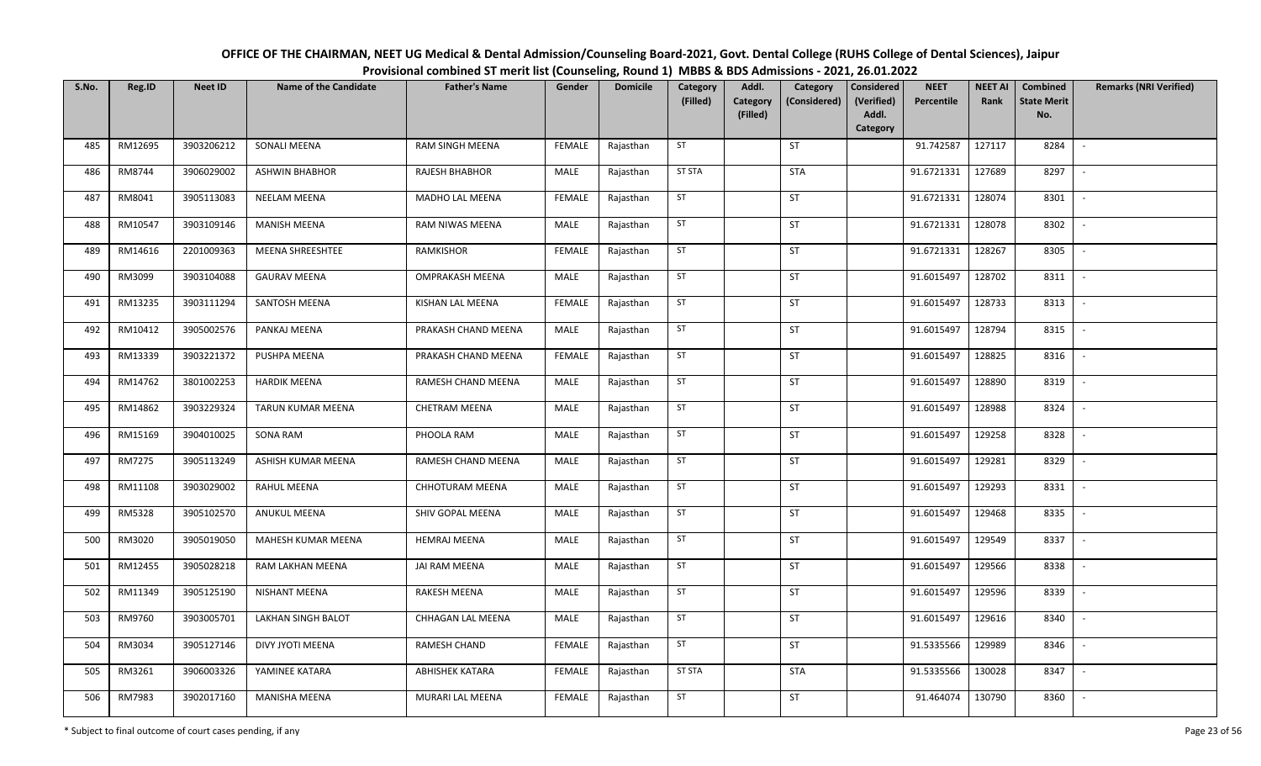| OFFICE OF THE CHAIRMAN, NEET UG Medical & Dental Admission/Counseling Board-2021, Govt. Dental College (RUHS College of Dental Sciences), Jaipur |
|--------------------------------------------------------------------------------------------------------------------------------------------------|
| Provisional combined ST merit list (Counseling, Round 1) MBBS & BDS Admissions - 2021, 26.01.2022                                                |

| S.No. | Reg.ID  | <b>Neet ID</b> | <b>Name of the Candidate</b> | <b>Father's Name</b> | Gender        | <b>Domicile</b> | Category<br>(Filled) | Addl.<br>Category | Category<br>(Considered) | Considered<br>(Verified) | <b>NEET</b><br>Percentile | <b>NEET AI</b><br>Rank | Combined<br><b>State Merit</b> | <b>Remarks (NRI Verified)</b> |
|-------|---------|----------------|------------------------------|----------------------|---------------|-----------------|----------------------|-------------------|--------------------------|--------------------------|---------------------------|------------------------|--------------------------------|-------------------------------|
|       |         |                |                              |                      |               |                 |                      | (Filled)          |                          | Addl.<br>Category        |                           |                        | No.                            |                               |
| 485   | RM12695 | 3903206212     | SONALI MEENA                 | RAM SINGH MEENA      | <b>FEMALE</b> | Rajasthan       | ST                   |                   | ST                       |                          | 91.742587                 | 127117                 | 8284                           | $\sim$                        |
| 486   | RM8744  | 3906029002     | <b>ASHWIN BHABHOR</b>        | RAJESH BHABHOR       | MALE          | Rajasthan       | <b>ST STA</b>        |                   | <b>STA</b>               |                          | 91.6721331                | 127689                 | 8297                           | $\sim$                        |
| 487   | RM8041  | 3905113083     | <b>NEELAM MEENA</b>          | MADHO LAL MEENA      | <b>FEMALE</b> | Rajasthan       | ST                   |                   | ST                       |                          | 91.6721331                | 128074                 | 8301                           | $\sim$                        |
| 488   | RM10547 | 3903109146     | <b>MANISH MEENA</b>          | RAM NIWAS MEENA      | MALE          | Rajasthan       | ST                   |                   | ST                       |                          | 91.6721331                | 128078                 | 8302                           | $\sim$                        |
| 489   | RM14616 | 2201009363     | MEENA SHREESHTEE             | RAMKISHOR            | <b>FEMALE</b> | Rajasthan       | ST                   |                   | <b>ST</b>                |                          | 91.6721331                | 128267                 | 8305                           | $\sim$                        |
| 490   | RM3099  | 3903104088     | <b>GAURAV MEENA</b>          | OMPRAKASH MEENA      | MALE          | Rajasthan       | ST                   |                   | ST                       |                          | 91.6015497                | 128702                 | 8311                           | $\mathbb{L}$                  |
| 491   | RM13235 | 3903111294     | SANTOSH MEENA                | KISHAN LAL MEENA     | <b>FEMALE</b> | Rajasthan       | ST                   |                   | ST                       |                          | 91.6015497                | 128733                 | 8313                           | $\overline{\phantom{a}}$      |
| 492   | RM10412 | 3905002576     | PANKAJ MEENA                 | PRAKASH CHAND MEENA  | MALE          | Rajasthan       | ST                   |                   | ST                       |                          | 91.6015497                | 128794                 | 8315                           | $\overline{\phantom{a}}$      |
| 493   | RM13339 | 3903221372     | PUSHPA MEENA                 | PRAKASH CHAND MEENA  | <b>FEMALE</b> | Rajasthan       | ST                   |                   | ST                       |                          | 91.6015497                | 128825                 | 8316                           | $\overline{\phantom{a}}$      |
| 494   | RM14762 | 3801002253     | <b>HARDIK MEENA</b>          | RAMESH CHAND MEENA   | MALE          | Rajasthan       | ST                   |                   | ST                       |                          | 91.6015497                | 128890                 | 8319                           | $\sim$                        |
| 495   | RM14862 | 3903229324     | TARUN KUMAR MEENA            | <b>CHETRAM MEENA</b> | MALE          | Rajasthan       | ST                   |                   | ST                       |                          | 91.6015497                | 128988                 | 8324                           | $\sim$                        |
| 496   | RM15169 | 3904010025     | SONA RAM                     | PHOOLA RAM           | MALE          | Rajasthan       | ST                   |                   | ST                       |                          | 91.6015497                | 129258                 | 8328                           | $\sim$                        |
| 497   | RM7275  | 3905113249     | ASHISH KUMAR MEENA           | RAMESH CHAND MEENA   | MALE          | Rajasthan       | ST                   |                   | ST                       |                          | 91.6015497                | 129281                 | 8329                           | $\sim$                        |
| 498   | RM11108 | 3903029002     | RAHUL MEENA                  | CHHOTURAM MEENA      | MALE          | Rajasthan       | ST                   |                   | ST                       |                          | 91.6015497                | 129293                 | 8331                           | $\sim$                        |
| 499   | RM5328  | 3905102570     | ANUKUL MEENA                 | SHIV GOPAL MEENA     | MALE          | Rajasthan       | ST                   |                   | ST                       |                          | 91.6015497                | 129468                 | 8335                           | $\sim$                        |
| 500   | RM3020  | 3905019050     | MAHESH KUMAR MEENA           | <b>HEMRAJ MEENA</b>  | MALE          | Rajasthan       | ST                   |                   | ST                       |                          | 91.6015497                | 129549                 | 8337                           | $\sim$                        |
| 501   | RM12455 | 3905028218     | RAM LAKHAN MEENA             | JAI RAM MEENA        | MALE          | Rajasthan       | ST                   |                   | ST                       |                          | 91.6015497                | 129566                 | 8338                           | $\overline{\phantom{a}}$      |
| 502   | RM11349 | 3905125190     | NISHANT MEENA                | RAKESH MEENA         | MALE          | Rajasthan       | ST                   |                   | ST                       |                          | 91.6015497                | 129596                 | 8339                           | $\sim$                        |
| 503   | RM9760  | 3903005701     | LAKHAN SINGH BALOT           | CHHAGAN LAL MEENA    | MALE          | Rajasthan       | ST                   |                   | ST                       |                          | 91.6015497                | 129616                 | 8340                           | $\sim$                        |
| 504   | RM3034  | 3905127146     | DIVY JYOTI MEENA             | RAMESH CHAND         | <b>FEMALE</b> | Rajasthan       | ST                   |                   | ST                       |                          | 91.5335566                | 129989                 | 8346                           | $\sim$                        |
| 505   | RM3261  | 3906003326     | YAMINEE KATARA               | ABHISHEK KATARA      | <b>FEMALE</b> | Rajasthan       | <b>ST STA</b>        |                   | <b>STA</b>               |                          | 91.5335566                | 130028                 | 8347                           | $\sim$                        |
| 506   | RM7983  | 3902017160     | <b>MANISHA MEENA</b>         | MURARI LAL MEENA     | FEMALE        | Rajasthan       | <b>ST</b>            |                   | ST                       |                          | 91.464074                 | 130790                 | 8360                           | $\sim$                        |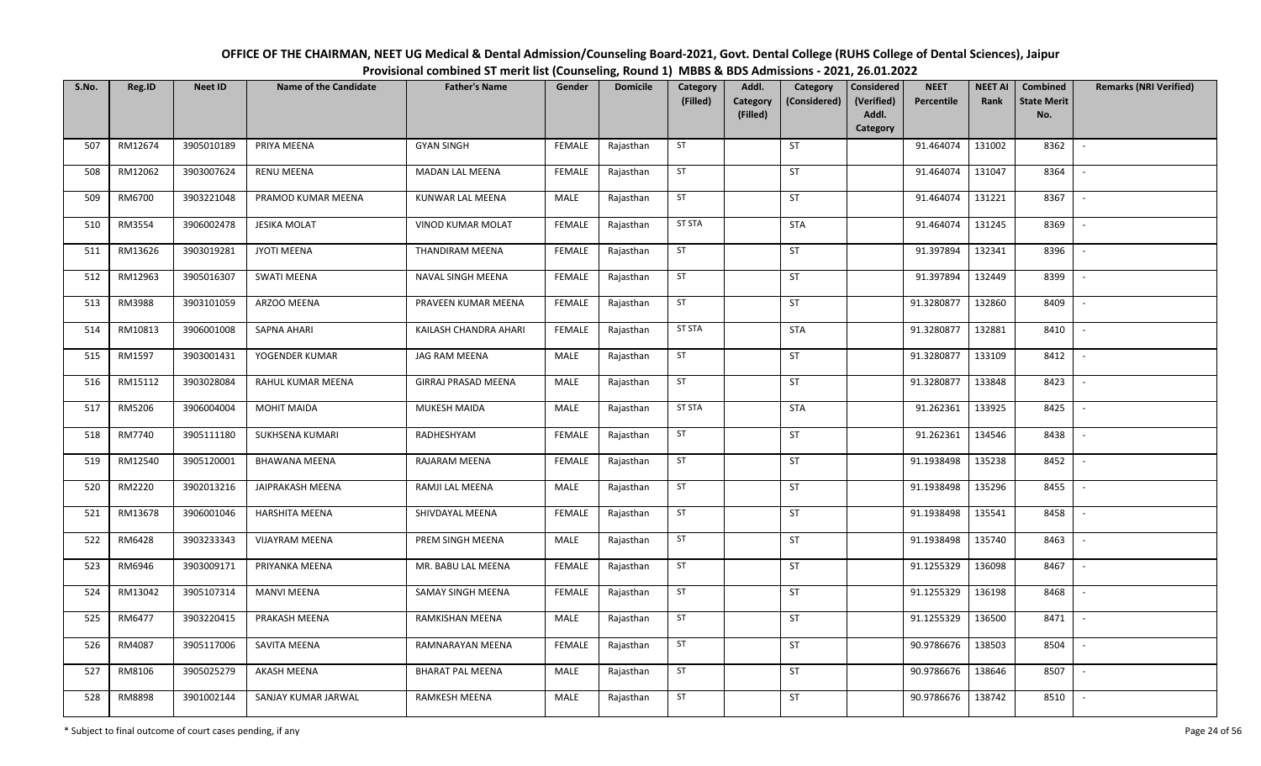| OFFICE OF THE CHAIRMAN, NEET UG Medical & Dental Admission/Counseling Board-2021, Govt. Dental College (RUHS College of Dental Sciences), Jaipur |
|--------------------------------------------------------------------------------------------------------------------------------------------------|
| Provisional combined ST merit list (Counseling, Round 1) MBBS & BDS Admissions - 2021, 26.01.2022                                                |

| S.No. | Reg.ID  | <b>Neet ID</b> | <b>Name of the Candidate</b> | <b>Father's Name</b>    | Gender        | <b>Domicile</b> | Category<br>(Filled) | Addl.<br>Category | Category<br>(Considered) | <b>Considered</b><br>(Verified) | <b>NEET</b><br>Percentile | <b>NEET AI</b><br>Rank | Combined<br><b>State Merit</b> | <b>Remarks (NRI Verified)</b> |
|-------|---------|----------------|------------------------------|-------------------------|---------------|-----------------|----------------------|-------------------|--------------------------|---------------------------------|---------------------------|------------------------|--------------------------------|-------------------------------|
|       |         |                |                              |                         |               |                 |                      | (Filled)          |                          | Addl.                           |                           |                        | No.                            |                               |
| 507   | RM12674 | 3905010189     | PRIYA MEENA                  | <b>GYAN SINGH</b>       | FEMALE        | Rajasthan       | ST                   |                   | ST                       | Category                        | 91.464074                 | 131002                 | 8362                           | $\sim$                        |
|       |         |                |                              |                         |               |                 |                      |                   |                          |                                 |                           |                        |                                |                               |
| 508   | RM12062 | 3903007624     | <b>RENU MEENA</b>            | <b>MADAN LAL MEENA</b>  | <b>FEMALE</b> | Rajasthan       | ST                   |                   | ST                       |                                 | 91.464074                 | 131047                 | 8364                           | $\sim$                        |
| 509   | RM6700  | 3903221048     | PRAMOD KUMAR MEENA           | KUNWAR LAL MEENA        | MALE          | Rajasthan       | ST                   |                   | ST                       |                                 | 91.464074                 | 131221                 | 8367                           | $\mathbb{L}$                  |
| 510   | RM3554  | 3906002478     | <b>JESIKA MOLAT</b>          | VINOD KUMAR MOLAT       | <b>FEMALE</b> | Rajasthan       | <b>ST STA</b>        |                   | <b>STA</b>               |                                 | 91.464074                 | 131245                 | 8369                           | $\sim$                        |
| 511   | RM13626 | 3903019281     | JYOTI MEENA                  | THANDIRAM MEENA         | <b>FEMALE</b> | Rajasthan       | ST                   |                   | ST                       |                                 | 91.397894                 | 132341                 | 8396                           | $\sim$                        |
| 512   | RM12963 | 3905016307     | <b>SWATI MEENA</b>           | NAVAL SINGH MEENA       | <b>FEMALE</b> | Rajasthan       | ST                   |                   | ST                       |                                 | 91.397894                 | 132449                 | 8399                           | $\sim$                        |
| 513   | RM3988  | 3903101059     | ARZOO MEENA                  | PRAVEEN KUMAR MEENA     | <b>FEMALE</b> | Rajasthan       | ST                   |                   | ST                       |                                 | 91.3280877                | 132860                 | 8409                           | $\sim$                        |
| 514   | RM10813 | 3906001008     | <b>SAPNA AHARI</b>           | KAILASH CHANDRA AHARI   | <b>FEMALE</b> | Rajasthan       | <b>ST STA</b>        |                   | <b>STA</b>               |                                 | 91.3280877                | 132881                 | 8410                           | $\overline{\phantom{a}}$      |
| 515   | RM1597  | 3903001431     | YOGENDER KUMAR               | JAG RAM MEENA           | MALE          | Rajasthan       | ST                   |                   | ST                       |                                 | 91.3280877                | 133109                 | 8412                           |                               |
| 516   | RM15112 | 3903028084     | RAHUL KUMAR MEENA            | GIRRAJ PRASAD MEENA     | MALE          | Rajasthan       | ST                   |                   | ST                       |                                 | 91.3280877                | 133848                 | 8423                           | $\sim$                        |
| 517   | RM5206  | 3906004004     | <b>MOHIT MAIDA</b>           | MUKESH MAIDA            | MALE          | Rajasthan       | <b>ST STA</b>        |                   | <b>STA</b>               |                                 | 91.262361                 | 133925                 | 8425                           | $\sim$                        |
| 518   | RM7740  | 3905111180     | <b>SUKHSENA KUMARI</b>       | RADHESHYAM              | <b>FEMALE</b> | Rajasthan       | ST                   |                   | ST                       |                                 | 91.262361                 | 134546                 | 8438                           | $\sim$                        |
| 519   | RM12540 | 3905120001     | <b>BHAWANA MEENA</b>         | RAJARAM MEENA           | <b>FEMALE</b> | Rajasthan       | ST                   |                   | ST                       |                                 | 91.1938498                | 135238                 | 8452                           | $\sim$                        |
| 520   | RM2220  | 3902013216     | JAIPRAKASH MEENA             | RAMJI LAL MEENA         | MALE          | Rajasthan       | ST                   |                   | <b>ST</b>                |                                 | 91.1938498                | 135296                 | 8455                           | $\sim$                        |
| 521   | RM13678 | 3906001046     | <b>HARSHITA MEENA</b>        | SHIVDAYAL MEENA         | <b>FEMALE</b> | Rajasthan       | ST                   |                   | ST                       |                                 | 91.1938498                | 135541                 | 8458                           | $\mathbb{L}$                  |
| 522   | RM6428  | 3903233343     | <b>VIJAYRAM MEENA</b>        | PREM SINGH MEENA        | MALE          | Rajasthan       | ST                   |                   | ST                       |                                 | 91.1938498                | 135740                 | 8463                           | $\sim$                        |
| 523   | RM6946  | 3903009171     | PRIYANKA MEENA               | MR. BABU LAL MEENA      | <b>FEMALE</b> | Rajasthan       | ST                   |                   | ST                       |                                 | 91.1255329                | 136098                 | 8467                           | $\overline{\phantom{a}}$      |
| 524   | RM13042 | 3905107314     | <b>MANVI MEENA</b>           | SAMAY SINGH MEENA       | <b>FEMALE</b> | Rajasthan       | ST                   |                   | ST                       |                                 | 91.1255329                | 136198                 | 8468                           | $\sim$                        |
| 525   | RM6477  | 3903220415     | PRAKASH MEENA                | RAMKISHAN MEENA         | <b>MALE</b>   | Rajasthan       | ST                   |                   | ST                       |                                 | 91.1255329                | 136500                 | 8471                           | $\sim$                        |
| 526   | RM4087  | 3905117006     | SAVITA MEENA                 | RAMNARAYAN MEENA        | <b>FEMALE</b> | Rajasthan       | ST                   |                   | ST                       |                                 | 90.9786676                | 138503                 | 8504                           | $\sim$                        |
| 527   | RM8106  | 3905025279     | AKASH MEENA                  | <b>BHARAT PAL MEENA</b> | MALE          | Rajasthan       | ST                   |                   | ST                       |                                 | 90.9786676                | 138646                 | 8507                           | $\sim$                        |
| 528   | RM8898  | 3901002144     | SANJAY KUMAR JARWAL          | <b>RAMKESH MEENA</b>    | MALE          | Rajasthan       | ST                   |                   | ST                       |                                 | 90.9786676                | 138742                 | 8510                           | $\sim$                        |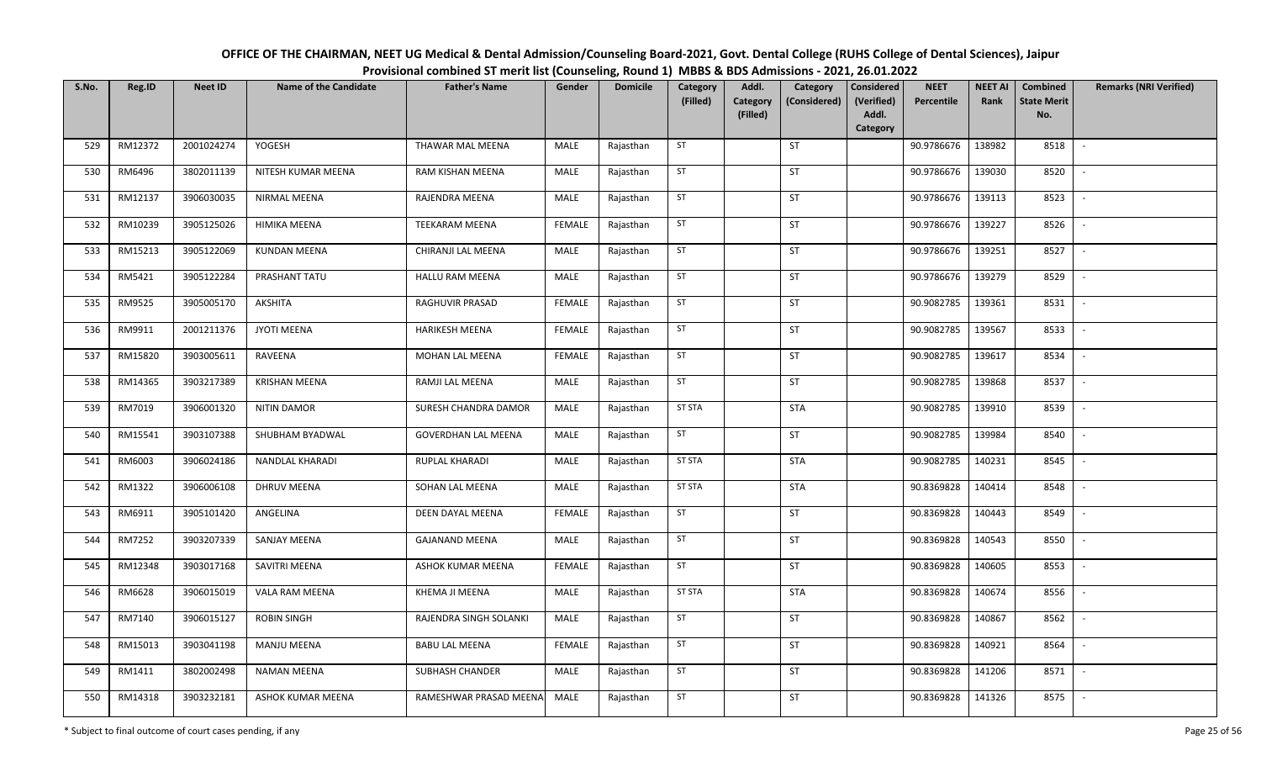| OFFICE OF THE CHAIRMAN, NEET UG Medical & Dental Admission/Counseling Board-2021, Govt. Dental College (RUHS College of Dental Sciences), Jaipur |
|--------------------------------------------------------------------------------------------------------------------------------------------------|
| Provisional combined ST merit list (Counseling, Round 1) MBBS & BDS Admissions - 2021, 26.01.2022                                                |

| S.No. | Reg.ID  | <b>Neet ID</b> | <b>Name of the Candidate</b> | <b>Father's Name</b>       | Gender        | <b>Domicile</b> | Category<br>(Filled) | Addl.<br>Category | Category<br>(Considered) | Considered<br>(Verified) | <b>NEET</b><br>Percentile | <b>NEET AI</b><br>Rank | Combined<br><b>State Merit</b> | <b>Remarks (NRI Verified)</b> |
|-------|---------|----------------|------------------------------|----------------------------|---------------|-----------------|----------------------|-------------------|--------------------------|--------------------------|---------------------------|------------------------|--------------------------------|-------------------------------|
|       |         |                |                              |                            |               |                 |                      | (Filled)          |                          | Addl.<br>Category        |                           |                        | No.                            |                               |
| 529   | RM12372 | 2001024274     | YOGESH                       | THAWAR MAL MEENA           | MALE          | Rajasthan       | ST                   |                   | ST                       |                          | 90.9786676                | 138982                 | 8518                           | $\sim$                        |
| 530   | RM6496  | 3802011139     | NITESH KUMAR MEENA           | RAM KISHAN MEENA           | MALE          | Rajasthan       | ST                   |                   | ST                       |                          | 90.9786676                | 139030                 | 8520                           | $\sim$                        |
| 531   | RM12137 | 3906030035     | <b>NIRMAL MEENA</b>          | RAJENDRA MEENA             | MALE          | Rajasthan       | ST                   |                   | ST                       |                          | 90.9786676                | 139113                 | 8523                           | $\sim$                        |
| 532   | RM10239 | 3905125026     | HIMIKA MEENA                 | <b>TEEKARAM MEENA</b>      | <b>FEMALE</b> | Rajasthan       | ST                   |                   | ST                       |                          | 90.9786676                | 139227                 | 8526                           | $\mathbb{L}$                  |
| 533   | RM15213 | 3905122069     | <b>KUNDAN MEENA</b>          | CHIRANJI LAL MEENA         | MALE          | Rajasthan       | ST                   |                   | <b>ST</b>                |                          | 90.9786676                | 139251                 | 8527                           | $\sim$                        |
| 534   | RM5421  | 3905122284     | PRASHANT TATU                | <b>HALLU RAM MEENA</b>     | MALE          | Rajasthan       | ST                   |                   | ST                       |                          | 90.9786676                | 139279                 | 8529                           | $\sim$                        |
| 535   | RM9525  | 3905005170     | <b>AKSHITA</b>               | RAGHUVIR PRASAD            | <b>FEMALE</b> | Rajasthan       | ST                   |                   | ST                       |                          | 90.9082785                | 139361                 | 8531                           | $\overline{\phantom{a}}$      |
| 536   | RM9911  | 2001211376     | <b>JYOTI MEENA</b>           | HARIKESH MEENA             | <b>FEMALE</b> | Rajasthan       | ST                   |                   | ST                       |                          | 90.9082785                | 139567                 | 8533                           | $\sim$                        |
| 537   | RM15820 | 3903005611     | RAVEENA                      | MOHAN LAL MEENA            | <b>FEMALE</b> | Rajasthan       | ST                   |                   | ST                       |                          | 90.9082785                | 139617                 | 8534                           | $\overline{\phantom{a}}$      |
| 538   | RM14365 | 3903217389     | <b>KRISHAN MEENA</b>         | RAMJI LAL MEENA            | MALE          | Rajasthan       | ST                   |                   | ST                       |                          | 90.9082785                | 139868                 | 8537                           | $\sim$                        |
| 539   | RM7019  | 3906001320     | <b>NITIN DAMOR</b>           | SURESH CHANDRA DAMOR       | MALE          | Rajasthan       | <b>ST STA</b>        |                   | <b>STA</b>               |                          | 90.9082785                | 139910                 | 8539                           | $\sim$                        |
| 540   | RM15541 | 3903107388     | SHUBHAM BYADWAL              | <b>GOVERDHAN LAL MEENA</b> | MALE          | Rajasthan       | ST                   |                   | ST                       |                          | 90.9082785                | 139984                 | 8540                           | $\sim$                        |
| 541   | RM6003  | 3906024186     | NANDLAL KHARADI              | RUPLAL KHARADI             | MALE          | Rajasthan       | <b>ST STA</b>        |                   | STA                      |                          | 90.9082785                | 140231                 | 8545                           | $\sim$                        |
| 542   | RM1322  | 3906006108     | <b>DHRUV MEENA</b>           | SOHAN LAL MEENA            | MALE          | Rajasthan       | ST STA               |                   | STA                      |                          | 90.8369828                | 140414                 | 8548                           | $\sim$                        |
| 543   | RM6911  | 3905101420     | ANGELINA                     | DEEN DAYAL MEENA           | <b>FEMALE</b> | Rajasthan       | ST                   |                   | ST                       |                          | 90.8369828                | 140443                 | 8549                           | $\sim$                        |
| 544   | RM7252  | 3903207339     | SANJAY MEENA                 | <b>GAJANAND MEENA</b>      | MALE          | Rajasthan       | ST                   |                   | ST                       |                          | 90.8369828                | 140543                 | 8550                           | $\sim$                        |
| 545   | RM12348 | 3903017168     | SAVITRI MEENA                | ASHOK KUMAR MEENA          | <b>FEMALE</b> | Rajasthan       | ST                   |                   | ST                       |                          | 90.8369828                | 140605                 | 8553                           | $\sim$                        |
| 546   | RM6628  | 3906015019     | VALA RAM MEENA               | KHEMA JI MEENA             | MALE          | Rajasthan       | <b>ST STA</b>        |                   | STA                      |                          | 90.8369828                | 140674                 | 8556                           | $\sim$                        |
| 547   | RM7140  | 3906015127     | <b>ROBIN SINGH</b>           | RAJENDRA SINGH SOLANKI     | <b>MALE</b>   | Rajasthan       | ST                   |                   | ST                       |                          | 90.8369828                | 140867                 | 8562                           | $\sim$                        |
| 548   | RM15013 | 3903041198     | <b>MANJU MEENA</b>           | <b>BABU LAL MEENA</b>      | <b>FEMALE</b> | Rajasthan       | ST                   |                   | ST                       |                          | 90.8369828                | 140921                 | 8564                           | $\sim$                        |
| 549   | RM1411  | 3802002498     | <b>NAMAN MEENA</b>           | SUBHASH CHANDER            | MALE          | Rajasthan       | ST                   |                   | ST                       |                          | 90.8369828                | 141206                 | 8571                           | $\sim$                        |
| 550   | RM14318 | 3903232181     | ASHOK KUMAR MEENA            | RAMESHWAR PRASAD MEENA     | MALE          | Rajasthan       | ST                   |                   | ST                       |                          | 90.8369828                | 141326                 | 8575                           | $\sim$                        |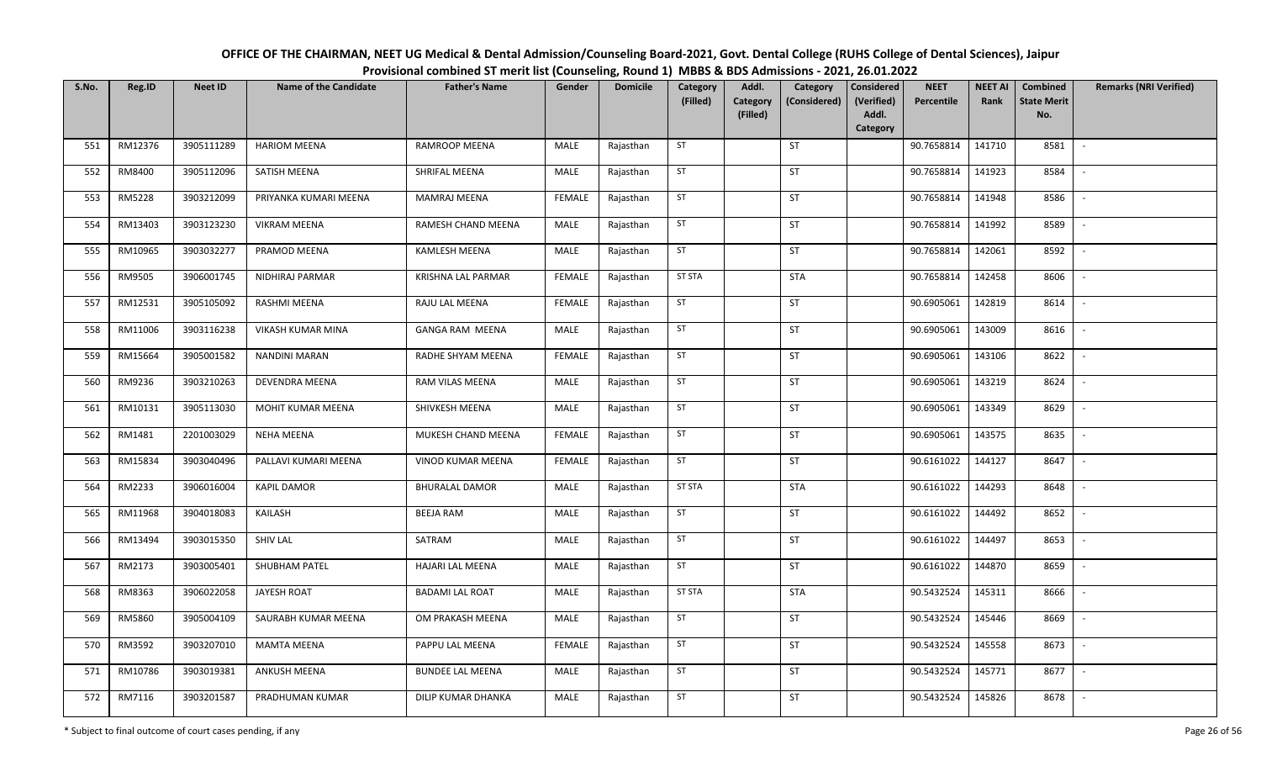| OFFICE OF THE CHAIRMAN, NEET UG Medical & Dental Admission/Counseling Board-2021, Govt. Dental College (RUHS College of Dental Sciences), Jaipur |
|--------------------------------------------------------------------------------------------------------------------------------------------------|
| Provisional combined ST merit list (Counseling, Round 1) MBBS & BDS Admissions - 2021, 26.01.2022                                                |

| S.No. | Reg.ID  | <b>Neet ID</b> | <b>Name of the Candidate</b> | <b>Father's Name</b>     | Gender        | <b>Domicile</b> | Category<br>(Filled) | Addl.<br>Category | Category<br>(Considered) | <b>Considered</b><br>(Verified) | <b>NEET</b><br>Percentile | <b>NEET AI</b><br>Rank | Combined<br><b>State Merit</b> | <b>Remarks (NRI Verified)</b> |
|-------|---------|----------------|------------------------------|--------------------------|---------------|-----------------|----------------------|-------------------|--------------------------|---------------------------------|---------------------------|------------------------|--------------------------------|-------------------------------|
|       |         |                |                              |                          |               |                 |                      | (Filled)          |                          | Addl.<br>Category               |                           |                        | No.                            |                               |
| 551   | RM12376 | 3905111289     | <b>HARIOM MEENA</b>          | <b>RAMROOP MEENA</b>     | MALE          | Rajasthan       | ST                   |                   | ST                       |                                 | 90.7658814                | 141710                 | 8581                           | $\sim$                        |
| 552   | RM8400  | 3905112096     | SATISH MEENA                 | SHRIFAL MEENA            | MALE          | Rajasthan       | ST                   |                   | ST                       |                                 | 90.7658814                | 141923                 | 8584                           | $\sim$                        |
| 553   | RM5228  | 3903212099     | PRIYANKA KUMARI MEENA        | <b>MAMRAJ MEENA</b>      | <b>FEMALE</b> | Rajasthan       | ST                   |                   | ST                       |                                 | 90.7658814                | 141948                 | 8586                           | $\mathbb{L}$                  |
| 554   | RM13403 | 3903123230     | <b>VIKRAM MEENA</b>          | RAMESH CHAND MEENA       | MALE          | Rajasthan       | ST                   |                   | ST                       |                                 | 90.7658814                | 141992                 | 8589                           | $\sim$                        |
| 555   | RM10965 | 3903032277     | PRAMOD MEENA                 | KAMLESH MEENA            | MALE          | Rajasthan       | ST                   |                   | ST                       |                                 | 90.7658814                | 142061                 | 8592                           | $\sim$                        |
| 556   | RM9505  | 3906001745     | NIDHIRAJ PARMAR              | KRISHNA LAL PARMAR       | <b>FEMALE</b> | Rajasthan       | <b>ST STA</b>        |                   | STA                      |                                 | 90.7658814                | 142458                 | 8606                           | $\sim$                        |
| 557   | RM12531 | 3905105092     | RASHMI MEENA                 | RAJU LAL MEENA           | <b>FEMALE</b> | Rajasthan       | ST                   |                   | ST                       |                                 | 90.6905061                | 142819                 | 8614                           | $\sim$                        |
| 558   | RM11006 | 3903116238     | VIKASH KUMAR MINA            | <b>GANGA RAM MEENA</b>   | <b>MALE</b>   | Rajasthan       | ST                   |                   | ST                       |                                 | 90.6905061                | 143009                 | 8616                           | $\overline{\phantom{a}}$      |
| 559   | RM15664 | 3905001582     | NANDINI MARAN                | RADHE SHYAM MEENA        | <b>FEMALE</b> | Rajasthan       | ST                   |                   | ST                       |                                 | 90.6905061                | 143106                 | 8622                           |                               |
| 560   | RM9236  | 3903210263     | DEVENDRA MEENA               | RAM VILAS MEENA          | MALE          | Rajasthan       | ST                   |                   | ST                       |                                 | 90.6905061                | 143219                 | 8624                           | $\sim$                        |
| 561   | RM10131 | 3905113030     | MOHIT KUMAR MEENA            | SHIVKESH MEENA           | MALE          | Rajasthan       | ST                   |                   | ST                       |                                 | 90.6905061                | 143349                 | 8629                           | $\sim$                        |
| 562   | RM1481  | 2201003029     | <b>NEHA MEENA</b>            | MUKESH CHAND MEENA       | <b>FEMALE</b> | Rajasthan       | ST                   |                   | ST                       |                                 | 90.6905061                | 143575                 | 8635                           | $\sim$                        |
| 563   | RM15834 | 3903040496     | PALLAVI KUMARI MEENA         | <b>VINOD KUMAR MEENA</b> | <b>FEMALE</b> | Rajasthan       | ST                   |                   | ST                       |                                 | 90.6161022                | 144127                 | 8647                           | $\sim$                        |
| 564   | RM2233  | 3906016004     | <b>KAPIL DAMOR</b>           | <b>BHURALAL DAMOR</b>    | MALE          | Rajasthan       | <b>ST STA</b>        |                   | <b>STA</b>               |                                 | 90.6161022                | 144293                 | 8648                           | $\sim$                        |
| 565   | RM11968 | 3904018083     | KAILASH                      | <b>BEEJA RAM</b>         | MALE          | Rajasthan       | ST                   |                   | ST                       |                                 | 90.6161022                | 144492                 | 8652                           | $\mathbb{L}$                  |
| 566   | RM13494 | 3903015350     | <b>SHIV LAL</b>              | SATRAM                   | MALE          | Rajasthan       | ST                   |                   | ST                       |                                 | 90.6161022                | 144497                 | 8653                           | $\sim$                        |
| 567   | RM2173  | 3903005401     | SHUBHAM PATEL                | <b>HAJARI LAL MEENA</b>  | MALE          | Rajasthan       | ST                   |                   | ST                       |                                 | 90.6161022                | 144870                 | 8659                           | $\overline{\phantom{a}}$      |
| 568   | RM8363  | 3906022058     | JAYESH ROAT                  | <b>BADAMI LAL ROAT</b>   | MALE          | Rajasthan       | <b>ST STA</b>        |                   | <b>STA</b>               |                                 | 90.5432524                | 145311                 | 8666                           | $\sim$                        |
| 569   | RM5860  | 3905004109     | SAURABH KUMAR MEENA          | OM PRAKASH MEENA         | MALE          | Rajasthan       | ST                   |                   | ST                       |                                 | 90.5432524                | 145446                 | 8669                           | $\sim$                        |
| 570   | RM3592  | 3903207010     | <b>MAMTA MEENA</b>           | PAPPU LAL MEENA          | <b>FEMALE</b> | Rajasthan       | ST                   |                   | ST                       |                                 | 90.5432524                | 145558                 | 8673                           | $\sim$                        |
| 571   | RM10786 | 3903019381     | ANKUSH MEENA                 | <b>BUNDEE LAL MEENA</b>  | MALE          | Rajasthan       | ST                   |                   | ST                       |                                 | 90.5432524                | 145771                 | 8677                           | $\sim$                        |
| 572   | RM7116  | 3903201587     | PRADHUMAN KUMAR              | DILIP KUMAR DHANKA       | MALE          | Rajasthan       | ST                   |                   | ST                       |                                 | 90.5432524                | 145826                 | 8678                           | $\sim$                        |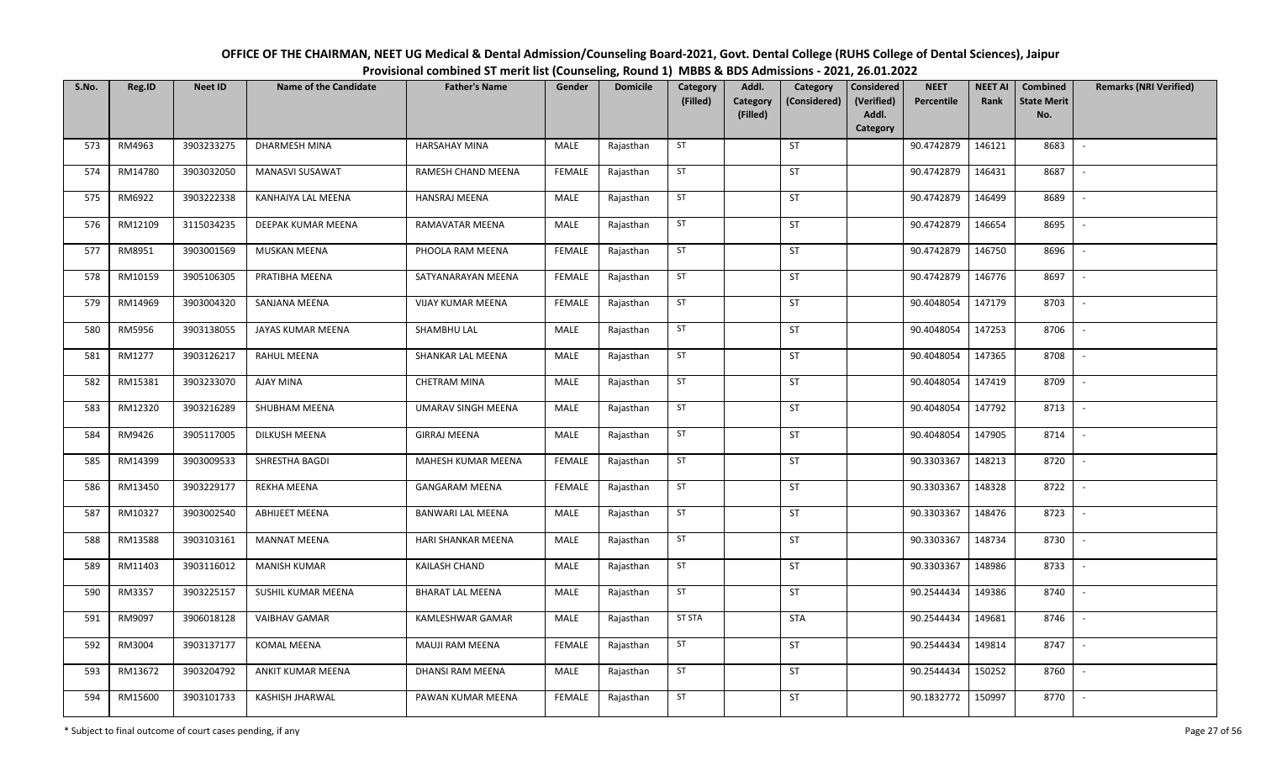| OFFICE OF THE CHAIRMAN, NEET UG Medical & Dental Admission/Counseling Board-2021, Govt. Dental College (RUHS College of Dental Sciences), Jaipur |
|--------------------------------------------------------------------------------------------------------------------------------------------------|
| Provisional combined ST merit list (Counseling, Round 1) MBBS & BDS Admissions - 2021, 26.01.2022                                                |

| S.No. | Reg.ID  | <b>Neet ID</b> | <b>Name of the Candidate</b> | <b>Father's Name</b>     | Gender        | <b>Domicile</b> | Category<br>(Filled) | Addl.<br>Category<br>(Filled) | Category<br>(Considered) | Considered<br>(Verified)<br>Addl.<br><b>Category</b> | <b>NEET</b><br>Percentile | <b>NEET AI</b><br>Rank | Combined<br><b>State Merit</b><br>No. | <b>Remarks (NRI Verified)</b> |
|-------|---------|----------------|------------------------------|--------------------------|---------------|-----------------|----------------------|-------------------------------|--------------------------|------------------------------------------------------|---------------------------|------------------------|---------------------------------------|-------------------------------|
| 573   | RM4963  | 3903233275     | DHARMESH MINA                | <b>HARSAHAY MINA</b>     | MALE          | Rajasthan       | ST                   |                               | ST                       |                                                      | 90.4742879                | 146121                 | 8683                                  | $\sim$                        |
| 574   | RM14780 | 3903032050     | <b>MANASVI SUSAWAT</b>       | RAMESH CHAND MEENA       | <b>FEMALE</b> | Rajasthan       | ST                   |                               | ST                       |                                                      | 90.4742879                | 146431                 | 8687                                  | $\overline{\phantom{a}}$      |
| 575   | RM6922  | 3903222338     | KANHAIYA LAL MEENA           | HANSRAJ MEENA            | MALE          | Rajasthan       | ST                   |                               | <b>ST</b>                |                                                      | 90.4742879                | 146499                 | 8689                                  | $\overline{\phantom{a}}$      |
| 576   | RM12109 | 3115034235     | DEEPAK KUMAR MEENA           | RAMAVATAR MEENA          | MALE          | Rajasthan       | ST                   |                               | ST                       |                                                      | 90.4742879                | 146654                 | 8695                                  | $\sim$                        |
| 577   | RM8951  | 3903001569     | MUSKAN MEENA                 | PHOOLA RAM MEENA         | <b>FEMALE</b> | Rajasthan       | ST                   |                               | ST                       |                                                      | 90.4742879                | 146750                 | 8696                                  | $\sim$                        |
| 578   | RM10159 | 3905106305     | PRATIBHA MEENA               | SATYANARAYAN MEENA       | <b>FEMALE</b> | Rajasthan       | ST                   |                               | ST                       |                                                      | 90.4742879                | 146776                 | 8697                                  | $\sim$                        |
| 579   | RM14969 | 3903004320     | SANJANA MEENA                | <b>VIJAY KUMAR MEENA</b> | <b>FEMALE</b> | Rajasthan       | ST                   |                               | ST                       |                                                      | 90.4048054                | 147179                 | 8703                                  |                               |
| 580   | RM5956  | 3903138055     | JAYAS KUMAR MEENA            | SHAMBHU LAL              | MALE          | Rajasthan       | ST                   |                               | ST                       |                                                      | 90.4048054                | 147253                 | 8706                                  | $\overline{\phantom{a}}$      |
| 581   | RM1277  | 3903126217     | RAHUL MEENA                  | SHANKAR LAL MEENA        | MALE          | Rajasthan       | ST                   |                               | ST                       |                                                      | 90.4048054                | 147365                 | 8708                                  |                               |
| 582   | RM15381 | 3903233070     | AJAY MINA                    | <b>CHETRAM MINA</b>      | MALE          | Rajasthan       | ST                   |                               | ST                       |                                                      | 90.4048054                | 147419                 | 8709                                  | $\blacksquare$                |
| 583   | RM12320 | 3903216289     | SHUBHAM MEENA                | UMARAV SINGH MEENA       | MALE          | Rajasthan       | ST                   |                               | ST                       |                                                      | 90.4048054                | 147792                 | 8713                                  | $\sim$                        |
| 584   | RM9426  | 3905117005     | <b>DILKUSH MEENA</b>         | <b>GIRRAJ MEENA</b>      | MALE          | Rajasthan       | ST                   |                               | <b>ST</b>                |                                                      | 90.4048054                | 147905                 | 8714                                  | $\overline{\phantom{a}}$      |
| 585   | RM14399 | 3903009533     | SHRESTHA BAGDI               | MAHESH KUMAR MEENA       | <b>FEMALE</b> | Rajasthan       | ST                   |                               | ST                       |                                                      | 90.3303367                | 148213                 | 8720                                  |                               |
| 586   | RM13450 | 3903229177     | <b>REKHA MEENA</b>           | <b>GANGARAM MEENA</b>    | <b>FEMALE</b> | Rajasthan       | ST                   |                               | <b>ST</b>                |                                                      | 90.3303367                | 148328                 | 8722                                  | $\sim$                        |
| 587   | RM10327 | 3903002540     | <b>ABHIJEET MEENA</b>        | <b>BANWARI LAL MEENA</b> | MALE          | Rajasthan       | ST                   |                               | ST                       |                                                      | 90.3303367                | 148476                 | 8723                                  |                               |
| 588   | RM13588 | 3903103161     | <b>MANNAT MEENA</b>          | HARI SHANKAR MEENA       | MALE          | Rajasthan       | ST                   |                               | <b>ST</b>                |                                                      | 90.3303367                | 148734                 | 8730                                  | $\blacksquare$                |
| 589   | RM11403 | 3903116012     | <b>MANISH KUMAR</b>          | KAILASH CHAND            | MALE          | Rajasthan       | ST                   |                               | ST                       |                                                      | 90.3303367                | 148986                 | 8733                                  |                               |
| 590   | RM3357  | 3903225157     | SUSHIL KUMAR MEENA           | <b>BHARAT LAL MEENA</b>  | MALE          | Rajasthan       | ST                   |                               | <b>ST</b>                |                                                      | 90.2544434                | 149386                 | 8740                                  | $\sim$                        |
| 591   | RM9097  | 3906018128     | <b>VAIBHAV GAMAR</b>         | KAMLESHWAR GAMAR         | MALE          | Rajasthan       | <b>ST STA</b>        |                               | <b>STA</b>               |                                                      | 90.2544434                | 149681                 | 8746                                  | $\overline{\phantom{a}}$      |
| 592   | RM3004  | 3903137177     | <b>KOMAL MEENA</b>           | <b>MAUJI RAM MEENA</b>   | <b>FEMALE</b> | Rajasthan       | ST                   |                               | <b>ST</b>                |                                                      | 90.2544434                | 149814                 | 8747                                  | $\sim$                        |
| 593   | RM13672 | 3903204792     | ANKIT KUMAR MEENA            | DHANSI RAM MEENA         | MALE          | Rajasthan       | ST                   |                               | ST                       |                                                      | 90.2544434                | 150252                 | 8760                                  | $\overline{\phantom{a}}$      |
| 594   | RM15600 | 3903101733     | KASHISH JHARWAL              | PAWAN KUMAR MEENA        | <b>FEMALE</b> | Rajasthan       | ST                   |                               | ST                       |                                                      | 90.1832772                | 150997                 | 8770                                  | $\overline{\phantom{a}}$      |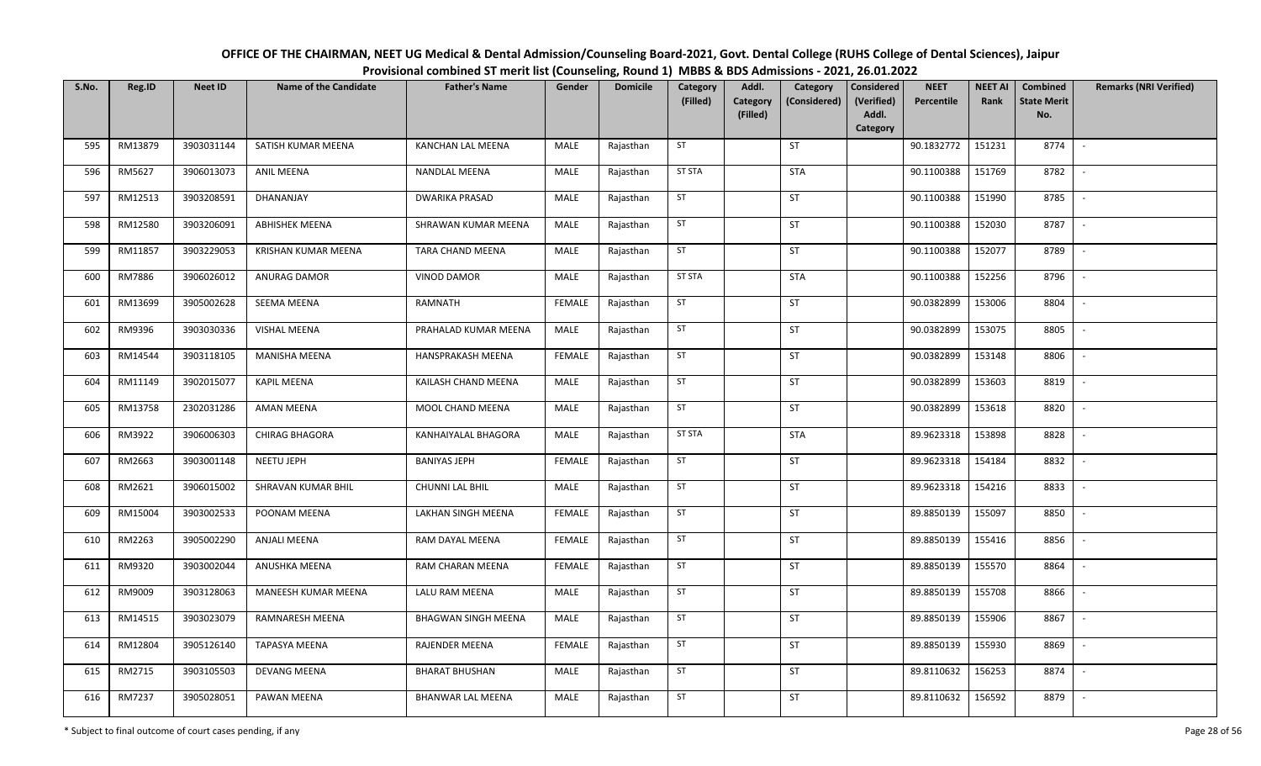| OFFICE OF THE CHAIRMAN, NEET UG Medical & Dental Admission/Counseling Board-2021, Govt. Dental College (RUHS College of Dental Sciences), Jaipur |
|--------------------------------------------------------------------------------------------------------------------------------------------------|
| Provisional combined ST merit list (Counseling, Round 1) MBBS & BDS Admissions - 2021, 26.01.2022                                                |

| S.No. | Reg.ID  | <b>Neet ID</b> | <b>Name of the Candidate</b> | <b>Father's Name</b>       | Gender        | <b>Domicile</b> | Category<br>(Filled) | Addl.<br>Category | Category<br>(Considered) | Considered<br>(Verified) | <b>NEET</b><br>Percentile | <b>NEET AI</b><br>Rank | Combined<br><b>State Merit</b> | <b>Remarks (NRI Verified)</b> |
|-------|---------|----------------|------------------------------|----------------------------|---------------|-----------------|----------------------|-------------------|--------------------------|--------------------------|---------------------------|------------------------|--------------------------------|-------------------------------|
|       |         |                |                              |                            |               |                 |                      | (Filled)          |                          | Addl.<br>Category        |                           |                        | No.                            |                               |
| 595   | RM13879 | 3903031144     | SATISH KUMAR MEENA           | KANCHAN LAL MEENA          | MALE          | Rajasthan       | ST                   |                   | ST                       |                          | 90.1832772                | 151231                 | 8774                           | $\sim$                        |
| 596   | RM5627  | 3906013073     | <b>ANIL MEENA</b>            | NANDLAL MEENA              | MALE          | Rajasthan       | <b>ST STA</b>        |                   | <b>STA</b>               |                          | 90.1100388                | 151769                 | 8782                           | $\sim$                        |
| 597   | RM12513 | 3903208591     | DHANANJAY                    | <b>DWARIKA PRASAD</b>      | MALE          | Rajasthan       | ST                   |                   | ST                       |                          | 90.1100388                | 151990                 | 8785                           | $\sim$                        |
| 598   | RM12580 | 3903206091     | <b>ABHISHEK MEENA</b>        | SHRAWAN KUMAR MEENA        | MALE          | Rajasthan       | ST                   |                   | ST                       |                          | 90.1100388                | 152030                 | 8787                           | $\sim$                        |
| 599   | RM11857 | 3903229053     | KRISHAN KUMAR MEENA          | TARA CHAND MEENA           | MALE          | Rajasthan       | ST                   |                   | ST                       |                          | 90.1100388                | 152077                 | 8789                           | $\sim$                        |
| 600   | RM7886  | 3906026012     | ANURAG DAMOR                 | <b>VINOD DAMOR</b>         | MALE          | Rajasthan       | <b>ST STA</b>        |                   | <b>STA</b>               |                          | 90.1100388                | 152256                 | 8796                           | $\sim$                        |
| 601   | RM13699 | 3905002628     | SEEMA MEENA                  | RAMNATH                    | <b>FEMALE</b> | Rajasthan       | ST                   |                   | ST                       |                          | 90.0382899                | 153006                 | 8804                           |                               |
| 602   | RM9396  | 3903030336     | <b>VISHAL MEENA</b>          | PRAHALAD KUMAR MEENA       | MALE          | Rajasthan       | ST                   |                   | ST                       |                          | 90.0382899                | 153075                 | 8805                           | $\overline{\phantom{a}}$      |
| 603   | RM14544 | 3903118105     | MANISHA MEENA                | HANSPRAKASH MEENA          | <b>FEMALE</b> | Rajasthan       | ST                   |                   | ST                       |                          | 90.0382899                | 153148                 | 8806                           | $\overline{\phantom{a}}$      |
| 604   | RM11149 | 3902015077     | <b>KAPIL MEENA</b>           | KAILASH CHAND MEENA        | MALE          | Rajasthan       | ST                   |                   | ST                       |                          | 90.0382899                | 153603                 | 8819                           | $\sim$                        |
| 605   | RM13758 | 2302031286     | AMAN MEENA                   | MOOL CHAND MEENA           | MALE          | Rajasthan       | ST                   |                   | ST                       |                          | 90.0382899                | 153618                 | 8820                           | $\sim$                        |
| 606   | RM3922  | 3906006303     | <b>CHIRAG BHAGORA</b>        | KANHAIYALAL BHAGORA        | MALE          | Rajasthan       | <b>ST STA</b>        |                   | <b>STA</b>               |                          | 89.9623318                | 153898                 | 8828                           | $\sim$                        |
| 607   | RM2663  | 3903001148     | NEETU JEPH                   | <b>BANIYAS JEPH</b>        | <b>FEMALE</b> | Rajasthan       | ST                   |                   | ST                       |                          | 89.9623318                | 154184                 | 8832                           | $\sim$                        |
| 608   | RM2621  | 3906015002     | SHRAVAN KUMAR BHIL           | <b>CHUNNI LAL BHIL</b>     | MALE          | Rajasthan       | ST                   |                   | ST                       |                          | 89.9623318                | 154216                 | 8833                           | $\sim$                        |
| 609   | RM15004 | 3903002533     | POONAM MEENA                 | LAKHAN SINGH MEENA         | <b>FEMALE</b> | Rajasthan       | ST                   |                   | ST                       |                          | 89.8850139                | 155097                 | 8850                           | $\sim$                        |
| 610   | RM2263  | 3905002290     | <b>ANJALI MEENA</b>          | RAM DAYAL MEENA            | <b>FEMALE</b> | Rajasthan       | ST                   |                   | ST                       |                          | 89.8850139                | 155416                 | 8856                           | $\sim$                        |
| 611   | RM9320  | 3903002044     | ANUSHKA MEENA                | RAM CHARAN MEENA           | <b>FEMALE</b> | Rajasthan       | ST                   |                   | ST                       |                          | 89.8850139                | 155570                 | 8864                           | $\overline{\phantom{a}}$      |
| 612   | RM9009  | 3903128063     | MANEESH KUMAR MEENA          | LALU RAM MEENA             | MALE          | Rajasthan       | ST                   |                   | ST                       |                          | 89.8850139                | 155708                 | 8866                           | $\sim$                        |
| 613   | RM14515 | 3903023079     | RAMNARESH MEENA              | <b>BHAGWAN SINGH MEENA</b> | MALE          | Rajasthan       | ST                   |                   | ST                       |                          | 89.8850139                | 155906                 | 8867                           | $\sim$                        |
| 614   | RM12804 | 3905126140     | <b>TAPASYA MEENA</b>         | RAJENDER MEENA             | <b>FEMALE</b> | Rajasthan       | ST                   |                   | ST                       |                          | 89.8850139                | 155930                 | 8869                           | $\sim$                        |
| 615   | RM2715  | 3903105503     | <b>DEVANG MEENA</b>          | <b>BHARAT BHUSHAN</b>      | MALE          | Rajasthan       | ST                   |                   | ST                       |                          | 89.8110632                | 156253                 | 8874                           | $\sim$                        |
| 616   | RM7237  | 3905028051     | PAWAN MEENA                  | BHANWAR LAL MEENA          | MALE          | Rajasthan       | ST                   |                   | ST                       |                          | 89.8110632                | 156592                 | 8879                           | $\sim$                        |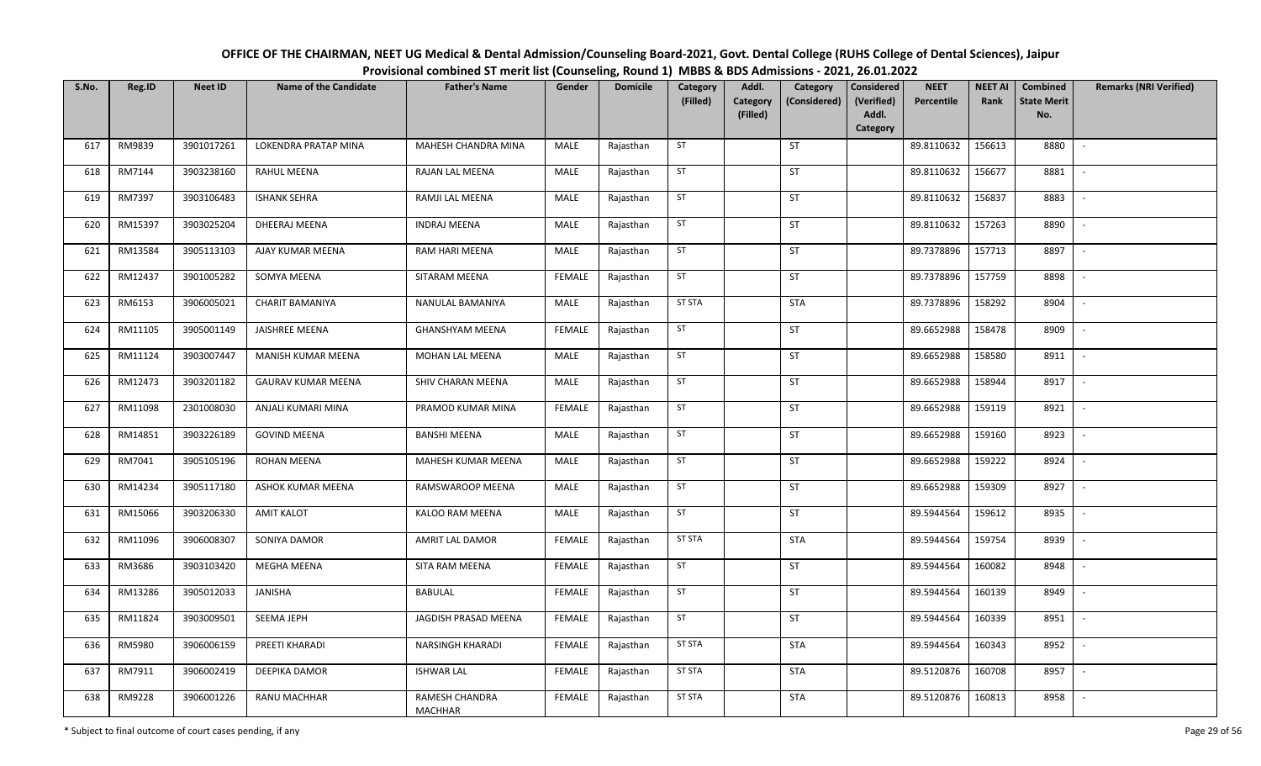| OFFICE OF THE CHAIRMAN, NEET UG Medical & Dental Admission/Counseling Board-2021, Govt. Dental College (RUHS College of Dental Sciences), Jaipur |
|--------------------------------------------------------------------------------------------------------------------------------------------------|
| Provisional combined ST merit list (Counseling, Round 1) MBBS & BDS Admissions - 2021, 26.01.2022                                                |

| S.No. | Reg.ID  | <b>Neet ID</b> | <b>Name of the Candidate</b> | <b>Father's Name</b>      | Gender        | <b>Domicile</b> | Category<br>(Filled) | Addl.<br>Category | Category<br>(Considered) | Considered<br>(Verified)<br>Addl. | <b>NEET</b><br>Percentile | <b>NEET AI</b><br>Rank | Combined<br><b>State Merit</b> | <b>Remarks (NRI Verified)</b> |
|-------|---------|----------------|------------------------------|---------------------------|---------------|-----------------|----------------------|-------------------|--------------------------|-----------------------------------|---------------------------|------------------------|--------------------------------|-------------------------------|
|       |         |                |                              |                           |               |                 |                      | (Filled)          |                          | Category                          |                           |                        | No.                            |                               |
| 617   | RM9839  | 3901017261     | LOKENDRA PRATAP MINA         | MAHESH CHANDRA MINA       | MALE          | Rajasthan       | ST                   |                   | ST                       |                                   | 89.8110632                | 156613                 | 8880                           | $\overline{\phantom{a}}$      |
| 618   | RM7144  | 3903238160     | RAHUL MEENA                  | RAJAN LAL MEENA           | MALE          | Rajasthan       | ST                   |                   | ST                       |                                   | 89.8110632                | 156677                 | 8881                           | $\overline{\phantom{a}}$      |
| 619   | RM7397  | 3903106483     | <b>ISHANK SEHRA</b>          | RAMJI LAL MEENA           | MALE          | Rajasthan       | ST                   |                   | <b>ST</b>                |                                   | 89.8110632                | 156837                 | 8883                           | $\sim$                        |
| 620   | RM15397 | 3903025204     | DHEERAJ MEENA                | <b>INDRAJ MEENA</b>       | MALE          | Rajasthan       | ST                   |                   | ST                       |                                   | 89.8110632                | 157263                 | 8890                           | $\sim$                        |
| 621   | RM13584 | 3905113103     | AJAY KUMAR MEENA             | RAM HARI MEENA            | MALE          | Rajasthan       | ST                   |                   | ST                       |                                   | 89.7378896                | 157713                 | 8897                           | $\sim$                        |
| 622   | RM12437 | 3901005282     | SOMYA MEENA                  | SITARAM MEENA             | <b>FEMALE</b> | Rajasthan       | ST                   |                   | ST                       |                                   | 89.7378896                | 157759                 | 8898                           |                               |
| 623   | RM6153  | 3906005021     | <b>CHARIT BAMANIYA</b>       | NANULAL BAMANIYA          | MALE          | Rajasthan       | <b>ST STA</b>        |                   | <b>STA</b>               |                                   | 89.7378896                | 158292                 | 8904                           |                               |
| 624   | RM11105 | 3905001149     | <b>JAISHREE MEENA</b>        | <b>GHANSHYAM MEENA</b>    | <b>FEMALE</b> | Rajasthan       | ST                   |                   | ST                       |                                   | 89.6652988                | 158478                 | 8909                           |                               |
| 625   | RM11124 | 3903007447     | MANISH KUMAR MEENA           | MOHAN LAL MEENA           | MALE          | Rajasthan       | ST                   |                   | <b>ST</b>                |                                   | 89.6652988                | 158580                 | 8911                           | $\overline{\phantom{a}}$      |
| 626   | RM12473 | 3903201182     | <b>GAURAV KUMAR MEENA</b>    | SHIV CHARAN MEENA         | MALE          | Rajasthan       | ST                   |                   | <b>ST</b>                |                                   | 89.6652988                | 158944                 | 8917                           | $\sim$                        |
| 627   | RM11098 | 2301008030     | ANJALI KUMARI MINA           | PRAMOD KUMAR MINA         | <b>FEMALE</b> | Rajasthan       | ST                   |                   | ST                       |                                   | 89.6652988                | 159119                 | 8921                           |                               |
| 628   | RM14851 | 3903226189     | <b>GOVIND MEENA</b>          | <b>BANSHI MEENA</b>       | MALE          | Rajasthan       | ST                   |                   | <b>ST</b>                |                                   | 89.6652988                | 159160                 | 8923                           |                               |
| 629   | RM7041  | 3905105196     | ROHAN MEENA                  | MAHESH KUMAR MEENA        | MALE          | Rajasthan       | ST                   |                   | ST                       |                                   | 89.6652988                | 159222                 | 8924                           |                               |
| 630   | RM14234 | 3905117180     | ASHOK KUMAR MEENA            | RAMSWAROOP MEENA          | MALE          | Rajasthan       | ST                   |                   | ST                       |                                   | 89.6652988                | 159309                 | 8927                           | $\overline{\phantom{a}}$      |
| 631   | RM15066 | 3903206330     | <b>AMIT KALOT</b>            | KALOO RAM MEENA           | MALE          | Rajasthan       | ST                   |                   | ST                       |                                   | 89.5944564                | 159612                 | 8935                           | $\overline{\phantom{a}}$      |
| 632   | RM11096 | 3906008307     | SONIYA DAMOR                 | AMRIT LAL DAMOR           | <b>FEMALE</b> | Rajasthan       | <b>ST STA</b>        |                   | <b>STA</b>               |                                   | 89.5944564                | 159754                 | 8939                           | $\sim$                        |
| 633   | RM3686  | 3903103420     | MEGHA MEENA                  | SITA RAM MEENA            | <b>FEMALE</b> | Rajasthan       | ST                   |                   | ST                       |                                   | 89.5944564                | 160082                 | 8948                           | $\overline{\phantom{a}}$      |
| 634   | RM13286 | 3905012033     | JANISHA                      | BABULAL                   | <b>FEMALE</b> | Rajasthan       | ST                   |                   | <b>ST</b>                |                                   | 89.5944564                | 160139                 | 8949                           | $\overline{\phantom{a}}$      |
| 635   | RM11824 | 3903009501     | SEEMA JEPH                   | JAGDISH PRASAD MEENA      | <b>FEMALE</b> | Rajasthan       | ST                   |                   | ST                       |                                   | 89.5944564                | 160339                 | 8951                           | $\overline{\phantom{a}}$      |
| 636   | RM5980  | 3906006159     | PREETI KHARADI               | NARSINGH KHARADI          | <b>FEMALE</b> | Rajasthan       | <b>ST STA</b>        |                   | <b>STA</b>               |                                   | 89.5944564                | 160343                 | 8952                           |                               |
| 637   | RM7911  | 3906002419     | DEEPIKA DAMOR                | <b>ISHWAR LAL</b>         | <b>FEMALE</b> | Rajasthan       | <b>ST STA</b>        |                   | <b>STA</b>               |                                   | 89.5120876                | 160708                 | 8957                           |                               |
| 638   | RM9228  | 3906001226     | RANU MACHHAR                 | RAMESH CHANDRA<br>MACHHAR | <b>FEMALE</b> | Rajasthan       | <b>ST STA</b>        |                   | <b>STA</b>               |                                   | 89.5120876                | 160813                 | 8958                           |                               |

\* Subject to final outcome of court cases pending, if any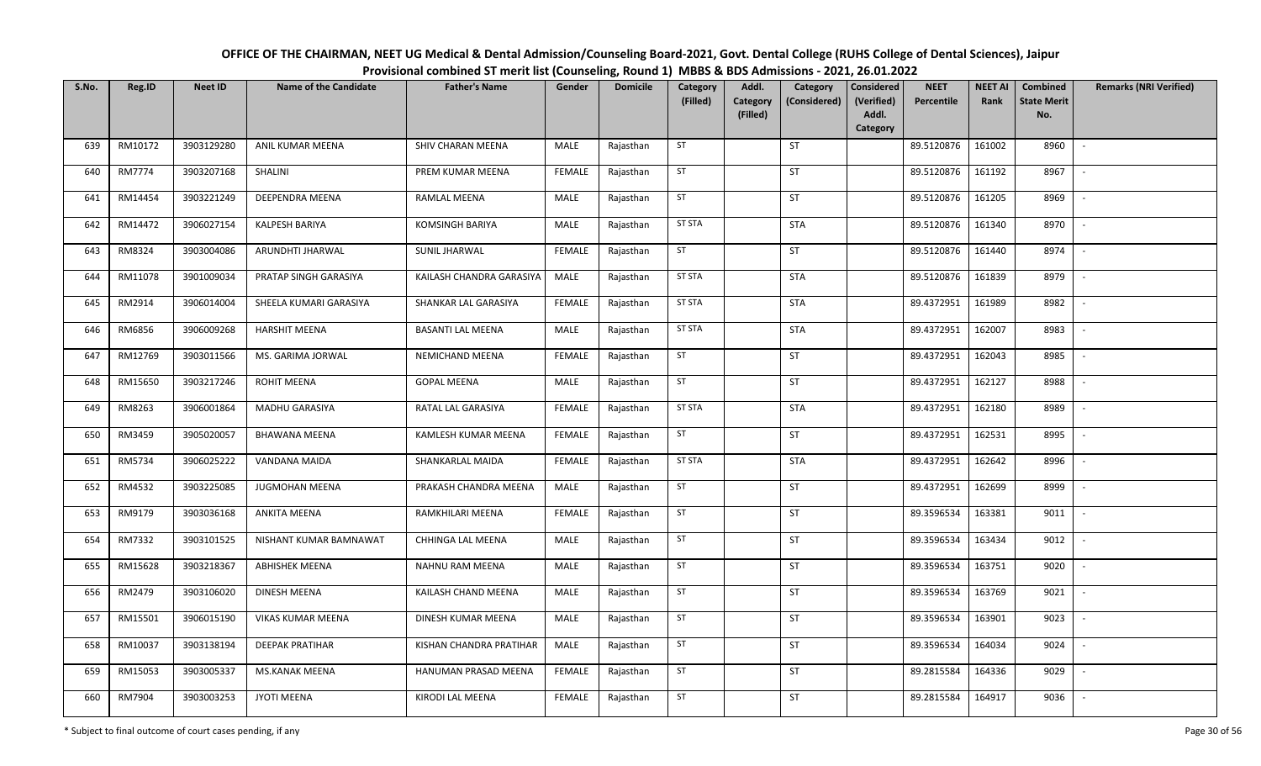| OFFICE OF THE CHAIRMAN, NEET UG Medical & Dental Admission/Counseling Board-2021, Govt. Dental College (RUHS College of Dental Sciences), Jaipur |  |
|--------------------------------------------------------------------------------------------------------------------------------------------------|--|
| Provisional combined ST merit list (Counseling, Round 1) MBBS & BDS Admissions - 2021, 26.01.2022                                                |  |

| S.No. | Reg.ID  | <b>Neet ID</b> | <b>Name of the Candidate</b> | <b>Father's Name</b>     | Gender        | <b>Domicile</b> | Category<br>(Filled) | Addl.<br>Category | Category<br>(Considered) | <b>Considered</b><br>(Verified) | <b>NEET</b><br>Percentile | <b>NEET AI</b><br>Rank | Combined<br><b>State Merit</b> | <b>Remarks (NRI Verified)</b> |
|-------|---------|----------------|------------------------------|--------------------------|---------------|-----------------|----------------------|-------------------|--------------------------|---------------------------------|---------------------------|------------------------|--------------------------------|-------------------------------|
|       |         |                |                              |                          |               |                 |                      | (Filled)          |                          | Addl.<br>Category               |                           |                        | No.                            |                               |
| 639   | RM10172 | 3903129280     | ANIL KUMAR MEENA             | SHIV CHARAN MEENA        | MALE          | Rajasthan       | ST                   |                   | ST                       |                                 | 89.5120876                | 161002                 | 8960                           | $\sim$                        |
| 640   | RM7774  | 3903207168     | SHALINI                      | PREM KUMAR MEENA         | <b>FEMALE</b> | Rajasthan       | ST                   |                   | <b>ST</b>                |                                 | 89.5120876                | 161192                 | 8967                           | $\overline{\phantom{a}}$      |
| 641   | RM14454 | 3903221249     | DEEPENDRA MEENA              | RAMLAL MEENA             | MALE          | Rajasthan       | ST                   |                   | ST                       |                                 | 89.5120876                | 161205                 | 8969                           | $\sim$                        |
| 642   | RM14472 | 3906027154     | <b>KALPESH BARIYA</b>        | KOMSINGH BARIYA          | MALE          | Rajasthan       | <b>ST STA</b>        |                   | <b>STA</b>               |                                 | 89.5120876                | 161340                 | 8970                           | $\overline{\phantom{a}}$      |
| 643   | RM8324  | 3903004086     | ARUNDHTI JHARWAL             | <b>SUNIL JHARWAL</b>     | <b>FEMALE</b> | Rajasthan       | ST                   |                   | ST                       |                                 | 89.5120876                | 161440                 | 8974                           | $\sim$                        |
| 644   | RM11078 | 3901009034     | PRATAP SINGH GARASIYA        | KAILASH CHANDRA GARASIYA | MALE          | Rajasthan       | <b>ST STA</b>        |                   | <b>STA</b>               |                                 | 89.5120876                | 161839                 | 8979                           | $\overline{\phantom{a}}$      |
| 645   | RM2914  | 3906014004     | SHEELA KUMARI GARASIYA       | SHANKAR LAL GARASIYA     | <b>FEMALE</b> | Rajasthan       | ST STA               |                   | <b>STA</b>               |                                 | 89.4372951                | 161989                 | 8982                           |                               |
| 646   | RM6856  | 3906009268     | <b>HARSHIT MEENA</b>         | <b>BASANTI LAL MEENA</b> | MALE          | Rajasthan       | <b>ST STA</b>        |                   | <b>STA</b>               |                                 | 89.4372951                | 162007                 | 8983                           |                               |
| 647   | RM12769 | 3903011566     | MS. GARIMA JORWAL            | NEMICHAND MEENA          | <b>FEMALE</b> | Rajasthan       | ST                   |                   | ST                       |                                 | 89.4372951                | 162043                 | 8985                           |                               |
| 648   | RM15650 | 3903217246     | ROHIT MEENA                  | <b>GOPAL MEENA</b>       | MALE          | Rajasthan       | ST                   |                   | <b>ST</b>                |                                 | 89.4372951                | 162127                 | 8988                           |                               |
| 649   | RM8263  | 3906001864     | MADHU GARASIYA               | RATAL LAL GARASIYA       | <b>FEMALE</b> | Rajasthan       | <b>ST STA</b>        |                   | <b>STA</b>               |                                 | 89.4372951                | 162180                 | 8989                           |                               |
| 650   | RM3459  | 3905020057     | <b>BHAWANA MEENA</b>         | KAMLESH KUMAR MEENA      | <b>FEMALE</b> | Rajasthan       | ST                   |                   | ST                       |                                 | 89.4372951                | 162531                 | 8995                           | $\overline{\phantom{a}}$      |
| 651   | RM5734  | 3906025222     | VANDANA MAIDA                | SHANKARLAL MAIDA         | <b>FEMALE</b> | Rajasthan       | <b>ST STA</b>        |                   | <b>STA</b>               |                                 | 89.4372951                | 162642                 | 8996                           |                               |
| 652   | RM4532  | 3903225085     | JUGMOHAN MEENA               | PRAKASH CHANDRA MEENA    | MALE          | Rajasthan       | ST                   |                   | <b>ST</b>                |                                 | 89.4372951                | 162699                 | 8999                           | $\sim$                        |
| 653   | RM9179  | 3903036168     | ANKITA MEENA                 | RAMKHILARI MEENA         | <b>FEMALE</b> | Rajasthan       | ST                   |                   | ST                       |                                 | 89.3596534                | 163381                 | 9011                           | $\sim$                        |
| 654   | RM7332  | 3903101525     | NISHANT KUMAR BAMNAWAT       | CHHINGA LAL MEENA        | MALE          | Rajasthan       | ST                   |                   | <b>ST</b>                |                                 | 89.3596534                | 163434                 | 9012                           | $\sim$                        |
| 655   | RM15628 | 3903218367     | ABHISHEK MEENA               | NAHNU RAM MEENA          | MALE          | Rajasthan       | ST                   |                   | ST                       |                                 | 89.3596534                | 163751                 | 9020                           | $\overline{\phantom{a}}$      |
| 656   | RM2479  | 3903106020     | DINESH MEENA                 | KAILASH CHAND MEENA      | MALE          | Rajasthan       | ST                   |                   | ST                       |                                 | 89.3596534                | 163769                 | 9021                           |                               |
| 657   | RM15501 | 3906015190     | <b>VIKAS KUMAR MEENA</b>     | DINESH KUMAR MEENA       | <b>MALE</b>   | Rajasthan       | ST                   |                   | <b>ST</b>                |                                 | 89.3596534                | 163901                 | 9023                           |                               |
| 658   | RM10037 | 3903138194     | <b>DEEPAK PRATIHAR</b>       | KISHAN CHANDRA PRATIHAR  | MALE          | Rajasthan       | ST                   |                   | ST                       |                                 | 89.3596534                | 164034                 | 9024                           |                               |
| 659   | RM15053 | 3903005337     | MS.KANAK MEENA               | HANUMAN PRASAD MEENA     | <b>FEMALE</b> | Rajasthan       | ST                   |                   | <b>ST</b>                |                                 | 89.2815584                | 164336                 | 9029                           | $\overline{\phantom{a}}$      |
| 660   | RM7904  | 3903003253     | JYOTI MEENA                  | KIRODI LAL MEENA         | <b>FEMALE</b> | Rajasthan       | ST                   |                   | ST                       |                                 | 89.2815584                | 164917                 | 9036                           |                               |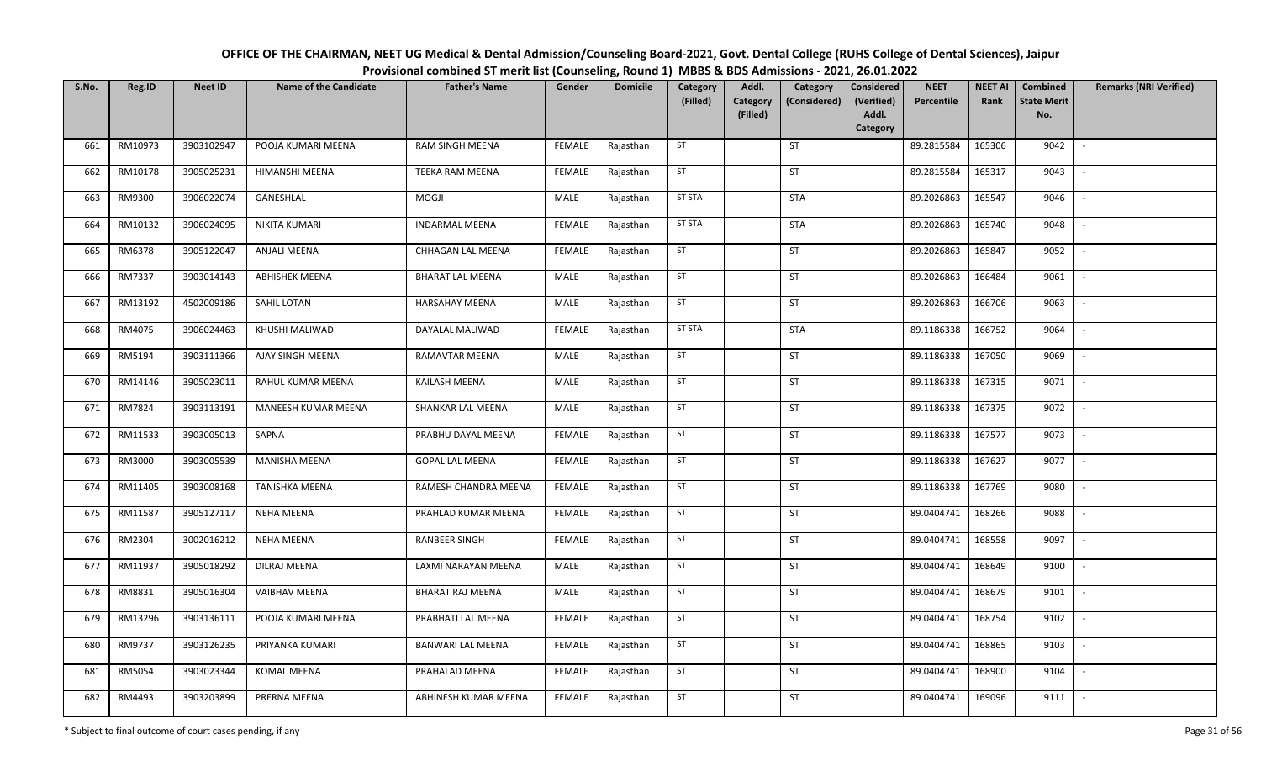| OFFICE OF THE CHAIRMAN, NEET UG Medical & Dental Admission/Counseling Board-2021, Govt. Dental College (RUHS College of Dental Sciences), Jaipur |
|--------------------------------------------------------------------------------------------------------------------------------------------------|
| Provisional combined ST merit list (Counseling, Round 1) MBBS & BDS Admissions - 2021, 26.01.2022                                                |

| S.No. | Reg.ID  | <b>Neet ID</b> | <b>Name of the Candidate</b> | <b>Father's Name</b>     | Gender        | <b>Domicile</b> | Category<br>(Filled) | Addl.<br>Category<br>(Filled) | Category<br>(Considered) | Considered<br>(Verified)<br>Addl. | <b>NEET</b><br>Percentile | <b>NEET AI</b><br>Rank | Combined<br><b>State Merit</b><br>No. | <b>Remarks (NRI Verified)</b> |
|-------|---------|----------------|------------------------------|--------------------------|---------------|-----------------|----------------------|-------------------------------|--------------------------|-----------------------------------|---------------------------|------------------------|---------------------------------------|-------------------------------|
|       |         |                |                              |                          |               |                 |                      |                               |                          | Category                          |                           |                        |                                       |                               |
| 661   | RM10973 | 3903102947     | POOJA KUMARI MEENA           | RAM SINGH MEENA          | <b>FEMALE</b> | Rajasthan       | ST                   |                               | ST                       |                                   | 89.2815584                | 165306                 | 9042                                  | $\sim$                        |
| 662   | RM10178 | 3905025231     | HIMANSHI MEENA               | <b>TEEKA RAM MEENA</b>   | <b>FEMALE</b> | Rajasthan       | ST                   |                               | ST                       |                                   | 89.2815584                | 165317                 | 9043                                  | $\overline{\phantom{a}}$      |
| 663   | RM9300  | 3906022074     | GANESHLAL                    | MOGJI                    | MALE          | Rajasthan       | <b>ST STA</b>        |                               | <b>STA</b>               |                                   | 89.2026863                | 165547                 | 9046                                  | $\overline{\phantom{a}}$      |
| 664   | RM10132 | 3906024095     | NIKITA KUMARI                | <b>INDARMAL MEENA</b>    | <b>FEMALE</b> | Rajasthan       | <b>ST STA</b>        |                               | STA                      |                                   | 89.2026863                | 165740                 | 9048                                  | $\overline{\phantom{a}}$      |
| 665   | RM6378  | 3905122047     | ANJALI MEENA                 | CHHAGAN LAL MEENA        | <b>FEMALE</b> | Rajasthan       | ST                   |                               | ST                       |                                   | 89.2026863                | 165847                 | 9052                                  | $\sim$                        |
| 666   | RM7337  | 3903014143     | <b>ABHISHEK MEENA</b>        | <b>BHARAT LAL MEENA</b>  | MALE          | Rajasthan       | ST                   |                               | ST                       |                                   | 89.2026863                | 166484                 | 9061                                  |                               |
| 667   | RM13192 | 4502009186     | SAHIL LOTAN                  | HARSAHAY MEENA           | MALE          | Rajasthan       | ST                   |                               | ST                       |                                   | 89.2026863                | 166706                 | 9063                                  |                               |
| 668   | RM4075  | 3906024463     | KHUSHI MALIWAD               | DAYALAL MALIWAD          | <b>FEMALE</b> | Rajasthan       | ST STA               |                               | <b>STA</b>               |                                   | 89.1186338                | 166752                 | 9064                                  | $\overline{\phantom{a}}$      |
| 669   | RM5194  | 3903111366     | AJAY SINGH MEENA             | RAMAVTAR MEENA           | MALE          | Rajasthan       | ST                   |                               | ST                       |                                   | 89.1186338                | 167050                 | 9069                                  |                               |
| 670   | RM14146 | 3905023011     | RAHUL KUMAR MEENA            | KAILASH MEENA            | MALE          | Rajasthan       | ST                   |                               | <b>ST</b>                |                                   | 89.1186338                | 167315                 | 9071                                  | $\overline{\phantom{a}}$      |
| 671   | RM7824  | 3903113191     | MANEESH KUMAR MEENA          | SHANKAR LAL MEENA        | MALE          | Rajasthan       | ST                   |                               | ST                       |                                   | 89.1186338                | 167375                 | 9072                                  |                               |
| 672   | RM11533 | 3903005013     | SAPNA                        | PRABHU DAYAL MEENA       | <b>FEMALE</b> | Rajasthan       | ST                   |                               | <b>ST</b>                |                                   | 89.1186338                | 167577                 | 9073                                  |                               |
| 673   | RM3000  | 3903005539     | MANISHA MEENA                | <b>GOPAL LAL MEENA</b>   | <b>FEMALE</b> | Rajasthan       | ST                   |                               | ST                       |                                   | 89.1186338                | 167627                 | 9077                                  |                               |
| 674   | RM11405 | 3903008168     | <b>TANISHKA MEENA</b>        | RAMESH CHANDRA MEENA     | <b>FEMALE</b> | Rajasthan       | ST                   |                               | <b>ST</b>                |                                   | 89.1186338                | 167769                 | 9080                                  | $\sim$                        |
| 675   | RM11587 | 3905127117     | <b>NEHA MEENA</b>            | PRAHLAD KUMAR MEENA      | <b>FEMALE</b> | Rajasthan       | ST                   |                               | ST                       |                                   | 89.0404741                | 168266                 | 9088                                  | $\overline{\phantom{a}}$      |
| 676   | RM2304  | 3002016212     | <b>NEHA MEENA</b>            | RANBEER SINGH            | <b>FEMALE</b> | Rajasthan       | ST                   |                               | ST                       |                                   | 89.0404741                | 168558                 | 9097                                  | $\sim$                        |
| 677   | RM11937 | 3905018292     | DILRAJ MEENA                 | LAXMI NARAYAN MEENA      | MALE          | Rajasthan       | ST                   |                               | ST                       |                                   | 89.0404741                | 168649                 | 9100                                  | $\overline{\phantom{a}}$      |
| 678   | RM8831  | 3905016304     | VAIBHAV MEENA                | BHARAT RAJ MEENA         | MALE          | Rajasthan       | ST                   |                               | ST                       |                                   | 89.0404741                | 168679                 | 9101                                  |                               |
| 679   | RM13296 | 3903136111     | POOJA KUMARI MEENA           | PRABHATI LAL MEENA       | <b>FEMALE</b> | Rajasthan       | ST                   |                               | ST                       |                                   | 89.0404741                | 168754                 | 9102                                  |                               |
| 680   | RM9737  | 3903126235     | PRIYANKA KUMARI              | <b>BANWARI LAL MEENA</b> | <b>FEMALE</b> | Rajasthan       | ST                   |                               | ST                       |                                   | 89.0404741                | 168865                 | 9103                                  |                               |
| 681   | RM5054  | 3903023344     | <b>KOMAL MEENA</b>           | PRAHALAD MEENA           | <b>FEMALE</b> | Rajasthan       | ST                   |                               | <b>ST</b>                |                                   | 89.0404741                | 168900                 | 9104                                  | $\overline{\phantom{a}}$      |
| 682   | RM4493  | 3903203899     | PRERNA MEENA                 | ABHINESH KUMAR MEENA     | <b>FEMALE</b> | Rajasthan       | ST                   |                               | ST                       |                                   | 89.0404741                | 169096                 | 9111                                  |                               |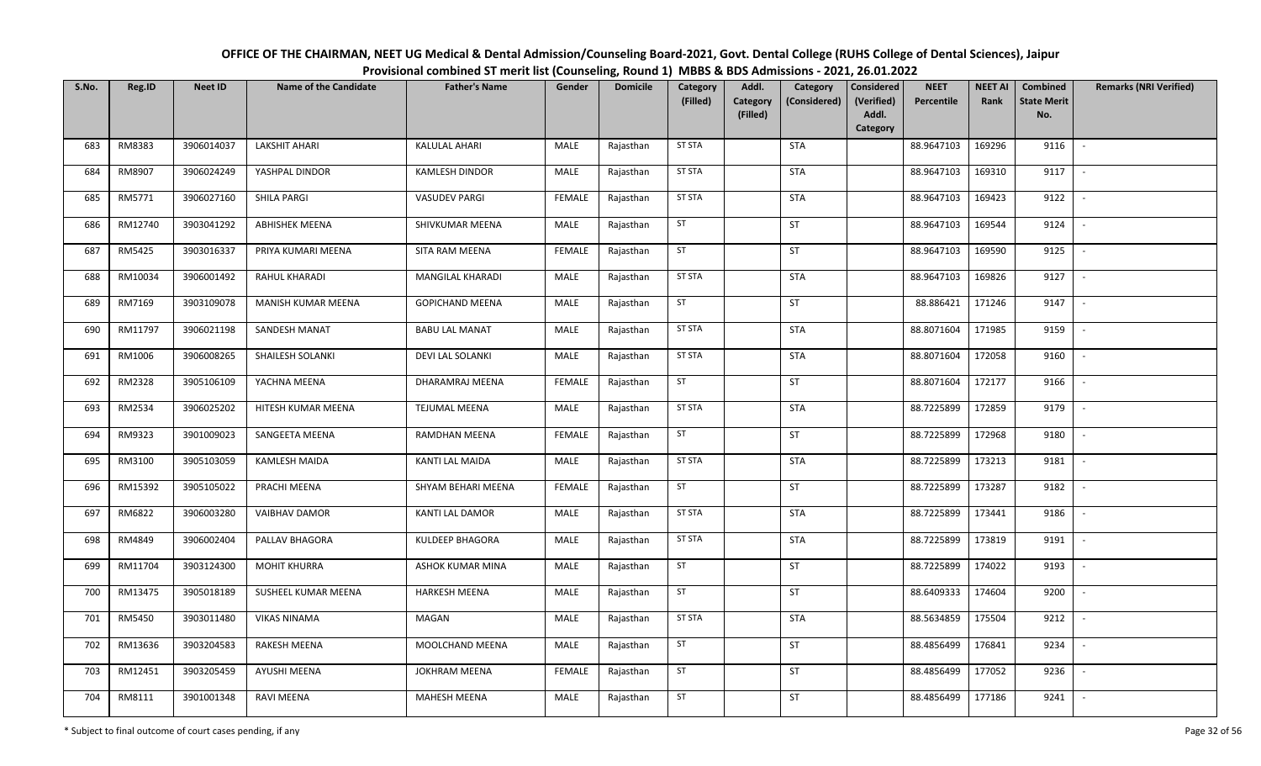| OFFICE OF THE CHAIRMAN, NEET UG Medical & Dental Admission/Counseling Board-2021, Govt. Dental College (RUHS College of Dental Sciences), Jaipur |
|--------------------------------------------------------------------------------------------------------------------------------------------------|
| Provisional combined ST merit list (Counseling, Round 1) MBBS & BDS Admissions - 2021, 26.01.2022                                                |

| S.No. | Reg.ID  | <b>Neet ID</b> | <b>Name of the Candidate</b> | <b>Father's Name</b>    | Gender        | <b>Domicile</b> | Category<br>(Filled) | Addl.<br>Category | Category<br>(Considered) | Considered<br>(Verified) | <b>NEET</b><br>Percentile | <b>NEET AI</b><br>Rank | Combined<br><b>State Merit</b> | <b>Remarks (NRI Verified)</b> |
|-------|---------|----------------|------------------------------|-------------------------|---------------|-----------------|----------------------|-------------------|--------------------------|--------------------------|---------------------------|------------------------|--------------------------------|-------------------------------|
|       |         |                |                              |                         |               |                 |                      | (Filled)          |                          | Addl.<br>Category        |                           |                        | No.                            |                               |
| 683   | RM8383  | 3906014037     | LAKSHIT AHARI                | <b>KALULAL AHARI</b>    | MALE          | Rajasthan       | <b>ST STA</b>        |                   | <b>STA</b>               |                          | 88.9647103                | 169296                 | 9116                           | $\sim$                        |
| 684   | RM8907  | 3906024249     | YASHPAL DINDOR               | <b>KAMLESH DINDOR</b>   | MALE          | Rajasthan       | <b>ST STA</b>        |                   | <b>STA</b>               |                          | 88.9647103                | 169310                 | 9117                           | $\sim$                        |
| 685   | RM5771  | 3906027160     | SHILA PARGI                  | <b>VASUDEV PARGI</b>    | <b>FEMALE</b> | Rajasthan       | <b>ST STA</b>        |                   | <b>STA</b>               |                          | 88.9647103                | 169423                 | 9122                           | $\sim$                        |
| 686   | RM12740 | 3903041292     | <b>ABHISHEK MEENA</b>        | SHIVKUMAR MEENA         | MALE          | Rajasthan       | ST                   |                   | ST                       |                          | 88.9647103                | 169544                 | 9124                           | $\sim$                        |
| 687   | RM5425  | 3903016337     | PRIYA KUMARI MEENA           | SITA RAM MEENA          | <b>FEMALE</b> | Rajasthan       | ST                   |                   | ST                       |                          | 88.9647103                | 169590                 | 9125                           | $\sim$                        |
| 688   | RM10034 | 3906001492     | RAHUL KHARADI                | MANGILAL KHARADI        | MALE          | Rajasthan       | <b>ST STA</b>        |                   | <b>STA</b>               |                          | 88.9647103                | 169826                 | 9127                           | $\sim$                        |
| 689   | RM7169  | 3903109078     | MANISH KUMAR MEENA           | <b>GOPICHAND MEENA</b>  | MALE          | Rajasthan       | ST                   |                   | ST                       |                          | 88.886421                 | 171246                 | 9147                           | $\overline{\phantom{a}}$      |
| 690   | RM11797 | 3906021198     | SANDESH MANAT                | <b>BABU LAL MANAT</b>   | MALE          | Rajasthan       | <b>ST STA</b>        |                   | <b>STA</b>               |                          | 88.8071604                | 171985                 | 9159                           | $\sim$                        |
| 691   | RM1006  | 3906008265     | SHAILESH SOLANKI             | <b>DEVI LAL SOLANKI</b> | MALE          | Rajasthan       | <b>ST STA</b>        |                   | <b>STA</b>               |                          | 88.8071604                | 172058                 | 9160                           | $\sim$                        |
| 692   | RM2328  | 3905106109     | YACHNA MEENA                 | DHARAMRAJ MEENA         | <b>FEMALE</b> | Rajasthan       | ST                   |                   | ST                       |                          | 88.8071604                | 172177                 | 9166                           | $\sim$                        |
| 693   | RM2534  | 3906025202     | HITESH KUMAR MEENA           | <b>TEJUMAL MEENA</b>    | MALE          | Rajasthan       | <b>ST STA</b>        |                   | <b>STA</b>               |                          | 88.7225899                | 172859                 | 9179                           | $\sim$                        |
| 694   | RM9323  | 3901009023     | SANGEETA MEENA               | RAMDHAN MEENA           | <b>FEMALE</b> | Rajasthan       | ST                   |                   | ST                       |                          | 88.7225899                | 172968                 | 9180                           | $\sim$                        |
| 695   | RM3100  | 3905103059     | KAMLESH MAIDA                | KANTI LAL MAIDA         | MALE          | Rajasthan       | <b>ST STA</b>        |                   | <b>STA</b>               |                          | 88.7225899                | 173213                 | 9181                           | $\sim$                        |
| 696   | RM15392 | 3905105022     | PRACHI MEENA                 | SHYAM BEHARI MEENA      | <b>FEMALE</b> | Rajasthan       | ST                   |                   | ST                       |                          | 88.7225899                | 173287                 | 9182                           | $\sim$                        |
| 697   | RM6822  | 3906003280     | <b>VAIBHAV DAMOR</b>         | KANTI LAL DAMOR         | MALE          | Rajasthan       | <b>ST STA</b>        |                   | <b>STA</b>               |                          | 88.7225899                | 173441                 | 9186                           | $\sim$                        |
| 698   | RM4849  | 3906002404     | PALLAV BHAGORA               | KULDEEP BHAGORA         | MALE          | Rajasthan       | <b>ST STA</b>        |                   | <b>STA</b>               |                          | 88.7225899                | 173819                 | 9191                           | $\sim$                        |
| 699   | RM11704 | 3903124300     | <b>MOHIT KHURRA</b>          | ASHOK KUMAR MINA        | MALE          | Rajasthan       | ST                   |                   | ST                       |                          | 88.7225899                | 174022                 | 9193                           | $\overline{\phantom{a}}$      |
| 700   | RM13475 | 3905018189     | SUSHEEL KUMAR MEENA          | <b>HARKESH MEENA</b>    | MALE          | Rajasthan       | ST                   |                   | <b>ST</b>                |                          | 88.6409333                | 174604                 | 9200                           | $\sim$                        |
| 701   | RM5450  | 3903011480     | <b>VIKAS NINAMA</b>          | MAGAN                   | MALE          | Rajasthan       | <b>ST STA</b>        |                   | <b>STA</b>               |                          | 88.5634859                | 175504                 | 9212                           | $\sim$                        |
| 702   | RM13636 | 3903204583     | <b>RAKESH MEENA</b>          | MOOLCHAND MEENA         | MALE          | Rajasthan       | ST                   |                   | ST                       |                          | 88.4856499                | 176841                 | 9234                           | $\sim$                        |
| 703   | RM12451 | 3903205459     | AYUSHI MEENA                 | <b>JOKHRAM MEENA</b>    | <b>FEMALE</b> | Rajasthan       | ST                   |                   | ST                       |                          | 88.4856499                | 177052                 | 9236                           | $\sim$                        |
| 704   | RM8111  | 3901001348     | RAVI MEENA                   | MAHESH MEENA            | MALE          | Rajasthan       | ST                   |                   | ST                       |                          | 88.4856499                | 177186                 | 9241                           | $\sim$                        |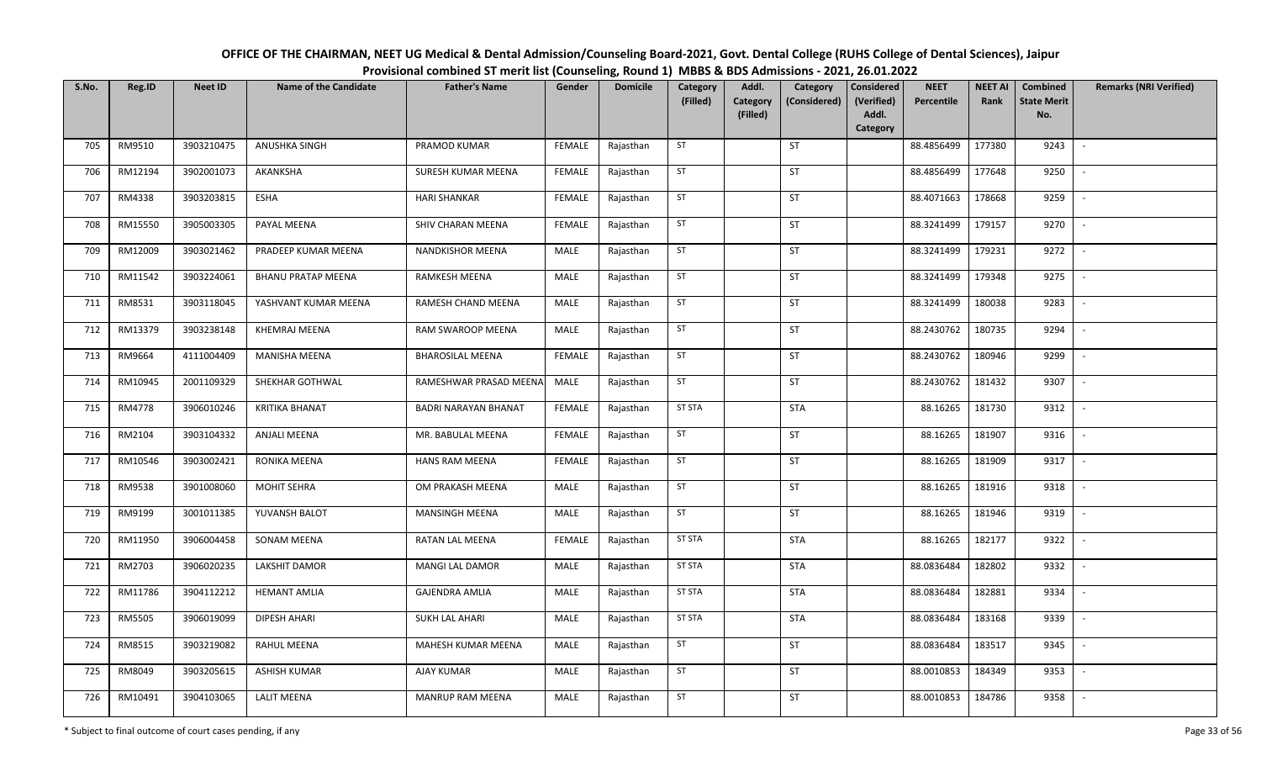| OFFICE OF THE CHAIRMAN, NEET UG Medical & Dental Admission/Counseling Board-2021, Govt. Dental College (RUHS College of Dental Sciences), Jaipur |
|--------------------------------------------------------------------------------------------------------------------------------------------------|
| Provisional combined ST merit list (Counseling, Round 1) MBBS & BDS Admissions - 2021, 26.01.2022                                                |

| S.No. | Reg.ID  | <b>Neet ID</b> | <b>Name of the Candidate</b> | <b>Father's Name</b>    | Gender        | <b>Domicile</b> | Category<br>(Filled) | Addl.<br>Category<br>(Filled) | Category<br>(Considered) | <b>Considered</b><br>(Verified)<br>Addl.<br>Category | <b>NEET</b><br>Percentile | <b>NEET AI</b><br>Rank | Combined<br><b>State Merit</b><br>No. | <b>Remarks (NRI Verified)</b> |
|-------|---------|----------------|------------------------------|-------------------------|---------------|-----------------|----------------------|-------------------------------|--------------------------|------------------------------------------------------|---------------------------|------------------------|---------------------------------------|-------------------------------|
| 705   | RM9510  | 3903210475     | ANUSHKA SINGH                | PRAMOD KUMAR            | <b>FEMALE</b> | Rajasthan       | ST                   |                               | <b>ST</b>                |                                                      | 88.4856499                | 177380                 | 9243                                  | $\sim$                        |
| 706   | RM12194 | 3902001073     | AKANKSHA                     | SURESH KUMAR MEENA      | <b>FEMALE</b> | Rajasthan       | ST                   |                               | ST                       |                                                      | 88.4856499                | 177648                 | 9250                                  | $\sim$                        |
| 707   | RM4338  | 3903203815     | ESHA                         | <b>HARI SHANKAR</b>     | <b>FEMALE</b> | Rajasthan       | ST                   |                               | <b>ST</b>                |                                                      | 88.4071663                | 178668                 | 9259                                  | $\sim$                        |
| 708   | RM15550 | 3905003305     | PAYAL MEENA                  | SHIV CHARAN MEENA       | <b>FEMALE</b> | Rajasthan       | ST                   |                               | ST                       |                                                      | 88.3241499                | 179157                 | 9270                                  | $\mathbb{L}$                  |
| 709   | RM12009 | 3903021462     | PRADEEP KUMAR MEENA          | NANDKISHOR MEENA        | MALE          | Rajasthan       | ST                   |                               | ST                       |                                                      | 88.3241499                | 179231                 | 9272                                  | $\mathbb{L}$                  |
| 710   | RM11542 | 3903224061     | <b>BHANU PRATAP MEENA</b>    | RAMKESH MEENA           | MALE          | Rajasthan       | ST                   |                               | ST                       |                                                      | 88.3241499                | 179348                 | 9275                                  | $\mathbb{L}$                  |
| 711   | RM8531  | 3903118045     | YASHVANT KUMAR MEENA         | RAMESH CHAND MEENA      | MALE          | Rajasthan       | ST                   |                               | ST                       |                                                      | 88.3241499                | 180038                 | 9283                                  | $\sim$                        |
| 712   | RM13379 | 3903238148     | KHEMRAJ MEENA                | RAM SWAROOP MEENA       | MALE          | Rajasthan       | ST                   |                               | ST                       |                                                      | 88.2430762                | 180735                 | 9294                                  | $\overline{\phantom{a}}$      |
| 713   | RM9664  | 4111004409     | MANISHA MEENA                | <b>BHAROSILAL MEENA</b> | FEMALE        | Rajasthan       | ST                   |                               | ST                       |                                                      | 88.2430762                | 180946                 | 9299                                  |                               |
| 714   | RM10945 | 2001109329     | SHEKHAR GOTHWAL              | RAMESHWAR PRASAD MEENA  | MALE          | Rajasthan       | ST                   |                               | ST                       |                                                      | 88.2430762                | 181432                 | 9307                                  | $\sim$                        |
| 715   | RM4778  | 3906010246     | <b>KRITIKA BHANAT</b>        | BADRI NARAYAN BHANAT    | <b>FEMALE</b> | Rajasthan       | ST STA               |                               | <b>STA</b>               |                                                      | 88.16265                  | 181730                 | 9312                                  | $\overline{\phantom{a}}$      |
| 716   | RM2104  | 3903104332     | ANJALI MEENA                 | MR. BABULAL MEENA       | <b>FEMALE</b> | Rajasthan       | ST                   |                               | <b>ST</b>                |                                                      | 88.16265                  | 181907                 | 9316                                  | $\sim$                        |
| 717   | RM10546 | 3903002421     | RONIKA MEENA                 | <b>HANS RAM MEENA</b>   | <b>FEMALE</b> | Rajasthan       | ST                   |                               | <b>ST</b>                |                                                      | 88.16265                  | 181909                 | 9317                                  |                               |
| 718   | RM9538  | 3901008060     | <b>MOHIT SEHRA</b>           | OM PRAKASH MEENA        | MALE          | Rajasthan       | ST                   |                               | <b>ST</b>                |                                                      | 88.16265                  | 181916                 | 9318                                  | $\sim$                        |
| 719   | RM9199  | 3001011385     | YUVANSH BALOT                | <b>MANSINGH MEENA</b>   | MALE          | Rajasthan       | ST                   |                               | <b>ST</b>                |                                                      | 88.16265                  | 181946                 | 9319                                  |                               |
| 720   | RM11950 | 3906004458     | <b>SONAM MEENA</b>           | RATAN LAL MEENA         | <b>FEMALE</b> | Rajasthan       | <b>ST STA</b>        |                               | <b>STA</b>               |                                                      | 88.16265                  | 182177                 | 9322                                  | $\overline{\phantom{a}}$      |
| 721   | RM2703  | 3906020235     | <b>LAKSHIT DAMOR</b>         | MANGI LAL DAMOR         | MALE          | Rajasthan       | <b>ST STA</b>        |                               | <b>STA</b>               |                                                      | 88.0836484                | 182802                 | 9332                                  | $\sim$                        |
| 722   | RM11786 | 3904112212     | <b>HEMANT AMLIA</b>          | <b>GAJENDRA AMLIA</b>   | MALE          | Rajasthan       | <b>ST STA</b>        |                               | <b>STA</b>               |                                                      | 88.0836484                | 182881                 | 9334                                  | $\sim$                        |
| 723   | RM5505  | 3906019099     | <b>DIPESH AHARI</b>          | <b>SUKH LAL AHARI</b>   | MALE          | Rajasthan       | <b>ST STA</b>        |                               | <b>STA</b>               |                                                      | 88.0836484                | 183168                 | 9339                                  | $\mathbb{L}$                  |
| 724   | RM8515  | 3903219082     | <b>RAHUL MEENA</b>           | MAHESH KUMAR MEENA      | MALE          | Rajasthan       | ST                   |                               | <b>ST</b>                |                                                      | 88.0836484                | 183517                 | 9345                                  | $\sim$                        |
| 725   | RM8049  | 3903205615     | ASHISH KUMAR                 | AJAY KUMAR              | MALE          | Rajasthan       | ST                   |                               | ST                       |                                                      | 88.0010853                | 184349                 | 9353                                  | $\mathbb{L}$                  |
| 726   | RM10491 | 3904103065     | LALIT MEENA                  | MANRUP RAM MEENA        | MALE          | Rajasthan       | ST                   |                               | ST                       |                                                      | 88.0010853                | 184786                 | 9358                                  |                               |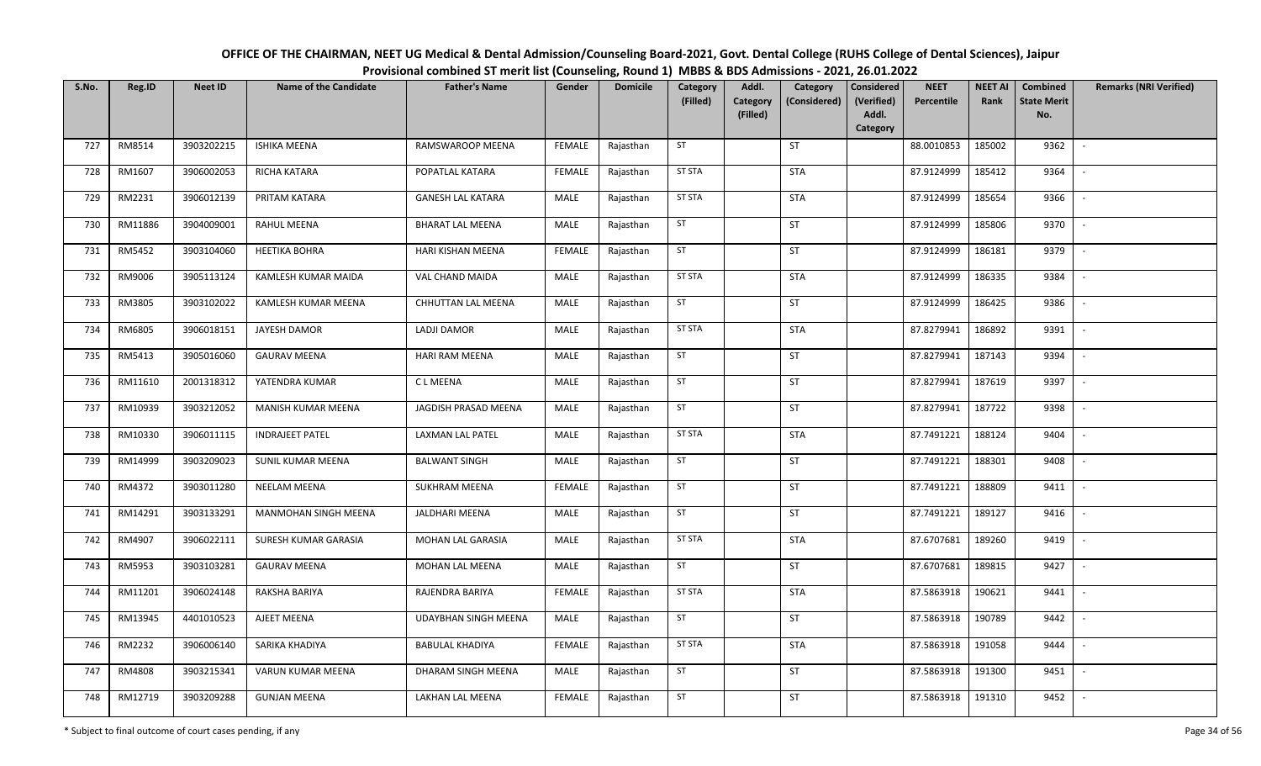| OFFICE OF THE CHAIRMAN, NEET UG Medical & Dental Admission/Counseling Board-2021, Govt. Dental College (RUHS College of Dental Sciences), Jaipur |
|--------------------------------------------------------------------------------------------------------------------------------------------------|
| Provisional combined ST merit list (Counseling, Round 1) MBBS & BDS Admissions - 2021, 26.01.2022                                                |

| S.No. | Reg.ID  | <b>Neet ID</b> | <b>Name of the Candidate</b> | <b>Father's Name</b>        | Gender        | <b>Domicile</b> | Category<br>(Filled) | Addl.<br>Category<br>(Filled) | Category<br>(Considered) | <b>Considered</b><br>(Verified)<br>Addl.<br>Category | <b>NEET</b><br>Percentile | <b>NEET AI</b><br>Rank | Combined<br><b>State Merit</b><br>No. | <b>Remarks (NRI Verified)</b> |
|-------|---------|----------------|------------------------------|-----------------------------|---------------|-----------------|----------------------|-------------------------------|--------------------------|------------------------------------------------------|---------------------------|------------------------|---------------------------------------|-------------------------------|
| 727   | RM8514  | 3903202215     | <b>ISHIKA MEENA</b>          | RAMSWAROOP MEENA            | <b>FEMALE</b> | Rajasthan       | ST                   |                               | <b>ST</b>                |                                                      | 88.0010853                | 185002                 | 9362                                  | $\sim$                        |
| 728   | RM1607  | 3906002053     | RICHA KATARA                 | POPATLAL KATARA             | <b>FEMALE</b> | Rajasthan       | <b>ST STA</b>        |                               | <b>STA</b>               |                                                      | 87.9124999                | 185412                 | 9364                                  | $\sim$                        |
| 729   | RM2231  | 3906012139     | PRITAM KATARA                | <b>GANESH LAL KATARA</b>    | MALE          | Rajasthan       | <b>ST STA</b>        |                               | <b>STA</b>               |                                                      | 87.9124999                | 185654                 | 9366                                  | $\sim$                        |
| 730   | RM11886 | 3904009001     | <b>RAHUL MEENA</b>           | <b>BHARAT LAL MEENA</b>     | MALE          | Rajasthan       | ST                   |                               | ST                       |                                                      | 87.9124999                | 185806                 | 9370                                  | $\mathbb{L}$                  |
| 731   | RM5452  | 3903104060     | <b>HEETIKA BOHRA</b>         | HARI KISHAN MEENA           | <b>FEMALE</b> | Rajasthan       | ST                   |                               | <b>ST</b>                |                                                      | 87.9124999                | 186181                 | 9379                                  | $\mathbb{L}$                  |
| 732   | RM9006  | 3905113124     | KAMLESH KUMAR MAIDA          | VAL CHAND MAIDA             | MALE          | Rajasthan       | <b>ST STA</b>        |                               | <b>STA</b>               |                                                      | 87.9124999                | 186335                 | 9384                                  | $\mathbb{L}$                  |
| 733   | RM3805  | 3903102022     | KAMLESH KUMAR MEENA          | CHHUTTAN LAL MEENA          | MALE          | Rajasthan       | ST                   |                               | ST                       |                                                      | 87.9124999                | 186425                 | 9386                                  | $\overline{\phantom{a}}$      |
| 734   | RM6805  | 3906018151     | JAYESH DAMOR                 | LADJI DAMOR                 | MALE          | Rajasthan       | <b>ST STA</b>        |                               | <b>STA</b>               |                                                      | 87.8279941                | 186892                 | 9391                                  | $\overline{\phantom{a}}$      |
| 735   | RM5413  | 3905016060     | <b>GAURAV MEENA</b>          | HARI RAM MEENA              | MALE          | Rajasthan       | ST                   |                               | ST                       |                                                      | 87.8279941                | 187143                 | 9394                                  |                               |
| 736   | RM11610 | 2001318312     | YATENDRA KUMAR               | C L MEENA                   | MALE          | Rajasthan       | ST                   |                               | ST                       |                                                      | 87.8279941                | 187619                 | 9397                                  | $\sim$                        |
| 737   | RM10939 | 3903212052     | MANISH KUMAR MEENA           | JAGDISH PRASAD MEENA        | MALE          | Rajasthan       | ST                   |                               | ST                       |                                                      | 87.8279941                | 187722                 | 9398                                  | $\overline{\phantom{a}}$      |
| 738   | RM10330 | 3906011115     | <b>INDRAJEET PATEL</b>       | <b>LAXMAN LAL PATEL</b>     | MALE          | Rajasthan       | <b>ST STA</b>        |                               | <b>STA</b>               |                                                      | 87.7491221                | 188124                 | 9404                                  | $\mathbf{r}$                  |
| 739   | RM14999 | 3903209023     | SUNIL KUMAR MEENA            | <b>BALWANT SINGH</b>        | MALE          | Rajasthan       | ST                   |                               | <b>ST</b>                |                                                      | 87.7491221                | 188301                 | 9408                                  |                               |
| 740   | RM4372  | 3903011280     | <b>NEELAM MEENA</b>          | <b>SUKHRAM MEENA</b>        | <b>FEMALE</b> | Rajasthan       | ST                   |                               | <b>ST</b>                |                                                      | 87.7491221                | 188809                 | 9411                                  | $\sim$                        |
| 741   | RM14291 | 3903133291     | MANMOHAN SINGH MEENA         | JALDHARI MEENA              | MALE          | Rajasthan       | ST                   |                               | <b>ST</b>                |                                                      | 87.7491221                | 189127                 | 9416                                  |                               |
| 742   | RM4907  | 3906022111     | SURESH KUMAR GARASIA         | MOHAN LAL GARASIA           | MALE          | Rajasthan       | <b>ST STA</b>        |                               | <b>STA</b>               |                                                      | 87.6707681                | 189260                 | 9419                                  | $\sim$                        |
| 743   | RM5953  | 3903103281     | <b>GAURAV MEENA</b>          | MOHAN LAL MEENA             | MALE          | Rajasthan       | ST                   |                               | <b>ST</b>                |                                                      | 87.6707681                | 189815                 | 9427                                  | $\sim$                        |
| 744   | RM11201 | 3906024148     | RAKSHA BARIYA                | RAJENDRA BARIYA             | <b>FEMALE</b> | Rajasthan       | <b>ST STA</b>        |                               | <b>STA</b>               |                                                      | 87.5863918                | 190621                 | 9441                                  | $\sim$                        |
| 745   | RM13945 | 4401010523     | AJEET MEENA                  | <b>UDAYBHAN SINGH MEENA</b> | MALE          | Rajasthan       | ST                   |                               | <b>ST</b>                |                                                      | 87.5863918                | 190789                 | 9442                                  | $\sim$                        |
| 746   | RM2232  | 3906006140     | SARIKA KHADIYA               | <b>BABULAL KHADIYA</b>      | <b>FEMALE</b> | Rajasthan       | <b>ST STA</b>        |                               | <b>STA</b>               |                                                      | 87.5863918                | 191058                 | 9444                                  | $\sim$                        |
| 747   | RM4808  | 3903215341     | VARUN KUMAR MEENA            | DHARAM SINGH MEENA          | MALE          | Rajasthan       | ST                   |                               | ST                       |                                                      | 87.5863918                | 191300                 | 9451                                  | $\mathbb{L}$                  |
| 748   | RM12719 | 3903209288     | <b>GUNJAN MEENA</b>          | LAKHAN LAL MEENA            | <b>FEMALE</b> | Rajasthan       | ST                   |                               | ST                       |                                                      | 87.5863918                | 191310                 | 9452                                  | $\overline{\phantom{a}}$      |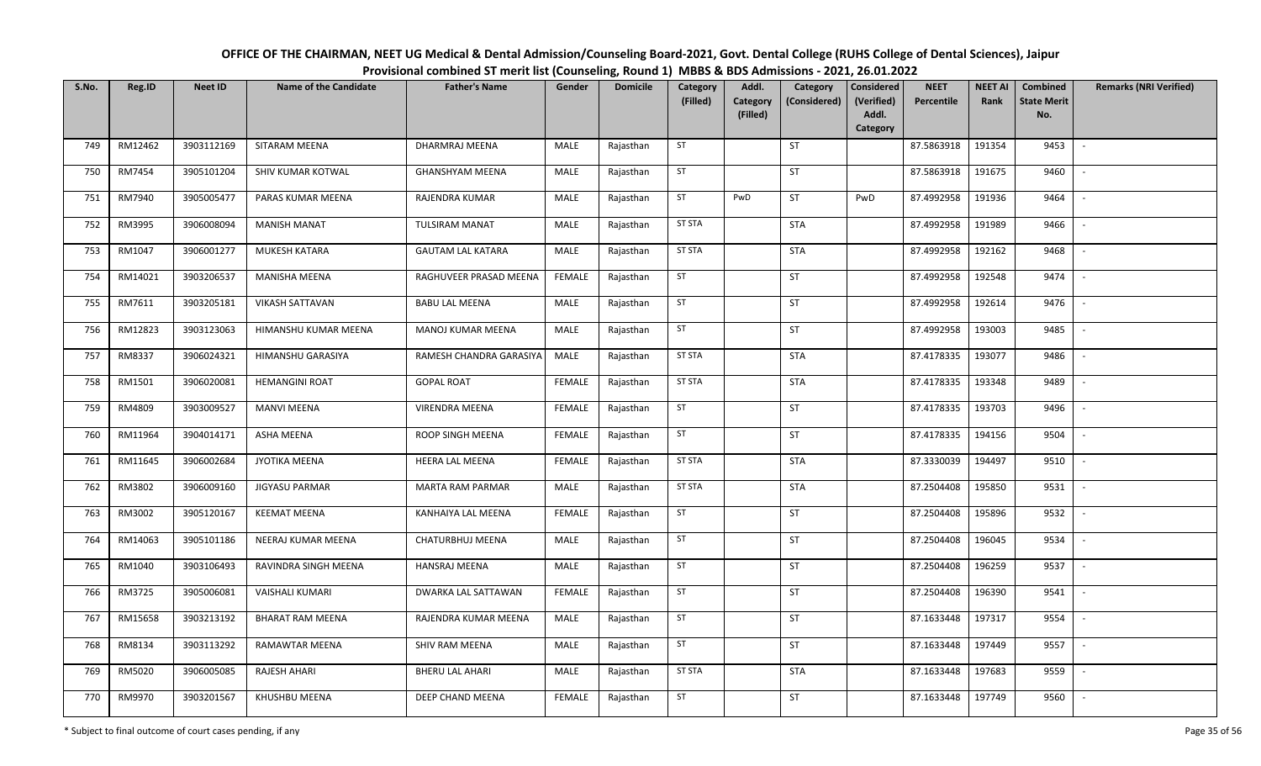| OFFICE OF THE CHAIRMAN, NEET UG Medical & Dental Admission/Counseling Board-2021, Govt. Dental College (RUHS College of Dental Sciences), Jaipur |
|--------------------------------------------------------------------------------------------------------------------------------------------------|
| Provisional combined ST merit list (Counseling, Round 1) MBBS & BDS Admissions - 2021, 26.01.2022                                                |

| S.No. | Reg.ID  | <b>Neet ID</b> | <b>Name of the Candidate</b> | <b>Father's Name</b>     | Gender        | <b>Domicile</b> | Category<br>(Filled) | Addl.<br>Category | Category<br>(Considered) | <b>Considered</b><br>(Verified) | <b>NEET</b><br>Percentile | <b>NEET AI</b><br>Rank | Combined<br><b>State Merit</b> | <b>Remarks (NRI Verified)</b> |
|-------|---------|----------------|------------------------------|--------------------------|---------------|-----------------|----------------------|-------------------|--------------------------|---------------------------------|---------------------------|------------------------|--------------------------------|-------------------------------|
|       |         |                |                              |                          |               |                 |                      | (Filled)          |                          | Addl.<br>Category               |                           |                        | No.                            |                               |
| 749   | RM12462 | 3903112169     | SITARAM MEENA                | DHARMRAJ MEENA           | MALE          | Rajasthan       | ST                   |                   | <b>ST</b>                |                                 | 87.5863918                | 191354                 | 9453                           | $\sim$                        |
| 750   | RM7454  | 3905101204     | SHIV KUMAR KOTWAL            | <b>GHANSHYAM MEENA</b>   | MALE          | Rajasthan       | ST                   |                   | <b>ST</b>                |                                 | 87.5863918                | 191675                 | 9460                           | $\sim$                        |
| 751   | RM7940  | 3905005477     | PARAS KUMAR MEENA            | RAJENDRA KUMAR           | MALE          | Rajasthan       | ST                   | PwD               | <b>ST</b>                | PwD                             | 87.4992958                | 191936                 | 9464                           | $\sim$                        |
| 752   | RM3995  | 3906008094     | <b>MANISH MANAT</b>          | <b>TULSIRAM MANAT</b>    | MALE          | Rajasthan       | <b>ST STA</b>        |                   | <b>STA</b>               |                                 | 87.4992958                | 191989                 | 9466                           | $\mathbb{L}$                  |
| 753   | RM1047  | 3906001277     | MUKESH KATARA                | <b>GAUTAM LAL KATARA</b> | MALE          | Rajasthan       | <b>ST STA</b>        |                   | <b>STA</b>               |                                 | 87.4992958                | 192162                 | 9468                           | $\blacksquare$                |
| 754   | RM14021 | 3903206537     | <b>MANISHA MEENA</b>         | RAGHUVEER PRASAD MEENA   | <b>FEMALE</b> | Rajasthan       | ST                   |                   | <b>ST</b>                |                                 | 87.4992958                | 192548                 | 9474                           | $\overline{\phantom{a}}$      |
| 755   | RM7611  | 3903205181     | <b>VIKASH SATTAVAN</b>       | <b>BABU LAL MEENA</b>    | MALE          | Rajasthan       | ST                   |                   | <b>ST</b>                |                                 | 87.4992958                | 192614                 | 9476                           | $\blacksquare$                |
| 756   | RM12823 | 3903123063     | HIMANSHU KUMAR MEENA         | MANOJ KUMAR MEENA        | MALE          | Rajasthan       | ST                   |                   | <b>ST</b>                |                                 | 87.4992958                | 193003                 | 9485                           | $\sim$                        |
| 757   | RM8337  | 3906024321     | HIMANSHU GARASIYA            | RAMESH CHANDRA GARASIYA  | MALE          | Rajasthan       | <b>ST STA</b>        |                   | <b>STA</b>               |                                 | 87.4178335                | 193077                 | 9486                           |                               |
| 758   | RM1501  | 3906020081     | <b>HEMANGINI ROAT</b>        | <b>GOPAL ROAT</b>        | FEMALE        | Rajasthan       | <b>ST STA</b>        |                   | <b>STA</b>               |                                 | 87.4178335                | 193348                 | 9489                           | $\sim$                        |
| 759   | RM4809  | 3903009527     | <b>MANVI MEENA</b>           | <b>VIRENDRA MEENA</b>    | <b>FEMALE</b> | Rajasthan       | ST                   |                   | ST                       |                                 | 87.4178335                | 193703                 | 9496                           |                               |
| 760   | RM11964 | 3904014171     | ASHA MEENA                   | ROOP SINGH MEENA         | <b>FEMALE</b> | Rajasthan       | ST                   |                   | <b>ST</b>                |                                 | 87.4178335                | 194156                 | 9504                           | $\sim$                        |
| 761   | RM11645 | 3906002684     | JYOTIKA MEENA                | HEERA LAL MEENA          | <b>FEMALE</b> | Rajasthan       | <b>ST STA</b>        |                   | <b>STA</b>               |                                 | 87.3330039                | 194497                 | 9510                           |                               |
| 762   | RM3802  | 3906009160     | JIGYASU PARMAR               | <b>MARTA RAM PARMAR</b>  | MALE          | Rajasthan       | <b>ST STA</b>        |                   | <b>STA</b>               |                                 | 87.2504408                | 195850                 | 9531                           | $\sim$                        |
| 763   | RM3002  | 3905120167     | <b>KEEMAT MEENA</b>          | KANHAIYA LAL MEENA       | <b>FEMALE</b> | Rajasthan       | ST                   |                   | ST                       |                                 | 87.2504408                | 195896                 | 9532                           |                               |
| 764   | RM14063 | 3905101186     | NEERAJ KUMAR MEENA           | CHATURBHUJ MEENA         | MALE          | Rajasthan       | ST                   |                   | <b>ST</b>                |                                 | 87.2504408                | 196045                 | 9534                           | $\sim$                        |
| 765   | RM1040  | 3903106493     | RAVINDRA SINGH MEENA         | <b>HANSRAJ MEENA</b>     | MALE          | Rajasthan       | ST                   |                   | ST                       |                                 | 87.2504408                | 196259                 | 9537                           | $\overline{\phantom{a}}$      |
| 766   | RM3725  | 3905006081     | <b>VAISHALI KUMARI</b>       | DWARKA LAL SATTAWAN      | <b>FEMALE</b> | Rajasthan       | ST                   |                   | <b>ST</b>                |                                 | 87.2504408                | 196390                 | 9541                           | $\sim$                        |
| 767   | RM15658 | 3903213192     | <b>BHARAT RAM MEENA</b>      | RAJENDRA KUMAR MEENA     | MALE          | Rajasthan       | ST                   |                   | ST                       |                                 | 87.1633448                | 197317                 | 9554                           | $\mathbb{L}$                  |
| 768   | RM8134  | 3903113292     | <b>RAMAWTAR MEENA</b>        | SHIV RAM MEENA           | MALE          | Rajasthan       | ST                   |                   | <b>ST</b>                |                                 | 87.1633448                | 197449                 | 9557                           | $\sim$                        |
| 769   | RM5020  | 3906005085     | RAJESH AHARI                 | BHERU LAL AHARI          | MALE          | Rajasthan       | <b>ST STA</b>        |                   | <b>STA</b>               |                                 | 87.1633448                | 197683                 | 9559                           | $\mathbb{L}$                  |
| 770   | RM9970  | 3903201567     | KHUSHBU MEENA                | DEEP CHAND MEENA         | <b>FEMALE</b> | Rajasthan       | ST                   |                   | ST                       |                                 | 87.1633448                | 197749                 | 9560                           |                               |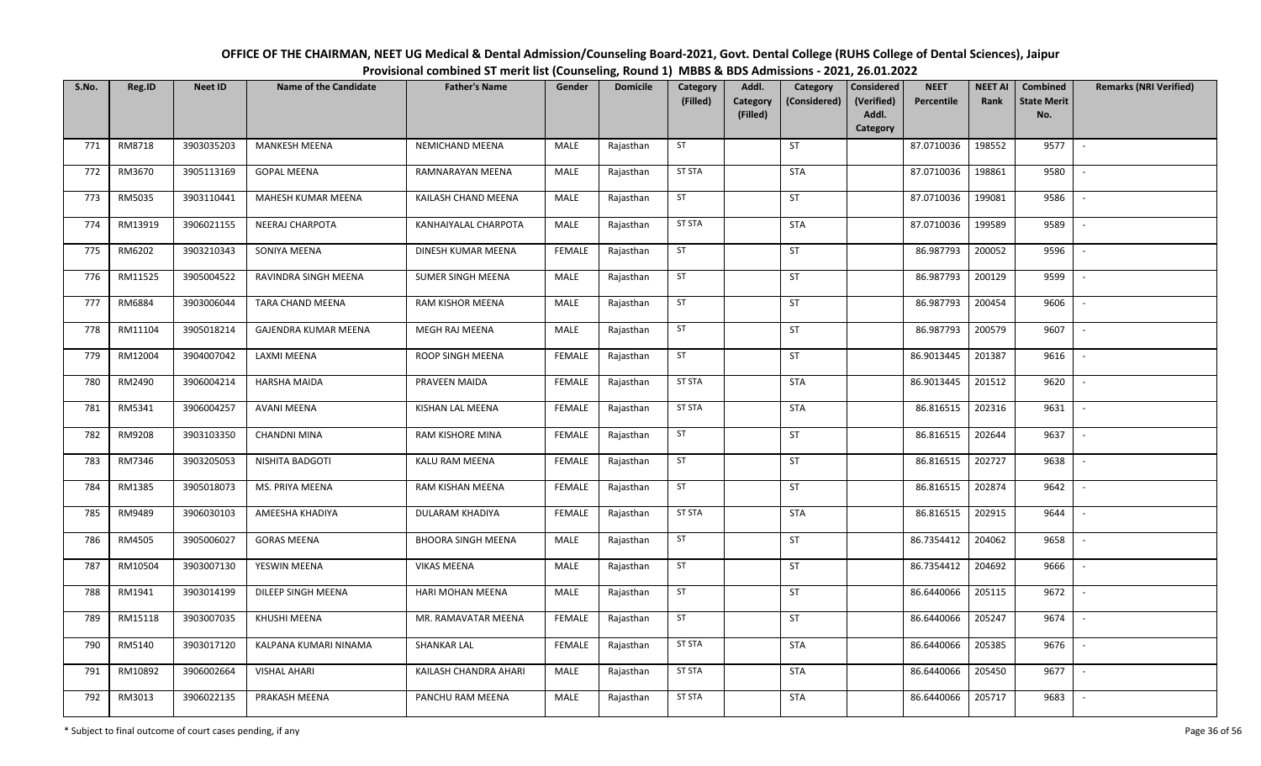| OFFICE OF THE CHAIRMAN, NEET UG Medical & Dental Admission/Counseling Board-2021, Govt. Dental College (RUHS College of Dental Sciences), Jaipur |
|--------------------------------------------------------------------------------------------------------------------------------------------------|
| Provisional combined ST merit list (Counseling, Round 1) MBBS & BDS Admissions - 2021, 26.01.2022                                                |

| S.No. | Reg.ID  | <b>Neet ID</b> | <b>Name of the Candidate</b> | <b>Father's Name</b>      | Gender        | <b>Domicile</b> | Category<br>(Filled) | Addl.<br>Category<br>Category<br>(Considered) | <b>Considered</b><br>(Verified) | <b>NEET</b><br>Percentile | <b>NEET AI</b><br>Rank | Combined<br><b>State Merit</b> | <b>Remarks (NRI Verified)</b> |
|-------|---------|----------------|------------------------------|---------------------------|---------------|-----------------|----------------------|-----------------------------------------------|---------------------------------|---------------------------|------------------------|--------------------------------|-------------------------------|
|       |         |                |                              |                           |               |                 |                      | (Filled)                                      | Addl.<br>Category               |                           |                        | No.                            |                               |
| 771   | RM8718  | 3903035203     | <b>MANKESH MEENA</b>         | NEMICHAND MEENA           | MALE          | Rajasthan       | ST                   | ST                                            |                                 | 87.0710036                | 198552                 | 9577                           | $\sim$                        |
| 772   | RM3670  | 3905113169     | <b>GOPAL MEENA</b>           | RAMNARAYAN MEENA          | MALE          | Rajasthan       | <b>ST STA</b>        | <b>STA</b>                                    |                                 | 87.0710036                | 198861                 | 9580                           | $\overline{\phantom{a}}$      |
| 773   | RM5035  | 3903110441     | MAHESH KUMAR MEENA           | KAILASH CHAND MEENA       | MALE          | Rajasthan       | ST                   | <b>ST</b>                                     |                                 | 87.0710036                | 199081                 | 9586                           | $\overline{\phantom{a}}$      |
| 774   | RM13919 | 3906021155     | NEERAJ CHARPOTA              | KANHAIYALAL CHARPOTA      | MALE          | Rajasthan       | <b>ST STA</b>        | <b>STA</b>                                    |                                 | 87.0710036                | 199589                 | 9589                           | $\overline{\phantom{a}}$      |
| 775   | RM6202  | 3903210343     | SONIYA MEENA                 | DINESH KUMAR MEENA        | <b>FEMALE</b> | Rajasthan       | ST                   | ST                                            |                                 | 86.987793                 | 200052                 | 9596                           | $\sim$                        |
| 776   | RM11525 | 3905004522     | RAVINDRA SINGH MEENA         | <b>SUMER SINGH MEENA</b>  | MALE          | Rajasthan       | ST                   | ST                                            |                                 | 86.987793                 | 200129                 | 9599                           |                               |
| 777   | RM6884  | 3903006044     | TARA CHAND MEENA             | RAM KISHOR MEENA          | MALE          | Rajasthan       | ST                   | <b>ST</b>                                     |                                 | 86.987793                 | 200454                 | 9606                           |                               |
| 778   | RM11104 | 3905018214     | GAJENDRA KUMAR MEENA         | MEGH RAJ MEENA            | <b>MALE</b>   | Rajasthan       | ST                   | ST                                            |                                 | 86.987793                 | 200579                 | 9607                           | $\overline{\phantom{a}}$      |
| 779   | RM12004 | 3904007042     | LAXMI MEENA                  | ROOP SINGH MEENA          | <b>FEMALE</b> | Rajasthan       | ST                   | ST                                            |                                 | 86.9013445                | 201387                 | 9616                           |                               |
| 780   | RM2490  | 3906004214     | HARSHA MAIDA                 | PRAVEEN MAIDA             | <b>FEMALE</b> | Rajasthan       | <b>ST STA</b>        | <b>STA</b>                                    |                                 | 86.9013445                | 201512                 | 9620                           |                               |
| 781   | RM5341  | 3906004257     | <b>AVANI MEENA</b>           | KISHAN LAL MEENA          | <b>FEMALE</b> | Rajasthan       | <b>ST STA</b>        | <b>STA</b>                                    |                                 | 86.816515                 | 202316                 | 9631                           | $\overline{\phantom{a}}$      |
| 782   | RM9208  | 3903103350     | <b>CHANDNI MINA</b>          | RAM KISHORE MINA          | FEMALE        | Rajasthan       | ST                   | <b>ST</b>                                     |                                 | 86.816515                 | 202644                 | 9637                           | $\sim$                        |
| 783   | RM7346  | 3903205053     | NISHITA BADGOTI              | KALU RAM MEENA            | <b>FEMALE</b> | Rajasthan       | ST                   | ST                                            |                                 | 86.816515                 | 202727                 | 9638                           |                               |
| 784   | RM1385  | 3905018073     | MS. PRIYA MEENA              | RAM KISHAN MEENA          | <b>FEMALE</b> | Rajasthan       | <b>ST</b>            | <b>ST</b>                                     |                                 | 86.816515                 | 202874                 | 9642                           | $\overline{\phantom{a}}$      |
| 785   | RM9489  | 3906030103     | AMEESHA KHADIYA              | DULARAM KHADIYA           | <b>FEMALE</b> | Rajasthan       | <b>ST STA</b>        | <b>STA</b>                                    |                                 | 86.816515                 | 202915                 | 9644                           | $\overline{\phantom{a}}$      |
| 786   | RM4505  | 3905006027     | <b>GORAS MEENA</b>           | <b>BHOORA SINGH MEENA</b> | MALE          | Rajasthan       | ST                   | ST                                            |                                 | 86.7354412                | 204062                 | 9658                           | $\overline{\phantom{a}}$      |
| 787   | RM10504 | 3903007130     | YESWIN MEENA                 | <b>VIKAS MEENA</b>        | MALE          | Rajasthan       | ST                   | ST                                            |                                 | 86.7354412                | 204692                 | 9666                           | $\overline{\phantom{a}}$      |
| 788   | RM1941  | 3903014199     | DILEEP SINGH MEENA           | HARI MOHAN MEENA          | MALE          | Rajasthan       | ST                   | ST                                            |                                 | 86.6440066                | 205115                 | 9672                           | $\overline{\phantom{a}}$      |
| 789   | RM15118 | 3903007035     | KHUSHI MEENA                 | MR. RAMAVATAR MEENA       | <b>FEMALE</b> | Rajasthan       | ST                   | <b>ST</b>                                     |                                 | 86.6440066                | 205247                 | 9674                           |                               |
| 790   | RM5140  | 3903017120     | KALPANA KUMARI NINAMA        | <b>SHANKAR LAL</b>        | <b>FEMALE</b> | Rajasthan       | <b>ST STA</b>        | <b>STA</b>                                    |                                 | 86.6440066                | 205385                 | 9676                           |                               |
| 791   | RM10892 | 3906002664     | <b>VISHAL AHARI</b>          | KAILASH CHANDRA AHARI     | <b>MALE</b>   | Rajasthan       | <b>ST STA</b>        | <b>STA</b>                                    |                                 | 86.6440066                | 205450                 | 9677                           | $\overline{\phantom{a}}$      |
| 792   | RM3013  | 3906022135     | PRAKASH MEENA                | PANCHU RAM MEENA          | <b>MALE</b>   | Rajasthan       | ST STA               | <b>STA</b>                                    |                                 | 86.6440066                | 205717                 | 9683                           |                               |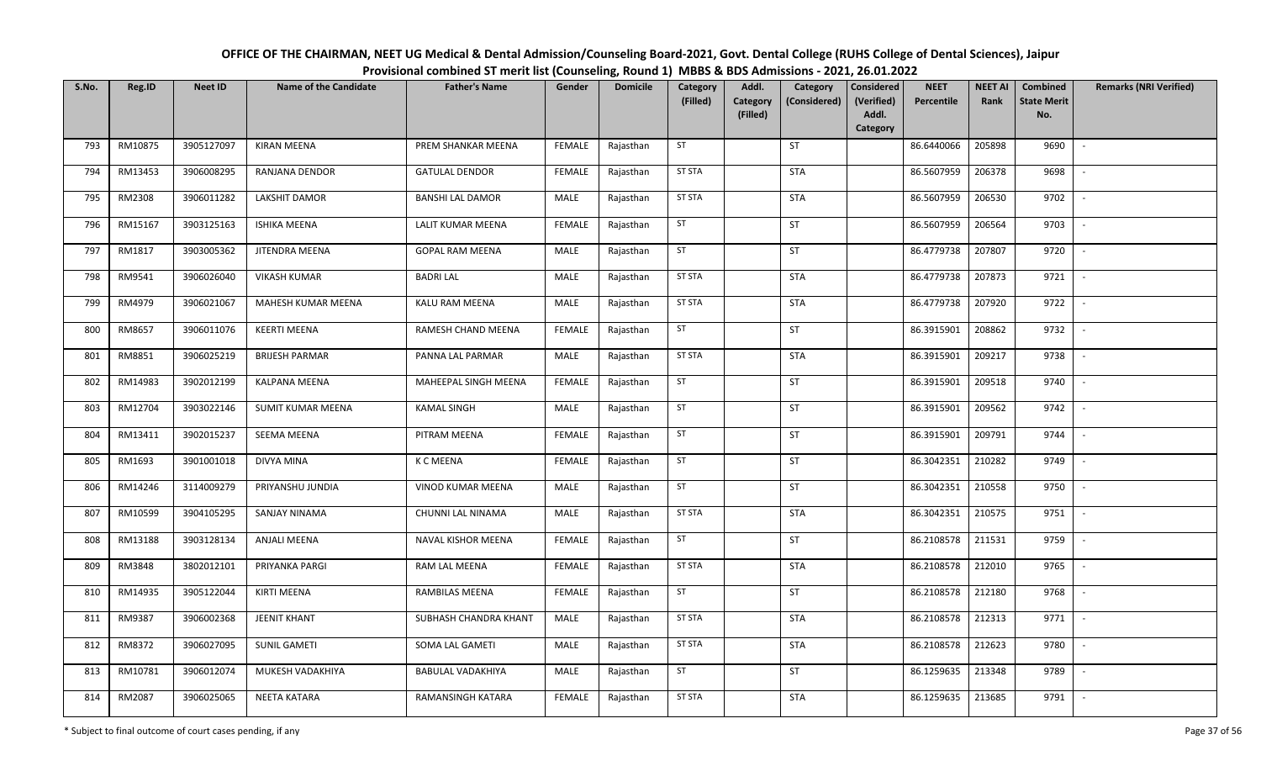| OFFICE OF THE CHAIRMAN, NEET UG Medical & Dental Admission/Counseling Board-2021, Govt. Dental College (RUHS College of Dental Sciences), Jaipur |
|--------------------------------------------------------------------------------------------------------------------------------------------------|
| Provisional combined ST merit list (Counseling, Round 1) MBBS & BDS Admissions - 2021, 26.01.2022                                                |

| S.No. | Reg.ID  | <b>Neet ID</b> | <b>Name of the Candidate</b> | <b>Father's Name</b>    | Gender        | <b>Domicile</b> | Category<br>(Filled) | Addl.<br>Category | Category<br>(Considered) | Considered<br>(Verified) | <b>NEET</b><br>Percentile | <b>NEET AI</b><br>Rank | Combined<br><b>State Merit</b> | <b>Remarks (NRI Verified)</b> |
|-------|---------|----------------|------------------------------|-------------------------|---------------|-----------------|----------------------|-------------------|--------------------------|--------------------------|---------------------------|------------------------|--------------------------------|-------------------------------|
|       |         |                |                              |                         |               |                 |                      | (Filled)          |                          | Addl.<br>Category        |                           |                        | No.                            |                               |
| 793   | RM10875 | 3905127097     | <b>KIRAN MEENA</b>           | PREM SHANKAR MEENA      | <b>FEMALE</b> | Rajasthan       | ST                   |                   | ST                       |                          | 86.6440066                | 205898                 | 9690                           | $\sim$                        |
| 794   | RM13453 | 3906008295     | RANJANA DENDOR               | <b>GATULAL DENDOR</b>   | <b>FEMALE</b> | Rajasthan       | <b>ST STA</b>        |                   | <b>STA</b>               |                          | 86.5607959                | 206378                 | 9698                           | $\sim$                        |
| 795   | RM2308  | 3906011282     | <b>LAKSHIT DAMOR</b>         | <b>BANSHI LAL DAMOR</b> | MALE          | Rajasthan       | <b>ST STA</b>        |                   | <b>STA</b>               |                          | 86.5607959                | 206530                 | 9702                           | $\sim$                        |
| 796   | RM15167 | 3903125163     | <b>ISHIKA MEENA</b>          | LALIT KUMAR MEENA       | <b>FEMALE</b> | Rajasthan       | ST                   |                   | ST                       |                          | 86.5607959                | 206564                 | 9703                           | $\sim$                        |
| 797   | RM1817  | 3903005362     | JITENDRA MEENA               | <b>GOPAL RAM MEENA</b>  | MALE          | Rajasthan       | ST                   |                   | ST                       |                          | 86.4779738                | 207807                 | 9720                           | $\sim$                        |
| 798   | RM9541  | 3906026040     | <b>VIKASH KUMAR</b>          | <b>BADRI LAL</b>        | MALE          | Rajasthan       | <b>ST STA</b>        |                   | <b>STA</b>               |                          | 86.4779738                | 207873                 | 9721                           | $\sim$                        |
| 799   | RM4979  | 3906021067     | MAHESH KUMAR MEENA           | KALU RAM MEENA          | MALE          | Rajasthan       | <b>ST STA</b>        |                   | <b>STA</b>               |                          | 86.4779738                | 207920                 | 9722                           | $\overline{\phantom{a}}$      |
| 800   | RM8657  | 3906011076     | <b>KEERTI MEENA</b>          | RAMESH CHAND MEENA      | <b>FEMALE</b> | Rajasthan       | ST                   |                   | ST                       |                          | 86.3915901                | 208862                 | 9732                           | $\overline{\phantom{a}}$      |
| 801   | RM8851  | 3906025219     | <b>BRIJESH PARMAR</b>        | PANNA LAL PARMAR        | MALE          | Rajasthan       | <b>ST STA</b>        |                   | <b>STA</b>               |                          | 86.3915901                | 209217                 | 9738                           | $\sim$                        |
| 802   | RM14983 | 3902012199     | <b>KALPANA MEENA</b>         | MAHEEPAL SINGH MEENA    | <b>FEMALE</b> | Rajasthan       | ST                   |                   | ST                       |                          | 86.3915901                | 209518                 | 9740                           | $\sim$                        |
| 803   | RM12704 | 3903022146     | SUMIT KUMAR MEENA            | <b>KAMAL SINGH</b>      | MALE          | Rajasthan       | ST                   |                   | ST                       |                          | 86.3915901                | 209562                 | 9742                           | $\sim$                        |
| 804   | RM13411 | 3902015237     | SEEMA MEENA                  | PITRAM MEENA            | <b>FEMALE</b> | Rajasthan       | ST                   |                   | ST                       |                          | 86.3915901                | 209791                 | 9744                           | $\sim$                        |
| 805   | RM1693  | 3901001018     | DIVYA MINA                   | <b>K C MEENA</b>        | <b>FEMALE</b> | Rajasthan       | ST                   |                   | ST                       |                          | 86.3042351                | 210282                 | 9749                           | $\sim$                        |
| 806   | RM14246 | 3114009279     | PRIYANSHU JUNDIA             | VINOD KUMAR MEENA       | MALE          | Rajasthan       | ST                   |                   | ST                       |                          | 86.3042351                | 210558                 | 9750                           | $\sim$                        |
| 807   | RM10599 | 3904105295     | SANJAY NINAMA                | CHUNNI LAL NINAMA       | MALE          | Rajasthan       | <b>ST STA</b>        |                   | <b>STA</b>               |                          | 86.3042351                | 210575                 | 9751                           | $\sim$                        |
| 808   | RM13188 | 3903128134     | <b>ANJALI MEENA</b>          | NAVAL KISHOR MEENA      | <b>FEMALE</b> | Rajasthan       | ST                   |                   | ST                       |                          | 86.2108578                | 211531                 | 9759                           | $\sim$                        |
| 809   | RM3848  | 3802012101     | PRIYANKA PARGI               | RAM LAL MEENA           | <b>FEMALE</b> | Rajasthan       | <b>ST STA</b>        |                   | <b>STA</b>               |                          | 86.2108578                | 212010                 | 9765                           | $\overline{\phantom{a}}$      |
| 810   | RM14935 | 3905122044     | KIRTI MEENA                  | RAMBILAS MEENA          | <b>FEMALE</b> | Rajasthan       | ST                   |                   | ST                       |                          | 86.2108578                | 212180                 | 9768                           | $\sim$                        |
| 811   | RM9387  | 3906002368     | <b>JEENIT KHANT</b>          | SUBHASH CHANDRA KHANT   | <b>MALE</b>   | Rajasthan       | <b>ST STA</b>        |                   | <b>STA</b>               |                          | 86.2108578                | 212313                 | 9771                           | $\sim$                        |
| 812   | RM8372  | 3906027095     | <b>SUNIL GAMETI</b>          | SOMA LAL GAMETI         | MALE          | Rajasthan       | <b>ST STA</b>        |                   | <b>STA</b>               |                          | 86.2108578                | 212623                 | 9780                           | $\sim$                        |
| 813   | RM10781 | 3906012074     | MUKESH VADAKHIYA             | BABULAL VADAKHIYA       | MALE          | Rajasthan       | ST                   |                   | ST                       |                          | 86.1259635                | 213348                 | 9789                           | $\sim$                        |
| 814   | RM2087  | 3906025065     | NEETA KATARA                 | RAMANSINGH KATARA       | <b>FEMALE</b> | Rajasthan       | <b>ST STA</b>        |                   | <b>STA</b>               |                          | 86.1259635                | 213685                 | 9791                           | $\sim$                        |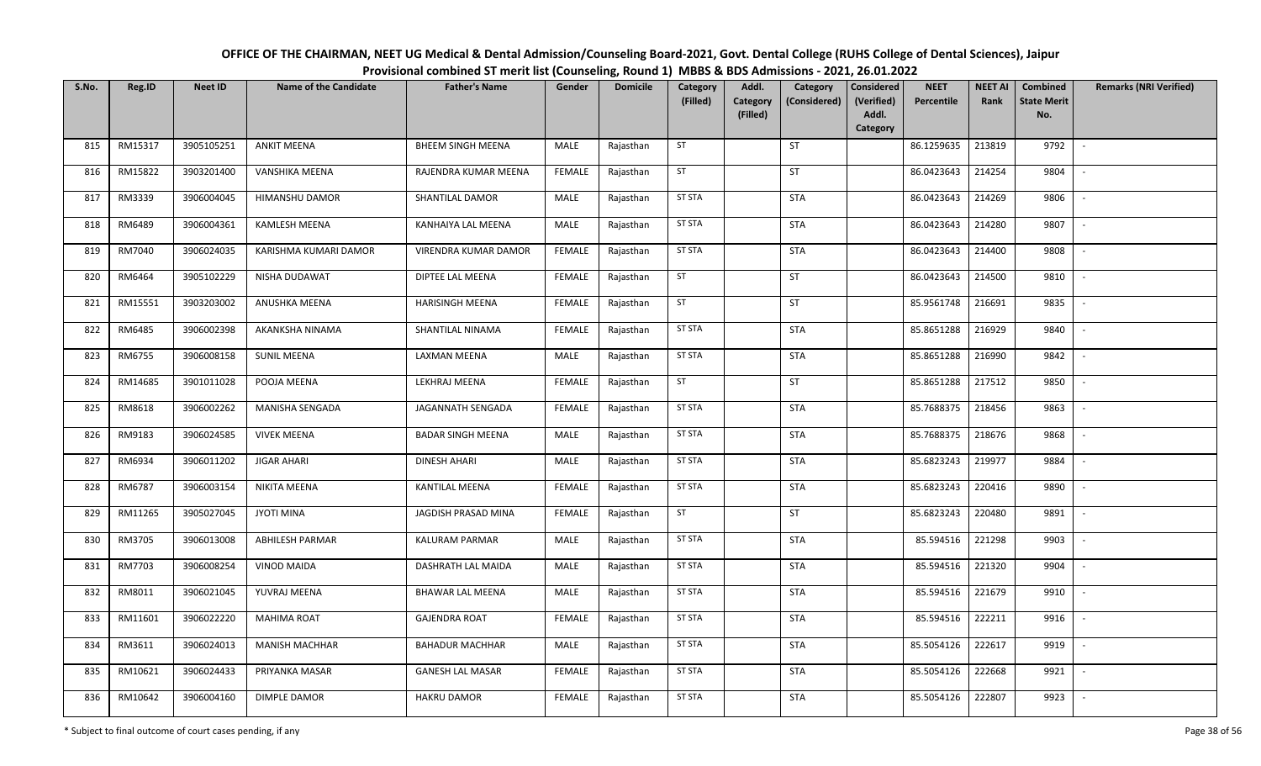| OFFICE OF THE CHAIRMAN, NEET UG Medical & Dental Admission/Counseling Board-2021, Govt. Dental College (RUHS College of Dental Sciences), Jaipur |
|--------------------------------------------------------------------------------------------------------------------------------------------------|
| Provisional combined ST merit list (Counseling, Round 1) MBBS & BDS Admissions - 2021, 26.01.2022                                                |

| S.No. | Reg.ID  | <b>Neet ID</b> | <b>Name of the Candidate</b> | <b>Father's Name</b>     | Gender        | <b>Domicile</b> | Category<br>(Filled) | Addl.<br>Category | Category<br>(Considered) | <b>Considered</b><br>(Verified) | <b>NEET</b><br>Percentile | <b>NEET AI</b><br>Rank | Combined<br><b>State Merit</b> | <b>Remarks (NRI Verified)</b> |
|-------|---------|----------------|------------------------------|--------------------------|---------------|-----------------|----------------------|-------------------|--------------------------|---------------------------------|---------------------------|------------------------|--------------------------------|-------------------------------|
|       |         |                |                              |                          |               |                 |                      | (Filled)          |                          | Addl.<br>Category               |                           |                        | No.                            |                               |
| 815   | RM15317 | 3905105251     | <b>ANKIT MEENA</b>           | <b>BHEEM SINGH MEENA</b> | MALE          | Rajasthan       | ST                   |                   | ST                       |                                 | 86.1259635                | 213819                 | 9792                           | $\sim$                        |
| 816   | RM15822 | 3903201400     | VANSHIKA MEENA               | RAJENDRA KUMAR MEENA     | <b>FEMALE</b> | Rajasthan       | ST                   |                   | ST                       |                                 | 86.0423643                | 214254                 | 9804                           | $\sim$                        |
| 817   | RM3339  | 3906004045     | <b>HIMANSHU DAMOR</b>        | SHANTILAL DAMOR          | MALE          | Rajasthan       | <b>ST STA</b>        |                   | <b>STA</b>               |                                 | 86.0423643                | 214269                 | 9806                           | $\mathbb{L}$                  |
| 818   | RM6489  | 3906004361     | <b>KAMLESH MEENA</b>         | KANHAIYA LAL MEENA       | MALE          | Rajasthan       | <b>ST STA</b>        |                   | <b>STA</b>               |                                 | 86.0423643                | 214280                 | 9807                           | $\sim$                        |
| 819   | RM7040  | 3906024035     | KARISHMA KUMARI DAMOR        | VIRENDRA KUMAR DAMOR     | <b>FEMALE</b> | Rajasthan       | <b>ST STA</b>        |                   | STA                      |                                 | 86.0423643                | 214400                 | 9808                           | $\sim$                        |
| 820   | RM6464  | 3905102229     | NISHA DUDAWAT                | DIPTEE LAL MEENA         | <b>FEMALE</b> | Rajasthan       | <b>ST</b>            |                   | ST                       |                                 | 86.0423643                | 214500                 | 9810                           | $\sim$                        |
| 821   | RM15551 | 3903203002     | ANUSHKA MEENA                | <b>HARISINGH MEENA</b>   | <b>FEMALE</b> | Rajasthan       | ST                   |                   | ST                       |                                 | 85.9561748                | 216691                 | 9835                           | $\sim$                        |
| 822   | RM6485  | 3906002398     | AKANKSHA NINAMA              | SHANTILAL NINAMA         | <b>FEMALE</b> | Rajasthan       | <b>ST STA</b>        |                   | <b>STA</b>               |                                 | 85.8651288                | 216929                 | 9840                           | $\overline{\phantom{a}}$      |
| 823   | RM6755  | 3906008158     | <b>SUNIL MEENA</b>           | LAXMAN MEENA             | <b>MALE</b>   | Rajasthan       | <b>ST STA</b>        |                   | <b>STA</b>               |                                 | 85.8651288                | 216990                 | 9842                           |                               |
| 824   | RM14685 | 3901011028     | POOJA MEENA                  | LEKHRAJ MEENA            | <b>FEMALE</b> | Rajasthan       | ST                   |                   | ST                       |                                 | 85.8651288                | 217512                 | 9850                           | $\sim$                        |
| 825   | RM8618  | 3906002262     | MANISHA SENGADA              | JAGANNATH SENGADA        | <b>FEMALE</b> | Rajasthan       | <b>ST STA</b>        |                   | <b>STA</b>               |                                 | 85.7688375                | 218456                 | 9863                           | $\sim$                        |
| 826   | RM9183  | 3906024585     | <b>VIVEK MEENA</b>           | <b>BADAR SINGH MEENA</b> | MALE          | Rajasthan       | <b>ST STA</b>        |                   | <b>STA</b>               |                                 | 85.7688375                | 218676                 | 9868                           | $\sim$                        |
| 827   | RM6934  | 3906011202     | <b>JIGAR AHARI</b>           | <b>DINESH AHARI</b>      | <b>MALE</b>   | Rajasthan       | <b>ST STA</b>        |                   | STA                      |                                 | 85.6823243                | 219977                 | 9884                           | $\sim$                        |
| 828   | RM6787  | 3906003154     | <b>NIKITA MEENA</b>          | <b>KANTILAL MEENA</b>    | <b>FEMALE</b> | Rajasthan       | <b>ST STA</b>        |                   | STA                      |                                 | 85.6823243                | 220416                 | 9890                           | $\sim$                        |
| 829   | RM11265 | 3905027045     | <b>JYOTI MINA</b>            | JAGDISH PRASAD MINA      | <b>FEMALE</b> | Rajasthan       | ST                   |                   | ST                       |                                 | 85.6823243                | 220480                 | 9891                           | $\sim$                        |
| 830   | RM3705  | 3906013008     | <b>ABHILESH PARMAR</b>       | <b>KALURAM PARMAR</b>    | MALE          | Rajasthan       | <b>ST STA</b>        |                   | <b>STA</b>               |                                 | 85.594516                 | 221298                 | 9903                           | $\sim$                        |
| 831   | RM7703  | 3906008254     | <b>VINOD MAIDA</b>           | DASHRATH LAL MAIDA       | MALE          | Rajasthan       | <b>ST STA</b>        |                   | <b>STA</b>               |                                 | 85.594516                 | 221320                 | 9904                           |                               |
| 832   | RM8011  | 3906021045     | YUVRAJ MEENA                 | <b>BHAWAR LAL MEENA</b>  | MALE          | Rajasthan       | <b>ST STA</b>        |                   | <b>STA</b>               |                                 | 85.594516                 | 221679                 | 9910                           | $\sim$                        |
| 833   | RM11601 | 3906022220     | <b>MAHIMA ROAT</b>           | <b>GAJENDRA ROAT</b>     | <b>FEMALE</b> | Rajasthan       | <b>ST STA</b>        |                   | <b>STA</b>               |                                 | 85.594516                 | 222211                 | 9916                           | $\sim$                        |
| 834   | RM3611  | 3906024013     | <b>MANISH MACHHAR</b>        | <b>BAHADUR MACHHAR</b>   | <b>MALE</b>   | Rajasthan       | <b>ST STA</b>        |                   | <b>STA</b>               |                                 | 85.5054126                | 222617                 | 9919                           | $\sim$                        |
| 835   | RM10621 | 3906024433     | PRIYANKA MASAR               | <b>GANESH LAL MASAR</b>  | <b>FEMALE</b> | Rajasthan       | <b>ST STA</b>        |                   | <b>STA</b>               |                                 | 85.5054126                | 222668                 | 9921                           | $\sim$                        |
| 836   | RM10642 | 3906004160     | DIMPLE DAMOR                 | <b>HAKRU DAMOR</b>       | FEMALE        | Rajasthan       | <b>ST STA</b>        |                   | <b>STA</b>               |                                 | 85.5054126                | 222807                 | 9923                           |                               |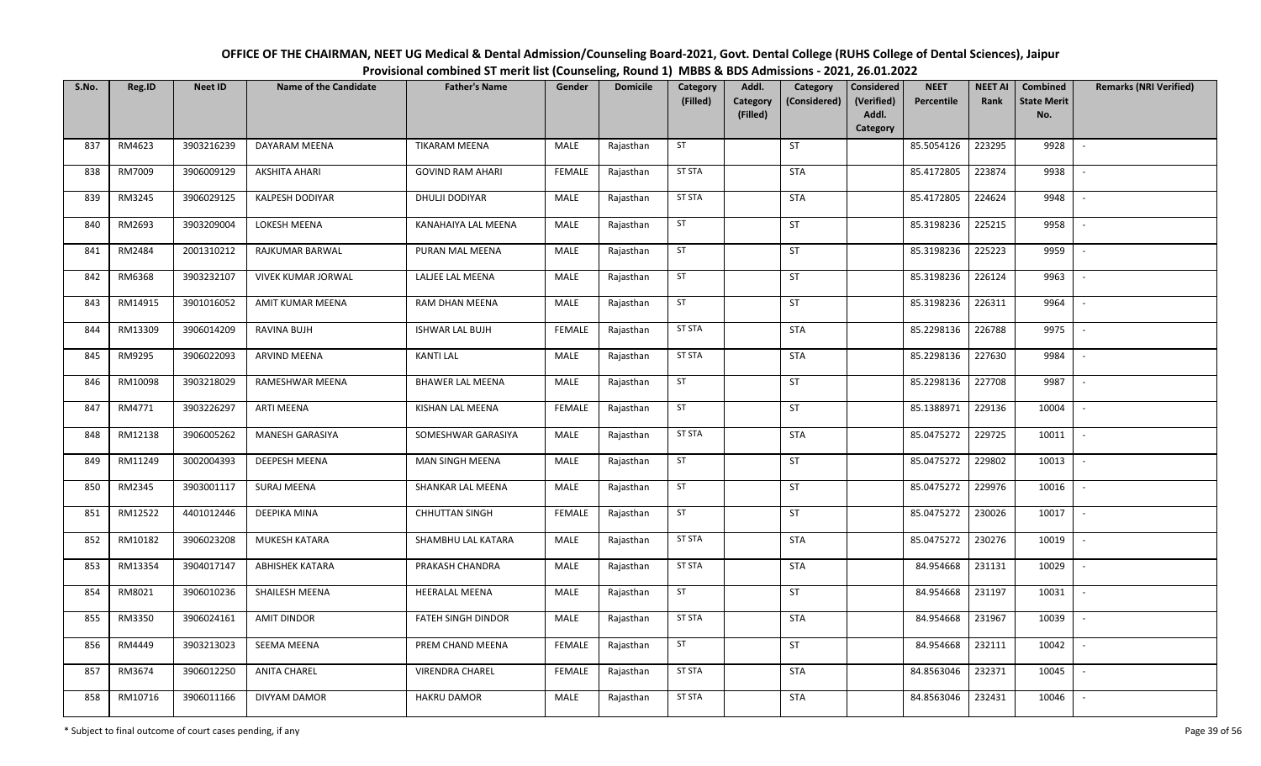| OFFICE OF THE CHAIRMAN, NEET UG Medical & Dental Admission/Counseling Board-2021, Govt. Dental College (RUHS College of Dental Sciences), Jaipur |
|--------------------------------------------------------------------------------------------------------------------------------------------------|
| Provisional combined ST merit list (Counseling, Round 1) MBBS & BDS Admissions - 2021, 26.01.2022                                                |

| S.No. | Reg.ID  | <b>Neet ID</b> | <b>Name of the Candidate</b> | <b>Father's Name</b>    | Gender        | <b>Domicile</b> | Category<br>(Filled) | Addl.<br>Category<br>(Filled) | Category<br>(Considered) | <b>Considered</b><br>(Verified)<br>Addl.<br>Category | <b>NEET</b><br>Percentile | <b>NEET AI</b><br>Rank | Combined<br><b>State Merit</b><br>No. | <b>Remarks (NRI Verified)</b> |
|-------|---------|----------------|------------------------------|-------------------------|---------------|-----------------|----------------------|-------------------------------|--------------------------|------------------------------------------------------|---------------------------|------------------------|---------------------------------------|-------------------------------|
| 837   | RM4623  | 3903216239     | DAYARAM MEENA                | <b>TIKARAM MEENA</b>    | MALE          | Rajasthan       | ST                   |                               | <b>ST</b>                |                                                      | 85.5054126                | 223295                 | 9928                                  | $\overline{\phantom{a}}$      |
| 838   | RM7009  | 3906009129     | <b>AKSHITA AHARI</b>         | <b>GOVIND RAM AHARI</b> | <b>FEMALE</b> | Rajasthan       | <b>ST STA</b>        |                               | <b>STA</b>               |                                                      | 85.4172805                | 223874                 | 9938                                  | $\sim$                        |
| 839   | RM3245  | 3906029125     | <b>KALPESH DODIYAR</b>       | DHULJI DODIYAR          | MALE          | Rajasthan       | <b>ST STA</b>        |                               | <b>STA</b>               |                                                      | 85.4172805                | 224624                 | 9948                                  | $\sim$                        |
| 840   | RM2693  | 3903209004     | LOKESH MEENA                 | KANAHAIYA LAL MEENA     | MALE          | Rajasthan       | ST                   |                               | ST                       |                                                      | 85.3198236                | 225215                 | 9958                                  | $\mathbb{L}$                  |
| 841   | RM2484  | 2001310212     | RAJKUMAR BARWAL              | PURAN MAL MEENA         | MALE          | Rajasthan       | ST                   |                               | <b>ST</b>                |                                                      | 85.3198236                | 225223                 | 9959                                  | $\sim$                        |
| 842   | RM6368  | 3903232107     | VIVEK KUMAR JORWAL           | LALJEE LAL MEENA        | MALE          | Rajasthan       | ST                   |                               | <b>ST</b>                |                                                      | 85.3198236                | 226124                 | 9963                                  | $\sim$                        |
| 843   | RM14915 | 3901016052     | AMIT KUMAR MEENA             | RAM DHAN MEENA          | MALE          | Rajasthan       | ST                   |                               | ST                       |                                                      | 85.3198236                | 226311                 | 9964                                  | $\overline{\phantom{a}}$      |
| 844   | RM13309 | 3906014209     | RAVINA BUJH                  | <b>ISHWAR LAL BUJH</b>  | <b>FEMALE</b> | Rajasthan       | <b>ST STA</b>        |                               | <b>STA</b>               |                                                      | 85.2298136                | 226788                 | 9975                                  | $\overline{\phantom{a}}$      |
| 845   | RM9295  | 3906022093     | ARVIND MEENA                 | <b>KANTI LAL</b>        | MALE          | Rajasthan       | ST STA               |                               | <b>STA</b>               |                                                      | 85.2298136                | 227630                 | 9984                                  |                               |
| 846   | RM10098 | 3903218029     | RAMESHWAR MEENA              | <b>BHAWER LAL MEENA</b> | MALE          | Rajasthan       | ST                   |                               | ST                       |                                                      | 85.2298136                | 227708                 | 9987                                  | $\sim$                        |
| 847   | RM4771  | 3903226297     | ARTI MEENA                   | KISHAN LAL MEENA        | <b>FEMALE</b> | Rajasthan       | ST                   |                               | ST                       |                                                      | 85.1388971                | 229136                 | 10004                                 | $\sim$                        |
| 848   | RM12138 | 3906005262     | <b>MANESH GARASIYA</b>       | SOMESHWAR GARASIYA      | MALE          | Rajasthan       | <b>ST STA</b>        |                               | <b>STA</b>               |                                                      | 85.0475272                | 229725                 | 10011                                 | $\mathbb{L}^+$                |
| 849   | RM11249 | 3002004393     | <b>DEEPESH MEENA</b>         | MAN SINGH MEENA         | MALE          | Rajasthan       | ST                   |                               | <b>ST</b>                |                                                      | 85.0475272                | 229802                 | 10013                                 |                               |
| 850   | RM2345  | 3903001117     | <b>SURAJ MEENA</b>           | SHANKAR LAL MEENA       | MALE          | Rajasthan       | ST                   |                               | <b>ST</b>                |                                                      | 85.0475272                | 229976                 | 10016                                 | $\sim$                        |
| 851   | RM12522 | 4401012446     | DEEPIKA MINA                 | <b>CHHUTTAN SINGH</b>   | <b>FEMALE</b> | Rajasthan       | ST                   |                               | <b>ST</b>                |                                                      | 85.0475272                | 230026                 | 10017                                 |                               |
| 852   | RM10182 | 3906023208     | <b>MUKESH KATARA</b>         | SHAMBHU LAL KATARA      | MALE          | Rajasthan       | <b>ST STA</b>        |                               | <b>STA</b>               |                                                      | 85.0475272                | 230276                 | 10019                                 | $\sim$                        |
| 853   | RM13354 | 3904017147     | <b>ABHISHEK KATARA</b>       | PRAKASH CHANDRA         | MALE          | Rajasthan       | <b>ST STA</b>        |                               | <b>STA</b>               |                                                      | 84.954668                 | 231131                 | 10029                                 | $\sim$                        |
| 854   | RM8021  | 3906010236     | SHAILESH MEENA               | <b>HEERALAL MEENA</b>   | MALE          | Rajasthan       | ST                   |                               | ST                       |                                                      | 84.954668                 | 231197                 | 10031                                 | $\sim$                        |
| 855   | RM3350  | 3906024161     | <b>AMIT DINDOR</b>           | FATEH SINGH DINDOR      | MALE          | Rajasthan       | <b>ST STA</b>        |                               | <b>STA</b>               |                                                      | 84.954668                 | 231967                 | 10039                                 | $\sim$                        |
| 856   | RM4449  | 3903213023     | <b>SEEMA MEENA</b>           | PREM CHAND MEENA        | <b>FEMALE</b> | Rajasthan       | ST                   |                               | <b>ST</b>                |                                                      | 84.954668                 | 232111                 | 10042                                 | $\sim$                        |
| 857   | RM3674  | 3906012250     | ANITA CHAREL                 | VIRENDRA CHAREL         | <b>FEMALE</b> | Rajasthan       | <b>ST STA</b>        |                               | <b>STA</b>               |                                                      | 84.8563046                | 232371                 | 10045                                 | $\sim$                        |
| 858   | RM10716 | 3906011166     | DIVYAM DAMOR                 | <b>HAKRU DAMOR</b>      | MALE          | Rajasthan       | <b>ST STA</b>        |                               | <b>STA</b>               |                                                      | 84.8563046                | 232431                 | 10046                                 | $\overline{\phantom{a}}$      |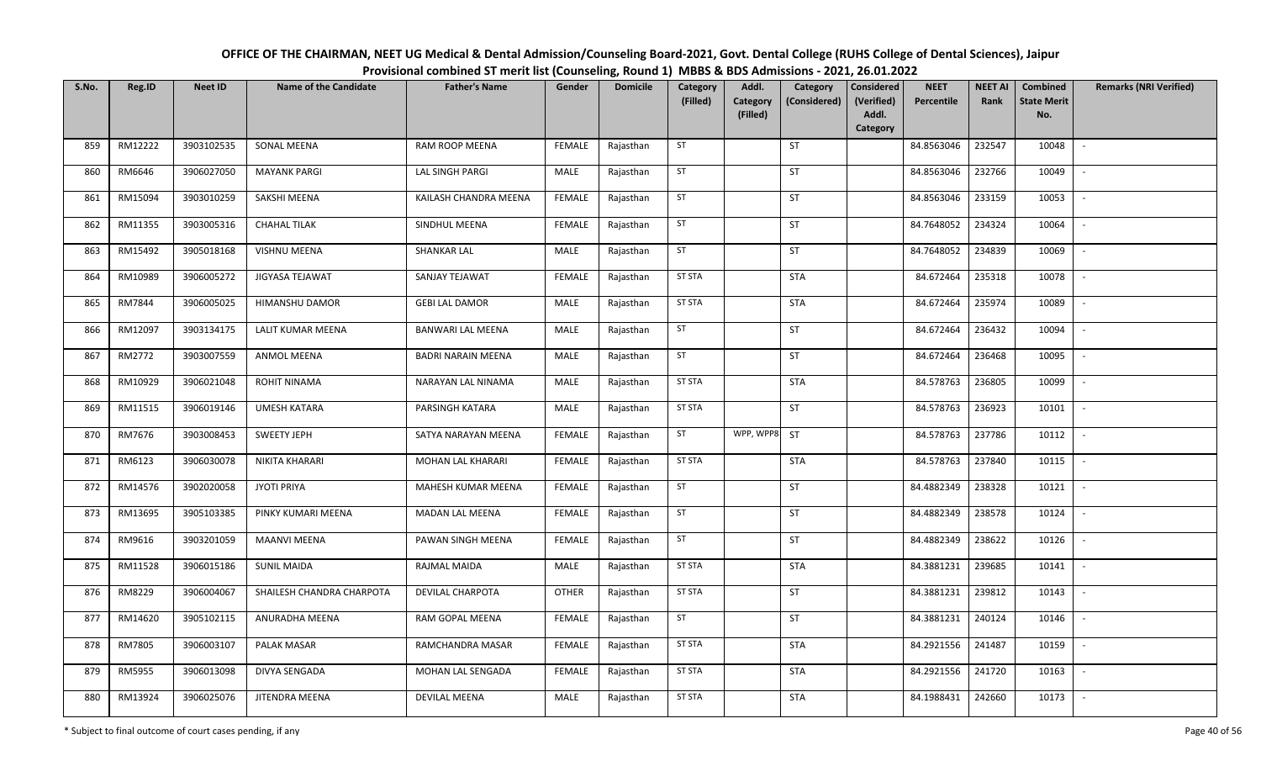| OFFICE OF THE CHAIRMAN, NEET UG Medical & Dental Admission/Counseling Board-2021, Govt. Dental College (RUHS College of Dental Sciences), Jaipur |
|--------------------------------------------------------------------------------------------------------------------------------------------------|
| Provisional combined ST merit list (Counseling, Round 1) MBBS & BDS Admissions - 2021, 26.01.2022                                                |

| S.No. | Reg.ID  | <b>Neet ID</b> | <b>Name of the Candidate</b> | <b>Father's Name</b>      | Gender        | <b>Domicile</b> | Category<br>(Filled) | Addl.<br><b>Category</b> | Category<br>(Considered) | Considered<br>(Verified) | <b>NEET</b><br>Percentile | <b>NEET AI</b><br>Rank | Combined<br><b>State Merit</b> | <b>Remarks (NRI Verified)</b> |
|-------|---------|----------------|------------------------------|---------------------------|---------------|-----------------|----------------------|--------------------------|--------------------------|--------------------------|---------------------------|------------------------|--------------------------------|-------------------------------|
|       |         |                |                              |                           |               |                 |                      | (Filled)                 |                          | Addl.<br>Category        |                           |                        | No.                            |                               |
| 859   | RM12222 | 3903102535     | SONAL MEENA                  | RAM ROOP MEENA            | <b>FEMALE</b> | Rajasthan       | ST                   |                          | ST                       |                          | 84.8563046                | 232547                 | 10048                          | $\sim$                        |
| 860   | RM6646  | 3906027050     | <b>MAYANK PARGI</b>          | LAL SINGH PARGI           | MALE          | Rajasthan       | ST                   |                          | ST                       |                          | 84.8563046                | 232766                 | 10049                          | $\sim$                        |
| 861   | RM15094 | 3903010259     | SAKSHI MEENA                 | KAILASH CHANDRA MEENA     | <b>FEMALE</b> | Rajasthan       | ST                   |                          | ST                       |                          | 84.8563046                | 233159                 | 10053                          | $\sim$                        |
| 862   | RM11355 | 3903005316     | <b>CHAHAL TILAK</b>          | SINDHUL MEENA             | <b>FEMALE</b> | Rajasthan       | ST                   |                          | ST                       |                          | 84.7648052                | 234324                 | 10064                          | $\sim$                        |
| 863   | RM15492 | 3905018168     | VISHNU MEENA                 | <b>SHANKAR LAL</b>        | MALE          | Rajasthan       | ST                   |                          | ST                       |                          | 84.7648052                | 234839                 | 10069                          | $\sim$                        |
| 864   | RM10989 | 3906005272     | JIGYASA TEJAWAT              | SANJAY TEJAWAT            | <b>FEMALE</b> | Rajasthan       | <b>ST STA</b>        |                          | <b>STA</b>               |                          | 84.672464                 | 235318                 | 10078                          | $\mathbb{L}$                  |
| 865   | RM7844  | 3906005025     | HIMANSHU DAMOR               | <b>GEBI LAL DAMOR</b>     | MALE          | Rajasthan       | <b>ST STA</b>        |                          | <b>STA</b>               |                          | 84.672464                 | 235974                 | 10089                          | $\sim$                        |
| 866   | RM12097 | 3903134175     | LALIT KUMAR MEENA            | <b>BANWARI LAL MEENA</b>  | MALE          | Rajasthan       | ST                   |                          | ST                       |                          | 84.672464                 | 236432                 | 10094                          | $\sim$                        |
| 867   | RM2772  | 3903007559     | ANMOL MEENA                  | <b>BADRI NARAIN MEENA</b> | MALE          | Rajasthan       | ST                   |                          | ST                       |                          | 84.672464                 | 236468                 | 10095                          | $\sim$                        |
| 868   | RM10929 | 3906021048     | ROHIT NINAMA                 | NARAYAN LAL NINAMA        | MALE          | Rajasthan       | <b>ST STA</b>        |                          | <b>STA</b>               |                          | 84.578763                 | 236805                 | 10099                          | $\sim$                        |
| 869   | RM11515 | 3906019146     | <b>UMESH KATARA</b>          | PARSINGH KATARA           | MALE          | Rajasthan       | <b>ST STA</b>        |                          | ST                       |                          | 84.578763                 | 236923                 | 10101                          | $\sim$                        |
| 870   | RM7676  | 3903008453     | <b>SWEETY JEPH</b>           | SATYA NARAYAN MEENA       | <b>FEMALE</b> | Rajasthan       | ST                   | WPP, WPP8                | ST                       |                          | 84.578763                 | 237786                 | 10112                          | $\sim$                        |
| 871   | RM6123  | 3906030078     | NIKITA KHARARI               | MOHAN LAL KHARARI         | <b>FEMALE</b> | Rajasthan       | <b>ST STA</b>        |                          | STA                      |                          | 84.578763                 | 237840                 | 10115                          | $\sim$                        |
| 872   | RM14576 | 3902020058     | <b>JYOTI PRIYA</b>           | MAHESH KUMAR MEENA        | <b>FEMALE</b> | Rajasthan       | ST                   |                          | ST                       |                          | 84.4882349                | 238328                 | 10121                          | $\sim$                        |
| 873   | RM13695 | 3905103385     | PINKY KUMARI MEENA           | MADAN LAL MEENA           | <b>FEMALE</b> | Rajasthan       | ST                   |                          | ST                       |                          | 84.4882349                | 238578                 | 10124                          | $\sim$                        |
| 874   | RM9616  | 3903201059     | <b>MAANVI MEENA</b>          | PAWAN SINGH MEENA         | <b>FEMALE</b> | Rajasthan       | ST                   |                          | ST                       |                          | 84.4882349                | 238622                 | 10126                          | $\sim$                        |
| 875   | RM11528 | 3906015186     | <b>SUNIL MAIDA</b>           | RAJMAL MAIDA              | MALE          | Rajasthan       | <b>ST STA</b>        |                          | <b>STA</b>               |                          | 84.3881231                | 239685                 | 10141                          | $\sim$                        |
| 876   | RM8229  | 3906004067     | SHAILESH CHANDRA CHARPOTA    | DEVILAL CHARPOTA          | <b>OTHER</b>  | Rajasthan       | <b>ST STA</b>        |                          | ST                       |                          | 84.3881231                | 239812                 | 10143                          | $\sim$                        |
| 877   | RM14620 | 3905102115     | ANURADHA MEENA               | RAM GOPAL MEENA           | <b>FEMALE</b> | Rajasthan       | ST                   |                          | ST                       |                          | 84.3881231                | 240124                 | 10146                          | $\sim$                        |
| 878   | RM7805  | 3906003107     | PALAK MASAR                  | RAMCHANDRA MASAR          | <b>FEMALE</b> | Rajasthan       | <b>ST STA</b>        |                          | <b>STA</b>               |                          | 84.2921556                | 241487                 | 10159                          | $\sim$                        |
| 879   | RM5955  | 3906013098     | DIVYA SENGADA                | MOHAN LAL SENGADA         | <b>FEMALE</b> | Rajasthan       | <b>ST STA</b>        |                          | <b>STA</b>               |                          | 84.2921556                | 241720                 | 10163                          | $\sim$                        |
| 880   | RM13924 | 3906025076     | JITENDRA MEENA               | <b>DEVILAL MEENA</b>      | MALE          | Rajasthan       | <b>ST STA</b>        |                          | <b>STA</b>               |                          | 84.1988431                | 242660                 | 10173                          | $\sim$                        |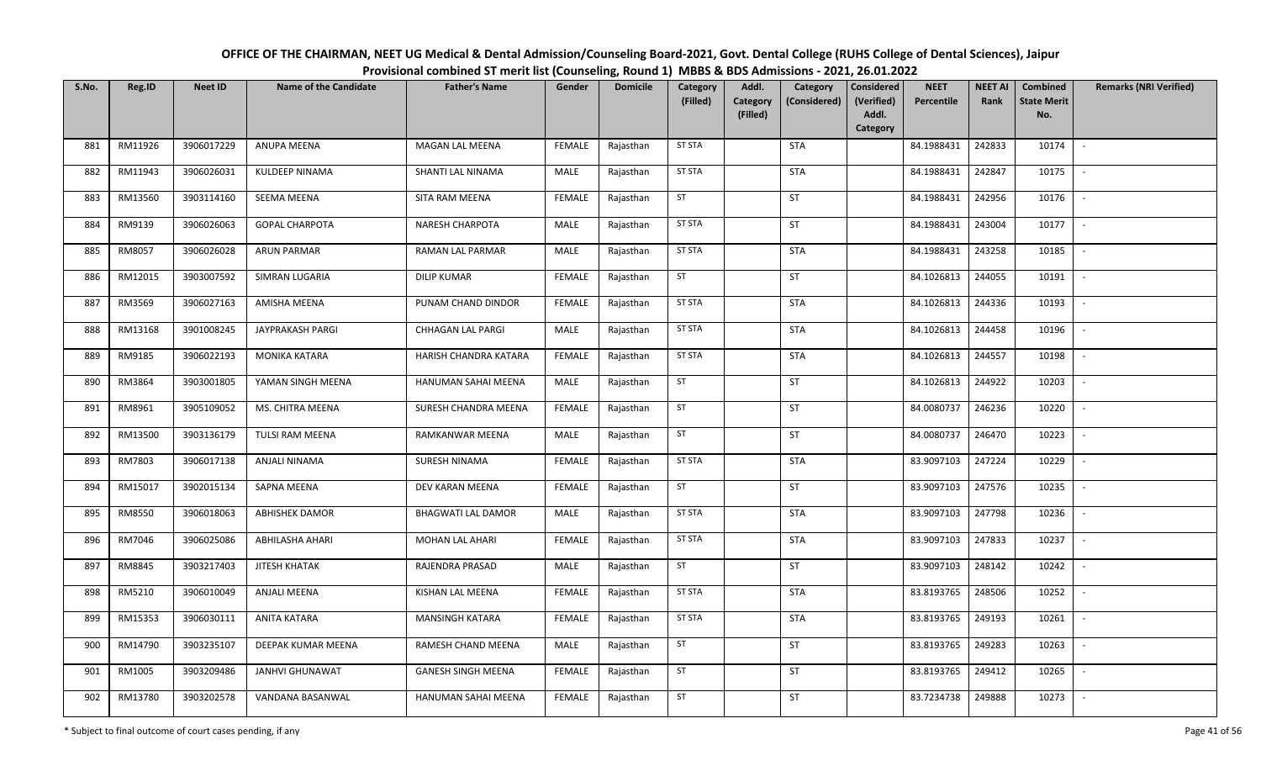| OFFICE OF THE CHAIRMAN, NEET UG Medical & Dental Admission/Counseling Board-2021, Govt. Dental College (RUHS College of Dental Sciences), Jaipur |
|--------------------------------------------------------------------------------------------------------------------------------------------------|
| Provisional combined ST merit list (Counseling, Round 1) MBBS & BDS Admissions - 2021, 26.01.2022                                                |

| S.No. | Reg.ID  | <b>Neet ID</b> | <b>Name of the Candidate</b> | <b>Father's Name</b>      | Gender        | <b>Domicile</b> | Category<br>(Filled) | Addl.<br><b>Category</b> | Category<br>(Considered) | Considered<br>(Verified) | <b>NEET</b><br>Percentile | <b>NEET AI</b><br>Rank | Combined<br><b>State Merit</b> | <b>Remarks (NRI Verified)</b> |
|-------|---------|----------------|------------------------------|---------------------------|---------------|-----------------|----------------------|--------------------------|--------------------------|--------------------------|---------------------------|------------------------|--------------------------------|-------------------------------|
|       |         |                |                              |                           |               |                 |                      | (Filled)                 |                          | Addl.<br>Category        |                           |                        | No.                            |                               |
| 881   | RM11926 | 3906017229     | ANUPA MEENA                  | MAGAN LAL MEENA           | <b>FEMALE</b> | Rajasthan       | <b>ST STA</b>        |                          | <b>STA</b>               |                          | 84.1988431                | 242833                 | 10174                          | $\sim$                        |
| 882   | RM11943 | 3906026031     | KULDEEP NINAMA               | SHANTI LAL NINAMA         | MALE          | Rajasthan       | <b>ST STA</b>        |                          | <b>STA</b>               |                          | 84.1988431                | 242847                 | 10175                          | $\sim$                        |
| 883   | RM13560 | 3903114160     | SEEMA MEENA                  | SITA RAM MEENA            | <b>FEMALE</b> | Rajasthan       | ST                   |                          | ST                       |                          | 84.1988431                | 242956                 | 10176                          | $\sim$                        |
| 884   | RM9139  | 3906026063     | <b>GOPAL CHARPOTA</b>        | <b>NARESH CHARPOTA</b>    | MALE          | Rajasthan       | <b>ST STA</b>        |                          | ST                       |                          | 84.1988431                | 243004                 | 10177                          | $\sim$                        |
| 885   | RM8057  | 3906026028     | <b>ARUN PARMAR</b>           | RAMAN LAL PARMAR          | MALE          | Rajasthan       | <b>ST STA</b>        |                          | <b>STA</b>               |                          | 84.1988431                | 243258                 | 10185                          | $\sim$                        |
| 886   | RM12015 | 3903007592     | SIMRAN LUGARIA               | <b>DILIP KUMAR</b>        | <b>FEMALE</b> | Rajasthan       | ST                   |                          | ST                       |                          | 84.1026813                | 244055                 | 10191                          | $\mathbb{L}$                  |
| 887   | RM3569  | 3906027163     | AMISHA MEENA                 | PUNAM CHAND DINDOR        | <b>FEMALE</b> | Rajasthan       | <b>ST STA</b>        |                          | <b>STA</b>               |                          | 84.1026813                | 244336                 | 10193                          | $\overline{\phantom{a}}$      |
| 888   | RM13168 | 3901008245     | JAYPRAKASH PARGI             | CHHAGAN LAL PARGI         | MALE          | Rajasthan       | <b>ST STA</b>        |                          | <b>STA</b>               |                          | 84.1026813                | 244458                 | 10196                          | $\sim$                        |
| 889   | RM9185  | 3906022193     | MONIKA KATARA                | HARISH CHANDRA KATARA     | <b>FEMALE</b> | Rajasthan       | ST STA               |                          | <b>STA</b>               |                          | 84.1026813                | 244557                 | 10198                          | $\sim$                        |
| 890   | RM3864  | 3903001805     | YAMAN SINGH MEENA            | HANUMAN SAHAI MEENA       | MALE          | Rajasthan       | ST                   |                          | ST                       |                          | 84.1026813                | 244922                 | 10203                          | $\sim$                        |
| 891   | RM8961  | 3905109052     | MS. CHITRA MEENA             | SURESH CHANDRA MEENA      | <b>FEMALE</b> | Rajasthan       | ST                   |                          | ST                       |                          | 84.0080737                | 246236                 | 10220                          | $\sim$                        |
| 892   | RM13500 | 3903136179     | TULSI RAM MEENA              | RAMKANWAR MEENA           | MALE          | Rajasthan       | ST                   |                          | ST                       |                          | 84.0080737                | 246470                 | 10223                          | $\sim$                        |
| 893   | RM7803  | 3906017138     | ANJALI NINAMA                | SURESH NINAMA             | <b>FEMALE</b> | Rajasthan       | <b>ST STA</b>        |                          | STA                      |                          | 83.9097103                | 247224                 | 10229                          | $\sim$                        |
| 894   | RM15017 | 3902015134     | SAPNA MEENA                  | DEV KARAN MEENA           | <b>FEMALE</b> | Rajasthan       | ST                   |                          | ST                       |                          | 83.9097103                | 247576                 | 10235                          | $\sim$                        |
| 895   | RM8550  | 3906018063     | <b>ABHISHEK DAMOR</b>        | <b>BHAGWATI LAL DAMOR</b> | MALE          | Rajasthan       | <b>ST STA</b>        |                          | <b>STA</b>               |                          | 83.9097103                | 247798                 | 10236                          | $\sim$                        |
| 896   | RM7046  | 3906025086     | ABHILASHA AHARI              | <b>MOHAN LAL AHARI</b>    | <b>FEMALE</b> | Rajasthan       | <b>ST STA</b>        |                          | <b>STA</b>               |                          | 83.9097103                | 247833                 | 10237                          | $\sim$                        |
| 897   | RM8845  | 3903217403     | JITESH KHATAK                | RAJENDRA PRASAD           | MALE          | Rajasthan       | ST                   |                          | ST                       |                          | 83.9097103                | 248142                 | 10242                          | $\overline{\phantom{a}}$      |
| 898   | RM5210  | 3906010049     | <b>ANJALI MEENA</b>          | KISHAN LAL MEENA          | <b>FEMALE</b> | Rajasthan       | <b>ST STA</b>        |                          | STA                      |                          | 83.8193765                | 248506                 | 10252                          | $\sim$                        |
| 899   | RM15353 | 3906030111     | ANITA KATARA                 | MANSINGH KATARA           | <b>FEMALE</b> | Rajasthan       | <b>ST STA</b>        |                          | <b>STA</b>               |                          | 83.8193765                | 249193                 | 10261                          | $\sim$                        |
| 900   | RM14790 | 3903235107     | DEEPAK KUMAR MEENA           | RAMESH CHAND MEENA        | MALE          | Rajasthan       | ST                   |                          | ST                       |                          | 83.8193765                | 249283                 | 10263                          | $\sim$                        |
| 901   | RM1005  | 3903209486     | JANHVI GHUNAWAT              | <b>GANESH SINGH MEENA</b> | <b>FEMALE</b> | Rajasthan       | ST                   |                          | ST                       |                          | 83.8193765                | 249412                 | 10265                          | $\sim$                        |
| 902   | RM13780 | 3903202578     | VANDANA BASANWAL             | HANUMAN SAHAI MEENA       | FEMALE        | Rajasthan       | <b>ST</b>            |                          | ST                       |                          | 83.7234738                | 249888                 | 10273                          | $\sim$                        |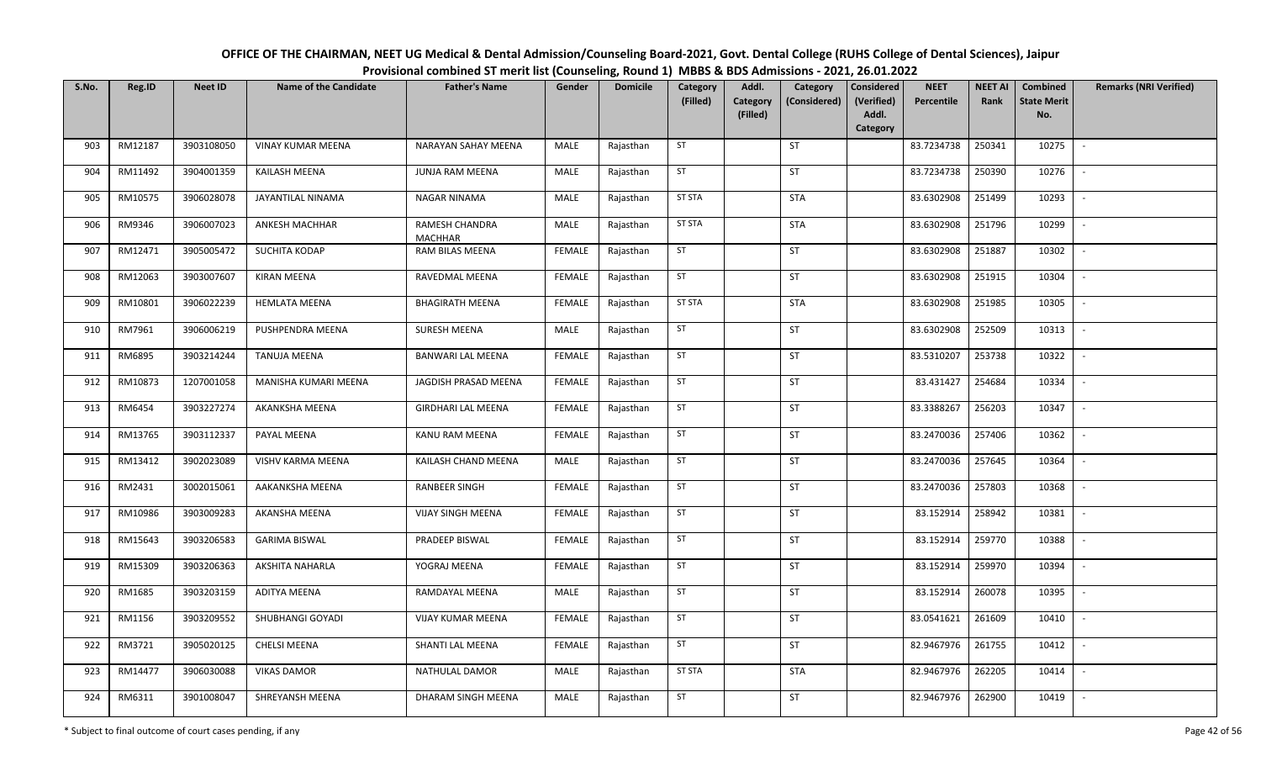| OFFICE OF THE CHAIRMAN, NEET UG Medical & Dental Admission/Counseling Board-2021, Govt. Dental College (RUHS College of Dental Sciences), Jaipur |
|--------------------------------------------------------------------------------------------------------------------------------------------------|
| Provisional combined ST merit list (Counseling, Round 1) MBBS & BDS Admissions - 2021, 26.01.2022                                                |

| S.No. | Reg.ID  | <b>Neet ID</b> | <b>Name of the Candidate</b> | <b>Father's Name</b>             | Gender        | <b>Domicile</b> | Category<br>(Filled) | Addl.<br>Category<br>(Filled) | Category<br>(Considered) | Considered<br>(Verified)<br>Addl. | <b>NEET</b><br>Percentile | <b>NEET AI</b><br>Rank | Combined<br><b>State Merit</b><br>No. | <b>Remarks (NRI Verified)</b> |
|-------|---------|----------------|------------------------------|----------------------------------|---------------|-----------------|----------------------|-------------------------------|--------------------------|-----------------------------------|---------------------------|------------------------|---------------------------------------|-------------------------------|
| 903   | RM12187 | 3903108050     | <b>VINAY KUMAR MEENA</b>     | NARAYAN SAHAY MEENA              | MALE          | Rajasthan       | ST                   |                               | ST                       | Category                          | 83.7234738                | 250341                 | 10275                                 | $\sim$                        |
|       |         |                |                              |                                  |               |                 |                      |                               |                          |                                   |                           |                        |                                       |                               |
| 904   | RM11492 | 3904001359     | KAILASH MEENA                | JUNJA RAM MEENA                  | MALE          | Rajasthan       | ST                   |                               | ST                       |                                   | 83.7234738                | 250390                 | 10276                                 | $\sim$                        |
| 905   | RM10575 | 3906028078     | JAYANTILAL NINAMA            | NAGAR NINAMA                     | MALE          | Rajasthan       | <b>ST STA</b>        |                               | <b>STA</b>               |                                   | 83.6302908                | 251499                 | 10293                                 | $\overline{\phantom{a}}$      |
| 906   | RM9346  | 3906007023     | ANKESH MACHHAR               | RAMESH CHANDRA<br><b>MACHHAR</b> | MALE          | Rajasthan       | <b>ST STA</b>        |                               | STA                      |                                   | 83.6302908                | 251796                 | 10299                                 | $\overline{\phantom{a}}$      |
| 907   | RM12471 | 3905005472     | SUCHITA KODAP                | RAM BILAS MEENA                  | <b>FEMALE</b> | Rajasthan       | ST                   |                               | ST                       |                                   | 83.6302908                | 251887                 | 10302                                 | $\overline{\phantom{a}}$      |
| 908   | RM12063 | 3903007607     | <b>KIRAN MEENA</b>           | RAVEDMAL MEENA                   | <b>FEMALE</b> | Rajasthan       | ST                   |                               | ST                       |                                   | 83.6302908                | 251915                 | 10304                                 |                               |
| 909   | RM10801 | 3906022239     | <b>HEMLATA MEENA</b>         | <b>BHAGIRATH MEENA</b>           | <b>FEMALE</b> | Rajasthan       | <b>ST STA</b>        |                               | <b>STA</b>               |                                   | 83.6302908                | 251985                 | 10305                                 |                               |
| 910   | RM7961  | 3906006219     | PUSHPENDRA MEENA             | <b>SURESH MEENA</b>              | MALE          | Rajasthan       | ST                   |                               | <b>ST</b>                |                                   | 83.6302908                | 252509                 | 10313                                 | $\sim$                        |
| 911   | RM6895  | 3903214244     | <b>TANUJA MEENA</b>          | <b>BANWARI LAL MEENA</b>         | <b>FEMALE</b> | Rajasthan       | ST                   |                               | ST                       |                                   | 83.5310207                | 253738                 | 10322                                 |                               |
| 912   | RM10873 | 1207001058     | MANISHA KUMARI MEENA         | JAGDISH PRASAD MEENA             | <b>FEMALE</b> | Rajasthan       | ST                   |                               | <b>ST</b>                |                                   | 83.431427                 | 254684                 | 10334                                 | $\overline{\phantom{a}}$      |
| 913   | RM6454  | 3903227274     | AKANKSHA MEENA               | <b>GIRDHARI LAL MEENA</b>        | <b>FEMALE</b> | Rajasthan       | ST                   |                               | ST                       |                                   | 83.3388267                | 256203                 | 10347                                 |                               |
| 914   | RM13765 | 3903112337     | PAYAL MEENA                  | KANU RAM MEENA                   | <b>FEMALE</b> | Rajasthan       | ST                   |                               | <b>ST</b>                |                                   | 83.2470036                | 257406                 | 10362                                 | $\sim$                        |
| 915   | RM13412 | 3902023089     | VISHV KARMA MEENA            | KAILASH CHAND MEENA              | MALE          | Rajasthan       | ST                   |                               | ST                       |                                   | 83.2470036                | 257645                 | 10364                                 |                               |
| 916   | RM2431  | 3002015061     | AAKANKSHA MEENA              | <b>RANBEER SINGH</b>             | <b>FEMALE</b> | Rajasthan       | ST                   |                               | <b>ST</b>                |                                   | 83.2470036                | 257803                 | 10368                                 | $\sim$                        |
| 917   | RM10986 | 3903009283     | AKANSHA MEENA                | <b>VIJAY SINGH MEENA</b>         | <b>FEMALE</b> | Rajasthan       | ST                   |                               | ST                       |                                   | 83.152914                 | 258942                 | 10381                                 | $\sim$                        |
| 918   | RM15643 | 3903206583     | <b>GARIMA BISWAL</b>         | PRADEEP BISWAL                   | <b>FEMALE</b> | Rajasthan       | ST                   |                               | <b>ST</b>                |                                   | 83.152914                 | 259770                 | 10388                                 | $\sim$                        |
| 919   | RM15309 | 3903206363     | AKSHITA NAHARLA              | YOGRAJ MEENA                     | <b>FEMALE</b> | Rajasthan       | ST                   |                               | ST                       |                                   | 83.152914                 | 259970                 | 10394                                 | $\overline{\phantom{a}}$      |
| 920   | RM1685  | 3903203159     | ADITYA MEENA                 | RAMDAYAL MEENA                   | MALE          | Rajasthan       | ST                   |                               | ST                       |                                   | 83.152914                 | 260078                 | 10395                                 |                               |
| 921   | RM1156  | 3903209552     | SHUBHANGI GOYADI             | <b>VIJAY KUMAR MEENA</b>         | <b>FEMALE</b> | Rajasthan       | ST                   |                               | ST                       |                                   | 83.0541621                | 261609                 | 10410                                 |                               |
| 922   | RM3721  | 3905020125     | <b>CHELSI MEENA</b>          | SHANTI LAL MEENA                 | <b>FEMALE</b> | Rajasthan       | ST                   |                               | ST                       |                                   | 82.9467976                | 261755                 | 10412                                 |                               |
| 923   | RM14477 | 3906030088     | <b>VIKAS DAMOR</b>           | NATHULAL DAMOR                   | MALE          | Rajasthan       | <b>ST STA</b>        |                               | <b>STA</b>               |                                   | 82.9467976                | 262205                 | 10414                                 | $\sim$                        |
| 924   | RM6311  | 3901008047     | SHREYANSH MEENA              | DHARAM SINGH MEENA               | <b>MALE</b>   | Rajasthan       | ST                   |                               | ST                       |                                   | 82.9467976                | 262900                 | 10419                                 |                               |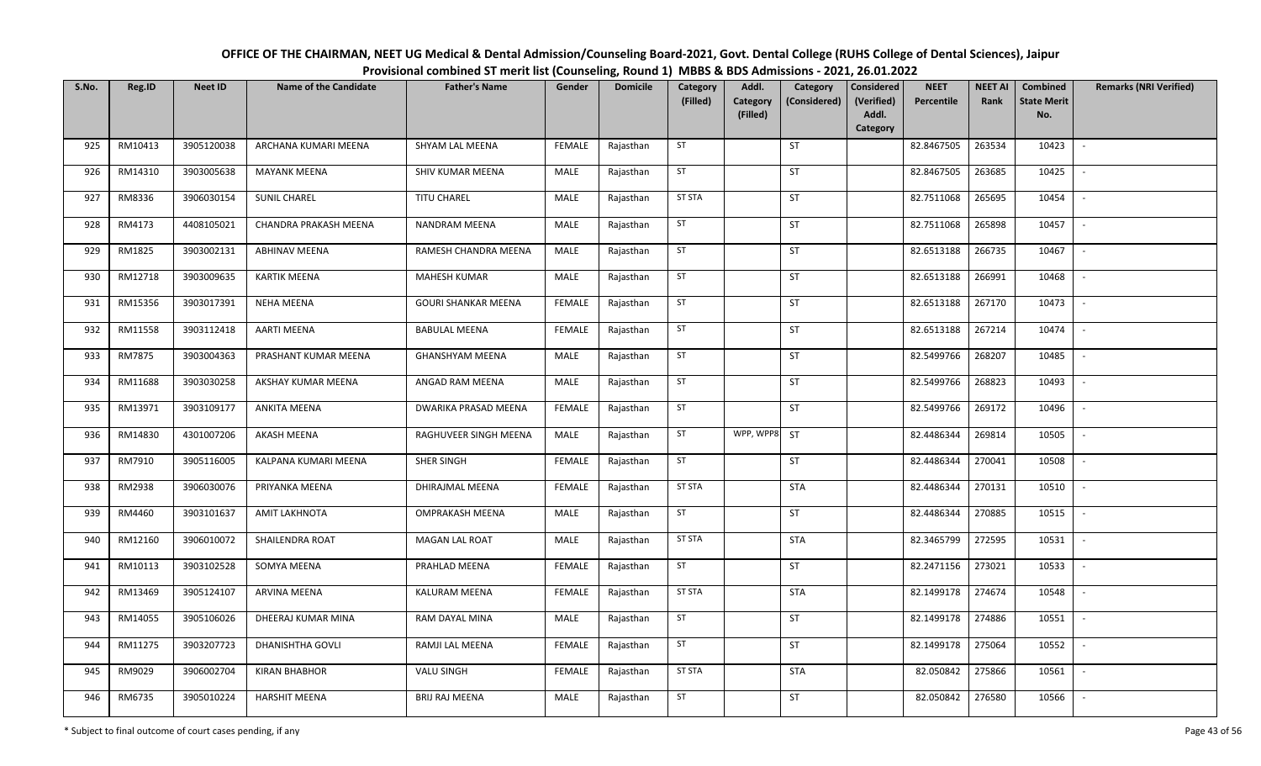| OFFICE OF THE CHAIRMAN, NEET UG Medical & Dental Admission/Counseling Board-2021, Govt. Dental College (RUHS College of Dental Sciences), Jaipur |
|--------------------------------------------------------------------------------------------------------------------------------------------------|
| Provisional combined ST merit list (Counseling, Round 1) MBBS & BDS Admissions - 2021, 26.01.2022                                                |

| S.No. | Reg.ID  | <b>Neet ID</b> | <b>Name of the Candidate</b> | <b>Father's Name</b>       | Gender        | <b>Domicile</b> | Category<br>(Filled) | Addl.<br>Category | Category<br>(Considered) | <b>Considered</b><br>(Verified) | <b>NEET</b><br>Percentile | <b>NEET AI</b><br>Rank | Combined<br><b>State Merit</b> | <b>Remarks (NRI Verified)</b> |
|-------|---------|----------------|------------------------------|----------------------------|---------------|-----------------|----------------------|-------------------|--------------------------|---------------------------------|---------------------------|------------------------|--------------------------------|-------------------------------|
|       |         |                |                              |                            |               |                 |                      | (Filled)          |                          | Addl.                           |                           |                        | No.                            |                               |
|       |         |                |                              |                            |               |                 | ST                   |                   | ST                       | Category                        |                           |                        |                                |                               |
| 925   | RM10413 | 3905120038     | ARCHANA KUMARI MEENA         | SHYAM LAL MEENA            | FEMALE        | Rajasthan       |                      |                   |                          |                                 | 82.8467505                | 263534                 | 10423                          | $\sim$                        |
| 926   | RM14310 | 3903005638     | <b>MAYANK MEENA</b>          | SHIV KUMAR MEENA           | MALE          | Rajasthan       | ST                   |                   | ST                       |                                 | 82.8467505                | 263685                 | 10425                          | $\sim$                        |
| 927   | RM8336  | 3906030154     | <b>SUNIL CHAREL</b>          | TITU CHAREL                | MALE          | Rajasthan       | <b>ST STA</b>        |                   | ST                       |                                 | 82.7511068                | 265695                 | 10454                          | $\mathbb{L}$                  |
| 928   | RM4173  | 4408105021     | CHANDRA PRAKASH MEENA        | <b>NANDRAM MEENA</b>       | MALE          | Rajasthan       | ST                   |                   | ST                       |                                 | 82.7511068                | 265898                 | 10457                          | $\sim$                        |
| 929   | RM1825  | 3903002131     | <b>ABHINAV MEENA</b>         | RAMESH CHANDRA MEENA       | MALE          | Rajasthan       | ST                   |                   | ST                       |                                 | 82.6513188                | 266735                 | 10467                          | $\sim$                        |
| 930   | RM12718 | 3903009635     | <b>KARTIK MEENA</b>          | MAHESH KUMAR               | MALE          | Rajasthan       | ST                   |                   | ST                       |                                 | 82.6513188                | 266991                 | 10468                          | $\sim$                        |
| 931   | RM15356 | 3903017391     | <b>NEHA MEENA</b>            | <b>GOURI SHANKAR MEENA</b> | <b>FEMALE</b> | Rajasthan       | ST                   |                   | ST                       |                                 | 82.6513188                | 267170                 | 10473                          | $\sim$                        |
| 932   | RM11558 | 3903112418     | <b>AARTI MEENA</b>           | <b>BABULAL MEENA</b>       | <b>FEMALE</b> | Rajasthan       | ST                   |                   | ST                       |                                 | 82.6513188                | 267214                 | 10474                          | $\sim$                        |
| 933   | RM7875  | 3903004363     | PRASHANT KUMAR MEENA         | <b>GHANSHYAM MEENA</b>     | MALE          | Rajasthan       | ST                   |                   | ST                       |                                 | 82.5499766                | 268207                 | 10485                          | $\mathbb{L}$                  |
| 934   | RM11688 | 3903030258     | AKSHAY KUMAR MEENA           | ANGAD RAM MEENA            | MALE          | Rajasthan       | ST                   |                   | ST                       |                                 | 82.5499766                | 268823                 | 10493                          | $\sim$                        |
| 935   | RM13971 | 3903109177     | ANKITA MEENA                 | DWARIKA PRASAD MEENA       | <b>FEMALE</b> | Rajasthan       | ST                   |                   | ST                       |                                 | 82.5499766                | 269172                 | 10496                          | $\sim$                        |
| 936   | RM14830 | 4301007206     | AKASH MEENA                  | RAGHUVEER SINGH MEENA      | MALE          | Rajasthan       | ST                   | WPP, WPP8         | <b>ST</b>                |                                 | 82.4486344                | 269814                 | 10505                          | $\sim$                        |
| 937   | RM7910  | 3905116005     | KALPANA KUMARI MEENA         | SHER SINGH                 | <b>FEMALE</b> | Rajasthan       | ST                   |                   | ST                       |                                 | 82.4486344                | 270041                 | 10508                          | $\sim$                        |
| 938   | RM2938  | 3906030076     | PRIYANKA MEENA               | DHIRAJMAL MEENA            | <b>FEMALE</b> | Rajasthan       | <b>ST STA</b>        |                   | <b>STA</b>               |                                 | 82.4486344                | 270131                 | 10510                          | $\sim$                        |
| 939   | RM4460  | 3903101637     | <b>AMIT LAKHNOTA</b>         | <b>OMPRAKASH MEENA</b>     | MALE          | Rajasthan       | ST                   |                   | ST                       |                                 | 82.4486344                | 270885                 | 10515                          | $\mathbb{L}$                  |
| 940   | RM12160 | 3906010072     | SHAILENDRA ROAT              | <b>MAGAN LAL ROAT</b>      | MALE          | Rajasthan       | <b>ST STA</b>        |                   | <b>STA</b>               |                                 | 82.3465799                | 272595                 | 10531                          | $\sim$                        |
| 941   | RM10113 | 3903102528     | SOMYA MEENA                  | PRAHLAD MEENA              | <b>FEMALE</b> | Rajasthan       | ST                   |                   | ST                       |                                 | 82.2471156                | 273021                 | 10533                          | $\sim$                        |
| 942   | RM13469 | 3905124107     | <b>ARVINA MEENA</b>          | <b>KALURAM MEENA</b>       | <b>FEMALE</b> | Rajasthan       | <b>ST STA</b>        |                   | <b>STA</b>               |                                 | 82.1499178                | 274674                 | 10548                          | $\sim$                        |
| 943   | RM14055 | 3905106026     | DHEERAJ KUMAR MINA           | RAM DAYAL MINA             | MALE          | Rajasthan       | ST                   |                   | ST                       |                                 | 82.1499178                | 274886                 | 10551                          | $\sim$                        |
| 944   | RM11275 | 3903207723     | DHANISHTHA GOVLI             | RAMJI LAL MEENA            | <b>FEMALE</b> | Rajasthan       | ST                   |                   | ST                       |                                 | 82.1499178                | 275064                 | 10552                          | $\sim$                        |
| 945   | RM9029  | 3906002704     | <b>KIRAN BHABHOR</b>         | VALU SINGH                 | <b>FEMALE</b> | Rajasthan       | <b>ST STA</b>        |                   | <b>STA</b>               |                                 | 82.050842                 | 275866                 | 10561                          | $\sim$                        |
| 946   | RM6735  | 3905010224     | <b>HARSHIT MEENA</b>         | <b>BRIJ RAJ MEENA</b>      | MALE          | Rajasthan       | <b>ST</b>            |                   | ST                       |                                 | 82.050842                 | 276580                 | 10566                          | $\sim$                        |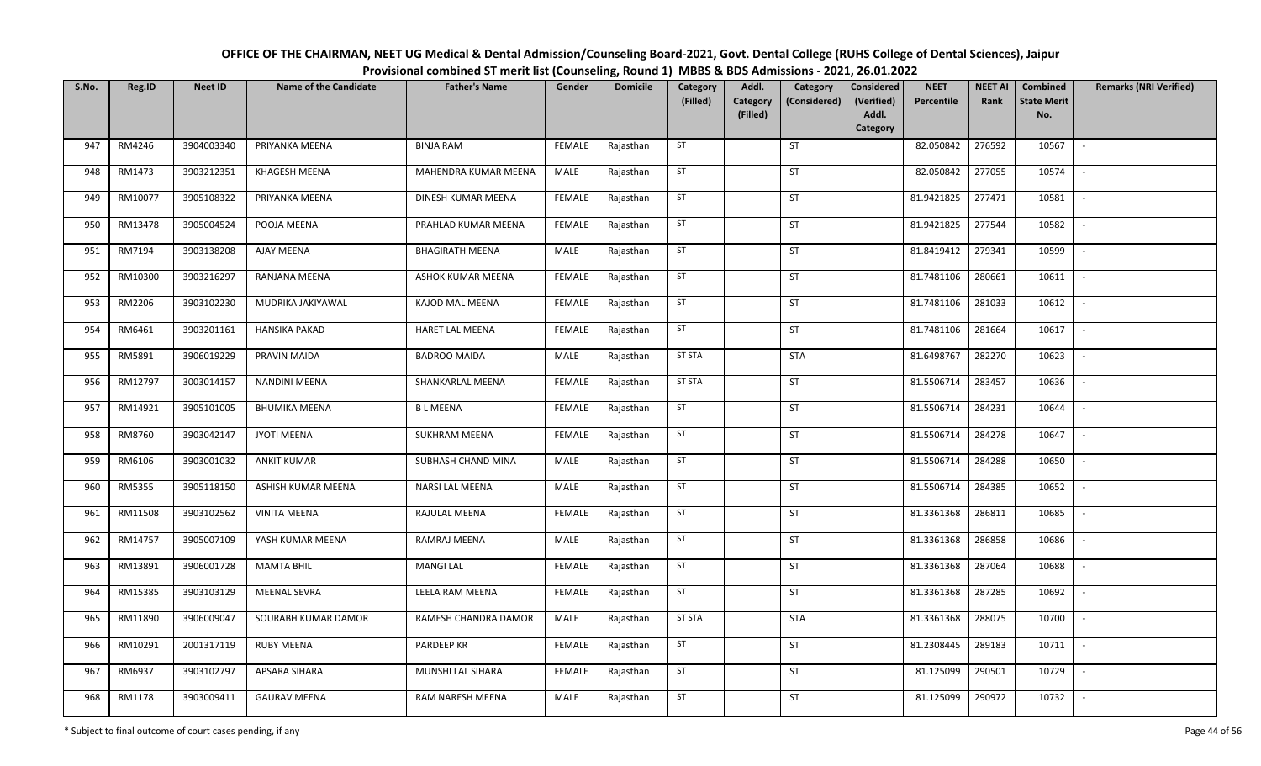| OFFICE OF THE CHAIRMAN, NEET UG Medical & Dental Admission/Counseling Board-2021, Govt. Dental College (RUHS College of Dental Sciences), Jaipur |
|--------------------------------------------------------------------------------------------------------------------------------------------------|
| Provisional combined ST merit list (Counseling, Round 1) MBBS & BDS Admissions - 2021, 26.01.2022                                                |

| S.No. | Reg.ID  | <b>Neet ID</b> | <b>Name of the Candidate</b> | <b>Father's Name</b>   | Gender        | <b>Domicile</b> | Category<br>(Filled) | Addl.<br>Category<br>(Filled) | Category<br>(Considered) | <b>Considered</b><br>(Verified)<br>Addl.<br>Category | <b>NEET</b><br>Percentile | <b>NEET AI</b><br>Rank | Combined<br><b>State Merit</b><br>No. | <b>Remarks (NRI Verified)</b> |
|-------|---------|----------------|------------------------------|------------------------|---------------|-----------------|----------------------|-------------------------------|--------------------------|------------------------------------------------------|---------------------------|------------------------|---------------------------------------|-------------------------------|
| 947   | RM4246  | 3904003340     | PRIYANKA MEENA               | <b>BINJA RAM</b>       | <b>FEMALE</b> | Rajasthan       | ST                   |                               | <b>ST</b>                |                                                      | 82.050842                 | 276592                 | 10567                                 | $\sim$                        |
| 948   | RM1473  | 3903212351     | KHAGESH MEENA                | MAHENDRA KUMAR MEENA   | MALE          | Rajasthan       | ST                   |                               | <b>ST</b>                |                                                      | 82.050842                 | 277055                 | 10574                                 | $\sim$                        |
| 949   | RM10077 | 3905108322     | PRIYANKA MEENA               | DINESH KUMAR MEENA     | <b>FEMALE</b> | Rajasthan       | ST                   |                               | <b>ST</b>                |                                                      | 81.9421825                | 277471                 | 10581                                 | $\sim$                        |
| 950   | RM13478 | 3905004524     | POOJA MEENA                  | PRAHLAD KUMAR MEENA    | <b>FEMALE</b> | Rajasthan       | ST                   |                               | <b>ST</b>                |                                                      | 81.9421825                | 277544                 | 10582                                 | $\mathbb{L}$                  |
| 951   | RM7194  | 3903138208     | AJAY MEENA                   | <b>BHAGIRATH MEENA</b> | MALE          | Rajasthan       | ST                   |                               | <b>ST</b>                |                                                      | 81.8419412                | 279341                 | 10599                                 | $\sim$                        |
| 952   | RM10300 | 3903216297     | RANJANA MEENA                | ASHOK KUMAR MEENA      | <b>FEMALE</b> | Rajasthan       | ST                   |                               | ST                       |                                                      | 81.7481106                | 280661                 | 10611                                 | $\sim$                        |
| 953   | RM2206  | 3903102230     | MUDRIKA JAKIYAWAL            | KAJOD MAL MEENA        | <b>FEMALE</b> | Rajasthan       | ST                   |                               | ST                       |                                                      | 81.7481106                | 281033                 | 10612                                 | $\sim$                        |
| 954   | RM6461  | 3903201161     | <b>HANSIKA PAKAD</b>         | HARET LAL MEENA        | <b>FEMALE</b> | Rajasthan       | ST                   |                               | ST                       |                                                      | 81.7481106                | 281664                 | 10617                                 | $\sim$                        |
| 955   | RM5891  | 3906019229     | PRAVIN MAIDA                 | <b>BADROO MAIDA</b>    | MALE          | Rajasthan       | ST STA               |                               | <b>STA</b>               |                                                      | 81.6498767                | 282270                 | 10623                                 |                               |
| 956   | RM12797 | 3003014157     | <b>NANDINI MEENA</b>         | SHANKARLAL MEENA       | <b>FEMALE</b> | Rajasthan       | ST STA               |                               | ST                       |                                                      | 81.5506714                | 283457                 | 10636                                 | $\sim$                        |
| 957   | RM14921 | 3905101005     | <b>BHUMIKA MEENA</b>         | <b>BLMEENA</b>         | FEMALE        | Rajasthan       | ST                   |                               | ST                       |                                                      | 81.5506714                | 284231                 | 10644                                 | $\sim$                        |
| 958   | RM8760  | 3903042147     | JYOTI MEENA                  | <b>SUKHRAM MEENA</b>   | <b>FEMALE</b> | Rajasthan       | ST                   |                               | <b>ST</b>                |                                                      | 81.5506714                | 284278                 | 10647                                 | $\sim$                        |
| 959   | RM6106  | 3903001032     | <b>ANKIT KUMAR</b>           | SUBHASH CHAND MINA     | MALE          | Rajasthan       | ST                   |                               | <b>ST</b>                |                                                      | 81.5506714                | 284288                 | 10650                                 |                               |
| 960   | RM5355  | 3905118150     | ASHISH KUMAR MEENA           | NARSI LAL MEENA        | MALE          | Rajasthan       | ST                   |                               | <b>ST</b>                |                                                      | 81.5506714                | 284385                 | 10652                                 | $\sim$                        |
| 961   | RM11508 | 3903102562     | <b>VINITA MEENA</b>          | RAJULAL MEENA          | <b>FEMALE</b> | Rajasthan       | ST                   |                               | <b>ST</b>                |                                                      | 81.3361368                | 286811                 | 10685                                 |                               |
| 962   | RM14757 | 3905007109     | YASH KUMAR MEENA             | RAMRAJ MEENA           | MALE          | Rajasthan       | ST                   |                               | <b>ST</b>                |                                                      | 81.3361368                | 286858                 | 10686                                 | $\sim$                        |
| 963   | RM13891 | 3906001728     | <b>MAMTA BHIL</b>            | <b>MANGI LAL</b>       | <b>FEMALE</b> | Rajasthan       | ST                   |                               | <b>ST</b>                |                                                      | 81.3361368                | 287064                 | 10688                                 | $\overline{\phantom{a}}$      |
| 964   | RM15385 | 3903103129     | <b>MEENAL SEVRA</b>          | LEELA RAM MEENA        | <b>FEMALE</b> | Rajasthan       | ST                   |                               | <b>ST</b>                |                                                      | 81.3361368                | 287285                 | 10692                                 | $\sim$                        |
| 965   | RM11890 | 3906009047     | SOURABH KUMAR DAMOR          | RAMESH CHANDRA DAMOR   | MALE          | Rajasthan       | <b>ST STA</b>        |                               | <b>STA</b>               |                                                      | 81.3361368                | 288075                 | 10700                                 | $\sim$                        |
| 966   | RM10291 | 2001317119     | <b>RUBY MEENA</b>            | PARDEEP KR             | <b>FEMALE</b> | Rajasthan       | ST                   |                               | <b>ST</b>                |                                                      | 81.2308445                | 289183                 | 10711                                 | $\sim$                        |
| 967   | RM6937  | 3903102797     | APSARA SIHARA                | MUNSHI LAL SIHARA      | <b>FEMALE</b> | Rajasthan       | ST                   |                               | ST                       |                                                      | 81.125099                 | 290501                 | 10729                                 | $\sim$                        |
| 968   | RM1178  | 3903009411     | <b>GAURAV MEENA</b>          | RAM NARESH MEENA       | MALE          | Rajasthan       | ST                   |                               | ST                       |                                                      | 81.125099                 | 290972                 | 10732                                 |                               |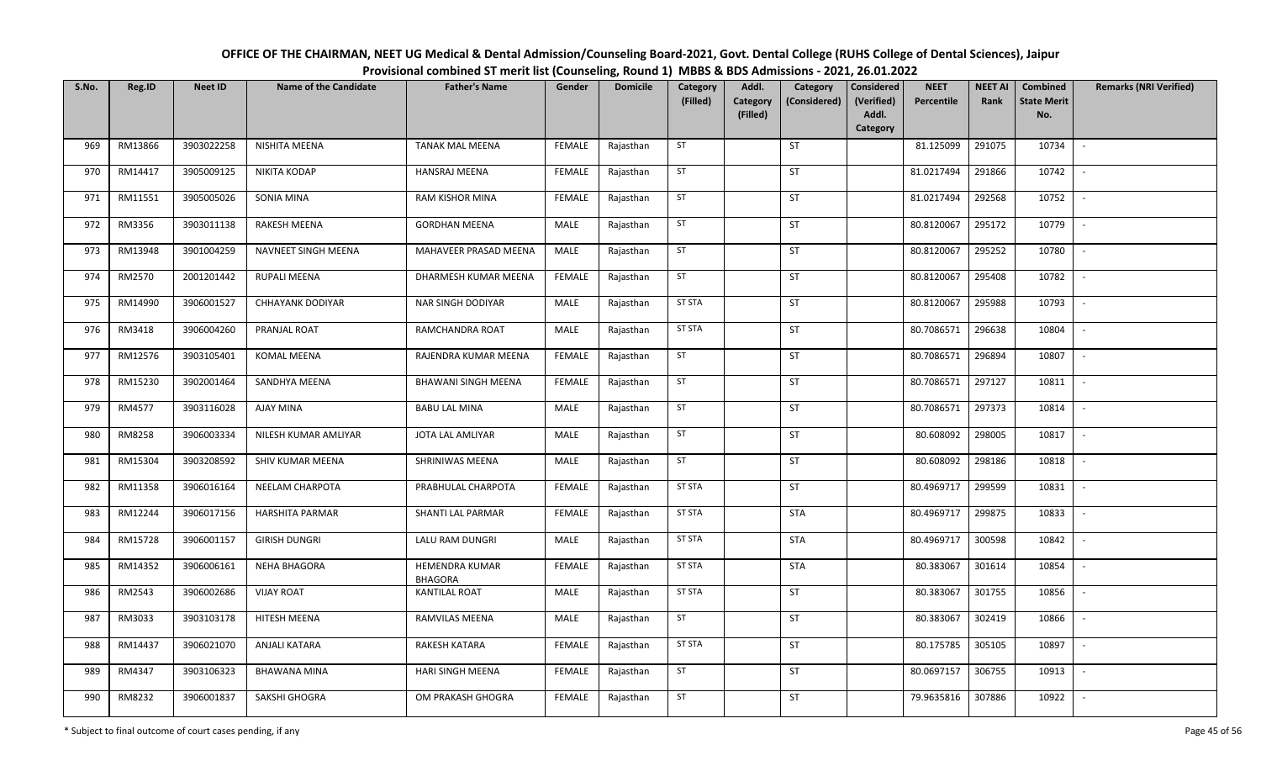| OFFICE OF THE CHAIRMAN, NEET UG Medical & Dental Admission/Counseling Board-2021, Govt. Dental College (RUHS College of Dental Sciences), Jaipur |
|--------------------------------------------------------------------------------------------------------------------------------------------------|
| Provisional combined ST merit list (Counseling, Round 1) MBBS & BDS Admissions - 2021, 26.01.2022                                                |

| S.No. | Reg.ID  | <b>Neet ID</b> | <b>Name of the Candidate</b> | <b>Father's Name</b>                    | Gender        | <b>Domicile</b> | Category<br>(Filled) | Addl.<br>Category | Category<br>(Considered) | Considered<br>(Verified) | <b>NEET</b><br>Percentile | <b>NEET AI</b><br>Rank | Combined<br><b>State Merit</b> | <b>Remarks (NRI Verified)</b> |
|-------|---------|----------------|------------------------------|-----------------------------------------|---------------|-----------------|----------------------|-------------------|--------------------------|--------------------------|---------------------------|------------------------|--------------------------------|-------------------------------|
|       |         |                |                              |                                         |               |                 |                      | (Filled)          |                          | Addl.<br>Category        |                           |                        | No.                            |                               |
| 969   | RM13866 | 3903022258     | NISHITA MEENA                | <b>TANAK MAL MEENA</b>                  | <b>FEMALE</b> | Rajasthan       | ST                   |                   | ST                       |                          | 81.125099                 | 291075                 | 10734                          | $\sim$                        |
| 970   | RM14417 | 3905009125     | <b>NIKITA KODAP</b>          | HANSRAJ MEENA                           | <b>FEMALE</b> | Rajasthan       | ST                   |                   | ST                       |                          | 81.0217494                | 291866                 | 10742                          | $\sim$                        |
| 971   | RM11551 | 3905005026     | SONIA MINA                   | <b>RAM KISHOR MINA</b>                  | <b>FEMALE</b> | Rajasthan       | ST                   |                   | <b>ST</b>                |                          | 81.0217494                | 292568                 | 10752                          | $\sim$                        |
| 972   | RM3356  | 3903011138     | <b>RAKESH MEENA</b>          | <b>GORDHAN MEENA</b>                    | MALE          | Rajasthan       | ST                   |                   | ST                       |                          | 80.8120067                | 295172                 | 10779                          | $\sim$                        |
| 973   | RM13948 | 3901004259     | NAVNEET SINGH MEENA          | MAHAVEER PRASAD MEENA                   | MALE          | Rajasthan       | ST                   |                   | <b>ST</b>                |                          | 80.8120067                | 295252                 | 10780                          | $\sim$                        |
| 974   | RM2570  | 2001201442     | RUPALI MEENA                 | DHARMESH KUMAR MEENA                    | <b>FEMALE</b> | Rajasthan       | ST                   |                   | ST                       |                          | 80.8120067                | 295408                 | 10782                          | $\sim$                        |
| 975   | RM14990 | 3906001527     | <b>CHHAYANK DODIYAR</b>      | NAR SINGH DODIYAR                       | MALE          | Rajasthan       | <b>ST STA</b>        |                   | ST                       |                          | 80.8120067                | 295988                 | 10793                          | $\overline{\phantom{a}}$      |
| 976   | RM3418  | 3906004260     | PRANJAL ROAT                 | RAMCHANDRA ROAT                         | MALE          | Rajasthan       | <b>ST STA</b>        |                   | ST                       |                          | 80.7086571                | 296638                 | 10804                          | $\sim$                        |
| 977   | RM12576 | 3903105401     | <b>KOMAL MEENA</b>           | RAJENDRA KUMAR MEENA                    | <b>FEMALE</b> | Rajasthan       | ST                   |                   | ST                       |                          | 80.7086571                | 296894                 | 10807                          | $\overline{\phantom{a}}$      |
| 978   | RM15230 | 3902001464     | SANDHYA MEENA                | BHAWANI SINGH MEENA                     | <b>FEMALE</b> | Rajasthan       | ST                   |                   | ST                       |                          | 80.7086571                | 297127                 | 10811                          | $\sim$                        |
| 979   | RM4577  | 3903116028     | <b>AJAY MINA</b>             | <b>BABU LAL MINA</b>                    | MALE          | Rajasthan       | ST                   |                   | ST                       |                          | 80.7086571                | 297373                 | 10814                          | $\sim$                        |
| 980   | RM8258  | 3906003334     | NILESH KUMAR AMLIYAR         | JOTA LAL AMLIYAR                        | MALE          | Rajasthan       | ST                   |                   | <b>ST</b>                |                          | 80.608092                 | 298005                 | 10817                          | $\sim$                        |
| 981   | RM15304 | 3903208592     | SHIV KUMAR MEENA             | SHRINIWAS MEENA                         | MALE          | Rajasthan       | ST                   |                   | ST                       |                          | 80.608092                 | 298186                 | 10818                          | $\sim$                        |
| 982   | RM11358 | 3906016164     | NEELAM CHARPOTA              | PRABHULAL CHARPOTA                      | <b>FEMALE</b> | Rajasthan       | ST STA               |                   | ST                       |                          | 80.4969717                | 299599                 | 10831                          | $\sim$                        |
| 983   | RM12244 | 3906017156     | <b>HARSHITA PARMAR</b>       | SHANTI LAL PARMAR                       | <b>FEMALE</b> | Rajasthan       | <b>ST STA</b>        |                   | <b>STA</b>               |                          | 80.4969717                | 299875                 | 10833                          | $\sim$                        |
| 984   | RM15728 | 3906001157     | <b>GIRISH DUNGRI</b>         | LALU RAM DUNGRI                         | MALE          | Rajasthan       | <b>ST STA</b>        |                   | <b>STA</b>               |                          | 80.4969717                | 300598                 | 10842                          | $\sim$                        |
| 985   | RM14352 | 3906006161     | <b>NEHA BHAGORA</b>          | <b>HEMENDRA KUMAR</b><br><b>BHAGORA</b> | <b>FEMALE</b> | Rajasthan       | <b>ST STA</b>        |                   | <b>STA</b>               |                          | 80.383067                 | 301614                 | 10854                          | $\blacksquare$                |
| 986   | RM2543  | 3906002686     | <b>VIJAY ROAT</b>            | <b>KANTILAL ROAT</b>                    | MALE          | Rajasthan       | ST STA               |                   | <b>ST</b>                |                          | 80.383067                 | 301755                 | 10856                          | $\sim$                        |
| 987   | RM3033  | 3903103178     | <b>HITESH MEENA</b>          | RAMVILAS MEENA                          | MALE          | Rajasthan       | ST                   |                   | ST                       |                          | 80.383067                 | 302419                 | 10866                          | $\sim$                        |
| 988   | RM14437 | 3906021070     | ANJALI KATARA                | <b>RAKESH KATARA</b>                    | <b>FEMALE</b> | Rajasthan       | <b>ST STA</b>        |                   | <b>ST</b>                |                          | 80.175785                 | 305105                 | 10897                          | $\sim$                        |
| 989   | RM4347  | 3903106323     | <b>BHAWANA MINA</b>          | HARI SINGH MEENA                        | <b>FEMALE</b> | Rajasthan       | <b>ST</b>            |                   | ST                       |                          | 80.0697157                | 306755                 | 10913                          | $\sim$                        |
| 990   | RM8232  | 3906001837     | SAKSHI GHOGRA                | OM PRAKASH GHOGRA                       | FEMALE        | Rajasthan       | ST                   |                   | ST                       |                          | 79.9635816                | 307886                 | 10922                          |                               |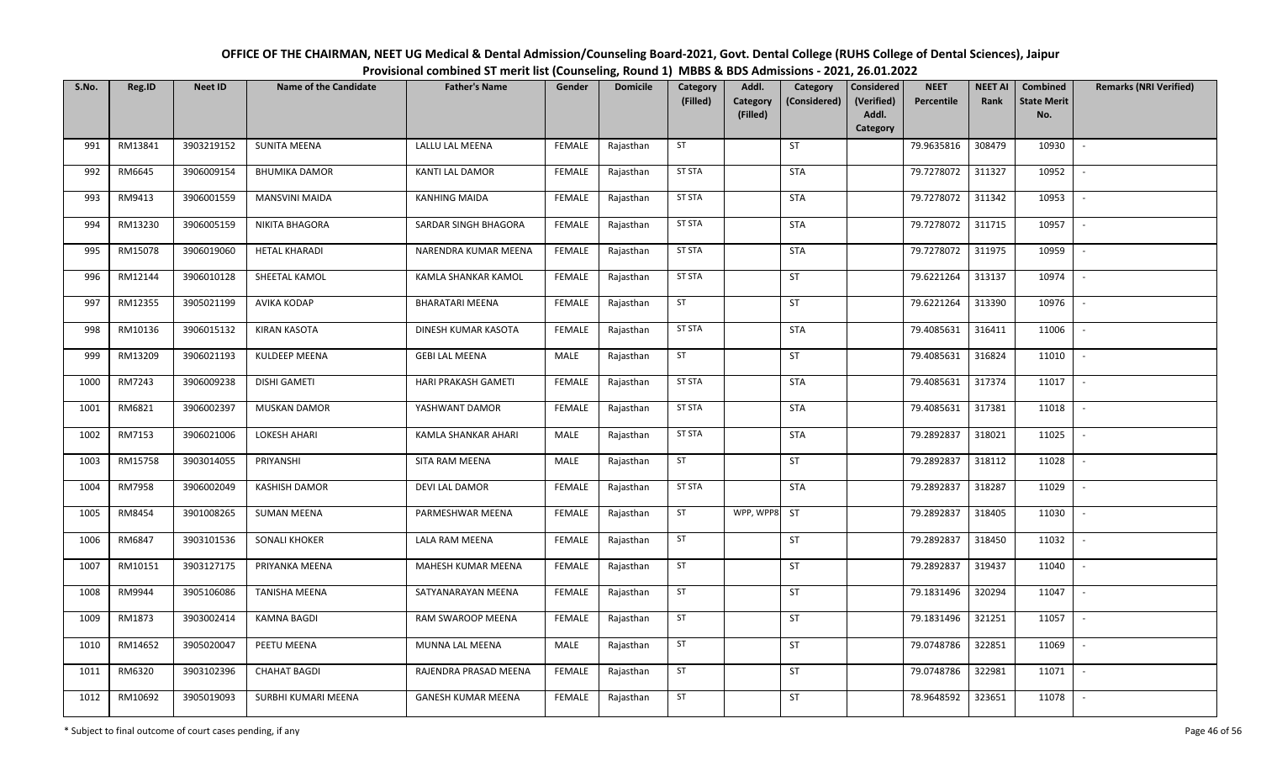| OFFICE OF THE CHAIRMAN, NEET UG Medical & Dental Admission/Counseling Board-2021, Govt. Dental College (RUHS College of Dental Sciences), Jaipur |
|--------------------------------------------------------------------------------------------------------------------------------------------------|
| Provisional combined ST merit list (Counseling, Round 1) MBBS & BDS Admissions - 2021, 26.01.2022                                                |

| S.No. | Reg.ID  | <b>Neet ID</b> | <b>Name of the Candidate</b> | <b>Father's Name</b>      | Gender        | <b>Domicile</b> | Category<br>(Filled) | Addl.<br><b>Category</b><br>(Filled) | Category<br>(Considered) | <b>Considered</b><br>(Verified)<br>Addl. | <b>NEET</b><br>Percentile | <b>NEET AI</b><br>Rank | Combined<br><b>State Merit</b><br>No. | <b>Remarks (NRI Verified)</b> |
|-------|---------|----------------|------------------------------|---------------------------|---------------|-----------------|----------------------|--------------------------------------|--------------------------|------------------------------------------|---------------------------|------------------------|---------------------------------------|-------------------------------|
|       |         |                |                              |                           |               |                 |                      |                                      |                          | Category                                 |                           |                        |                                       |                               |
| 991   | RM13841 | 3903219152     | <b>SUNITA MEENA</b>          | LALLU LAL MEENA           | <b>FEMALE</b> | Rajasthan       | ST                   |                                      | ST                       |                                          | 79.9635816                | 308479                 | 10930                                 | $\sim$                        |
| 992   | RM6645  | 3906009154     | <b>BHUMIKA DAMOR</b>         | <b>KANTI LAL DAMOR</b>    | <b>FEMALE</b> | Rajasthan       | <b>ST STA</b>        |                                      | <b>STA</b>               |                                          | 79.7278072                | 311327                 | 10952                                 | $\overline{\phantom{a}}$      |
| 993   | RM9413  | 3906001559     | MANSVINI MAIDA               | <b>KANHING MAIDA</b>      | <b>FEMALE</b> | Rajasthan       | <b>ST STA</b>        |                                      | <b>STA</b>               |                                          | 79.7278072                | 311342                 | 10953                                 | $\sim$                        |
| 994   | RM13230 | 3906005159     | NIKITA BHAGORA               | SARDAR SINGH BHAGORA      | <b>FEMALE</b> | Rajasthan       | <b>ST STA</b>        |                                      | STA                      |                                          | 79.7278072                | 311715                 | 10957                                 | $\sim$                        |
| 995   | RM15078 | 3906019060     | <b>HETAL KHARADI</b>         | NARENDRA KUMAR MEENA      | <b>FEMALE</b> | Rajasthan       | <b>ST STA</b>        |                                      | <b>STA</b>               |                                          | 79.7278072                | 311975                 | 10959                                 | $\overline{\phantom{a}}$      |
| 996   | RM12144 | 3906010128     | SHEETAL KAMOL                | KAMLA SHANKAR KAMOL       | <b>FEMALE</b> | Rajasthan       | <b>ST STA</b>        |                                      | ST                       |                                          | 79.6221264                | 313137                 | 10974                                 | $\overline{\phantom{a}}$      |
| 997   | RM12355 | 3905021199     | AVIKA KODAP                  | <b>BHARATARI MEENA</b>    | <b>FEMALE</b> | Rajasthan       | ST                   |                                      | ST                       |                                          | 79.6221264                | 313390                 | 10976                                 |                               |
| 998   | RM10136 | 3906015132     | <b>KIRAN KASOTA</b>          | DINESH KUMAR KASOTA       | <b>FEMALE</b> | Rajasthan       | ST STA               |                                      | <b>STA</b>               |                                          | 79.4085631                | 316411                 | 11006                                 | $\overline{\phantom{a}}$      |
| 999   | RM13209 | 3906021193     | <b>KULDEEP MEENA</b>         | <b>GEBI LAL MEENA</b>     | MALE          | Rajasthan       | ST                   |                                      | ST                       |                                          | 79.4085631                | 316824                 | 11010                                 |                               |
| 1000  | RM7243  | 3906009238     | <b>DISHI GAMETI</b>          | HARI PRAKASH GAMETI       | <b>FEMALE</b> | Rajasthan       | <b>ST STA</b>        |                                      | <b>STA</b>               |                                          | 79.4085631                | 317374                 | 11017                                 | $\mathbb{L}$                  |
| 1001  | RM6821  | 3906002397     | <b>MUSKAN DAMOR</b>          | YASHWANT DAMOR            | <b>FEMALE</b> | Rajasthan       | <b>ST STA</b>        |                                      | <b>STA</b>               |                                          | 79.4085631                | 317381                 | 11018                                 |                               |
| 1002  | RM7153  | 3906021006     | <b>LOKESH AHARI</b>          | KAMLA SHANKAR AHARI       | MALE          | Rajasthan       | <b>ST STA</b>        |                                      | <b>STA</b>               |                                          | 79.2892837                | 318021                 | 11025                                 |                               |
| 1003  | RM15758 | 3903014055     | PRIYANSHI                    | SITA RAM MEENA            | MALE          | Rajasthan       | ST                   |                                      | ST                       |                                          | 79.2892837                | 318112                 | 11028                                 |                               |
| 1004  | RM7958  | 3906002049     | KASHISH DAMOR                | <b>DEVI LAL DAMOR</b>     | <b>FEMALE</b> | Rajasthan       | <b>ST STA</b>        |                                      | <b>STA</b>               |                                          | 79.2892837                | 318287                 | 11029                                 | $\sim$                        |
| 1005  | RM8454  | 3901008265     | <b>SUMAN MEENA</b>           | PARMESHWAR MEENA          | <b>FEMALE</b> | Rajasthan       | ST                   | WPP, WPP8                            | <b>ST</b>                |                                          | 79.2892837                | 318405                 | 11030                                 | $\sim$                        |
| 1006  | RM6847  | 3903101536     | <b>SONALI KHOKER</b>         | LALA RAM MEENA            | <b>FEMALE</b> | Rajasthan       | ST                   |                                      | ST                       |                                          | 79.2892837                | 318450                 | 11032                                 | $\sim$                        |
| 1007  | RM10151 | 3903127175     | PRIYANKA MEENA               | MAHESH KUMAR MEENA        | <b>FEMALE</b> | Rajasthan       | ST                   |                                      | ST                       |                                          | 79.2892837                | 319437                 | 11040                                 | $\sim$                        |
| 1008  | RM9944  | 3905106086     | <b>TANISHA MEENA</b>         | SATYANARAYAN MEENA        | <b>FEMALE</b> | Rajasthan       | ST                   |                                      | ST                       |                                          | 79.1831496                | 320294                 | 11047                                 | $\overline{\phantom{a}}$      |
| 1009  | RM1873  | 3903002414     | <b>KAMNA BAGDI</b>           | RAM SWAROOP MEENA         | <b>FEMALE</b> | Rajasthan       | ST                   |                                      | ST                       |                                          | 79.1831496                | 321251                 | 11057                                 |                               |
| 1010  | RM14652 | 3905020047     | PEETU MEENA                  | MUNNA LAL MEENA           | MALE          | Rajasthan       | ST                   |                                      | ST                       |                                          | 79.0748786                | 322851                 | 11069                                 |                               |
| 1011  | RM6320  | 3903102396     | <b>CHAHAT BAGDI</b>          | RAJENDRA PRASAD MEENA     | <b>FEMALE</b> | Rajasthan       | ST                   |                                      | ST                       |                                          | 79.0748786                | 322981                 | 11071                                 | $\sim$                        |
| 1012  | RM10692 | 3905019093     | SURBHI KUMARI MEENA          | <b>GANESH KUMAR MEENA</b> | FEMALE        | Rajasthan       | ST                   |                                      | ST                       |                                          | 78.9648592                | 323651                 | 11078                                 |                               |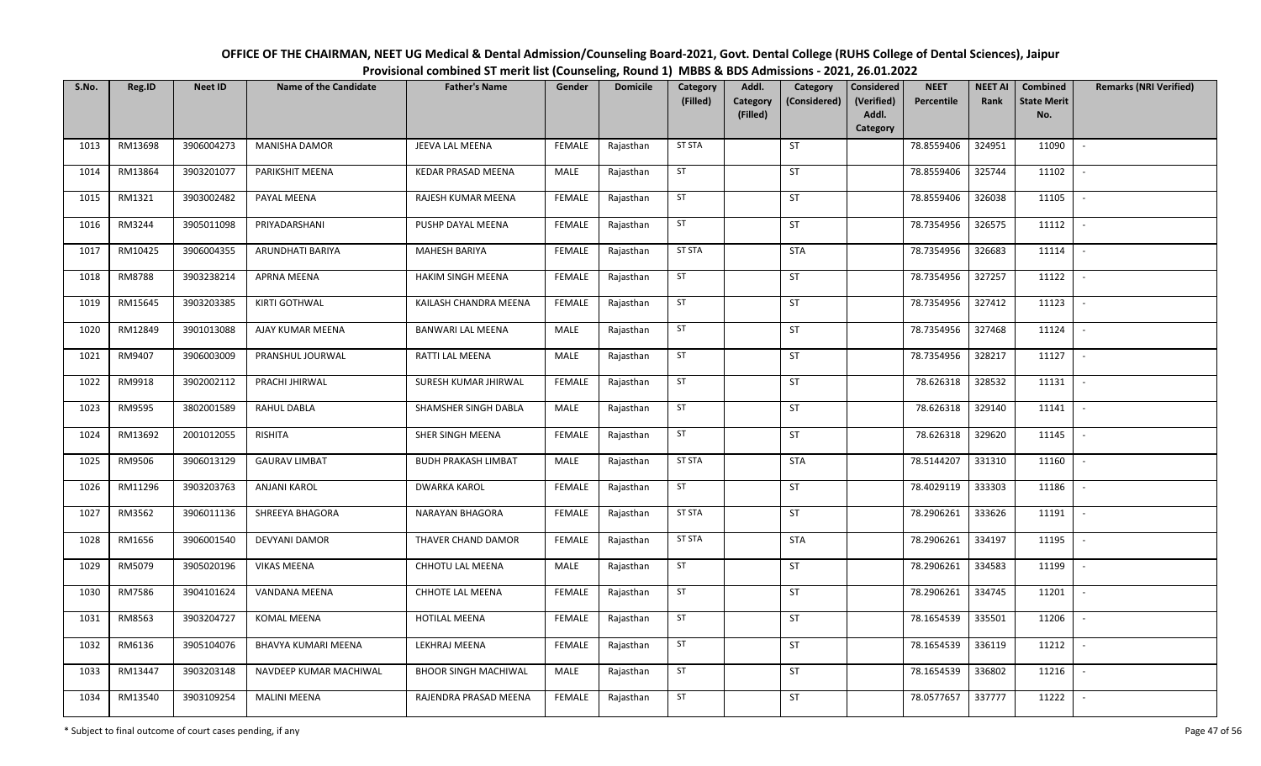| OFFICE OF THE CHAIRMAN, NEET UG Medical & Dental Admission/Counseling Board-2021, Govt. Dental College (RUHS College of Dental Sciences), Jaipur |
|--------------------------------------------------------------------------------------------------------------------------------------------------|
| Provisional combined ST merit list (Counseling, Round 1) MBBS & BDS Admissions - 2021, 26.01.2022                                                |

| S.No. | Reg.ID  | <b>Neet ID</b> | <b>Name of the Candidate</b> | <b>Father's Name</b>        | Gender        | <b>Domicile</b> | Category<br>(Filled) | Addl.<br>Category<br>Category<br>(Considered) | <b>Considered</b><br>(Verified) | <b>NEET</b><br>Percentile | <b>NEET AI</b><br>Rank | Combined<br><b>State Merit</b> | <b>Remarks (NRI Verified)</b> |
|-------|---------|----------------|------------------------------|-----------------------------|---------------|-----------------|----------------------|-----------------------------------------------|---------------------------------|---------------------------|------------------------|--------------------------------|-------------------------------|
|       |         |                |                              |                             |               |                 |                      | (Filled)                                      | Addl.<br>Category               |                           |                        | No.                            |                               |
| 1013  | RM13698 | 3906004273     | <b>MANISHA DAMOR</b>         | JEEVA LAL MEENA             | <b>FEMALE</b> | Rajasthan       | <b>ST STA</b>        | ST                                            |                                 | 78.8559406                | 324951                 | 11090                          | $\overline{\phantom{a}}$      |
| 1014  | RM13864 | 3903201077     | PARIKSHIT MEENA              | KEDAR PRASAD MEENA          | MALE          | Rajasthan       | ST                   | <b>ST</b>                                     |                                 | 78.8559406                | 325744                 | 11102                          | $\overline{\phantom{a}}$      |
| 1015  | RM1321  | 3903002482     | PAYAL MEENA                  | RAJESH KUMAR MEENA          | <b>FEMALE</b> | Rajasthan       | ST                   | ST                                            |                                 | 78.8559406                | 326038                 | 11105                          | $\overline{\phantom{a}}$      |
| 1016  | RM3244  | 3905011098     | PRIYADARSHANI                | PUSHP DAYAL MEENA           | <b>FEMALE</b> | Rajasthan       | ST                   | ST                                            |                                 | 78.7354956                | 326575                 | 11112                          | $\overline{\phantom{a}}$      |
| 1017  | RM10425 | 3906004355     | ARUNDHATI BARIYA             | MAHESH BARIYA               | <b>FEMALE</b> | Rajasthan       | <b>ST STA</b>        | <b>STA</b>                                    |                                 | 78.7354956                | 326683                 | 11114                          | $\overline{\phantom{a}}$      |
| 1018  | RM8788  | 3903238214     | <b>APRNA MEENA</b>           | <b>HAKIM SINGH MEENA</b>    | <b>FEMALE</b> | Rajasthan       | ST                   | ST                                            |                                 | 78.7354956                | 327257                 | 11122                          |                               |
| 1019  | RM15645 | 3903203385     | KIRTI GOTHWAL                | KAILASH CHANDRA MEENA       | <b>FEMALE</b> | Rajasthan       | ST                   | ST                                            |                                 | 78.7354956                | 327412                 | 11123                          |                               |
| 1020  | RM12849 | 3901013088     | AJAY KUMAR MEENA             | <b>BANWARI LAL MEENA</b>    | <b>MALE</b>   | Rajasthan       | ST                   | ST                                            |                                 | 78.7354956                | 327468                 | 11124                          | $\sim$                        |
| 1021  | RM9407  | 3906003009     | PRANSHUL JOURWAL             | RATTI LAL MEENA             | MALE          | Rajasthan       | ST                   | ST                                            |                                 | 78.7354956                | 328217                 | 11127                          | $\overline{\phantom{a}}$      |
| 1022  | RM9918  | 3902002112     | PRACHI JHIRWAL               | SURESH KUMAR JHIRWAL        | <b>FEMALE</b> | Rajasthan       | <b>ST</b>            | <b>ST</b>                                     |                                 | 78.626318                 | 328532                 | 11131                          | $\overline{\phantom{a}}$      |
| 1023  | RM9595  | 3802001589     | RAHUL DABLA                  | SHAMSHER SINGH DABLA        | MALE          | Rajasthan       | ST                   | <b>ST</b>                                     |                                 | 78.626318                 | 329140                 | 11141                          | $\blacksquare$                |
| 1024  | RM13692 | 2001012055     | RISHITA                      | SHER SINGH MEENA            | <b>FEMALE</b> | Rajasthan       | ST                   | <b>ST</b>                                     |                                 | 78.626318                 | 329620                 | 11145                          | $\sim$                        |
| 1025  | RM9506  | 3906013129     | <b>GAURAV LIMBAT</b>         | <b>BUDH PRAKASH LIMBAT</b>  | MALE          | Rajasthan       | <b>ST STA</b>        | <b>STA</b>                                    |                                 | 78.5144207                | 331310                 | 11160                          |                               |
| 1026  | RM11296 | 3903203763     | <b>ANJANI KAROL</b>          | <b>DWARKA KAROL</b>         | <b>FEMALE</b> | Rajasthan       | ST                   | <b>ST</b>                                     |                                 | 78.4029119                | 333303                 | 11186                          | $\overline{\phantom{a}}$      |
| 1027  | RM3562  | 3906011136     | SHREEYA BHAGORA              | <b>NARAYAN BHAGORA</b>      | <b>FEMALE</b> | Rajasthan       | <b>ST STA</b>        | <b>ST</b>                                     |                                 | 78.2906261                | 333626                 | 11191                          | $\overline{\phantom{a}}$      |
| 1028  | RM1656  | 3906001540     | <b>DEVYANI DAMOR</b>         | THAVER CHAND DAMOR          | <b>FEMALE</b> | Rajasthan       | <b>ST STA</b>        | <b>STA</b>                                    |                                 | 78.2906261                | 334197                 | 11195                          | $\overline{\phantom{a}}$      |
| 1029  | RM5079  | 3905020196     | VIKAS MEENA                  | CHHOTU LAL MEENA            | MALE          | Rajasthan       | ST                   | ST                                            |                                 | 78.2906261                | 334583                 | 11199                          | $\sim$                        |
| 1030  | RM7586  | 3904101624     | VANDANA MEENA                | CHHOTE LAL MEENA            | <b>FEMALE</b> | Rajasthan       | ST                   | ST                                            |                                 | 78.2906261                | 334745                 | 11201                          | $\overline{\phantom{a}}$      |
| 1031  | RM8563  | 3903204727     | KOMAL MEENA                  | <b>HOTILAL MEENA</b>        | <b>FEMALE</b> | Rajasthan       | ST                   | <b>ST</b>                                     |                                 | 78.1654539                | 335501                 | 11206                          |                               |
| 1032  | RM6136  | 3905104076     | BHAVYA KUMARI MEENA          | LEKHRAJ MEENA               | <b>FEMALE</b> | Rajasthan       | ST                   | ST                                            |                                 | 78.1654539                | 336119                 | 11212                          |                               |
| 1033  | RM13447 | 3903203148     | NAVDEEP KUMAR MACHIWAL       | <b>BHOOR SINGH MACHIWAL</b> | MALE          | Rajasthan       | ST                   | ST                                            |                                 | 78.1654539                | 336802                 | 11216                          | $\overline{\phantom{a}}$      |
| 1034  | RM13540 | 3903109254     | <b>MALINI MEENA</b>          | RAJENDRA PRASAD MEENA       | FEMALE        | Rajasthan       | ST                   | ST                                            |                                 | 78.0577657                | 337777                 | 11222                          | $\overline{\phantom{a}}$      |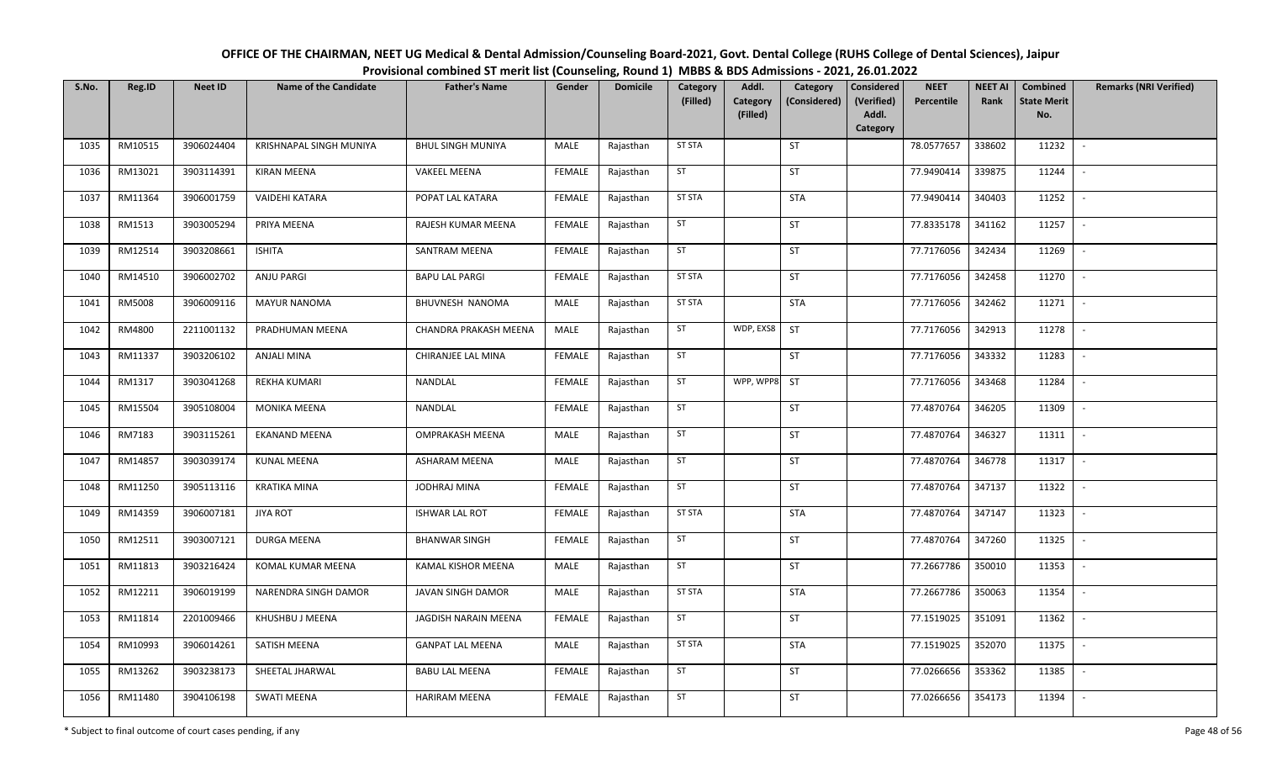| OFFICE OF THE CHAIRMAN, NEET UG Medical & Dental Admission/Counseling Board-2021, Govt. Dental College (RUHS College of Dental Sciences), Jaipur |
|--------------------------------------------------------------------------------------------------------------------------------------------------|
| Provisional combined ST merit list (Counseling, Round 1) MBBS & BDS Admissions - 2021, 26.01.2022                                                |

| S.No. | Reg.ID  | <b>Neet ID</b> | <b>Name of the Candidate</b> | <b>Father's Name</b>     | Gender        | <b>Domicile</b> | Category<br>(Filled) | Addl.<br>Category | Category<br>(Considered) | Considered<br>(Verified) | <b>NEET</b><br>Percentile | <b>NEET AI</b><br>Rank | Combined<br><b>State Merit</b> | <b>Remarks (NRI Verified)</b> |
|-------|---------|----------------|------------------------------|--------------------------|---------------|-----------------|----------------------|-------------------|--------------------------|--------------------------|---------------------------|------------------------|--------------------------------|-------------------------------|
|       |         |                |                              |                          |               |                 |                      | (Filled)          |                          | Addl.<br>Category        |                           |                        | No.                            |                               |
| 1035  | RM10515 | 3906024404     | KRISHNAPAL SINGH MUNIYA      | <b>BHUL SINGH MUNIYA</b> | MALE          | Rajasthan       | <b>ST STA</b>        |                   | ST                       |                          | 78.0577657                | 338602                 | 11232                          | $\sim$                        |
| 1036  | RM13021 | 3903114391     | <b>KIRAN MEENA</b>           | <b>VAKEEL MEENA</b>      | <b>FEMALE</b> | Rajasthan       | ST                   |                   | ST                       |                          | 77.9490414                | 339875                 | 11244                          | $\sim$                        |
| 1037  | RM11364 | 3906001759     | <b>VAIDEHI KATARA</b>        | POPAT LAL KATARA         | <b>FEMALE</b> | Rajasthan       | <b>ST STA</b>        |                   | <b>STA</b>               |                          | 77.9490414                | 340403                 | 11252                          | $\sim$                        |
| 1038  | RM1513  | 3903005294     | PRIYA MEENA                  | RAJESH KUMAR MEENA       | <b>FEMALE</b> | Rajasthan       | ST                   |                   | ST                       |                          | 77.8335178                | 341162                 | 11257                          | $\sim$                        |
| 1039  | RM12514 | 3903208661     | <b>ISHITA</b>                | SANTRAM MEENA            | <b>FEMALE</b> | Rajasthan       | ST                   |                   | <b>ST</b>                |                          | 77.7176056                | 342434                 | 11269                          | $\sim$                        |
| 1040  | RM14510 | 3906002702     | ANJU PARGI                   | <b>BAPU LAL PARGI</b>    | <b>FEMALE</b> | Rajasthan       | <b>ST STA</b>        |                   | ST                       |                          | 77.7176056                | 342458                 | 11270                          | $\mathbb{L}$                  |
| 1041  | RM5008  | 3906009116     | <b>MAYUR NANOMA</b>          | BHUVNESH NANOMA          | MALE          | Rajasthan       | <b>ST STA</b>        |                   | <b>STA</b>               |                          | 77.7176056                | 342462                 | 11271                          | $\sim$                        |
| 1042  | RM4800  | 2211001132     | PRADHUMAN MEENA              | CHANDRA PRAKASH MEENA    | MALE          | Rajasthan       | ST                   | WDP, EXS8         | ST                       |                          | 77.7176056                | 342913                 | 11278                          | $\sim$                        |
| 1043  | RM11337 | 3903206102     | <b>ANJALI MINA</b>           | CHIRANJEE LAL MINA       | <b>FEMALE</b> | Rajasthan       | ST                   |                   | ST                       |                          | 77.7176056                | 343332                 | 11283                          | $\overline{\phantom{a}}$      |
| 1044  | RM1317  | 3903041268     | <b>REKHA KUMARI</b>          | NANDLAL                  | <b>FEMALE</b> | Rajasthan       | ST                   | WPP, WPP8         | ST                       |                          | 77.7176056                | 343468                 | 11284                          | $\sim$                        |
| 1045  | RM15504 | 3905108004     | <b>MONIKA MEENA</b>          | NANDLAL                  | <b>FEMALE</b> | Rajasthan       | ST                   |                   | ST                       |                          | 77.4870764                | 346205                 | 11309                          | $\sim$                        |
| 1046  | RM7183  | 3903115261     | EKANAND MEENA                | <b>OMPRAKASH MEENA</b>   | MALE          | Rajasthan       | ST                   |                   | ST                       |                          | 77.4870764                | 346327                 | 11311                          | $\sim$                        |
| 1047  | RM14857 | 3903039174     | <b>KUNAL MEENA</b>           | ASHARAM MEENA            | MALE          | Rajasthan       | ST                   |                   | ST                       |                          | 77.4870764                | 346778                 | 11317                          | $\sim$                        |
| 1048  | RM11250 | 3905113116     | <b>KRATIKA MINA</b>          | JODHRAJ MINA             | <b>FEMALE</b> | Rajasthan       | ST                   |                   | ST                       |                          | 77.4870764                | 347137                 | 11322                          | $\sim$                        |
| 1049  | RM14359 | 3906007181     | <b>JIYA ROT</b>              | <b>ISHWAR LAL ROT</b>    | <b>FEMALE</b> | Rajasthan       | <b>ST STA</b>        |                   | <b>STA</b>               |                          | 77.4870764                | 347147                 | 11323                          | $\sim$                        |
| 1050  | RM12511 | 3903007121     | DURGA MEENA                  | <b>BHANWAR SINGH</b>     | <b>FEMALE</b> | Rajasthan       | ST                   |                   | ST                       |                          | 77.4870764                | 347260                 | 11325                          | $\sim$                        |
| 1051  | RM11813 | 3903216424     | KOMAL KUMAR MEENA            | KAMAL KISHOR MEENA       | MALE          | Rajasthan       | ST                   |                   | ST                       |                          | 77.2667786                | 350010                 | 11353                          | $\sim$                        |
| 1052  | RM12211 | 3906019199     | NARENDRA SINGH DAMOR         | JAVAN SINGH DAMOR        | MALE          | Rajasthan       | <b>ST STA</b>        |                   | STA                      |                          | 77.2667786                | 350063                 | 11354                          | $\sim$                        |
| 1053  | RM11814 | 2201009466     | KHUSHBU J MEENA              | JAGDISH NARAIN MEENA     | <b>FEMALE</b> | Rajasthan       | ST                   |                   | ST                       |                          | 77.1519025                | 351091                 | 11362                          | $\sim$                        |
| 1054  | RM10993 | 3906014261     | SATISH MEENA                 | <b>GANPAT LAL MEENA</b>  | MALE          | Rajasthan       | <b>ST STA</b>        |                   | <b>STA</b>               |                          | 77.1519025                | 352070                 | 11375                          | $\sim$                        |
| 1055  | RM13262 | 3903238173     | SHEETAL JHARWAL              | <b>BABU LAL MEENA</b>    | <b>FEMALE</b> | Rajasthan       | <b>ST</b>            |                   | ST                       |                          | 77.0266656                | 353362                 | 11385                          | $\sim$                        |
| 1056  | RM11480 | 3904106198     | <b>SWATI MEENA</b>           | HARIRAM MEENA            | FEMALE        | Rajasthan       | <b>ST</b>            |                   | ST                       |                          | 77.0266656                | 354173                 | 11394                          |                               |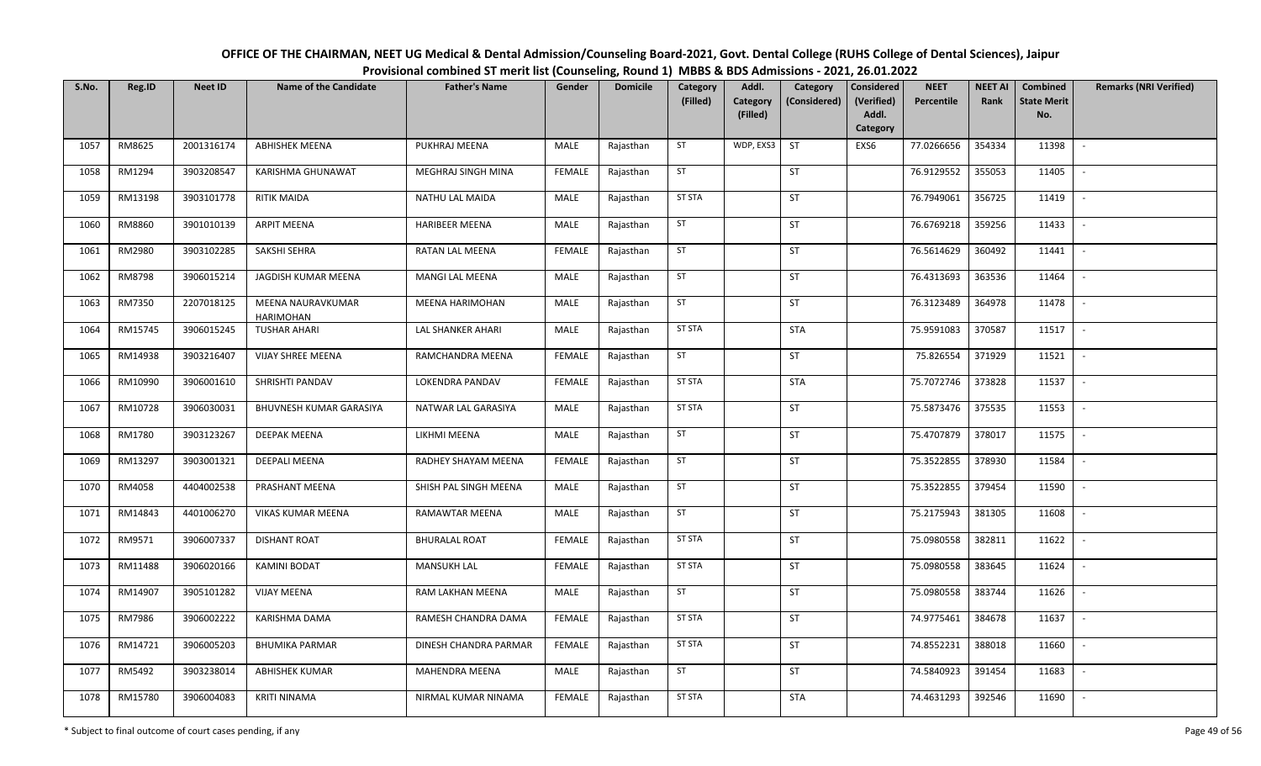| OFFICE OF THE CHAIRMAN, NEET UG Medical & Dental Admission/Counseling Board-2021, Govt. Dental College (RUHS College of Dental Sciences), Jaipur |
|--------------------------------------------------------------------------------------------------------------------------------------------------|
| Provisional combined ST merit list (Counseling, Round 1) MBBS & BDS Admissions - 2021, 26.01.2022                                                |

| S.No. | Reg.ID  | <b>Neet ID</b> | <b>Name of the Candidate</b>   | <b>Father's Name</b>   | Gender        | <b>Domicile</b> | Category<br>(Filled) | Addl.<br>Category | Category<br>(Considered) | Considered<br>(Verified) | <b>NEET</b><br>Percentile | <b>NEET AI</b><br>Rank | Combined<br><b>State Merit</b> | <b>Remarks (NRI Verified)</b> |
|-------|---------|----------------|--------------------------------|------------------------|---------------|-----------------|----------------------|-------------------|--------------------------|--------------------------|---------------------------|------------------------|--------------------------------|-------------------------------|
|       |         |                |                                |                        |               |                 |                      | (Filled)          |                          | Addl.<br>Category        |                           |                        | No.                            |                               |
| 1057  | RM8625  | 2001316174     | <b>ABHISHEK MEENA</b>          | PUKHRAJ MEENA          | MALE          | Rajasthan       | ST                   | WDP, EXS3         | <b>ST</b>                | EXS6                     | 77.0266656                | 354334                 | 11398                          | $\sim$                        |
| 1058  | RM1294  | 3903208547     | KARISHMA GHUNAWAT              | MEGHRAJ SINGH MINA     | <b>FEMALE</b> | Rajasthan       | ST                   |                   | ST                       |                          | 76.9129552                | 355053                 | 11405                          | $\sim$                        |
| 1059  | RM13198 | 3903101778     | RITIK MAIDA                    | <b>NATHU LAL MAIDA</b> | MALE          | Rajasthan       | <b>ST STA</b>        |                   | ST                       |                          | 76.7949061                | 356725                 | 11419                          | $\sim$                        |
| 1060  | RM8860  | 3901010139     | <b>ARPIT MEENA</b>             | <b>HARIBEER MEENA</b>  | MALE          | Rajasthan       | ST                   |                   | ST                       |                          | 76.6769218                | 359256                 | 11433                          | $\sim$                        |
| 1061  | RM2980  | 3903102285     | SAKSHI SEHRA                   | RATAN LAL MEENA        | <b>FEMALE</b> | Rajasthan       | ST                   |                   | <b>ST</b>                |                          | 76.5614629                | 360492                 | 11441                          | $\sim$                        |
| 1062  | RM8798  | 3906015214     | JAGDISH KUMAR MEENA            | MANGI LAL MEENA        | MALE          | Rajasthan       | ST                   |                   | ST                       |                          | 76.4313693                | 363536                 | 11464                          | $\sim$                        |
| 1063  | RM7350  | 2207018125     | MEENA NAURAVKUMAR<br>HARIMOHAN | MEENA HARIMOHAN        | MALE          | Rajasthan       | ST                   |                   | ST                       |                          | 76.3123489                | 364978                 | 11478                          | $\overline{\phantom{a}}$      |
| 1064  | RM15745 | 3906015245     | <b>TUSHAR AHARI</b>            | LAL SHANKER AHARI      | MALE          | Rajasthan       | <b>ST STA</b>        |                   | <b>STA</b>               |                          | 75.9591083                | 370587                 | 11517                          | $\sim$                        |
| 1065  | RM14938 | 3903216407     | <b>VIJAY SHREE MEENA</b>       | RAMCHANDRA MEENA       | <b>FEMALE</b> | Rajasthan       | ST                   |                   | ST                       |                          | 75.826554                 | 371929                 | 11521                          | $\overline{\phantom{a}}$      |
| 1066  | RM10990 | 3906001610     | SHRISHTI PANDAV                | LOKENDRA PANDAV        | <b>FEMALE</b> | Rajasthan       | <b>ST STA</b>        |                   | <b>STA</b>               |                          | 75.7072746                | 373828                 | 11537                          | $\sim$                        |
| 1067  | RM10728 | 3906030031     | BHUVNESH KUMAR GARASIYA        | NATWAR LAL GARASIYA    | MALE          | Rajasthan       | <b>ST STA</b>        |                   | ST                       |                          | 75.5873476                | 375535                 | 11553                          | $\sim$                        |
| 1068  | RM1780  | 3903123267     | <b>DEEPAK MEENA</b>            | LIKHMI MEENA           | MALE          | Rajasthan       | ST                   |                   | ST                       |                          | 75.4707879                | 378017                 | 11575                          | $\sim$                        |
| 1069  | RM13297 | 3903001321     | DEEPALI MEENA                  | RADHEY SHAYAM MEENA    | <b>FEMALE</b> | Rajasthan       | ST                   |                   | ST                       |                          | 75.3522855                | 378930                 | 11584                          | $\overline{\phantom{a}}$      |
| 1070  | RM4058  | 4404002538     | PRASHANT MEENA                 | SHISH PAL SINGH MEENA  | MALE          | Rajasthan       | ST                   |                   | ST                       |                          | 75.3522855                | 379454                 | 11590                          | $\sim$                        |
| 1071  | RM14843 | 4401006270     | <b>VIKAS KUMAR MEENA</b>       | RAMAWTAR MEENA         | MALE          | Rajasthan       | ST                   |                   | ST                       |                          | 75.2175943                | 381305                 | 11608                          | $\mathbb{L}$                  |
| 1072  | RM9571  | 3906007337     | <b>DISHANT ROAT</b>            | <b>BHURALAL ROAT</b>   | <b>FEMALE</b> | Rajasthan       | <b>ST STA</b>        |                   | ST                       |                          | 75.0980558                | 382811                 | 11622                          | $\sim$                        |
| 1073  | RM11488 | 3906020166     | KAMINI BODAT                   | <b>MANSUKH LAL</b>     | <b>FEMALE</b> | Rajasthan       | <b>ST STA</b>        |                   | ST                       |                          | 75.0980558                | 383645                 | 11624                          | $\overline{\phantom{a}}$      |
| 1074  | RM14907 | 3905101282     | <b>VIJAY MEENA</b>             | RAM LAKHAN MEENA       | MALE          | Rajasthan       | ST                   |                   | ST                       |                          | 75.0980558                | 383744                 | 11626                          | $\sim$                        |
| 1075  | RM7986  | 3906002222     | KARISHMA DAMA                  | RAMESH CHANDRA DAMA    | <b>FEMALE</b> | Rajasthan       | <b>ST STA</b>        |                   | ST                       |                          | 74.9775461                | 384678                 | 11637                          | $\sim$                        |
| 1076  | RM14721 | 3906005203     | <b>BHUMIKA PARMAR</b>          | DINESH CHANDRA PARMAR  | <b>FEMALE</b> | Rajasthan       | ST STA               |                   | ST                       |                          | 74.8552231                | 388018                 | 11660                          | $\sim$                        |
| 1077  | RM5492  | 3903238014     | <b>ABHISHEK KUMAR</b>          | <b>MAHENDRA MEENA</b>  | MALE          | Rajasthan       | ST                   |                   | ST                       |                          | 74.5840923                | 391454                 | 11683                          | $\sim$                        |
| 1078  | RM15780 | 3906004083     | <b>KRITI NINAMA</b>            | NIRMAL KUMAR NINAMA    | <b>FEMALE</b> | Rajasthan       | <b>ST STA</b>        |                   | STA                      |                          | 74.4631293                | 392546                 | 11690                          | $\overline{\phantom{a}}$      |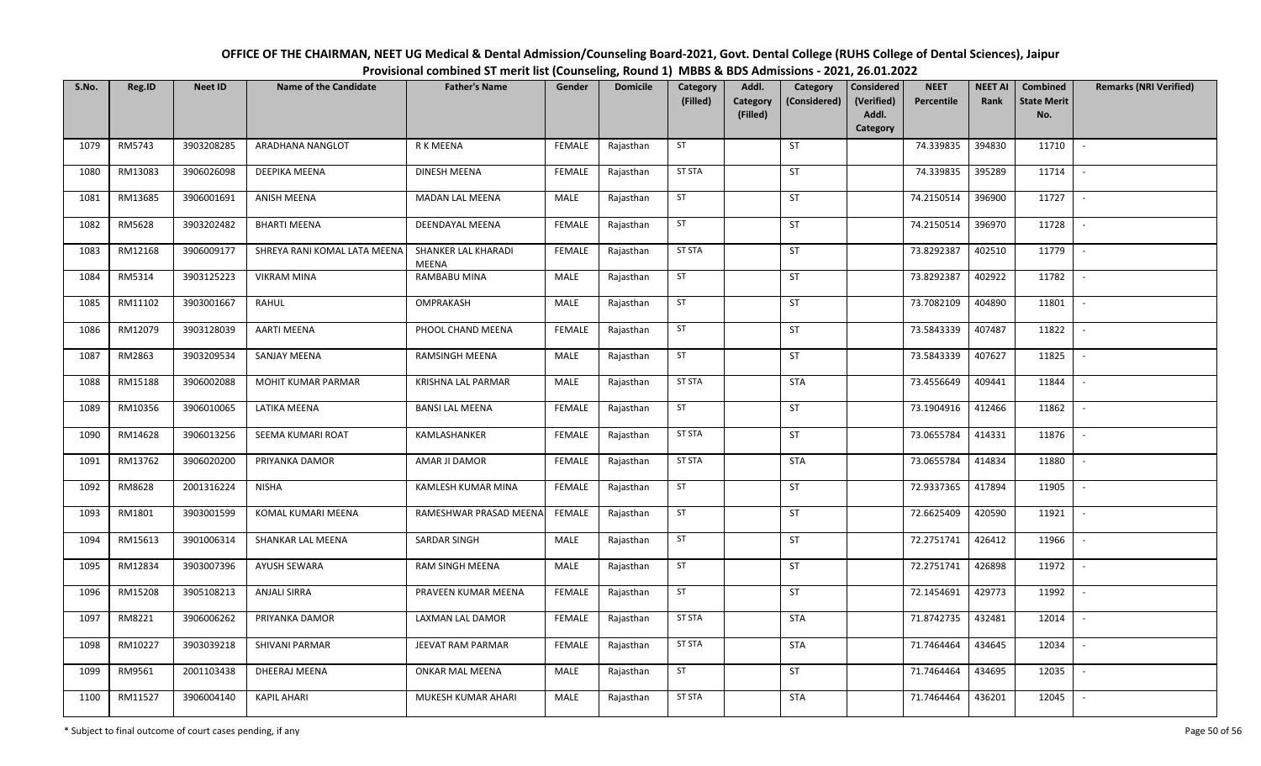| OFFICE OF THE CHAIRMAN, NEET UG Medical & Dental Admission/Counseling Board-2021, Govt. Dental College (RUHS College of Dental Sciences), Jaipur |
|--------------------------------------------------------------------------------------------------------------------------------------------------|
| Provisional combined ST merit list (Counseling, Round 1) MBBS & BDS Admissions - 2021, 26.01.2022                                                |

| S.No. | Reg.ID  | <b>Neet ID</b> | <b>Name of the Candidate</b> | <b>Father's Name</b>                | Gender        | <b>Domicile</b> | Category<br>(Filled) | Addl.<br>Category | Category<br>(Considered) | <b>Considered</b><br>(Verified) | <b>NEET</b><br>Percentile | <b>NEET AI</b><br>Rank | Combined<br><b>State Merit</b> | <b>Remarks (NRI Verified)</b> |
|-------|---------|----------------|------------------------------|-------------------------------------|---------------|-----------------|----------------------|-------------------|--------------------------|---------------------------------|---------------------------|------------------------|--------------------------------|-------------------------------|
|       |         |                |                              |                                     |               |                 |                      | (Filled)          |                          | Addl.<br>Category               |                           |                        | No.                            |                               |
| 1079  | RM5743  | 3903208285     | ARADHANA NANGLOT             | R K MEENA                           | <b>FEMALE</b> | Rajasthan       | ST                   |                   | <b>ST</b>                |                                 | 74.339835                 | 394830                 | 11710                          | $\sim$                        |
| 1080  | RM13083 | 3906026098     | DEEPIKA MEENA                | DINESH MEENA                        | <b>FEMALE</b> | Rajasthan       | <b>ST STA</b>        |                   | <b>ST</b>                |                                 | 74.339835                 | 395289                 | 11714                          | $\sim$                        |
| 1081  | RM13685 | 3906001691     | <b>ANISH MEENA</b>           | <b>MADAN LAL MEENA</b>              | MALE          | Rajasthan       | ST                   |                   | <b>ST</b>                |                                 | 74.2150514                | 396900                 | 11727                          | $\sim$                        |
| 1082  | RM5628  | 3903202482     | <b>BHARTI MEENA</b>          | DEENDAYAL MEENA                     | <b>FEMALE</b> | Rajasthan       | ST                   |                   | <b>ST</b>                |                                 | 74.2150514                | 396970                 | 11728                          | $\sim$                        |
| 1083  | RM12168 | 3906009177     | SHREYA RANI KOMAL LATA MEENA | SHANKER LAL KHARADI<br><b>MEENA</b> | <b>FEMALE</b> | Rajasthan       | <b>ST STA</b>        |                   | ST                       |                                 | 73.8292387                | 402510                 | 11779                          | $\mathbb{L}$                  |
| 1084  | RM5314  | 3903125223     | <b>VIKRAM MINA</b>           | RAMBABU MINA                        | MALE          | Rajasthan       | ST                   |                   | <b>ST</b>                |                                 | 73.8292387                | 402922                 | 11782                          | $\overline{\phantom{a}}$      |
| 1085  | RM11102 | 3903001667     | RAHUL                        | OMPRAKASH                           | MALE          | Rajasthan       | ST                   |                   | <b>ST</b>                |                                 | 73.7082109                | 404890                 | 11801                          | $\sim$                        |
| 1086  | RM12079 | 3903128039     | <b>AARTI MEENA</b>           | PHOOL CHAND MEENA                   | <b>FEMALE</b> | Rajasthan       | ST                   |                   | <b>ST</b>                |                                 | 73.5843339                | 407487                 | 11822                          | $\sim$                        |
| 1087  | RM2863  | 3903209534     | SANJAY MEENA                 | RAMSINGH MEENA                      | MALE          | Rajasthan       | ST                   |                   | ST                       |                                 | 73.5843339                | 407627                 | 11825                          |                               |
| 1088  | RM15188 | 3906002088     | MOHIT KUMAR PARMAR           | KRISHNA LAL PARMAR                  | MALE          | Rajasthan       | <b>ST STA</b>        |                   | <b>STA</b>               |                                 | 73.4556649                | 409441                 | 11844                          | $\sim$                        |
| 1089  | RM10356 | 3906010065     | LATIKA MEENA                 | <b>BANSI LAL MEENA</b>              | <b>FEMALE</b> | Rajasthan       | ST                   |                   | ST                       |                                 | 73.1904916                | 412466                 | 11862                          | $\sim$                        |
| 1090  | RM14628 | 3906013256     | SEEMA KUMARI ROAT            | KAMLASHANKER                        | <b>FEMALE</b> | Rajasthan       | <b>ST STA</b>        |                   | <b>ST</b>                |                                 | 73.0655784                | 414331                 | 11876                          | $\sim$                        |
| 1091  | RM13762 | 3906020200     | PRIYANKA DAMOR               | AMAR JI DAMOR                       | <b>FEMALE</b> | Rajasthan       | <b>ST STA</b>        |                   | <b>STA</b>               |                                 | 73.0655784                | 414834                 | 11880                          |                               |
| 1092  | RM8628  | 2001316224     | <b>NISHA</b>                 | KAMLESH KUMAR MINA                  | <b>FEMALE</b> | Rajasthan       | ST                   |                   | <b>ST</b>                |                                 | 72.9337365                | 417894                 | 11905                          | $\overline{\phantom{a}}$      |
| 1093  | RM1801  | 3903001599     | <b>KOMAL KUMARI MEENA</b>    | RAMESHWAR PRASAD MEENA              | <b>FEMALE</b> | Rajasthan       | ST                   |                   | <b>ST</b>                |                                 | 72.6625409                | 420590                 | 11921                          | $\sim$                        |
| 1094  | RM15613 | 3901006314     | SHANKAR LAL MEENA            | <b>SARDAR SINGH</b>                 | MALE          | Rajasthan       | ST                   |                   | <b>ST</b>                |                                 | 72.2751741                | 426412                 | 11966                          |                               |
| 1095  | RM12834 | 3903007396     | <b>AYUSH SEWARA</b>          | RAM SINGH MEENA                     | MALE          | Rajasthan       | ST                   |                   | <b>ST</b>                |                                 | 72.2751741                | 426898                 | 11972                          | $\overline{\phantom{a}}$      |
| 1096  | RM15208 | 3905108213     | <b>ANJALI SIRRA</b>          | PRAVEEN KUMAR MEENA                 | <b>FEMALE</b> | Rajasthan       | ST                   |                   | <b>ST</b>                |                                 | 72.1454691                | 429773                 | 11992                          | $\mathbb{L}$                  |
| 1097  | RM8221  | 3906006262     | PRIYANKA DAMOR               | LAXMAN LAL DAMOR                    | <b>FEMALE</b> | Rajasthan       | <b>ST STA</b>        |                   | <b>STA</b>               |                                 | 71.8742735                | 432481                 | 12014                          | $\mathbb{L}$                  |
| 1098  | RM10227 | 3903039218     | SHIVANI PARMAR               | JEEVAT RAM PARMAR                   | <b>FEMALE</b> | Rajasthan       | <b>ST STA</b>        |                   | <b>STA</b>               |                                 | 71.7464464                | 434645                 | 12034                          | $\sim$                        |
| 1099  | RM9561  | 2001103438     | DHEERAJ MEENA                | <b>ONKAR MAL MEENA</b>              | MALE          | Rajasthan       | ST                   |                   | ST                       |                                 | 71.7464464                | 434695                 | 12035                          | $\sim$                        |
| 1100  | RM11527 | 3906004140     | <b>KAPIL AHARI</b>           | MUKESH KUMAR AHARI                  | MALE          | Rajasthan       | <b>ST STA</b>        |                   | <b>STA</b>               |                                 | 71.7464464                | 436201                 | 12045                          |                               |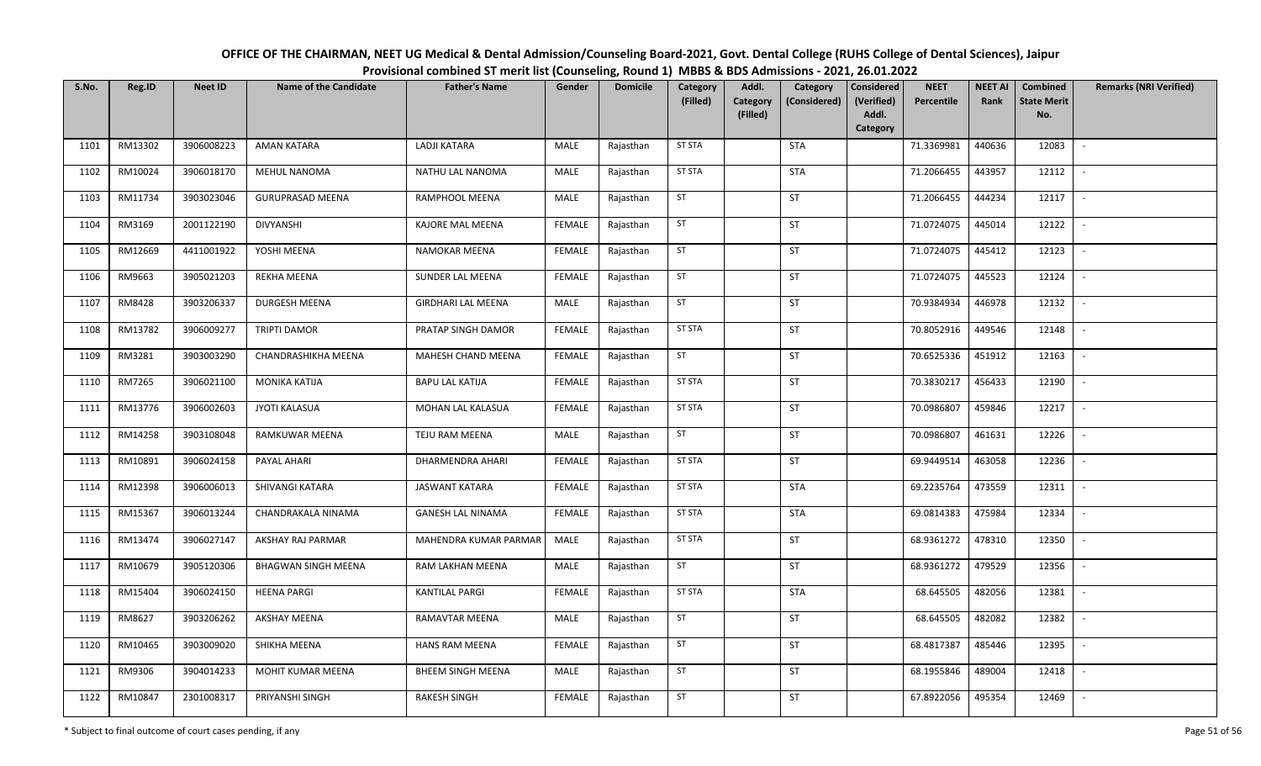| OFFICE OF THE CHAIRMAN, NEET UG Medical & Dental Admission/Counseling Board-2021, Govt. Dental College (RUHS College of Dental Sciences), Jaipur |
|--------------------------------------------------------------------------------------------------------------------------------------------------|
| Provisional combined ST merit list (Counseling, Round 1) MBBS & BDS Admissions - 2021, 26.01.2022                                                |

| S.No. | Reg.ID  | <b>Neet ID</b> | <b>Name of the Candidate</b> | <b>Father's Name</b>      | Gender        | <b>Domicile</b> | Category<br>(Filled) | Addl.<br>Category<br>(Filled) | Category<br>(Considered) | <b>Considered</b><br>(Verified)<br>Addl. | <b>NEET</b><br>Percentile | <b>NEET AI</b><br>Rank | Combined<br><b>State Merit</b><br>No. | <b>Remarks (NRI Verified)</b> |
|-------|---------|----------------|------------------------------|---------------------------|---------------|-----------------|----------------------|-------------------------------|--------------------------|------------------------------------------|---------------------------|------------------------|---------------------------------------|-------------------------------|
| 1101  | RM13302 | 3906008223     | <b>AMAN KATARA</b>           | LADJI KATARA              | MALE          | Rajasthan       | <b>ST STA</b>        |                               | <b>STA</b>               | Category                                 | 71.3369981                | 440636                 | 12083                                 | $\overline{\phantom{a}}$      |
|       |         |                |                              |                           |               |                 |                      |                               |                          |                                          |                           |                        |                                       |                               |
| 1102  | RM10024 | 3906018170     | <b>MEHUL NANOMA</b>          | NATHU LAL NANOMA          | MALE          | Rajasthan       | <b>ST STA</b>        |                               | <b>STA</b>               |                                          | 71.2066455                | 443957                 | 12112                                 | $\sim$                        |
| 1103  | RM11734 | 3903023046     | <b>GURUPRASAD MEENA</b>      | RAMPHOOL MEENA            | MALE          | Rajasthan       | ST                   |                               | ST                       |                                          | 71.2066455                | 444234                 | 12117                                 | $\sim$                        |
| 1104  | RM3169  | 2001122190     | <b>DIVYANSHI</b>             | KAJORE MAL MEENA          | <b>FEMALE</b> | Rajasthan       | ST                   |                               | ST                       |                                          | 71.0724075                | 445014                 | 12122                                 | $\mathbb{L}$                  |
| 1105  | RM12669 | 4411001922     | YOSHI MEENA                  | NAMOKAR MEENA             | <b>FEMALE</b> | Rajasthan       | ST                   |                               | ST                       |                                          | 71.0724075                | 445412                 | 12123                                 | $\mathbb{L}$                  |
| 1106  | RM9663  | 3905021203     | REKHA MEENA                  | SUNDER LAL MEENA          | <b>FEMALE</b> | Rajasthan       | ST                   |                               | ST                       |                                          | 71.0724075                | 445523                 | 12124                                 | $\sim$                        |
| 1107  | RM8428  | 3903206337     | DURGESH MEENA                | <b>GIRDHARI LAL MEENA</b> | MALE          | Rajasthan       | ST                   |                               | ST                       |                                          | 70.9384934                | 446978                 | 12132                                 | $\overline{\phantom{a}}$      |
| 1108  | RM13782 | 3906009277     | TRIPTI DAMOR                 | PRATAP SINGH DAMOR        | <b>FEMALE</b> | Rajasthan       | <b>ST STA</b>        |                               | ST                       |                                          | 70.8052916                | 449546                 | 12148                                 | $\mathbb{L}$                  |
| 1109  | RM3281  | 3903003290     | CHANDRASHIKHA MEENA          | MAHESH CHAND MEENA        | <b>FEMALE</b> | Rajasthan       | ST                   |                               | ST                       |                                          | 70.6525336                | 451912                 | 12163                                 | $\overline{\phantom{a}}$      |
| 1110  | RM7265  | 3906021100     | <b>MONIKA KATIJA</b>         | <b>BAPU LAL KATIJA</b>    | <b>FEMALE</b> | Rajasthan       | <b>ST STA</b>        |                               | ST                       |                                          | 70.3830217                | 456433                 | 12190                                 | $\sim$                        |
| 1111  | RM13776 | 3906002603     | <b>JYOTI KALASUA</b>         | MOHAN LAL KALASUA         | <b>FEMALE</b> | Rajasthan       | ST STA               |                               | ST                       |                                          | 70.0986807                | 459846                 | 12217                                 | $\sim$                        |
| 1112  | RM14258 | 3903108048     | RAMKUWAR MEENA               | TEJU RAM MEENA            | MALE          | Rajasthan       | ST                   |                               | ST                       |                                          | 70.0986807                | 461631                 | 12226                                 | $\sim$                        |
| 1113  | RM10891 | 3906024158     | PAYAL AHARI                  | DHARMENDRA AHARI          | <b>FEMALE</b> | Rajasthan       | <b>ST STA</b>        |                               | ST                       |                                          | 69.9449514                | 463058                 | 12236                                 | $\overline{\phantom{a}}$      |
| 1114  | RM12398 | 3906006013     | SHIVANGI KATARA              | <b>JASWANT KATARA</b>     | <b>FEMALE</b> | Rajasthan       | <b>ST STA</b>        |                               | STA                      |                                          | 69.2235764                | 473559                 | 12311                                 | $\sim$                        |
| 1115  | RM15367 | 3906013244     | CHANDRAKALA NINAMA           | <b>GANESH LAL NINAMA</b>  | <b>FEMALE</b> | Rajasthan       | <b>ST STA</b>        |                               | <b>STA</b>               |                                          | 69.0814383                | 475984                 | 12334                                 | $\mathbb{L}$                  |
| 1116  | RM13474 | 3906027147     | AKSHAY RAJ PARMAR            | MAHENDRA KUMAR PARMAR     | MALE          | Rajasthan       | <b>ST STA</b>        |                               | ST                       |                                          | 68.9361272                | 478310                 | 12350                                 | $\sim$                        |
| 1117  | RM10679 | 3905120306     | <b>BHAGWAN SINGH MEENA</b>   | RAM LAKHAN MEENA          | MALE          | Rajasthan       | ST                   |                               | ST                       |                                          | 68.9361272                | 479529                 | 12356                                 | $\overline{\phantom{a}}$      |
| 1118  | RM15404 | 3906024150     | <b>HEENA PARGI</b>           | <b>KANTILAL PARGI</b>     | <b>FEMALE</b> | Rajasthan       | <b>ST STA</b>        |                               | STA                      |                                          | 68.645505                 | 482056                 | 12381                                 | $\sim$                        |
| 1119  | RM8627  | 3903206262     | <b>AKSHAY MEENA</b>          | RAMAVTAR MEENA            | MALE          | Rajasthan       | ST                   |                               | ST                       |                                          | 68.645505                 | 482082                 | 12382                                 | $\sim$                        |
| 1120  | RM10465 | 3903009020     | SHIKHA MEENA                 | <b>HANS RAM MEENA</b>     | <b>FEMALE</b> | Rajasthan       | ST                   |                               | ST                       |                                          | 68.4817387                | 485446                 | 12395                                 | $\sim$                        |
| 1121  | RM9306  | 3904014233     | MOHIT KUMAR MEENA            | <b>BHEEM SINGH MEENA</b>  | MALE          | Rajasthan       | ST                   |                               | ST                       |                                          | 68.1955846                | 489004                 | 12418                                 | $\mathbb{L}$                  |
| 1122  | RM10847 | 2301008317     | PRIYANSHI SINGH              | <b>RAKESH SINGH</b>       | <b>FEMALE</b> | Rajasthan       | ST                   |                               | ST                       |                                          | 67.8922056                | 495354                 | 12469                                 |                               |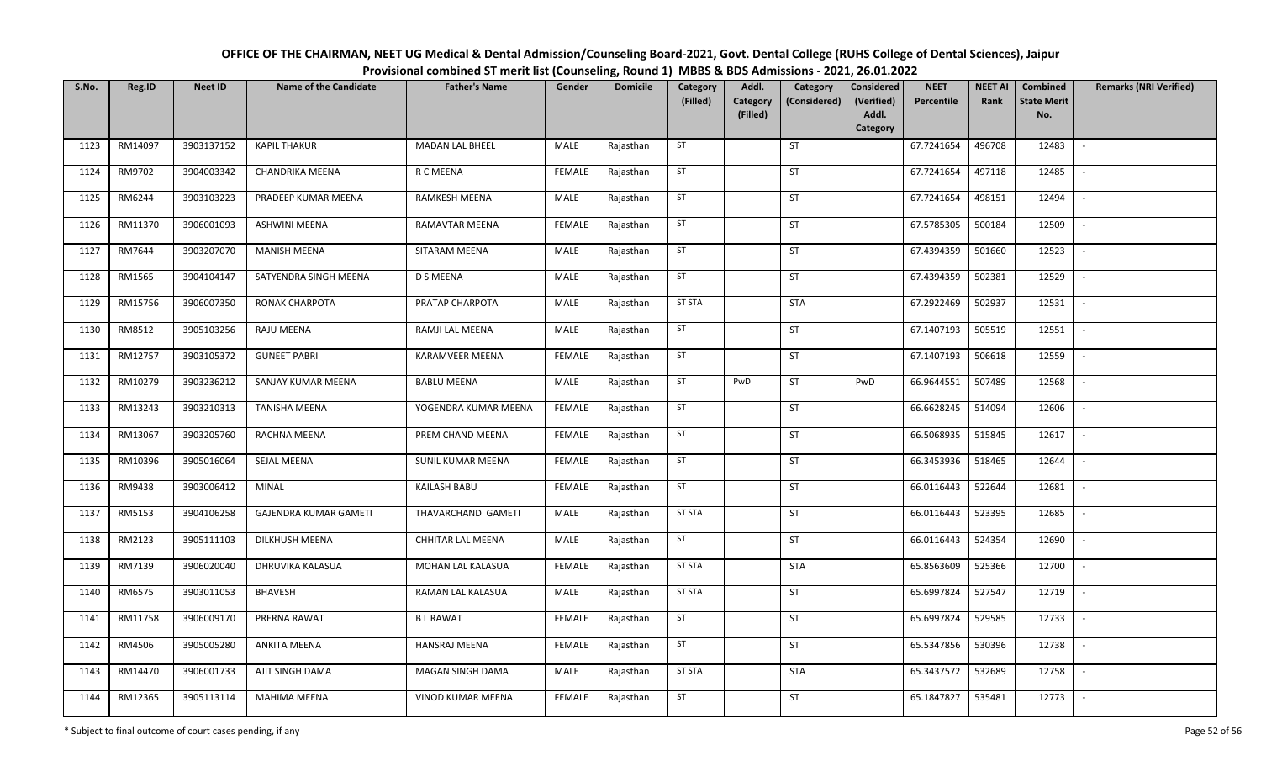| OFFICE OF THE CHAIRMAN, NEET UG Medical & Dental Admission/Counseling Board-2021, Govt. Dental College (RUHS College of Dental Sciences), Jaipur |
|--------------------------------------------------------------------------------------------------------------------------------------------------|
| Provisional combined ST merit list (Counseling, Round 1) MBBS & BDS Admissions - 2021, 26.01.2022                                                |

| S.No. | Reg.ID  | <b>Neet ID</b> | <b>Name of the Candidate</b> | <b>Father's Name</b>   | Gender        | <b>Domicile</b> | Category<br>(Filled) | Addl.<br>Category<br>(Filled) | Category<br>(Considered) | Considered<br>(Verified)<br>Addl. | <b>NEET</b><br>Percentile | <b>NEET AI</b><br>Rank | Combined<br><b>State Merit</b><br>No. | <b>Remarks (NRI Verified)</b> |
|-------|---------|----------------|------------------------------|------------------------|---------------|-----------------|----------------------|-------------------------------|--------------------------|-----------------------------------|---------------------------|------------------------|---------------------------------------|-------------------------------|
|       |         |                |                              |                        |               |                 |                      |                               |                          | Category                          |                           |                        |                                       |                               |
| 1123  | RM14097 | 3903137152     | KAPIL THAKUR                 | MADAN LAL BHEEL        | MALE          | Rajasthan       | ST                   |                               | ST                       |                                   | 67.7241654                | 496708                 | 12483                                 | $\sim$                        |
| 1124  | RM9702  | 3904003342     | CHANDRIKA MEENA              | R C MEENA              | <b>FEMALE</b> | Rajasthan       | ST                   |                               | ST                       |                                   | 67.7241654                | 497118                 | 12485                                 | $\overline{\phantom{a}}$      |
| 1125  | RM6244  | 3903103223     | PRADEEP KUMAR MEENA          | RAMKESH MEENA          | MALE          | Rajasthan       | ST                   |                               | <b>ST</b>                |                                   | 67.7241654                | 498151                 | 12494                                 | $\overline{\phantom{a}}$      |
| 1126  | RM11370 | 3906001093     | ASHWINI MEENA                | RAMAVTAR MEENA         | <b>FEMALE</b> | Rajasthan       | ST                   |                               | ST                       |                                   | 67.5785305                | 500184                 | 12509                                 | $\sim$                        |
| 1127  | RM7644  | 3903207070     | <b>MANISH MEENA</b>          | SITARAM MEENA          | MALE          | Rajasthan       | ST                   |                               | ST                       |                                   | 67.4394359                | 501660                 | 12523                                 | $\overline{\phantom{a}}$      |
| 1128  | RM1565  | 3904104147     | SATYENDRA SINGH MEENA        | D S MEENA              | MALE          | Rajasthan       | ST                   |                               | ST                       |                                   | 67.4394359                | 502381                 | 12529                                 |                               |
| 1129  | RM15756 | 3906007350     | RONAK CHARPOTA               | PRATAP CHARPOTA        | MALE          | Rajasthan       | <b>ST STA</b>        |                               | <b>STA</b>               |                                   | 67.2922469                | 502937                 | 12531                                 |                               |
| 1130  | RM8512  | 3905103256     | RAJU MEENA                   | RAMJI LAL MEENA        | MALE          | Rajasthan       | ST                   |                               | <b>ST</b>                |                                   | 67.1407193                | 505519                 | 12551                                 | $\sim$                        |
| 1131  | RM12757 | 3903105372     | <b>GUNEET PABRI</b>          | <b>KARAMVEER MEENA</b> | <b>FEMALE</b> | Rajasthan       | ST                   |                               | <b>ST</b>                |                                   | 67.1407193                | 506618                 | 12559                                 | $\blacksquare$                |
| 1132  | RM10279 | 3903236212     | SANJAY KUMAR MEENA           | <b>BABLU MEENA</b>     | MALE          | Rajasthan       | ST                   | PwD                           | ST                       | PwD                               | 66.9644551                | 507489                 | 12568                                 | $\overline{\phantom{a}}$      |
| 1133  | RM13243 | 3903210313     | TANISHA MEENA                | YOGENDRA KUMAR MEENA   | <b>FEMALE</b> | Rajasthan       | ST                   |                               | ST                       |                                   | 66.6628245                | 514094                 | 12606                                 |                               |
| 1134  | RM13067 | 3903205760     | RACHNA MEENA                 | PREM CHAND MEENA       | <b>FEMALE</b> | Rajasthan       | ST                   |                               | <b>ST</b>                |                                   | 66.5068935                | 515845                 | 12617                                 | $\mathbb{L}$                  |
| 1135  | RM10396 | 3905016064     | SEJAL MEENA                  | SUNIL KUMAR MEENA      | FEMALE        | Rajasthan       | ST                   |                               | ST                       |                                   | 66.3453936                | 518465                 | 12644                                 |                               |
| 1136  | RM9438  | 3903006412     | MINAL                        | KAILASH BABU           | <b>FEMALE</b> | Rajasthan       | ST                   |                               | <b>ST</b>                |                                   | 66.0116443                | 522644                 | 12681                                 | $\sim$                        |
| 1137  | RM5153  | 3904106258     | GAJENDRA KUMAR GAMETI        | THAVARCHAND GAMETI     | MALE          | Rajasthan       | <b>ST STA</b>        |                               | <b>ST</b>                |                                   | 66.0116443                | 523395                 | 12685                                 | $\overline{\phantom{a}}$      |
| 1138  | RM2123  | 3905111103     | DILKHUSH MEENA               | CHHITAR LAL MEENA      | MALE          | Rajasthan       | ST                   |                               | ST                       |                                   | 66.0116443                | 524354                 | 12690                                 | $\sim$                        |
| 1139  | RM7139  | 3906020040     | DHRUVIKA KALASUA             | MOHAN LAL KALASUA      | <b>FEMALE</b> | Rajasthan       | <b>ST STA</b>        |                               | <b>STA</b>               |                                   | 65.8563609                | 525366                 | 12700                                 | $\sim$                        |
| 1140  | RM6575  | 3903011053     | <b>BHAVESH</b>               | RAMAN LAL KALASUA      | MALE          | Rajasthan       | <b>ST STA</b>        |                               | ST                       |                                   | 65.6997824                | 527547                 | 12719                                 | $\sim$                        |
| 1141  | RM11758 | 3906009170     | PRERNA RAWAT                 | <b>BLRAWAT</b>         | <b>FEMALE</b> | Rajasthan       | ST                   |                               | ST                       |                                   | 65.6997824                | 529585                 | 12733                                 | $\sim$                        |
| 1142  | RM4506  | 3905005280     | ANKITA MEENA                 | HANSRAJ MEENA          | <b>FEMALE</b> | Rajasthan       | ST                   |                               | ST                       |                                   | 65.5347856                | 530396                 | 12738                                 |                               |
| 1143  | RM14470 | 3906001733     | AJIT SINGH DAMA              | MAGAN SINGH DAMA       | MALE          | Rajasthan       | <b>ST STA</b>        |                               | <b>STA</b>               |                                   | 65.3437572                | 532689                 | 12758                                 |                               |
| 1144  | RM12365 | 3905113114     | <b>MAHIMA MEENA</b>          | VINOD KUMAR MEENA      | <b>FEMALE</b> | Rajasthan       | ST                   |                               | ST                       |                                   | 65.1847827                | 535481                 | 12773                                 | $\overline{\phantom{a}}$      |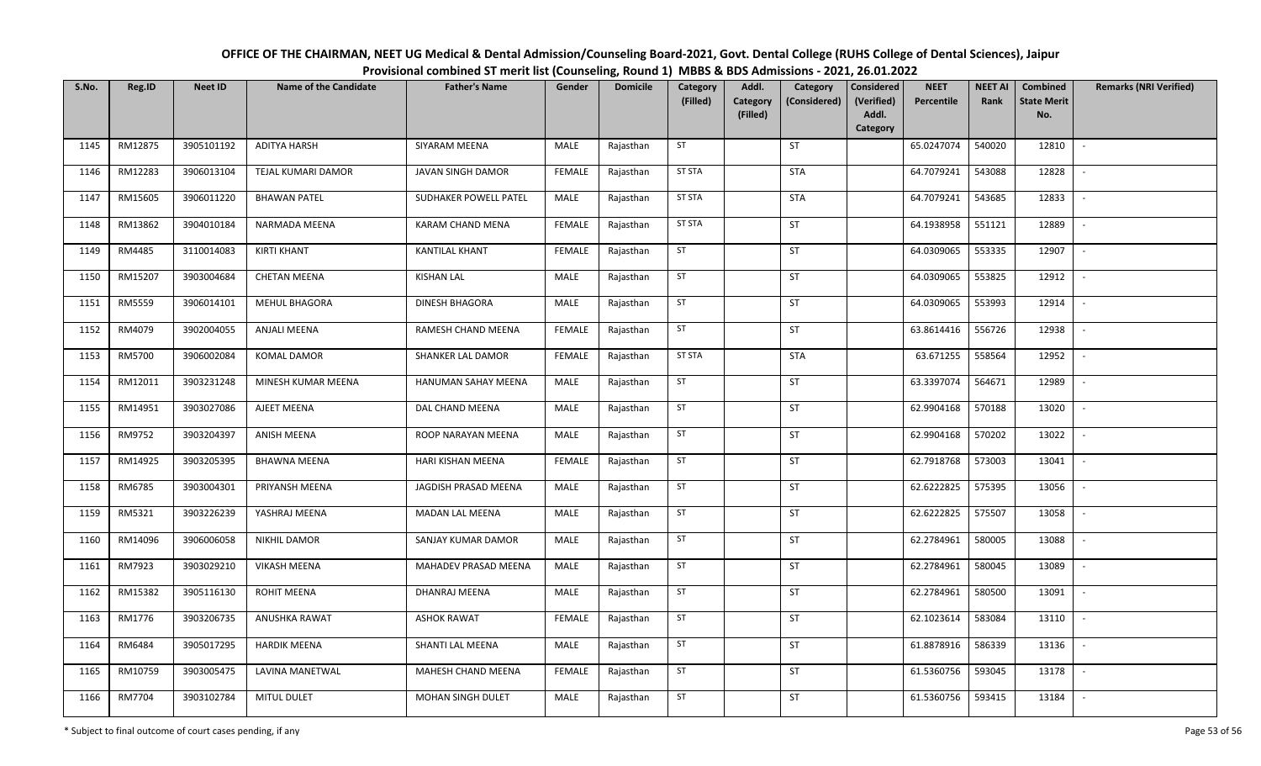| OFFICE OF THE CHAIRMAN, NEET UG Medical & Dental Admission/Counseling Board-2021, Govt. Dental College (RUHS College of Dental Sciences), Jaipur |
|--------------------------------------------------------------------------------------------------------------------------------------------------|
| Provisional combined ST merit list (Counseling, Round 1) MBBS & BDS Admissions - 2021, 26.01.2022                                                |

| S.No. | Reg.ID  | <b>Neet ID</b> | <b>Name of the Candidate</b> | <b>Father's Name</b>   | Gender        | <b>Domicile</b> | Category<br>(Filled) | Addl.<br>Category | Category<br>(Considered) | <b>Considered</b><br>(Verified) | <b>NEET</b><br>Percentile | <b>NEET AI</b><br>Rank | Combined<br><b>State Merit</b> | <b>Remarks (NRI Verified)</b> |
|-------|---------|----------------|------------------------------|------------------------|---------------|-----------------|----------------------|-------------------|--------------------------|---------------------------------|---------------------------|------------------------|--------------------------------|-------------------------------|
|       |         |                |                              |                        |               |                 |                      | (Filled)          |                          | Addl.<br>Category               |                           |                        | No.                            |                               |
| 1145  | RM12875 | 3905101192     | <b>ADITYA HARSH</b>          | SIYARAM MEENA          | MALE          | Rajasthan       | ST                   |                   | <b>ST</b>                |                                 | 65.0247074                | 540020                 | 12810                          | $\sim$                        |
| 1146  | RM12283 | 3906013104     | TEJAL KUMARI DAMOR           | JAVAN SINGH DAMOR      | <b>FEMALE</b> | Rajasthan       | <b>ST STA</b>        |                   | STA                      |                                 | 64.7079241                | 543088                 | 12828                          | $\sim$                        |
| 1147  | RM15605 | 3906011220     | <b>BHAWAN PATEL</b>          | SUDHAKER POWELL PATEL  | MALE          | Rajasthan       | <b>ST STA</b>        |                   | <b>STA</b>               |                                 | 64.7079241                | 543685                 | 12833                          | $\sim$                        |
| 1148  | RM13862 | 3904010184     | NARMADA MEENA                | KARAM CHAND MENA       | <b>FEMALE</b> | Rajasthan       | <b>ST STA</b>        |                   | <b>ST</b>                |                                 | 64.1938958                | 551121                 | 12889                          | $\sim$                        |
| 1149  | RM4485  | 3110014083     | <b>KIRTI KHANT</b>           | KANTILAL KHANT         | <b>FEMALE</b> | Rajasthan       | ST                   |                   | ST                       |                                 | 64.0309065                | 553335                 | 12907                          | $\mathbb{L}$                  |
| 1150  | RM15207 | 3903004684     | <b>CHETAN MEENA</b>          | <b>KISHAN LAL</b>      | MALE          | Rajasthan       | ST                   |                   | <b>ST</b>                |                                 | 64.0309065                | 553825                 | 12912                          | $\overline{\phantom{a}}$      |
| 1151  | RM5559  | 3906014101     | <b>MEHUL BHAGORA</b>         | <b>DINESH BHAGORA</b>  | MALE          | Rajasthan       | ST                   |                   | <b>ST</b>                |                                 | 64.0309065                | 553993                 | 12914                          | $\sim$                        |
| 1152  | RM4079  | 3902004055     | ANJALI MEENA                 | RAMESH CHAND MEENA     | <b>FEMALE</b> | Rajasthan       | ST                   |                   | <b>ST</b>                |                                 | 63.8614416                | 556726                 | 12938                          | $\mathbb{L}$                  |
| 1153  | RM5700  | 3906002084     | <b>KOMAL DAMOR</b>           | SHANKER LAL DAMOR      | <b>FEMALE</b> | Rajasthan       | <b>ST STA</b>        |                   | <b>STA</b>               |                                 | 63.671255                 | 558564                 | 12952                          |                               |
| 1154  | RM12011 | 3903231248     | MINESH KUMAR MEENA           | HANUMAN SAHAY MEENA    | MALE          | Rajasthan       | ST                   |                   | ST                       |                                 | 63.3397074                | 564671                 | 12989                          | $\sim$                        |
| 1155  | RM14951 | 3903027086     | AJEET MEENA                  | DAL CHAND MEENA        | MALE          | Rajasthan       | ST                   |                   | ST                       |                                 | 62.9904168                | 570188                 | 13020                          | $\sim$                        |
| 1156  | RM9752  | 3903204397     | <b>ANISH MEENA</b>           | ROOP NARAYAN MEENA     | MALE          | Rajasthan       | ST                   |                   | <b>ST</b>                |                                 | 62.9904168                | 570202                 | 13022                          | $\sim$                        |
| 1157  | RM14925 | 3903205395     | <b>BHAWNA MEENA</b>          | HARI KISHAN MEENA      | <b>FEMALE</b> | Rajasthan       | ST                   |                   | <b>ST</b>                |                                 | 62.7918768                | 573003                 | 13041                          | $\sim$                        |
| 1158  | RM6785  | 3903004301     | PRIYANSH MEENA               | JAGDISH PRASAD MEENA   | MALE          | Rajasthan       | ST                   |                   | <b>ST</b>                |                                 | 62.6222825                | 575395                 | 13056                          | $\sim$                        |
| 1159  | RM5321  | 3903226239     | YASHRAJ MEENA                | <b>MADAN LAL MEENA</b> | MALE          | Rajasthan       | ST                   |                   | <b>ST</b>                |                                 | 62.6222825                | 575507                 | 13058                          |                               |
| 1160  | RM14096 | 3906006058     | NIKHIL DAMOR                 | SANJAY KUMAR DAMOR     | MALE          | Rajasthan       | ST                   |                   | <b>ST</b>                |                                 | 62.2784961                | 580005                 | 13088                          |                               |
| 1161  | RM7923  | 3903029210     | <b>VIKASH MEENA</b>          | MAHADEV PRASAD MEENA   | MALE          | Rajasthan       | ST                   |                   | ST                       |                                 | 62.2784961                | 580045                 | 13089                          | $\overline{\phantom{a}}$      |
| 1162  | RM15382 | 3905116130     | <b>ROHIT MEENA</b>           | DHANRAJ MEENA          | MALE          | Rajasthan       | ST                   |                   | <b>ST</b>                |                                 | 62.2784961                | 580500                 | 13091                          | $\sim$                        |
| 1163  | RM1776  | 3903206735     | ANUSHKA RAWAT                | <b>ASHOK RAWAT</b>     | <b>FEMALE</b> | Rajasthan       | ST                   |                   | ST                       |                                 | 62.1023614                | 583084                 | 13110                          | $\mathbb{L}$                  |
| 1164  | RM6484  | 3905017295     | <b>HARDIK MEENA</b>          | SHANTI LAL MEENA       | MALE          | Rajasthan       | ST                   |                   | <b>ST</b>                |                                 | 61.8878916                | 586339                 | 13136                          | $\sim$                        |
| 1165  | RM10759 | 3903005475     | LAVINA MANETWAL              | MAHESH CHAND MEENA     | <b>FEMALE</b> | Rajasthan       | ST                   |                   | ST                       |                                 | 61.5360756                | 593045                 | 13178                          | $\sim$                        |
| 1166  | RM7704  | 3903102784     | MITUL DULET                  | MOHAN SINGH DULET      | MALE          | Rajasthan       | ST                   |                   | ST                       |                                 | 61.5360756                | 593415                 | 13184                          | $\overline{\phantom{a}}$      |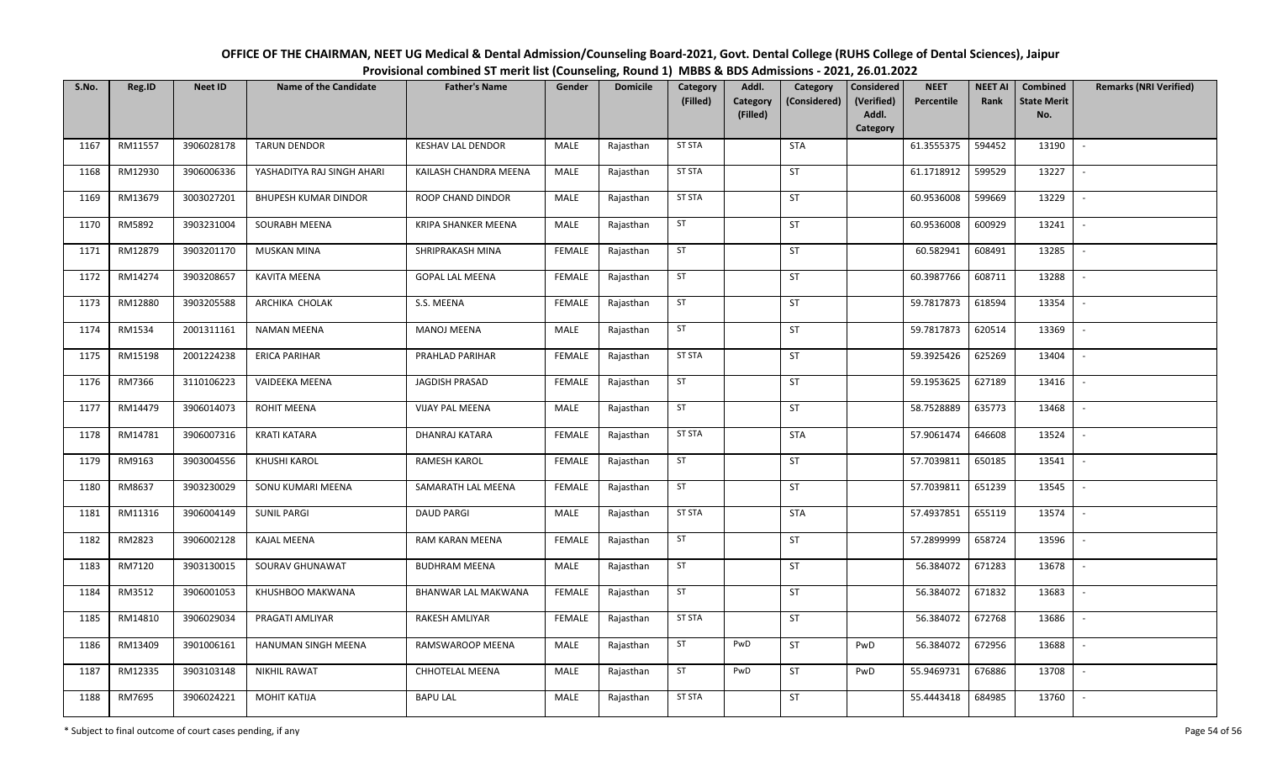| OFFICE OF THE CHAIRMAN, NEET UG Medical & Dental Admission/Counseling Board-2021, Govt. Dental College (RUHS College of Dental Sciences), Jaipur |
|--------------------------------------------------------------------------------------------------------------------------------------------------|
| Provisional combined ST merit list (Counseling, Round 1) MBBS & BDS Admissions - 2021, 26.01.2022                                                |

| S.No. | Reg.ID  | <b>Neet ID</b> | <b>Name of the Candidate</b> | <b>Father's Name</b>     | Gender        | <b>Domicile</b> | Category<br>(Filled) | Addl.<br>Category | Category<br>(Considered) | <b>Considered</b><br>(Verified) | <b>NEET</b><br>Percentile | <b>NEET AI</b><br>Rank | Combined<br><b>State Merit</b> | <b>Remarks (NRI Verified)</b> |
|-------|---------|----------------|------------------------------|--------------------------|---------------|-----------------|----------------------|-------------------|--------------------------|---------------------------------|---------------------------|------------------------|--------------------------------|-------------------------------|
|       |         |                |                              |                          |               |                 |                      | (Filled)          |                          | Addl.<br>Category               |                           |                        | No.                            |                               |
| 1167  | RM11557 | 3906028178     | <b>TARUN DENDOR</b>          | <b>KESHAV LAL DENDOR</b> | MALE          | Rajasthan       | <b>ST STA</b>        |                   | <b>STA</b>               |                                 | 61.3555375                | 594452                 | 13190                          | $\sim$                        |
| 1168  | RM12930 | 3906006336     | YASHADITYA RAJ SINGH AHARI   | KAILASH CHANDRA MEENA    | MALE          | Rajasthan       | <b>ST STA</b>        |                   | ST                       |                                 | 61.1718912                | 599529                 | 13227                          | $\overline{\phantom{a}}$      |
| 1169  | RM13679 | 3003027201     | <b>BHUPESH KUMAR DINDOR</b>  | ROOP CHAND DINDOR        | MALE          | Rajasthan       | <b>ST STA</b>        |                   | ST                       |                                 | 60.9536008                | 599669                 | 13229                          | $\sim$                        |
| 1170  | RM5892  | 3903231004     | SOURABH MEENA                | KRIPA SHANKER MEENA      | MALE          | Rajasthan       | ST                   |                   | ST                       |                                 | 60.9536008                | 600929                 | 13241                          | $\overline{\phantom{a}}$      |
| 1171  | RM12879 | 3903201170     | MUSKAN MINA                  | SHRIPRAKASH MINA         | <b>FEMALE</b> | Rajasthan       | ST                   |                   | ST                       |                                 | 60.582941                 | 608491                 | 13285                          | $\overline{\phantom{a}}$      |
| 1172  | RM14274 | 3903208657     | KAVITA MEENA                 | <b>GOPAL LAL MEENA</b>   | <b>FEMALE</b> | Rajasthan       | ST                   |                   | ST                       |                                 | 60.3987766                | 608711                 | 13288                          |                               |
| 1173  | RM12880 | 3903205588     | ARCHIKA CHOLAK               | S.S. MEENA               | <b>FEMALE</b> | Rajasthan       | ST                   |                   | ST                       |                                 | 59.7817873                | 618594                 | 13354                          |                               |
| 1174  | RM1534  | 2001311161     | <b>NAMAN MEENA</b>           | <b>MANOJ MEENA</b>       | MALE          | Rajasthan       | ST                   |                   | ST                       |                                 | 59.7817873                | 620514                 | 13369                          | $\sim$                        |
| 1175  | RM15198 | 2001224238     | <b>ERICA PARIHAR</b>         | PRAHLAD PARIHAR          | <b>FEMALE</b> | Rajasthan       | <b>ST STA</b>        |                   | ST                       |                                 | 59.3925426                | 625269                 | 13404                          | $\overline{\phantom{a}}$      |
| 1176  | RM7366  | 3110106223     | VAIDEEKA MEENA               | <b>JAGDISH PRASAD</b>    | <b>FEMALE</b> | Rajasthan       | ST                   |                   | ST                       |                                 | 59.1953625                | 627189                 | 13416                          |                               |
| 1177  | RM14479 | 3906014073     | ROHIT MEENA                  | <b>VIJAY PAL MEENA</b>   | MALE          | Rajasthan       | ST                   |                   | ST                       |                                 | 58.7528889                | 635773                 | 13468                          | $\overline{\phantom{a}}$      |
| 1178  | RM14781 | 3906007316     | <b>KRATI KATARA</b>          | DHANRAJ KATARA           | <b>FEMALE</b> | Rajasthan       | <b>ST STA</b>        |                   | <b>STA</b>               |                                 | 57.9061474                | 646608                 | 13524                          | $\overline{\phantom{a}}$      |
| 1179  | RM9163  | 3903004556     | KHUSHI KAROL                 | RAMESH KAROL             | <b>FEMALE</b> | Rajasthan       | ST                   |                   | ST                       |                                 | 57.7039811                | 650185                 | 13541                          | $\overline{\phantom{a}}$      |
| 1180  | RM8637  | 3903230029     | SONU KUMARI MEENA            | SAMARATH LAL MEENA       | <b>FEMALE</b> | Rajasthan       | ST                   |                   | ST                       |                                 | 57.7039811                | 651239                 | 13545                          | $\sim$                        |
| 1181  | RM11316 | 3906004149     | <b>SUNIL PARGI</b>           | <b>DAUD PARGI</b>        | MALE          | Rajasthan       | <b>ST STA</b>        |                   | <b>STA</b>               |                                 | 57.4937851                | 655119                 | 13574                          | $\overline{\phantom{a}}$      |
| 1182  | RM2823  | 3906002128     | <b>KAJAL MEENA</b>           | RAM KARAN MEENA          | <b>FEMALE</b> | Rajasthan       | ST                   |                   | ST                       |                                 | 57.2899999                | 658724                 | 13596                          | $\sim$                        |
| 1183  | RM7120  | 3903130015     | SOURAV GHUNAWAT              | <b>BUDHRAM MEENA</b>     | MALE          | Rajasthan       | ST                   |                   | ST                       |                                 | 56.384072                 | 671283                 | 13678                          | $\overline{\phantom{a}}$      |
| 1184  | RM3512  | 3906001053     | KHUSHBOO MAKWANA             | BHANWAR LAL MAKWANA      | <b>FEMALE</b> | Rajasthan       | ST                   |                   | ST                       |                                 | 56.384072                 | 671832                 | 13683                          |                               |
| 1185  | RM14810 | 3906029034     | PRAGATI AMLIYAR              | RAKESH AMLIYAR           | <b>FEMALE</b> | Rajasthan       | <b>ST STA</b>        |                   | ST                       |                                 | 56.384072                 | 672768                 | 13686                          |                               |
| 1186  | RM13409 | 3901006161     | HANUMAN SINGH MEENA          | RAMSWAROOP MEENA         | MALE          | Rajasthan       | ST                   | PwD               | ST                       | PwD                             | 56.384072                 | 672956                 | 13688                          |                               |
| 1187  | RM12335 | 3903103148     | <b>NIKHIL RAWAT</b>          | <b>CHHOTELAL MEENA</b>   | MALE          | Rajasthan       | ST                   | PwD               | ST                       | PwD                             | 55.9469731                | 676886                 | 13708                          | $\sim$                        |
| 1188  | RM7695  | 3906024221     | <b>MOHIT KATIJA</b>          | <b>BAPU LAL</b>          | MALE          | Rajasthan       | <b>ST STA</b>        |                   | ST                       |                                 | 55.4443418                | 684985                 | 13760                          | $\overline{\phantom{a}}$      |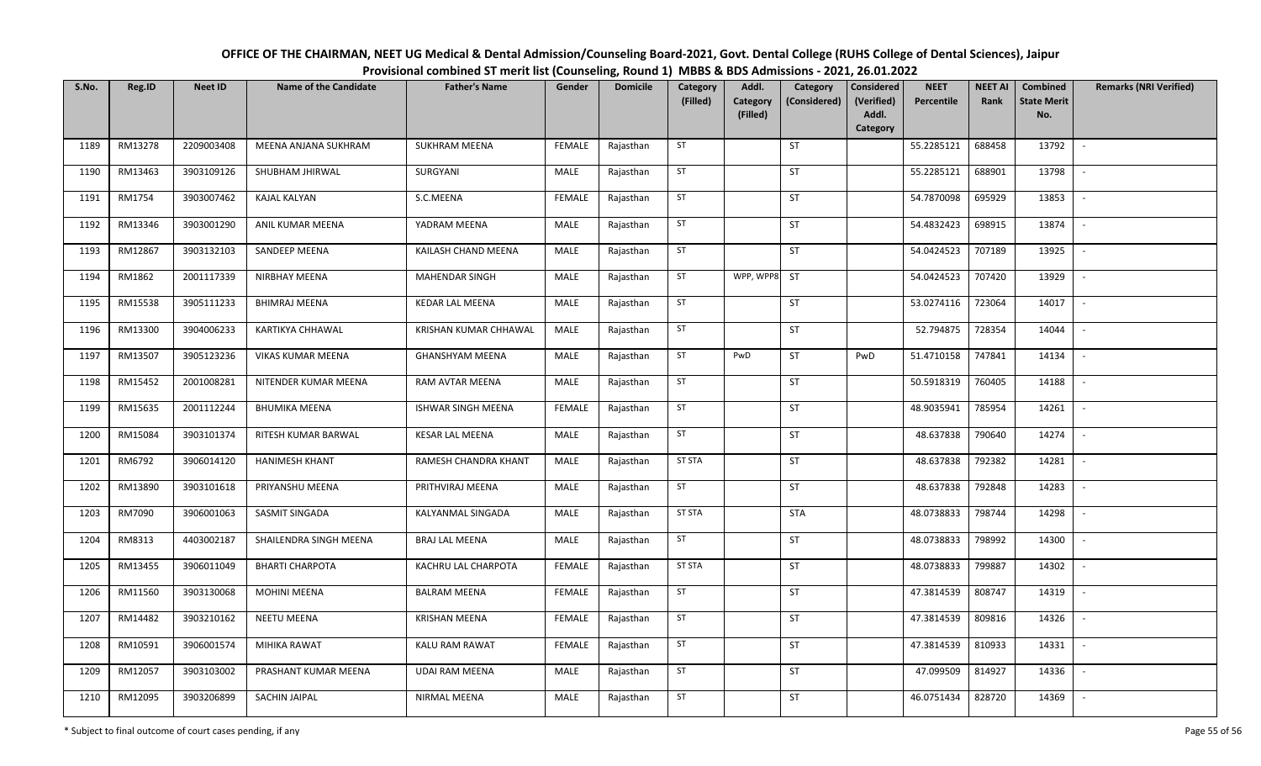| OFFICE OF THE CHAIRMAN, NEET UG Medical & Dental Admission/Counseling Board-2021, Govt. Dental College (RUHS College of Dental Sciences), Jaipur |
|--------------------------------------------------------------------------------------------------------------------------------------------------|
| Provisional combined ST merit list (Counseling, Round 1) MBBS & BDS Admissions - 2021, 26.01.2022                                                |

| S.No. | Reg.ID  | <b>Neet ID</b> | <b>Name of the Candidate</b> | <b>Father's Name</b>   | Gender        | <b>Domicile</b> | Category<br>(Filled) | Addl.<br>Category | Category<br>(Considered) | <b>Considered</b><br>(Verified) | <b>NEET</b><br>Percentile | <b>NEET AI</b><br>Rank | Combined<br><b>State Merit</b> | <b>Remarks (NRI Verified)</b> |
|-------|---------|----------------|------------------------------|------------------------|---------------|-----------------|----------------------|-------------------|--------------------------|---------------------------------|---------------------------|------------------------|--------------------------------|-------------------------------|
|       |         |                |                              |                        |               |                 |                      | (Filled)          |                          | Addl.<br>Category               |                           |                        | No.                            |                               |
| 1189  | RM13278 | 2209003408     | MEENA ANJANA SUKHRAM         | <b>SUKHRAM MEENA</b>   | <b>FEMALE</b> | Rajasthan       | ST                   |                   | ST                       |                                 | 55.2285121                | 688458                 | 13792                          | $\sim$                        |
| 1190  | RM13463 | 3903109126     | SHUBHAM JHIRWAL              | SURGYANI               | MALE          | Rajasthan       | ST                   |                   | ST                       |                                 | 55.2285121                | 688901                 | 13798                          | $\sim$                        |
| 1191  | RM1754  | 3903007462     | <b>KAJAL KALYAN</b>          | S.C.MEENA              | <b>FEMALE</b> | Rajasthan       | ST                   |                   | ST                       |                                 | 54.7870098                | 695929                 | 13853                          | $\sim$                        |
| 1192  | RM13346 | 3903001290     | ANIL KUMAR MEENA             | YADRAM MEENA           | MALE          | Rajasthan       | ST                   |                   | ST                       |                                 | 54.4832423                | 698915                 | 13874                          | $\sim$                        |
| 1193  | RM12867 | 3903132103     | SANDEEP MEENA                | KAILASH CHAND MEENA    | MALE          | Rajasthan       | ST                   |                   | ST                       |                                 | 54.0424523                | 707189                 | 13925                          | $\sim$                        |
| 1194  | RM1862  | 2001117339     | NIRBHAY MEENA                | MAHENDAR SINGH         | MALE          | Rajasthan       | ST                   | WPP, WPP8         | <b>ST</b>                |                                 | 54.0424523                | 707420                 | 13929                          | $\sim$                        |
| 1195  | RM15538 | 3905111233     | <b>BHIMRAJ MEENA</b>         | <b>KEDAR LAL MEENA</b> | MALE          | Rajasthan       | ST                   |                   | ST                       |                                 | 53.0274116                | 723064                 | 14017                          | $\sim$                        |
| 1196  | RM13300 | 3904006233     | KARTIKYA CHHAWAL             | KRISHAN KUMAR CHHAWAL  | MALE          | Rajasthan       | ST                   |                   | ST                       |                                 | 52.794875                 | 728354                 | 14044                          | $\mathbb{L}$                  |
| 1197  | RM13507 | 3905123236     | VIKAS KUMAR MEENA            | <b>GHANSHYAM MEENA</b> | MALE          | Rajasthan       | ST                   | PwD               | ST                       | PwD                             | 51.4710158                | 747841                 | 14134                          | $\mathbb{L}$                  |
| 1198  | RM15452 | 2001008281     | NITENDER KUMAR MEENA         | RAM AVTAR MEENA        | MALE          | Rajasthan       | ST                   |                   | ST                       |                                 | 50.5918319                | 760405                 | 14188                          | $\sim$                        |
| 1199  | RM15635 | 2001112244     | <b>BHUMIKA MEENA</b>         | ISHWAR SINGH MEENA     | <b>FEMALE</b> | Rajasthan       | ST                   |                   | ST                       |                                 | 48.9035941                | 785954                 | 14261                          | $\sim$                        |
| 1200  | RM15084 | 3903101374     | RITESH KUMAR BARWAL          | <b>KESAR LAL MEENA</b> | MALE          | Rajasthan       | ST                   |                   | ST                       |                                 | 48.637838                 | 790640                 | 14274                          | $\sim$                        |
| 1201  | RM6792  | 3906014120     | <b>HANIMESH KHANT</b>        | RAMESH CHANDRA KHANT   | <b>MALE</b>   | Rajasthan       | <b>ST STA</b>        |                   | ST                       |                                 | 48.637838                 | 792382                 | 14281                          | $\sim$                        |
| 1202  | RM13890 | 3903101618     | PRIYANSHU MEENA              | PRITHVIRAJ MEENA       | MALE          | Rajasthan       | ST                   |                   | ST                       |                                 | 48.637838                 | 792848                 | 14283                          | $\sim$                        |
| 1203  | RM7090  | 3906001063     | SASMIT SINGADA               | KALYANMAL SINGADA      | MALE          | Rajasthan       | <b>ST STA</b>        |                   | <b>STA</b>               |                                 | 48.0738833                | 798744                 | 14298                          | $\mathbb{L}$                  |
| 1204  | RM8313  | 4403002187     | SHAILENDRA SINGH MEENA       | <b>BRAJ LAL MEENA</b>  | MALE          | Rajasthan       | ST                   |                   | ST                       |                                 | 48.0738833                | 798992                 | 14300                          | $\sim$                        |
| 1205  | RM13455 | 3906011049     | <b>BHARTI CHARPOTA</b>       | KACHRU LAL CHARPOTA    | <b>FEMALE</b> | Rajasthan       | <b>ST STA</b>        |                   | ST                       |                                 | 48.0738833                | 799887                 | 14302                          | $\overline{\phantom{a}}$      |
| 1206  | RM11560 | 3903130068     | <b>MOHINI MEENA</b>          | <b>BALRAM MEENA</b>    | <b>FEMALE</b> | Rajasthan       | ST                   |                   | ST                       |                                 | 47.3814539                | 808747                 | 14319                          | $\sim$                        |
| 1207  | RM14482 | 3903210162     | <b>NEETU MEENA</b>           | <b>KRISHAN MEENA</b>   | <b>FEMALE</b> | Rajasthan       | ST                   |                   | ST                       |                                 | 47.3814539                | 809816                 | 14326                          | $\sim$                        |
| 1208  | RM10591 | 3906001574     | MIHIKA RAWAT                 | <b>KALU RAM RAWAT</b>  | <b>FEMALE</b> | Rajasthan       | ST                   |                   | ST                       |                                 | 47.3814539                | 810933                 | 14331                          | $\sim$                        |
| 1209  | RM12057 | 3903103002     | PRASHANT KUMAR MEENA         | <b>UDAI RAM MEENA</b>  | MALE          | Rajasthan       | ST                   |                   | ST                       |                                 | 47.099509                 | 814927                 | 14336                          | $\sim$                        |
| 1210  | RM12095 | 3903206899     | SACHIN JAIPAL                | NIRMAL MEENA           | MALE          | Rajasthan       | ST                   |                   | ST                       |                                 | 46.0751434                | 828720                 | 14369                          |                               |